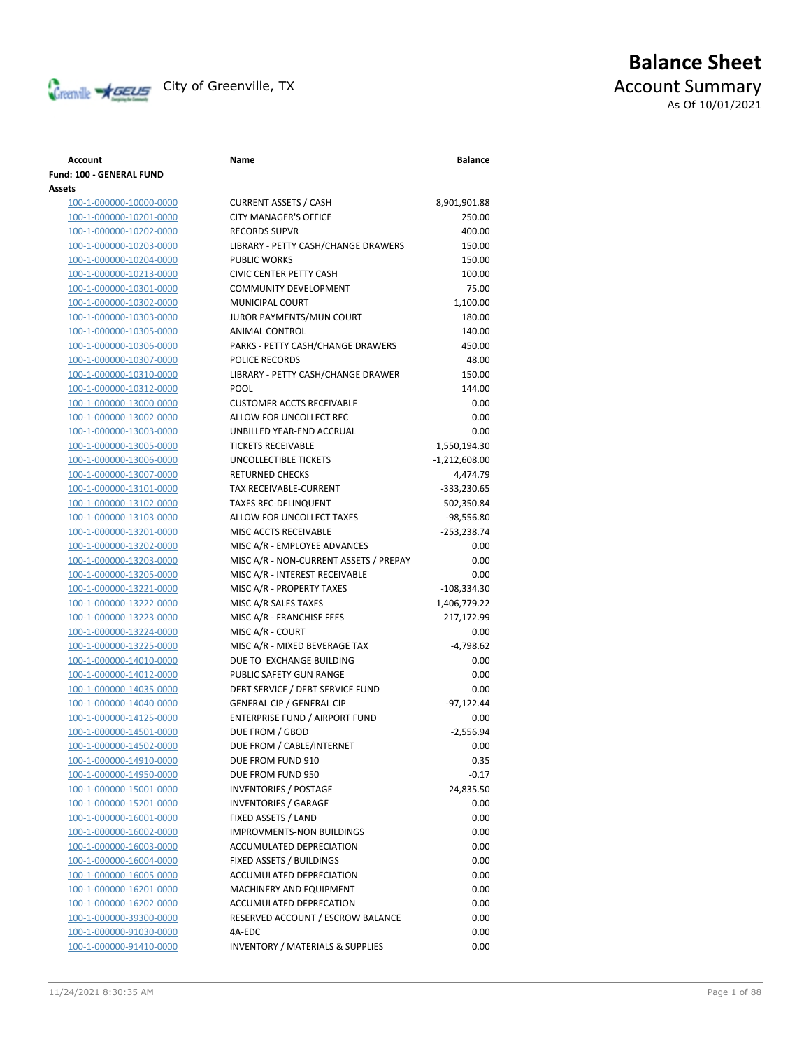

# **Balance Sheet** Creenville **AGEUS** City of Greenville, TX **ACCOUNT** ACCOUNT Summary As Of 10/01/2021

### **Account Name Balance Fund: 100 - GENERAL FUND Assets** 100-1-000000-10000-0000 CURRENT ASSETS / CASH 8,901,901.88 100-1-000000-10201-0000 CITY MANAGER'S OFFICE 250.00 100-1-000000-10202-0000 RECORDS SUPVR 400.00 100-1-000000-10203-0000 LIBRARY - PETTY CASH/CHANGE DRAWERS 150.00 100-1-000000-10204-0000 PUBLIC WORKS 150.00 100-1-000000-10213-0000 CIVIC CENTER PETTY CASH 100.00 100-1-000000-10301-0000 COMMUNITY DEVELOPMENT 75.00 100-1-000000-10302-0000 MUNICIPAL COURT 1,100.00 100-1-000000-10303-0000 JUROR PAYMENTS/MUN COURT 180.00 100-1-000000-10305-0000 ANIMAL CONTROL 140.00 100-1-000000-10306-0000 PARKS - PETTY CASH/CHANGE DRAWERS 450.00 100-1-000000-10307-0000 POLICE RECORDS 48.00 100-1-000000-10310-0000 LIBRARY - PETTY CASH/CHANGE DRAWER 150.00 100-1-000000-10312-0000 POOL 144.00 100-1-000000-13000-0000 CUSTOMER ACCTS RECEIVABLE 0.00 100-1-000000-13002-0000 ALLOW FOR UNCOLLECT REC 0.00 100-1-000000-13003-0000 UNBILLED YEAR-END ACCRUAL 0.00 100-1-000000-13005-0000 TICKETS RECEIVABLE 1,550,194.30 100-1-000000-13006-0000 UNCOLLECTIBLE TICKETS -1,212,608.00 100-1-000000-13007-0000 RETURNED CHECKS 4,474.79 100-1-000000-13101-0000 TAX RECEIVABLE-CURRENT -333,230.65 100-1-000000-13102-0000 TAXES REC-DELINQUENT 502,350.84 100-1-000000-13103-0000 ALLOW FOR UNCOLLECT TAXES -98,556.80 100-1-000000-13201-0000 MISC ACCTS RECEIVABLE -253,238.74 100-1-000000-13202-0000 MISC A/R - EMPLOYEE ADVANCES 0.00 100-1-000000-13203-0000 MISC A/R - NON-CURRENT ASSETS / PREPAY 0.00 100-1-000000-13205-0000 MISC A/R - INTEREST RECEIVABLE 0.00 100-1-000000-13221-0000 MISC A/R - PROPERTY TAXES -108,334.30 100-1-000000-13222-0000 MISC A/R SALES TAXES 1,406,779.22 100-1-000000-13223-0000 MISC A/R - FRANCHISE FEES 217,172.99 100-1-000000-13224-0000 MISC A/R - COURT 0.00 100-1-000000-13225-0000 MISC A/R - MIXED BEVERAGE TAX -4,798.62 100-1-000000-14010-0000 DUE TO EXCHANGE BUILDING 0.00 100-1-000000-14012-0000 PUBLIC SAFETY GUN RANGE 0.00 100-1-000000-14035-0000 DEBT SERVICE / DEBT SERVICE FUND 0.00 100-1-000000-14040-0000 GENERAL CIP / GENERAL CIP -97,122.44 100-1-000000-14125-0000 ENTERPRISE FUND / AIRPORT FUND 0.00 100-1-000000-14501-0000 DUE FROM / GBOD 100-1-000000-14502-0000 DUE FROM / CABLE/INTERNET 100-1-000000-14910-0000 DUE FROM FUND 910 100-1-000000-14950-0000 DUE FROM FUND 950 100-1-000000-15001-0000 INVENTORIES / POSTAGE 24,835.50 100-1-000000-15201-0000 INVENTORIES / GARAGE 0.00 100-1-000000-16001-0000 FIXED ASSETS / LAND 0.00 100-1-000000-16002-0000 IMPROVMENTS-NON BUILDINGS 100-1-000000-16003-0000 ACCUMULATED DEPRECIATION 0.00 100-1-000000-16004-0000 FIXED ASSETS / BUILDINGS 0.00 100-1-000000-16005-0000 ACCUMULATED DEPRECIATION 0.00 100-1-000000-16201-0000 MACHINERY AND EQUIPMENT 0.00 100-1-000000-16202-0000 ACCUMULATED DEPRECATION 0.00 100-1-000000-39300-0000 RESERVED ACCOUNT / ESCROW BALANCE 100-1-000000-91030-0000 4A-EDC 0.00

100-1-000000-91410-0000 INVENTORY / MATERIALS & SUPPLIES

|  | A/20210.20.25A |  |
|--|----------------|--|

| 97,122.44 |  |
|-----------|--|
| 0.00      |  |
| -2,556.94 |  |
| 0.00      |  |
| 0.35      |  |
| $-0.17$   |  |
| 24,835.50 |  |
| 0.00      |  |
| 0.00      |  |
| 0.00      |  |
| 0.00      |  |
| 0.00      |  |
| 0.00      |  |
| 0.00      |  |
| 0.00      |  |
| 0.00      |  |
| 0.00      |  |
| 0.00      |  |
|           |  |
|           |  |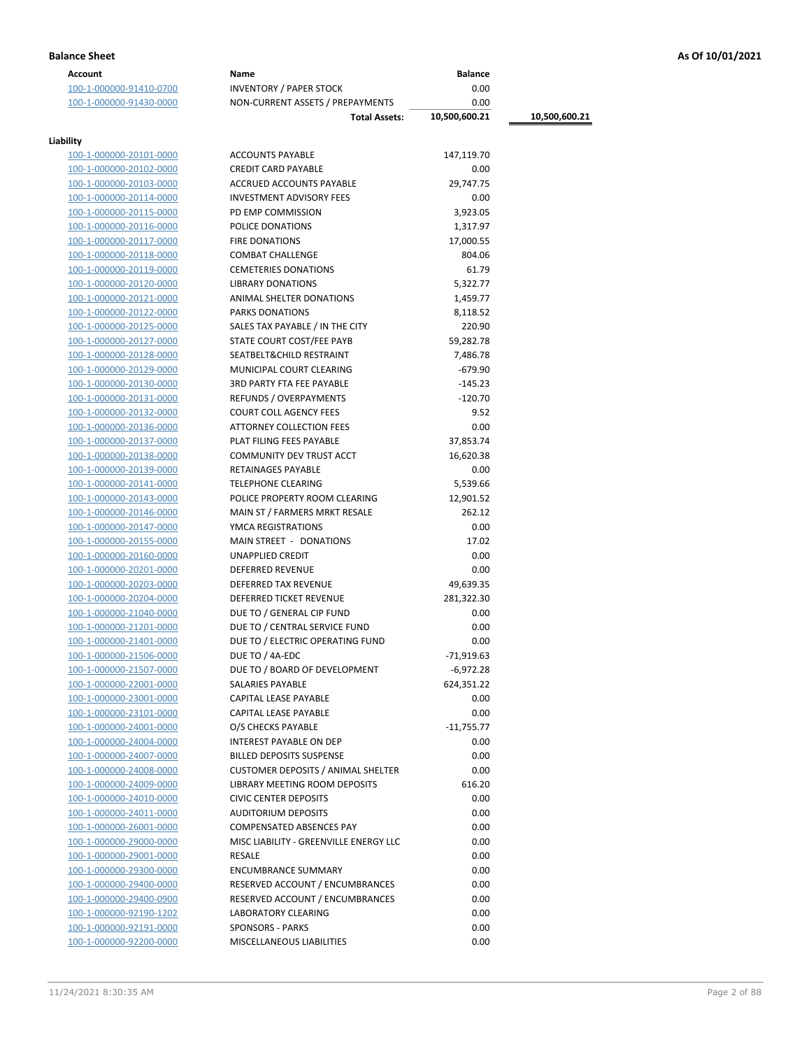### **Balance Sheet As Of 10/01/2021**

| Account                 | Name                                                          | <b>Balance</b> |               |
|-------------------------|---------------------------------------------------------------|----------------|---------------|
| 100-1-000000-91410-0700 | <b>INVENTORY / PAPER STOCK</b>                                | 0.00           |               |
| 100-1-000000-91430-0000 | NON-CURRENT ASSETS / PREPAYMENTS                              | 0.00           |               |
|                         | <b>Total Assets:</b>                                          | 10,500,600.21  | 10,500,600.21 |
|                         |                                                               |                |               |
| Liability               |                                                               |                |               |
| 100-1-000000-20101-0000 | <b>ACCOUNTS PAYABLE</b>                                       | 147,119.70     |               |
| 100-1-000000-20102-0000 | <b>CREDIT CARD PAYABLE</b>                                    | 0.00           |               |
| 100-1-000000-20103-0000 | ACCRUED ACCOUNTS PAYABLE                                      | 29,747.75      |               |
| 100-1-000000-20114-0000 | <b>INVESTMENT ADVISORY FEES</b>                               | 0.00           |               |
| 100-1-000000-20115-0000 | PD EMP COMMISSION                                             | 3,923.05       |               |
| 100-1-000000-20116-0000 | POLICE DONATIONS                                              | 1,317.97       |               |
| 100-1-000000-20117-0000 | <b>FIRE DONATIONS</b>                                         | 17,000.55      |               |
| 100-1-000000-20118-0000 | <b>COMBAT CHALLENGE</b>                                       | 804.06         |               |
| 100-1-000000-20119-0000 | <b>CEMETERIES DONATIONS</b>                                   | 61.79          |               |
| 100-1-000000-20120-0000 | <b>LIBRARY DONATIONS</b>                                      | 5,322.77       |               |
| 100-1-000000-20121-0000 | ANIMAL SHELTER DONATIONS                                      | 1,459.77       |               |
| 100-1-000000-20122-0000 | <b>PARKS DONATIONS</b>                                        | 8,118.52       |               |
| 100-1-000000-20125-0000 | SALES TAX PAYABLE / IN THE CITY                               | 220.90         |               |
| 100-1-000000-20127-0000 | STATE COURT COST/FEE PAYB                                     | 59,282.78      |               |
| 100-1-000000-20128-0000 | SEATBELT&CHILD RESTRAINT                                      | 7,486.78       |               |
| 100-1-000000-20129-0000 | MUNICIPAL COURT CLEARING                                      | $-679.90$      |               |
| 100-1-000000-20130-0000 | <b>3RD PARTY FTA FEE PAYABLE</b>                              | $-145.23$      |               |
| 100-1-000000-20131-0000 | <b>REFUNDS / OVERPAYMENTS</b>                                 | $-120.70$      |               |
| 100-1-000000-20132-0000 | <b>COURT COLL AGENCY FEES</b>                                 | 9.52           |               |
| 100-1-000000-20136-0000 | ATTORNEY COLLECTION FEES                                      | 0.00           |               |
| 100-1-000000-20137-0000 | PLAT FILING FEES PAYABLE                                      | 37,853.74      |               |
| 100-1-000000-20138-0000 | COMMUNITY DEV TRUST ACCT                                      | 16,620.38      |               |
| 100-1-000000-20139-0000 | RETAINAGES PAYABLE                                            | 0.00           |               |
| 100-1-000000-20141-0000 | <b>TELEPHONE CLEARING</b>                                     | 5,539.66       |               |
| 100-1-000000-20143-0000 | POLICE PROPERTY ROOM CLEARING                                 | 12,901.52      |               |
| 100-1-000000-20146-0000 | MAIN ST / FARMERS MRKT RESALE                                 | 262.12         |               |
| 100-1-000000-20147-0000 | YMCA REGISTRATIONS                                            | 0.00           |               |
| 100-1-000000-20155-0000 | MAIN STREET - DONATIONS                                       | 17.02          |               |
| 100-1-000000-20160-0000 | UNAPPLIED CREDIT                                              | 0.00           |               |
| 100-1-000000-20201-0000 | <b>DEFERRED REVENUE</b>                                       | 0.00           |               |
| 100-1-000000-20203-0000 | DEFERRED TAX REVENUE                                          | 49,639.35      |               |
| 100-1-000000-20204-0000 | DEFERRED TICKET REVENUE                                       | 281,322.30     |               |
| 100-1-000000-21040-0000 | DUE TO / GENERAL CIP FUND                                     | 0.00           |               |
| 100-1-000000-21201-0000 | DUE TO / CENTRAL SERVICE FUND                                 | 0.00           |               |
| 100-1-000000-21401-0000 | DUE TO / ELECTRIC OPERATING FUND                              | 0.00           |               |
| 100-1-000000-21506-0000 | DUE TO / 4A-EDC                                               | -71,919.63     |               |
| 100-1-000000-21507-0000 | DUE TO / BOARD OF DEVELOPMENT                                 | $-6,972.28$    |               |
| 100-1-000000-22001-0000 | SALARIES PAYABLE                                              | 624,351.22     |               |
| 100-1-000000-23001-0000 | CAPITAL LEASE PAYABLE                                         | 0.00           |               |
| 100-1-000000-23101-0000 | CAPITAL LEASE PAYABLE                                         | 0.00           |               |
| 100-1-000000-24001-0000 | O/S CHECKS PAYABLE                                            | $-11,755.77$   |               |
| 100-1-000000-24004-0000 | <b>INTEREST PAYABLE ON DEP</b>                                | 0.00           |               |
| 100-1-000000-24007-0000 | <b>BILLED DEPOSITS SUSPENSE</b>                               | 0.00           |               |
| 100-1-000000-24008-0000 | <b>CUSTOMER DEPOSITS / ANIMAL SHELTER</b>                     | 0.00           |               |
|                         | <b>LIBRARY MEETING ROOM DEPOSITS</b>                          | 616.20         |               |
| 100-1-000000-24009-0000 |                                                               | 0.00           |               |
| 100-1-000000-24010-0000 | <b>CIVIC CENTER DEPOSITS</b>                                  |                |               |
| 100-1-000000-24011-0000 | <b>AUDITORIUM DEPOSITS</b><br><b>COMPENSATED ABSENCES PAY</b> | 0.00           |               |
| 100-1-000000-26001-0000 |                                                               | 0.00           |               |
| 100-1-000000-29000-0000 | MISC LIABILITY - GREENVILLE ENERGY LLC                        | 0.00           |               |
| 100-1-000000-29001-0000 | RESALE                                                        | 0.00           |               |
| 100-1-000000-29300-0000 | <b>ENCUMBRANCE SUMMARY</b>                                    | 0.00           |               |
| 100-1-000000-29400-0000 | RESERVED ACCOUNT / ENCUMBRANCES                               | 0.00           |               |
| 100-1-000000-29400-0900 | RESERVED ACCOUNT / ENCUMBRANCES                               | 0.00           |               |
| 100-1-000000-92190-1202 | LABORATORY CLEARING                                           | 0.00           |               |
| 100-1-000000-92191-0000 | <b>SPONSORS - PARKS</b>                                       | 0.00           |               |
| 100-1-000000-92200-0000 | MISCELLANEOUS LIABILITIES                                     | 0.00           |               |
|                         |                                                               |                |               |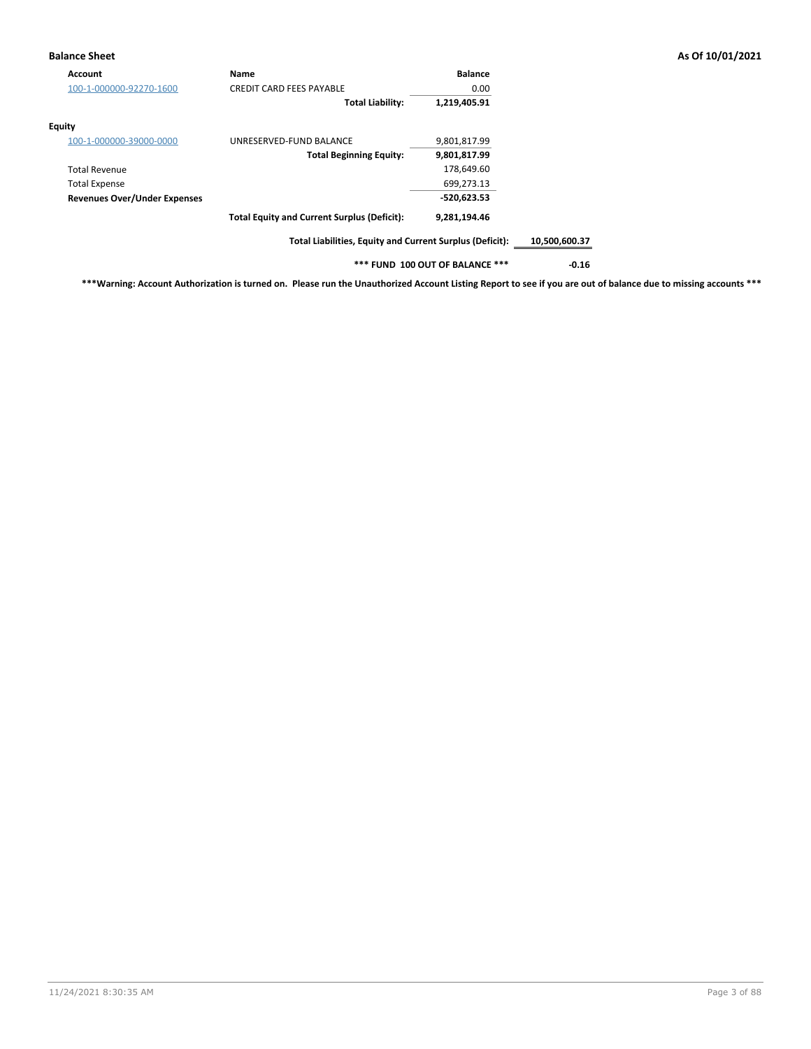### **Balance Sheet As Of 10/01/2021**

| <b>Account</b>                      | Name                                                     | <b>Balance</b>                  |               |
|-------------------------------------|----------------------------------------------------------|---------------------------------|---------------|
| 100-1-000000-92270-1600             | <b>CREDIT CARD FEES PAYABLE</b>                          | 0.00                            |               |
|                                     | <b>Total Liability:</b>                                  | 1,219,405.91                    |               |
| Equity                              |                                                          |                                 |               |
| 100-1-000000-39000-0000             | UNRESERVED-FUND BALANCE                                  | 9,801,817.99                    |               |
|                                     | <b>Total Beginning Equity:</b>                           | 9,801,817.99                    |               |
| <b>Total Revenue</b>                |                                                          | 178,649.60                      |               |
| <b>Total Expense</b>                |                                                          | 699,273.13                      |               |
| <b>Revenues Over/Under Expenses</b> |                                                          | $-520,623.53$                   |               |
|                                     | <b>Total Equity and Current Surplus (Deficit):</b>       | 9,281,194.46                    |               |
|                                     | Total Liabilities, Equity and Current Surplus (Deficit): |                                 | 10,500,600.37 |
|                                     |                                                          | *** FUND 100 OUT OF BALANCE *** | $-0.16$       |

**\*\*\*Warning: Account Authorization is turned on. Please run the Unauthorized Account Listing Report to see if you are out of balance due to missing accounts \*\*\***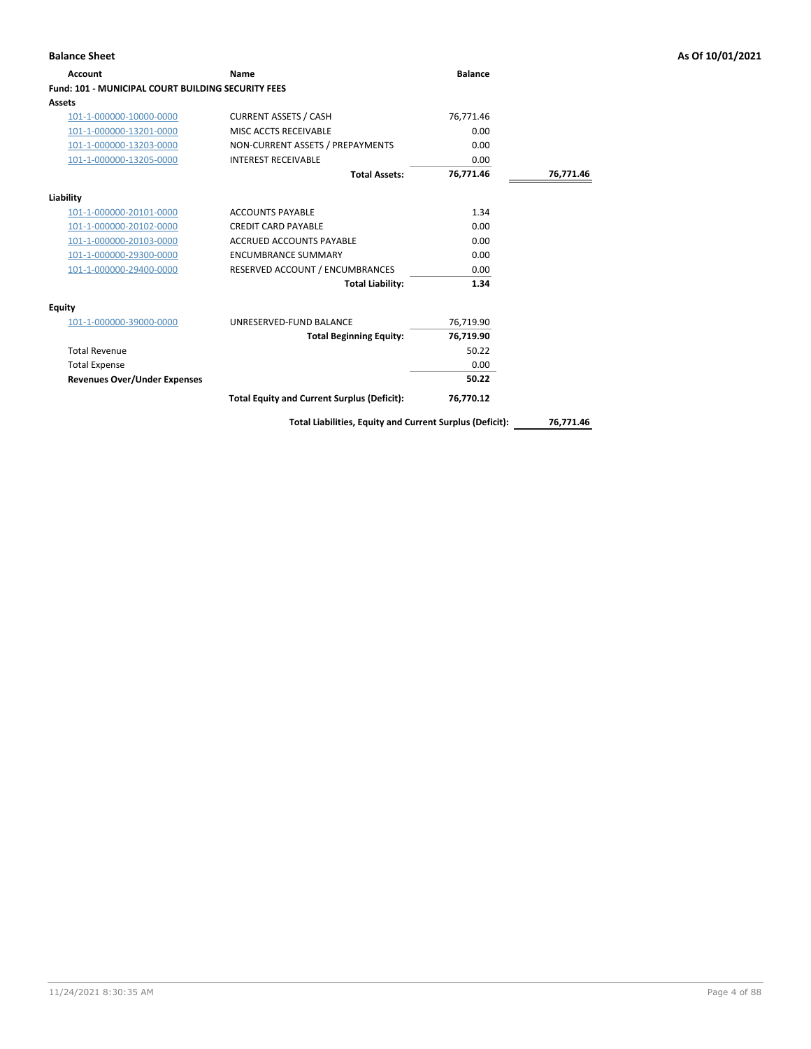| Account                                                   | <b>Name</b>                                        | <b>Balance</b> |           |
|-----------------------------------------------------------|----------------------------------------------------|----------------|-----------|
| <b>Fund: 101 - MUNICIPAL COURT BUILDING SECURITY FEES</b> |                                                    |                |           |
| <b>Assets</b>                                             |                                                    |                |           |
| 101-1-000000-10000-0000                                   | <b>CURRENT ASSETS / CASH</b>                       | 76,771.46      |           |
| 101-1-000000-13201-0000                                   | MISC ACCTS RECEIVABLE                              | 0.00           |           |
| 101-1-000000-13203-0000                                   | NON-CURRENT ASSETS / PREPAYMENTS                   | 0.00           |           |
| 101-1-000000-13205-0000                                   | <b>INTEREST RECEIVABLE</b>                         | 0.00           |           |
|                                                           | <b>Total Assets:</b>                               | 76,771.46      | 76,771.46 |
| Liability                                                 |                                                    |                |           |
| 101-1-000000-20101-0000                                   | <b>ACCOUNTS PAYABLE</b>                            | 1.34           |           |
| 101-1-000000-20102-0000                                   | <b>CREDIT CARD PAYABLE</b>                         | 0.00           |           |
| 101-1-000000-20103-0000                                   | <b>ACCRUED ACCOUNTS PAYABLE</b>                    | 0.00           |           |
| 101-1-000000-29300-0000                                   | <b>ENCUMBRANCE SUMMARY</b>                         | 0.00           |           |
| 101-1-000000-29400-0000                                   | RESERVED ACCOUNT / ENCUMBRANCES                    | 0.00           |           |
|                                                           | <b>Total Liability:</b>                            | 1.34           |           |
| <b>Equity</b>                                             |                                                    |                |           |
| 101-1-000000-39000-0000                                   | UNRESERVED-FUND BALANCE                            | 76,719.90      |           |
|                                                           | <b>Total Beginning Equity:</b>                     | 76,719.90      |           |
| <b>Total Revenue</b>                                      |                                                    | 50.22          |           |
| <b>Total Expense</b>                                      |                                                    | 0.00           |           |
| <b>Revenues Over/Under Expenses</b>                       |                                                    | 50.22          |           |
|                                                           | <b>Total Equity and Current Surplus (Deficit):</b> | 76,770.12      |           |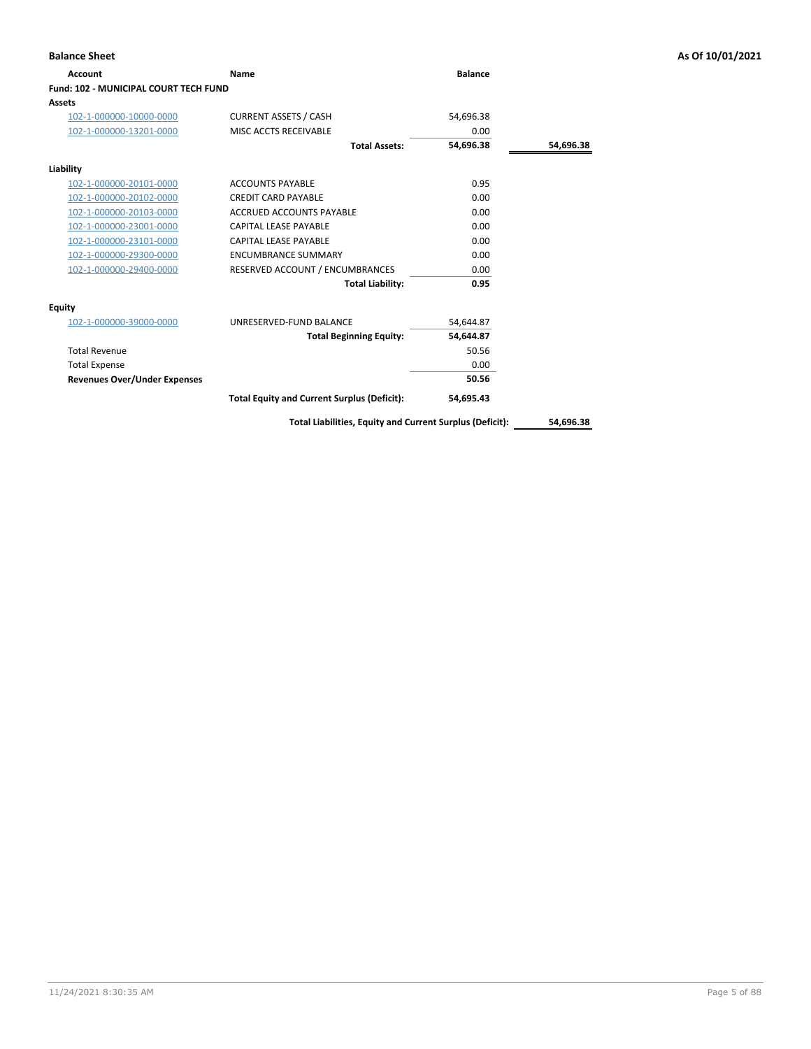| Account                               | Name                                               | <b>Balance</b> |           |
|---------------------------------------|----------------------------------------------------|----------------|-----------|
| Fund: 102 - MUNICIPAL COURT TECH FUND |                                                    |                |           |
| Assets                                |                                                    |                |           |
| 102-1-000000-10000-0000               | <b>CURRENT ASSETS / CASH</b>                       | 54,696.38      |           |
| 102-1-000000-13201-0000               | MISC ACCTS RECEIVABLE                              | 0.00           |           |
|                                       | <b>Total Assets:</b>                               | 54,696.38      | 54,696.38 |
| Liability                             |                                                    |                |           |
| 102-1-000000-20101-0000               | <b>ACCOUNTS PAYABLE</b>                            | 0.95           |           |
| 102-1-000000-20102-0000               | <b>CREDIT CARD PAYABLE</b>                         | 0.00           |           |
| 102-1-000000-20103-0000               | <b>ACCRUED ACCOUNTS PAYABLE</b>                    | 0.00           |           |
| 102-1-000000-23001-0000               | <b>CAPITAL LEASE PAYABLE</b>                       | 0.00           |           |
| 102-1-000000-23101-0000               | <b>CAPITAL LEASE PAYABLE</b>                       | 0.00           |           |
| 102-1-000000-29300-0000               | <b>ENCUMBRANCE SUMMARY</b>                         | 0.00           |           |
| 102-1-000000-29400-0000               | RESERVED ACCOUNT / ENCUMBRANCES                    | 0.00           |           |
|                                       | <b>Total Liability:</b>                            | 0.95           |           |
| <b>Equity</b>                         |                                                    |                |           |
| 102-1-000000-39000-0000               | UNRESERVED-FUND BALANCE                            | 54,644.87      |           |
|                                       | <b>Total Beginning Equity:</b>                     | 54,644.87      |           |
| <b>Total Revenue</b>                  |                                                    | 50.56          |           |
| <b>Total Expense</b>                  |                                                    | 0.00           |           |
| <b>Revenues Over/Under Expenses</b>   |                                                    | 50.56          |           |
|                                       | <b>Total Equity and Current Surplus (Deficit):</b> | 54,695.43      |           |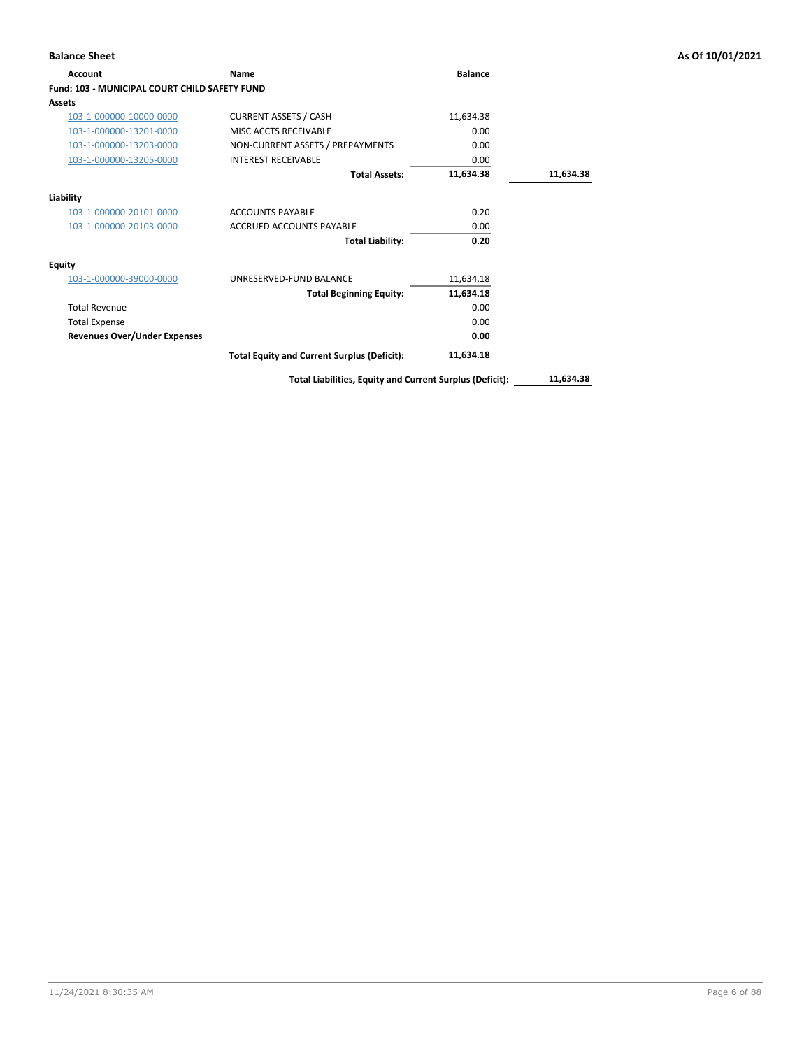| <b>Account</b>                                       | Name                                                     | <b>Balance</b> |           |
|------------------------------------------------------|----------------------------------------------------------|----------------|-----------|
| <b>Fund: 103 - MUNICIPAL COURT CHILD SAFETY FUND</b> |                                                          |                |           |
| Assets                                               |                                                          |                |           |
| 103-1-000000-10000-0000                              | <b>CURRENT ASSETS / CASH</b>                             | 11,634.38      |           |
| 103-1-000000-13201-0000                              | MISC ACCTS RECEIVABLE                                    | 0.00           |           |
| 103-1-000000-13203-0000                              | NON-CURRENT ASSETS / PREPAYMENTS                         | 0.00           |           |
| 103-1-000000-13205-0000                              | <b>INTEREST RECEIVABLE</b>                               | 0.00           |           |
|                                                      | <b>Total Assets:</b>                                     | 11,634.38      | 11,634.38 |
| Liability                                            |                                                          |                |           |
| 103-1-000000-20101-0000                              | <b>ACCOUNTS PAYABLE</b>                                  | 0.20           |           |
| 103-1-000000-20103-0000                              | ACCRUED ACCOUNTS PAYABLE                                 | 0.00           |           |
|                                                      | <b>Total Liability:</b>                                  | 0.20           |           |
| <b>Equity</b>                                        |                                                          |                |           |
| 103-1-000000-39000-0000                              | UNRESERVED-FUND BALANCE                                  | 11,634.18      |           |
|                                                      | <b>Total Beginning Equity:</b>                           | 11,634.18      |           |
| <b>Total Revenue</b>                                 |                                                          | 0.00           |           |
| <b>Total Expense</b>                                 |                                                          | 0.00           |           |
| <b>Revenues Over/Under Expenses</b>                  |                                                          | 0.00           |           |
|                                                      | <b>Total Equity and Current Surplus (Deficit):</b>       | 11,634.18      |           |
|                                                      | Total Liabilities, Equity and Current Surplus (Deficit): |                | 11.634.38 |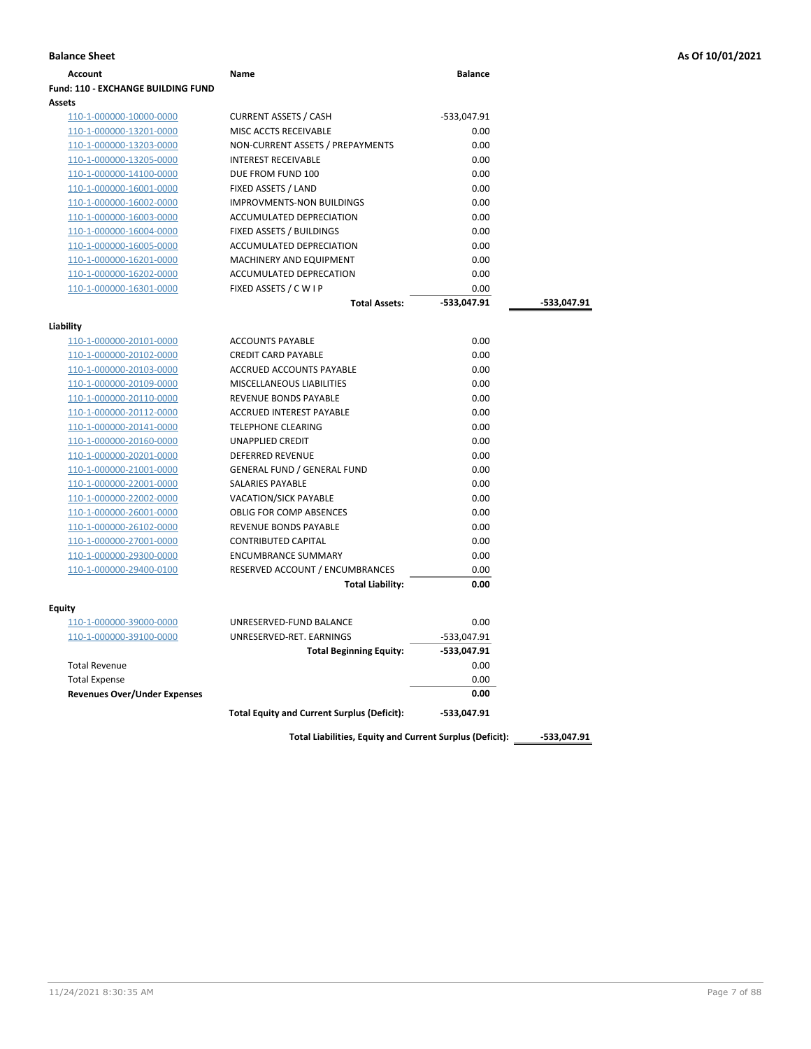| <b>Fund: 110 - EXCHANGE BUILDING FUND</b><br>Assets<br><b>CURRENT ASSETS / CASH</b><br>110-1-000000-10000-0000<br>-533,047.91<br>0.00<br>110-1-000000-13201-0000<br>MISC ACCTS RECEIVABLE<br>NON-CURRENT ASSETS / PREPAYMENTS<br>0.00<br>110-1-000000-13203-0000<br><b>INTEREST RECEIVABLE</b><br>0.00<br>110-1-000000-13205-0000<br>0.00<br>DUE FROM FUND 100<br>110-1-000000-14100-0000<br>FIXED ASSETS / LAND<br>0.00<br>110-1-000000-16001-0000<br>0.00<br>110-1-000000-16002-0000<br><b>IMPROVMENTS-NON BUILDINGS</b><br>ACCUMULATED DEPRECIATION<br>0.00<br>110-1-000000-16003-0000<br>FIXED ASSETS / BUILDINGS<br>0.00<br>110-1-000000-16004-0000<br>ACCUMULATED DEPRECIATION<br>0.00<br>110-1-000000-16005-0000<br>0.00<br>MACHINERY AND EQUIPMENT<br>110-1-000000-16201-0000<br>110-1-000000-16202-0000<br>ACCUMULATED DEPRECATION<br>0.00<br>FIXED ASSETS / C W I P<br>110-1-000000-16301-0000<br>0.00<br><b>Total Assets:</b><br>-533,047.91<br>Liability<br><b>ACCOUNTS PAYABLE</b><br>0.00<br>110-1-000000-20101-0000<br><b>CREDIT CARD PAYABLE</b><br>0.00<br>110-1-000000-20102-0000<br>0.00<br>110-1-000000-20103-0000<br>ACCRUED ACCOUNTS PAYABLE<br>110-1-000000-20109-0000<br><b>MISCELLANEOUS LIABILITIES</b><br>0.00<br>110-1-000000-20110-0000<br><b>REVENUE BONDS PAYABLE</b><br>0.00<br>0.00<br>110-1-000000-20112-0000<br>ACCRUED INTEREST PAYABLE<br><b>TELEPHONE CLEARING</b><br>0.00<br>110-1-000000-20141-0000<br>0.00<br>110-1-000000-20160-0000<br>UNAPPLIED CREDIT<br>DEFERRED REVENUE<br>0.00<br>110-1-000000-20201-0000<br><b>GENERAL FUND / GENERAL FUND</b><br>0.00<br>110-1-000000-21001-0000<br>SALARIES PAYABLE<br>0.00<br>110-1-000000-22001-0000<br><b>VACATION/SICK PAYABLE</b><br>0.00<br>110-1-000000-22002-0000<br><b>OBLIG FOR COMP ABSENCES</b><br>0.00<br>110-1-000000-26001-0000<br>0.00<br>110-1-000000-26102-0000<br>REVENUE BONDS PAYABLE<br><b>CONTRIBUTED CAPITAL</b><br>0.00<br>110-1-000000-27001-0000<br>0.00<br><b>ENCUMBRANCE SUMMARY</b><br>110-1-000000-29300-0000<br>110-1-000000-29400-0100<br>RESERVED ACCOUNT / ENCUMBRANCES<br>0.00<br><b>Total Liability:</b><br>0.00<br>Equity<br>110-1-000000-39000-0000<br>UNRESERVED-FUND BALANCE<br>0.00<br>UNRESERVED-RET. EARNINGS<br>110-1-000000-39100-0000<br>-533,047.91<br>-533,047.91<br><b>Total Beginning Equity:</b><br><b>Total Revenue</b><br>0.00<br>0.00<br><b>Total Expense</b> | Account | Name | <b>Balance</b> |             |
|---------------------------------------------------------------------------------------------------------------------------------------------------------------------------------------------------------------------------------------------------------------------------------------------------------------------------------------------------------------------------------------------------------------------------------------------------------------------------------------------------------------------------------------------------------------------------------------------------------------------------------------------------------------------------------------------------------------------------------------------------------------------------------------------------------------------------------------------------------------------------------------------------------------------------------------------------------------------------------------------------------------------------------------------------------------------------------------------------------------------------------------------------------------------------------------------------------------------------------------------------------------------------------------------------------------------------------------------------------------------------------------------------------------------------------------------------------------------------------------------------------------------------------------------------------------------------------------------------------------------------------------------------------------------------------------------------------------------------------------------------------------------------------------------------------------------------------------------------------------------------------------------------------------------------------------------------------------------------------------------------------------------------------------------------------------------------------------------------------------------------------------------------------------------------------------------------------------------------------------------------------------------------------------------------------------------------------------------------------------------------------------------------------|---------|------|----------------|-------------|
|                                                                                                                                                                                                                                                                                                                                                                                                                                                                                                                                                                                                                                                                                                                                                                                                                                                                                                                                                                                                                                                                                                                                                                                                                                                                                                                                                                                                                                                                                                                                                                                                                                                                                                                                                                                                                                                                                                                                                                                                                                                                                                                                                                                                                                                                                                                                                                                                         |         |      |                |             |
|                                                                                                                                                                                                                                                                                                                                                                                                                                                                                                                                                                                                                                                                                                                                                                                                                                                                                                                                                                                                                                                                                                                                                                                                                                                                                                                                                                                                                                                                                                                                                                                                                                                                                                                                                                                                                                                                                                                                                                                                                                                                                                                                                                                                                                                                                                                                                                                                         |         |      |                |             |
|                                                                                                                                                                                                                                                                                                                                                                                                                                                                                                                                                                                                                                                                                                                                                                                                                                                                                                                                                                                                                                                                                                                                                                                                                                                                                                                                                                                                                                                                                                                                                                                                                                                                                                                                                                                                                                                                                                                                                                                                                                                                                                                                                                                                                                                                                                                                                                                                         |         |      |                |             |
|                                                                                                                                                                                                                                                                                                                                                                                                                                                                                                                                                                                                                                                                                                                                                                                                                                                                                                                                                                                                                                                                                                                                                                                                                                                                                                                                                                                                                                                                                                                                                                                                                                                                                                                                                                                                                                                                                                                                                                                                                                                                                                                                                                                                                                                                                                                                                                                                         |         |      |                |             |
|                                                                                                                                                                                                                                                                                                                                                                                                                                                                                                                                                                                                                                                                                                                                                                                                                                                                                                                                                                                                                                                                                                                                                                                                                                                                                                                                                                                                                                                                                                                                                                                                                                                                                                                                                                                                                                                                                                                                                                                                                                                                                                                                                                                                                                                                                                                                                                                                         |         |      |                |             |
|                                                                                                                                                                                                                                                                                                                                                                                                                                                                                                                                                                                                                                                                                                                                                                                                                                                                                                                                                                                                                                                                                                                                                                                                                                                                                                                                                                                                                                                                                                                                                                                                                                                                                                                                                                                                                                                                                                                                                                                                                                                                                                                                                                                                                                                                                                                                                                                                         |         |      |                |             |
|                                                                                                                                                                                                                                                                                                                                                                                                                                                                                                                                                                                                                                                                                                                                                                                                                                                                                                                                                                                                                                                                                                                                                                                                                                                                                                                                                                                                                                                                                                                                                                                                                                                                                                                                                                                                                                                                                                                                                                                                                                                                                                                                                                                                                                                                                                                                                                                                         |         |      |                |             |
|                                                                                                                                                                                                                                                                                                                                                                                                                                                                                                                                                                                                                                                                                                                                                                                                                                                                                                                                                                                                                                                                                                                                                                                                                                                                                                                                                                                                                                                                                                                                                                                                                                                                                                                                                                                                                                                                                                                                                                                                                                                                                                                                                                                                                                                                                                                                                                                                         |         |      |                |             |
|                                                                                                                                                                                                                                                                                                                                                                                                                                                                                                                                                                                                                                                                                                                                                                                                                                                                                                                                                                                                                                                                                                                                                                                                                                                                                                                                                                                                                                                                                                                                                                                                                                                                                                                                                                                                                                                                                                                                                                                                                                                                                                                                                                                                                                                                                                                                                                                                         |         |      |                |             |
|                                                                                                                                                                                                                                                                                                                                                                                                                                                                                                                                                                                                                                                                                                                                                                                                                                                                                                                                                                                                                                                                                                                                                                                                                                                                                                                                                                                                                                                                                                                                                                                                                                                                                                                                                                                                                                                                                                                                                                                                                                                                                                                                                                                                                                                                                                                                                                                                         |         |      |                |             |
|                                                                                                                                                                                                                                                                                                                                                                                                                                                                                                                                                                                                                                                                                                                                                                                                                                                                                                                                                                                                                                                                                                                                                                                                                                                                                                                                                                                                                                                                                                                                                                                                                                                                                                                                                                                                                                                                                                                                                                                                                                                                                                                                                                                                                                                                                                                                                                                                         |         |      |                |             |
|                                                                                                                                                                                                                                                                                                                                                                                                                                                                                                                                                                                                                                                                                                                                                                                                                                                                                                                                                                                                                                                                                                                                                                                                                                                                                                                                                                                                                                                                                                                                                                                                                                                                                                                                                                                                                                                                                                                                                                                                                                                                                                                                                                                                                                                                                                                                                                                                         |         |      |                |             |
|                                                                                                                                                                                                                                                                                                                                                                                                                                                                                                                                                                                                                                                                                                                                                                                                                                                                                                                                                                                                                                                                                                                                                                                                                                                                                                                                                                                                                                                                                                                                                                                                                                                                                                                                                                                                                                                                                                                                                                                                                                                                                                                                                                                                                                                                                                                                                                                                         |         |      |                |             |
|                                                                                                                                                                                                                                                                                                                                                                                                                                                                                                                                                                                                                                                                                                                                                                                                                                                                                                                                                                                                                                                                                                                                                                                                                                                                                                                                                                                                                                                                                                                                                                                                                                                                                                                                                                                                                                                                                                                                                                                                                                                                                                                                                                                                                                                                                                                                                                                                         |         |      |                |             |
|                                                                                                                                                                                                                                                                                                                                                                                                                                                                                                                                                                                                                                                                                                                                                                                                                                                                                                                                                                                                                                                                                                                                                                                                                                                                                                                                                                                                                                                                                                                                                                                                                                                                                                                                                                                                                                                                                                                                                                                                                                                                                                                                                                                                                                                                                                                                                                                                         |         |      |                |             |
|                                                                                                                                                                                                                                                                                                                                                                                                                                                                                                                                                                                                                                                                                                                                                                                                                                                                                                                                                                                                                                                                                                                                                                                                                                                                                                                                                                                                                                                                                                                                                                                                                                                                                                                                                                                                                                                                                                                                                                                                                                                                                                                                                                                                                                                                                                                                                                                                         |         |      |                | -533,047.91 |
|                                                                                                                                                                                                                                                                                                                                                                                                                                                                                                                                                                                                                                                                                                                                                                                                                                                                                                                                                                                                                                                                                                                                                                                                                                                                                                                                                                                                                                                                                                                                                                                                                                                                                                                                                                                                                                                                                                                                                                                                                                                                                                                                                                                                                                                                                                                                                                                                         |         |      |                |             |
|                                                                                                                                                                                                                                                                                                                                                                                                                                                                                                                                                                                                                                                                                                                                                                                                                                                                                                                                                                                                                                                                                                                                                                                                                                                                                                                                                                                                                                                                                                                                                                                                                                                                                                                                                                                                                                                                                                                                                                                                                                                                                                                                                                                                                                                                                                                                                                                                         |         |      |                |             |
|                                                                                                                                                                                                                                                                                                                                                                                                                                                                                                                                                                                                                                                                                                                                                                                                                                                                                                                                                                                                                                                                                                                                                                                                                                                                                                                                                                                                                                                                                                                                                                                                                                                                                                                                                                                                                                                                                                                                                                                                                                                                                                                                                                                                                                                                                                                                                                                                         |         |      |                |             |
|                                                                                                                                                                                                                                                                                                                                                                                                                                                                                                                                                                                                                                                                                                                                                                                                                                                                                                                                                                                                                                                                                                                                                                                                                                                                                                                                                                                                                                                                                                                                                                                                                                                                                                                                                                                                                                                                                                                                                                                                                                                                                                                                                                                                                                                                                                                                                                                                         |         |      |                |             |
|                                                                                                                                                                                                                                                                                                                                                                                                                                                                                                                                                                                                                                                                                                                                                                                                                                                                                                                                                                                                                                                                                                                                                                                                                                                                                                                                                                                                                                                                                                                                                                                                                                                                                                                                                                                                                                                                                                                                                                                                                                                                                                                                                                                                                                                                                                                                                                                                         |         |      |                |             |
|                                                                                                                                                                                                                                                                                                                                                                                                                                                                                                                                                                                                                                                                                                                                                                                                                                                                                                                                                                                                                                                                                                                                                                                                                                                                                                                                                                                                                                                                                                                                                                                                                                                                                                                                                                                                                                                                                                                                                                                                                                                                                                                                                                                                                                                                                                                                                                                                         |         |      |                |             |
|                                                                                                                                                                                                                                                                                                                                                                                                                                                                                                                                                                                                                                                                                                                                                                                                                                                                                                                                                                                                                                                                                                                                                                                                                                                                                                                                                                                                                                                                                                                                                                                                                                                                                                                                                                                                                                                                                                                                                                                                                                                                                                                                                                                                                                                                                                                                                                                                         |         |      |                |             |
|                                                                                                                                                                                                                                                                                                                                                                                                                                                                                                                                                                                                                                                                                                                                                                                                                                                                                                                                                                                                                                                                                                                                                                                                                                                                                                                                                                                                                                                                                                                                                                                                                                                                                                                                                                                                                                                                                                                                                                                                                                                                                                                                                                                                                                                                                                                                                                                                         |         |      |                |             |
|                                                                                                                                                                                                                                                                                                                                                                                                                                                                                                                                                                                                                                                                                                                                                                                                                                                                                                                                                                                                                                                                                                                                                                                                                                                                                                                                                                                                                                                                                                                                                                                                                                                                                                                                                                                                                                                                                                                                                                                                                                                                                                                                                                                                                                                                                                                                                                                                         |         |      |                |             |
|                                                                                                                                                                                                                                                                                                                                                                                                                                                                                                                                                                                                                                                                                                                                                                                                                                                                                                                                                                                                                                                                                                                                                                                                                                                                                                                                                                                                                                                                                                                                                                                                                                                                                                                                                                                                                                                                                                                                                                                                                                                                                                                                                                                                                                                                                                                                                                                                         |         |      |                |             |
|                                                                                                                                                                                                                                                                                                                                                                                                                                                                                                                                                                                                                                                                                                                                                                                                                                                                                                                                                                                                                                                                                                                                                                                                                                                                                                                                                                                                                                                                                                                                                                                                                                                                                                                                                                                                                                                                                                                                                                                                                                                                                                                                                                                                                                                                                                                                                                                                         |         |      |                |             |
|                                                                                                                                                                                                                                                                                                                                                                                                                                                                                                                                                                                                                                                                                                                                                                                                                                                                                                                                                                                                                                                                                                                                                                                                                                                                                                                                                                                                                                                                                                                                                                                                                                                                                                                                                                                                                                                                                                                                                                                                                                                                                                                                                                                                                                                                                                                                                                                                         |         |      |                |             |
|                                                                                                                                                                                                                                                                                                                                                                                                                                                                                                                                                                                                                                                                                                                                                                                                                                                                                                                                                                                                                                                                                                                                                                                                                                                                                                                                                                                                                                                                                                                                                                                                                                                                                                                                                                                                                                                                                                                                                                                                                                                                                                                                                                                                                                                                                                                                                                                                         |         |      |                |             |
|                                                                                                                                                                                                                                                                                                                                                                                                                                                                                                                                                                                                                                                                                                                                                                                                                                                                                                                                                                                                                                                                                                                                                                                                                                                                                                                                                                                                                                                                                                                                                                                                                                                                                                                                                                                                                                                                                                                                                                                                                                                                                                                                                                                                                                                                                                                                                                                                         |         |      |                |             |
|                                                                                                                                                                                                                                                                                                                                                                                                                                                                                                                                                                                                                                                                                                                                                                                                                                                                                                                                                                                                                                                                                                                                                                                                                                                                                                                                                                                                                                                                                                                                                                                                                                                                                                                                                                                                                                                                                                                                                                                                                                                                                                                                                                                                                                                                                                                                                                                                         |         |      |                |             |
|                                                                                                                                                                                                                                                                                                                                                                                                                                                                                                                                                                                                                                                                                                                                                                                                                                                                                                                                                                                                                                                                                                                                                                                                                                                                                                                                                                                                                                                                                                                                                                                                                                                                                                                                                                                                                                                                                                                                                                                                                                                                                                                                                                                                                                                                                                                                                                                                         |         |      |                |             |
|                                                                                                                                                                                                                                                                                                                                                                                                                                                                                                                                                                                                                                                                                                                                                                                                                                                                                                                                                                                                                                                                                                                                                                                                                                                                                                                                                                                                                                                                                                                                                                                                                                                                                                                                                                                                                                                                                                                                                                                                                                                                                                                                                                                                                                                                                                                                                                                                         |         |      |                |             |
|                                                                                                                                                                                                                                                                                                                                                                                                                                                                                                                                                                                                                                                                                                                                                                                                                                                                                                                                                                                                                                                                                                                                                                                                                                                                                                                                                                                                                                                                                                                                                                                                                                                                                                                                                                                                                                                                                                                                                                                                                                                                                                                                                                                                                                                                                                                                                                                                         |         |      |                |             |
|                                                                                                                                                                                                                                                                                                                                                                                                                                                                                                                                                                                                                                                                                                                                                                                                                                                                                                                                                                                                                                                                                                                                                                                                                                                                                                                                                                                                                                                                                                                                                                                                                                                                                                                                                                                                                                                                                                                                                                                                                                                                                                                                                                                                                                                                                                                                                                                                         |         |      |                |             |
|                                                                                                                                                                                                                                                                                                                                                                                                                                                                                                                                                                                                                                                                                                                                                                                                                                                                                                                                                                                                                                                                                                                                                                                                                                                                                                                                                                                                                                                                                                                                                                                                                                                                                                                                                                                                                                                                                                                                                                                                                                                                                                                                                                                                                                                                                                                                                                                                         |         |      |                |             |
|                                                                                                                                                                                                                                                                                                                                                                                                                                                                                                                                                                                                                                                                                                                                                                                                                                                                                                                                                                                                                                                                                                                                                                                                                                                                                                                                                                                                                                                                                                                                                                                                                                                                                                                                                                                                                                                                                                                                                                                                                                                                                                                                                                                                                                                                                                                                                                                                         |         |      |                |             |
|                                                                                                                                                                                                                                                                                                                                                                                                                                                                                                                                                                                                                                                                                                                                                                                                                                                                                                                                                                                                                                                                                                                                                                                                                                                                                                                                                                                                                                                                                                                                                                                                                                                                                                                                                                                                                                                                                                                                                                                                                                                                                                                                                                                                                                                                                                                                                                                                         |         |      |                |             |
|                                                                                                                                                                                                                                                                                                                                                                                                                                                                                                                                                                                                                                                                                                                                                                                                                                                                                                                                                                                                                                                                                                                                                                                                                                                                                                                                                                                                                                                                                                                                                                                                                                                                                                                                                                                                                                                                                                                                                                                                                                                                                                                                                                                                                                                                                                                                                                                                         |         |      |                |             |
|                                                                                                                                                                                                                                                                                                                                                                                                                                                                                                                                                                                                                                                                                                                                                                                                                                                                                                                                                                                                                                                                                                                                                                                                                                                                                                                                                                                                                                                                                                                                                                                                                                                                                                                                                                                                                                                                                                                                                                                                                                                                                                                                                                                                                                                                                                                                                                                                         |         |      |                |             |
|                                                                                                                                                                                                                                                                                                                                                                                                                                                                                                                                                                                                                                                                                                                                                                                                                                                                                                                                                                                                                                                                                                                                                                                                                                                                                                                                                                                                                                                                                                                                                                                                                                                                                                                                                                                                                                                                                                                                                                                                                                                                                                                                                                                                                                                                                                                                                                                                         |         |      |                |             |
| <b>Revenues Over/Under Expenses</b><br>0.00                                                                                                                                                                                                                                                                                                                                                                                                                                                                                                                                                                                                                                                                                                                                                                                                                                                                                                                                                                                                                                                                                                                                                                                                                                                                                                                                                                                                                                                                                                                                                                                                                                                                                                                                                                                                                                                                                                                                                                                                                                                                                                                                                                                                                                                                                                                                                             |         |      |                |             |
| <b>Total Equity and Current Surplus (Deficit):</b><br>-533,047.91                                                                                                                                                                                                                                                                                                                                                                                                                                                                                                                                                                                                                                                                                                                                                                                                                                                                                                                                                                                                                                                                                                                                                                                                                                                                                                                                                                                                                                                                                                                                                                                                                                                                                                                                                                                                                                                                                                                                                                                                                                                                                                                                                                                                                                                                                                                                       |         |      |                |             |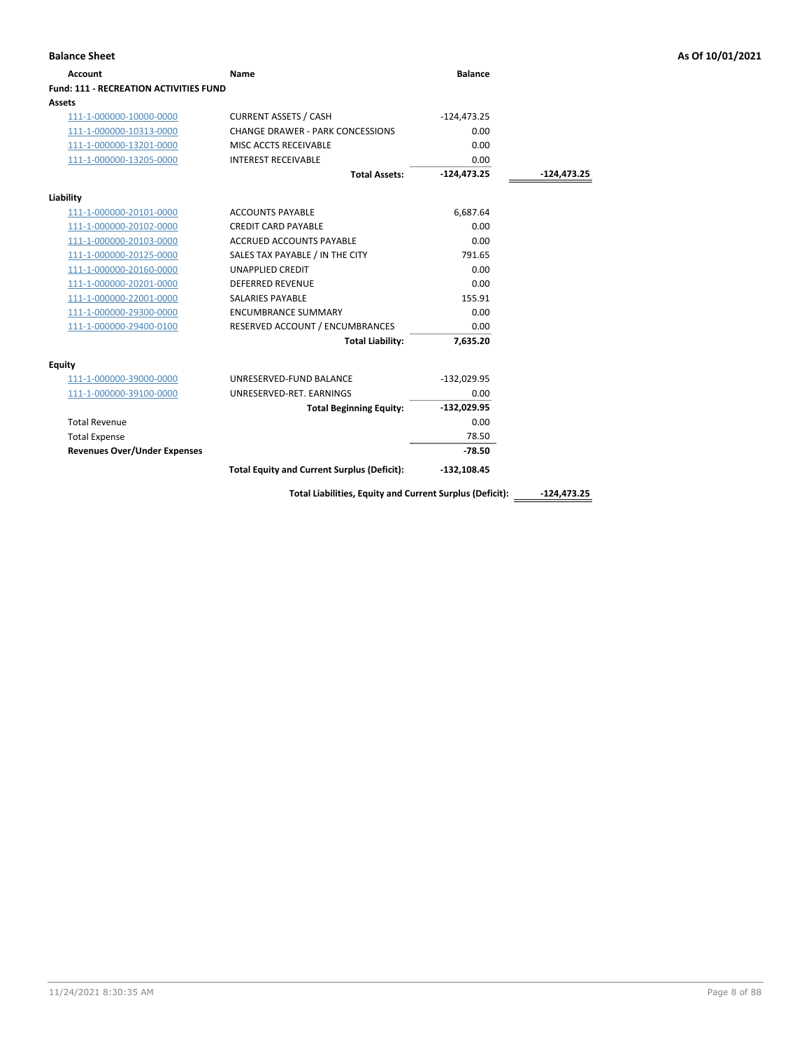| <b>Account</b>                         | <b>Name</b>                                              | <b>Balance</b> |               |
|----------------------------------------|----------------------------------------------------------|----------------|---------------|
| Fund: 111 - RECREATION ACTIVITIES FUND |                                                          |                |               |
| <b>Assets</b>                          |                                                          |                |               |
| 111-1-000000-10000-0000                | <b>CURRENT ASSETS / CASH</b>                             | $-124,473.25$  |               |
| 111-1-000000-10313-0000                | <b>CHANGE DRAWER - PARK CONCESSIONS</b>                  | 0.00           |               |
| 111-1-000000-13201-0000                | MISC ACCTS RECEIVABLE                                    | 0.00           |               |
| 111-1-000000-13205-0000                | <b>INTEREST RECEIVABLE</b>                               | 0.00           |               |
|                                        | <b>Total Assets:</b>                                     | $-124,473.25$  | -124,473.25   |
| Liability                              |                                                          |                |               |
| 111-1-000000-20101-0000                | <b>ACCOUNTS PAYABLE</b>                                  | 6,687.64       |               |
| 111-1-000000-20102-0000                | <b>CREDIT CARD PAYABLE</b>                               | 0.00           |               |
| 111-1-000000-20103-0000                | <b>ACCRUED ACCOUNTS PAYABLE</b>                          | 0.00           |               |
| 111-1-000000-20125-0000                | SALES TAX PAYABLE / IN THE CITY                          | 791.65         |               |
| 111-1-000000-20160-0000                | <b>UNAPPLIED CREDIT</b>                                  | 0.00           |               |
| 111-1-000000-20201-0000                | <b>DEFERRED REVENUE</b>                                  | 0.00           |               |
| 111-1-000000-22001-0000                | <b>SALARIES PAYABLE</b>                                  | 155.91         |               |
| 111-1-000000-29300-0000                | <b>ENCUMBRANCE SUMMARY</b>                               | 0.00           |               |
| 111-1-000000-29400-0100                | RESERVED ACCOUNT / ENCUMBRANCES                          | 0.00           |               |
|                                        | <b>Total Liability:</b>                                  | 7,635.20       |               |
| <b>Equity</b>                          |                                                          |                |               |
| 111-1-000000-39000-0000                | UNRESERVED-FUND BALANCE                                  | $-132,029.95$  |               |
| 111-1-000000-39100-0000                | UNRESERVED-RET. EARNINGS                                 | 0.00           |               |
|                                        | <b>Total Beginning Equity:</b>                           | $-132,029.95$  |               |
| <b>Total Revenue</b>                   |                                                          | 0.00           |               |
| <b>Total Expense</b>                   |                                                          | 78.50          |               |
| <b>Revenues Over/Under Expenses</b>    |                                                          | $-78.50$       |               |
|                                        | <b>Total Equity and Current Surplus (Deficit):</b>       | $-132,108.45$  |               |
|                                        | Total Liabilities, Equity and Current Surplus (Deficit): |                | $-124.473.25$ |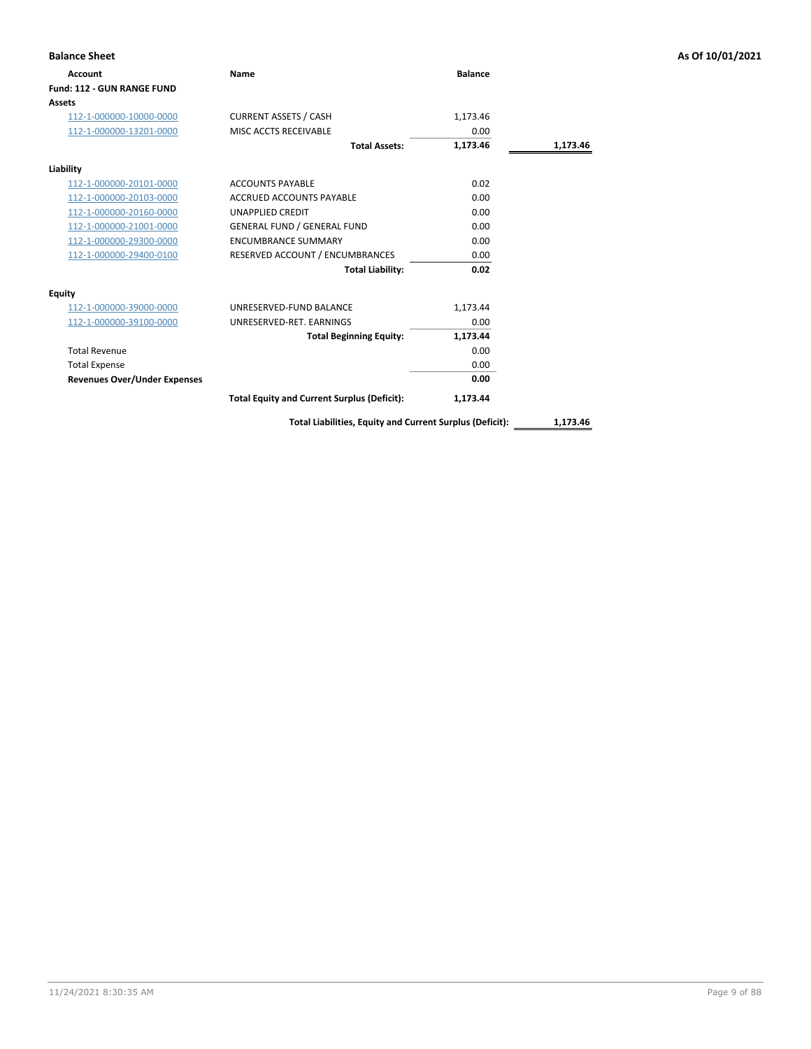| <b>Account</b>                      | <b>Name</b>                                        | <b>Balance</b> |          |
|-------------------------------------|----------------------------------------------------|----------------|----------|
| Fund: 112 - GUN RANGE FUND          |                                                    |                |          |
| <b>Assets</b>                       |                                                    |                |          |
| 112-1-000000-10000-0000             | <b>CURRENT ASSETS / CASH</b>                       | 1,173.46       |          |
| 112-1-000000-13201-0000             | MISC ACCTS RECEIVABLE                              | 0.00           |          |
|                                     | <b>Total Assets:</b>                               | 1,173.46       | 1,173.46 |
| Liability                           |                                                    |                |          |
| 112-1-000000-20101-0000             | <b>ACCOUNTS PAYABLE</b>                            | 0.02           |          |
| 112-1-000000-20103-0000             | <b>ACCRUED ACCOUNTS PAYABLE</b>                    | 0.00           |          |
| 112-1-000000-20160-0000             | <b>UNAPPLIED CREDIT</b>                            | 0.00           |          |
| 112-1-000000-21001-0000             | <b>GENERAL FUND / GENERAL FUND</b>                 | 0.00           |          |
| 112-1-000000-29300-0000             | <b>ENCUMBRANCE SUMMARY</b>                         | 0.00           |          |
| 112-1-000000-29400-0100             | RESERVED ACCOUNT / ENCUMBRANCES                    | 0.00           |          |
|                                     | <b>Total Liability:</b>                            | 0.02           |          |
| <b>Equity</b>                       |                                                    |                |          |
| 112-1-000000-39000-0000             | UNRESERVED-FUND BALANCE                            | 1,173.44       |          |
| 112-1-000000-39100-0000             | UNRESERVED-RET. EARNINGS                           | 0.00           |          |
|                                     | <b>Total Beginning Equity:</b>                     | 1,173.44       |          |
| <b>Total Revenue</b>                |                                                    | 0.00           |          |
| <b>Total Expense</b>                |                                                    | 0.00           |          |
| <b>Revenues Over/Under Expenses</b> |                                                    | 0.00           |          |
|                                     | <b>Total Equity and Current Surplus (Deficit):</b> | 1,173.44       |          |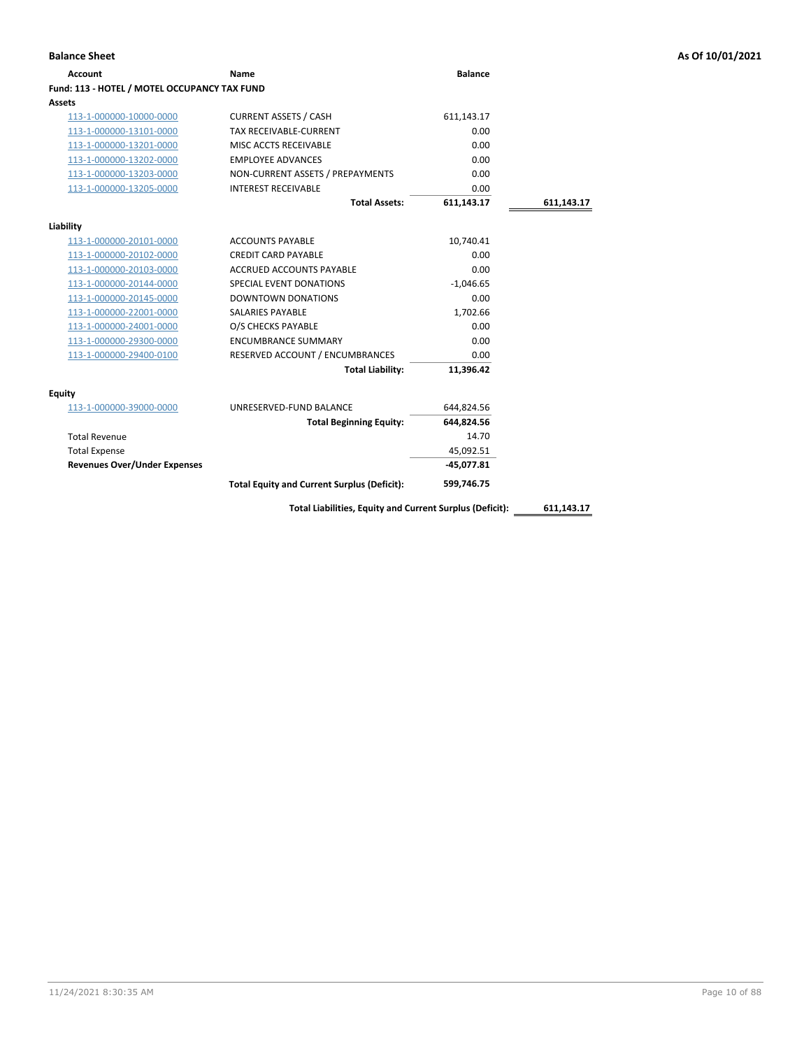## **Account Name Balance Fund: 113 - HOTEL / MOTEL OCCUPANCY TAX FUND Assets** 113-1-000000-10000-0000 CURRENT ASSETS / CASH 611,143.17 113-1-000000-13101-0000 TAX RECEIVABLE-CURRENT 0.00 113-1-000000-13201-0000 MISC ACCTS RECEIVABLE 0.00 113-1-000000-13202-0000 EMPLOYEE ADVANCES 0.00 113-1-000000-13203-0000 NON-CURRENT ASSETS / PREPAYMENTS 0.00 113-1-000000-13205-0000 INTEREST RECEIVABLE 0.00 **Total Assets: 611,143.17 611,143.17 Liability** 113-1-000000-20101-0000 ACCOUNTS PAYABLE 10,740.41 113-1-000000-20102-0000 CREDIT CARD PAYABLE 0.00 113-1-000000-20103-0000 ACCRUED ACCOUNTS PAYABLE 0.00 113-1-000000-20144-0000 SPECIAL EVENT DONATIONS -1,046.65 113-1-000000-20145-0000 DOWNTOWN DONATIONS 0.00 113-1-000000-22001-0000 SALARIES PAYABLE 1,702.66 113-1-000000-24001-0000 O/S CHECKS PAYABLE 0.00 113-1-000000-29300-0000 ENCUMBRANCE SUMMARY 0.00 113-1-000000-29400-0100 RESERVED ACCOUNT / ENCUMBRANCES 0.00 **Total Liability: 11,396.42 Equity** 113-1-000000-39000-0000 UNRESERVED-FUND BALANCE 644,824.56 **Total Beginning Equity: 644,824.56** Total Revenue 14.70 Total Expense 45,092.51 **Revenues Over/Under Expenses -45,077.81 Total Liabilities, Equity and Current Surplus (Deficit): 611,143.17 Total Equity and Current Surplus (Deficit): 599,746.75**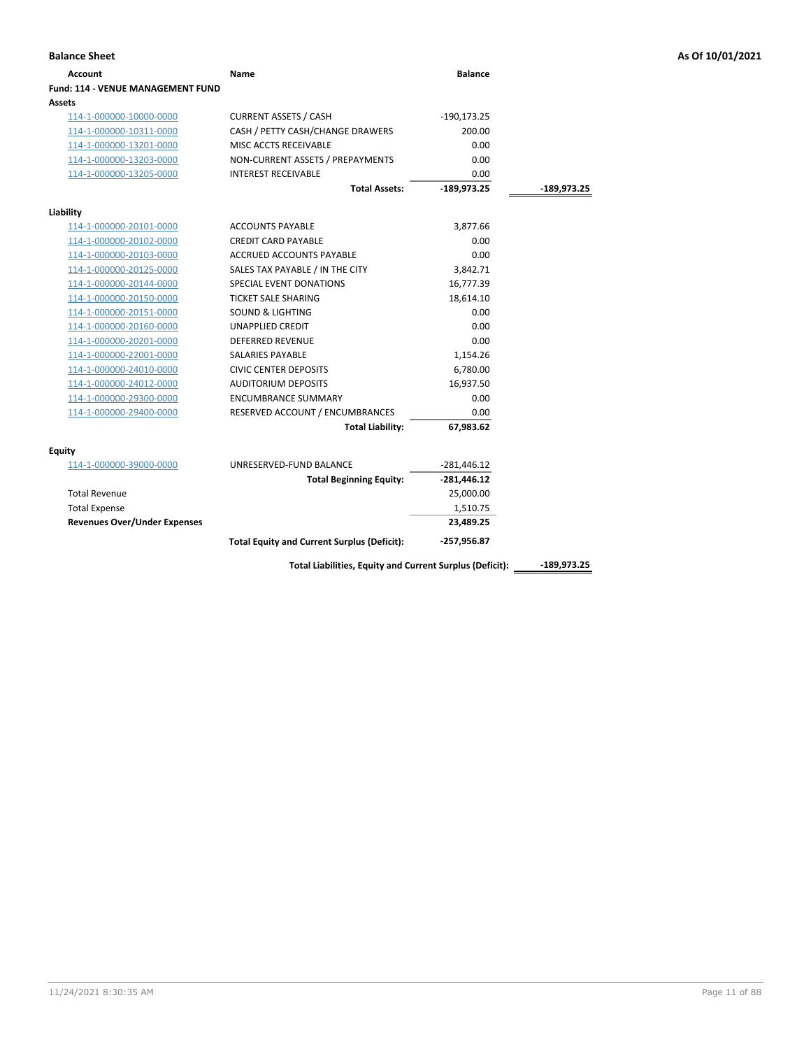| <b>Balance Sheet</b>                     |                                                    |                |             | As Of 10/01/2021 |
|------------------------------------------|----------------------------------------------------|----------------|-------------|------------------|
| <b>Account</b>                           | Name                                               | <b>Balance</b> |             |                  |
| <b>Fund: 114 - VENUE MANAGEMENT FUND</b> |                                                    |                |             |                  |
| Assets                                   |                                                    |                |             |                  |
| 114-1-000000-10000-0000                  | <b>CURRENT ASSETS / CASH</b>                       | $-190, 173.25$ |             |                  |
| 114-1-000000-10311-0000                  | CASH / PETTY CASH/CHANGE DRAWERS                   | 200.00         |             |                  |
| 114-1-000000-13201-0000                  | MISC ACCTS RECEIVABLE                              | 0.00           |             |                  |
| 114-1-000000-13203-0000                  | NON-CURRENT ASSETS / PREPAYMENTS                   | 0.00           |             |                  |
| 114-1-000000-13205-0000                  | <b>INTEREST RECEIVABLE</b>                         | 0.00           |             |                  |
|                                          | <b>Total Assets:</b>                               | $-189,973.25$  | -189,973.25 |                  |
| Liability                                |                                                    |                |             |                  |
| 114-1-000000-20101-0000                  | <b>ACCOUNTS PAYABLE</b>                            | 3,877.66       |             |                  |
| 114-1-000000-20102-0000                  | <b>CREDIT CARD PAYABLE</b>                         | 0.00           |             |                  |
| 114-1-000000-20103-0000                  | <b>ACCRUED ACCOUNTS PAYABLE</b>                    | 0.00           |             |                  |
| 114-1-000000-20125-0000                  | SALES TAX PAYABLE / IN THE CITY                    | 3,842.71       |             |                  |
| 114-1-000000-20144-0000                  | SPECIAL EVENT DONATIONS                            | 16,777.39      |             |                  |
| 114-1-000000-20150-0000                  | <b>TICKET SALE SHARING</b>                         | 18,614.10      |             |                  |
| 114-1-000000-20151-0000                  | <b>SOUND &amp; LIGHTING</b>                        | 0.00           |             |                  |
| 114-1-000000-20160-0000                  | <b>UNAPPLIED CREDIT</b>                            | 0.00           |             |                  |
| 114-1-000000-20201-0000                  | <b>DEFERRED REVENUE</b>                            | 0.00           |             |                  |
| 114-1-000000-22001-0000                  | SALARIES PAYABLE                                   | 1,154.26       |             |                  |
| 114-1-000000-24010-0000                  | <b>CIVIC CENTER DEPOSITS</b>                       | 6,780.00       |             |                  |
| 114-1-000000-24012-0000                  | <b>AUDITORIUM DEPOSITS</b>                         | 16,937.50      |             |                  |
| 114-1-000000-29300-0000                  | <b>ENCUMBRANCE SUMMARY</b>                         | 0.00           |             |                  |
| 114-1-000000-29400-0000                  | RESERVED ACCOUNT / ENCUMBRANCES                    | 0.00           |             |                  |
|                                          | <b>Total Liability:</b>                            | 67,983.62      |             |                  |
| Equity                                   |                                                    |                |             |                  |
| 114-1-000000-39000-0000                  | UNRESERVED-FUND BALANCE                            | $-281,446.12$  |             |                  |
|                                          | <b>Total Beginning Equity:</b>                     | $-281,446.12$  |             |                  |
| <b>Total Revenue</b>                     |                                                    | 25,000.00      |             |                  |
| <b>Total Expense</b>                     |                                                    | 1,510.75       |             |                  |
| <b>Revenues Over/Under Expenses</b>      |                                                    | 23,489.25      |             |                  |
|                                          | <b>Total Equity and Current Surplus (Deficit):</b> | $-257,956.87$  |             |                  |
|                                          |                                                    |                |             |                  |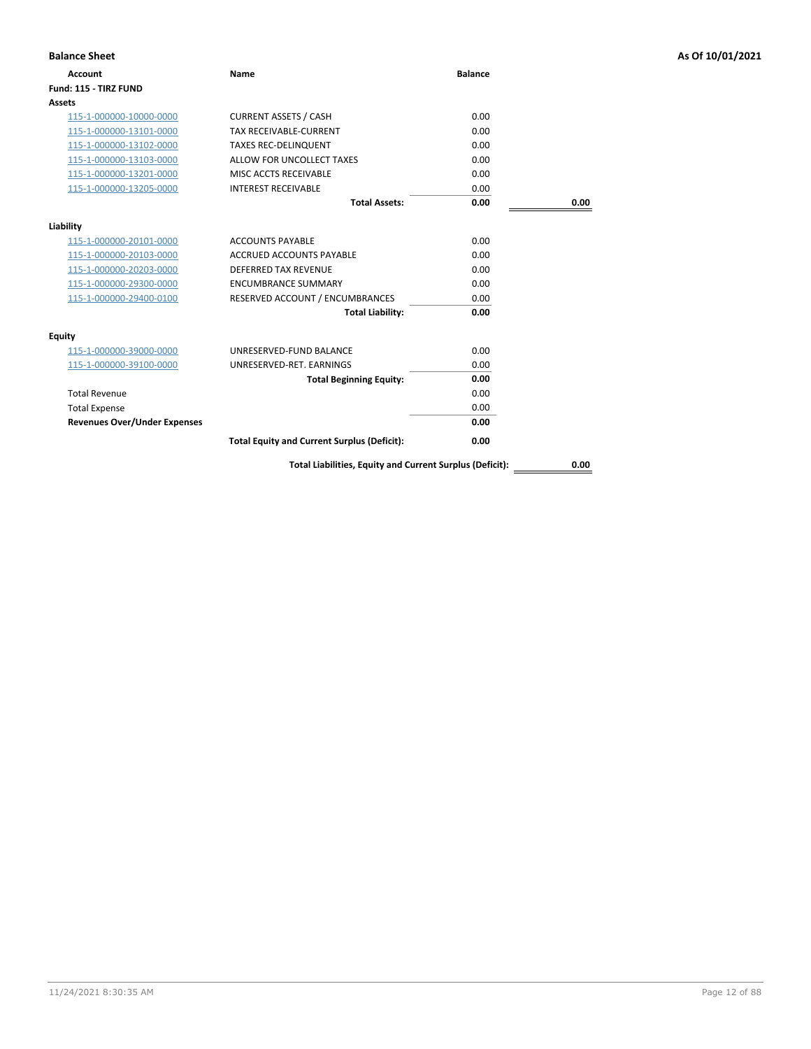| <b>Balance Sheet</b>                |                                                          |                |      | As Of 10/01/2021 |
|-------------------------------------|----------------------------------------------------------|----------------|------|------------------|
| <b>Account</b>                      | Name                                                     | <b>Balance</b> |      |                  |
| Fund: 115 - TIRZ FUND               |                                                          |                |      |                  |
| <b>Assets</b>                       |                                                          |                |      |                  |
| 115-1-000000-10000-0000             | <b>CURRENT ASSETS / CASH</b>                             | 0.00           |      |                  |
| 115-1-000000-13101-0000             | TAX RECEIVABLE-CURRENT                                   | 0.00           |      |                  |
| 115-1-000000-13102-0000             | <b>TAXES REC-DELINQUENT</b>                              | 0.00           |      |                  |
| 115-1-000000-13103-0000             | ALLOW FOR UNCOLLECT TAXES                                | 0.00           |      |                  |
| 115-1-000000-13201-0000             | MISC ACCTS RECEIVABLE                                    | 0.00           |      |                  |
| 115-1-000000-13205-0000             | <b>INTEREST RECEIVABLE</b>                               | 0.00           |      |                  |
|                                     | <b>Total Assets:</b>                                     | 0.00           | 0.00 |                  |
| Liability                           |                                                          |                |      |                  |
| 115-1-000000-20101-0000             | <b>ACCOUNTS PAYABLE</b>                                  | 0.00           |      |                  |
| 115-1-000000-20103-0000             | <b>ACCRUED ACCOUNTS PAYABLE</b>                          | 0.00           |      |                  |
| 115-1-000000-20203-0000             | DEFERRED TAX REVENUE                                     | 0.00           |      |                  |
| 115-1-000000-29300-0000             | <b>ENCUMBRANCE SUMMARY</b>                               | 0.00           |      |                  |
| 115-1-000000-29400-0100             | RESERVED ACCOUNT / ENCUMBRANCES                          | 0.00           |      |                  |
|                                     | <b>Total Liability:</b>                                  | 0.00           |      |                  |
| <b>Equity</b>                       |                                                          |                |      |                  |
| 115-1-000000-39000-0000             | UNRESERVED-FUND BALANCE                                  | 0.00           |      |                  |
| 115-1-000000-39100-0000             | UNRESERVED-RET. EARNINGS                                 | 0.00           |      |                  |
|                                     | <b>Total Beginning Equity:</b>                           | 0.00           |      |                  |
| <b>Total Revenue</b>                |                                                          | 0.00           |      |                  |
| <b>Total Expense</b>                |                                                          | 0.00           |      |                  |
| <b>Revenues Over/Under Expenses</b> |                                                          | 0.00           |      |                  |
|                                     | <b>Total Equity and Current Surplus (Deficit):</b>       | 0.00           |      |                  |
|                                     | Total Liabilities, Equity and Current Surplus (Deficit): |                | 0.00 |                  |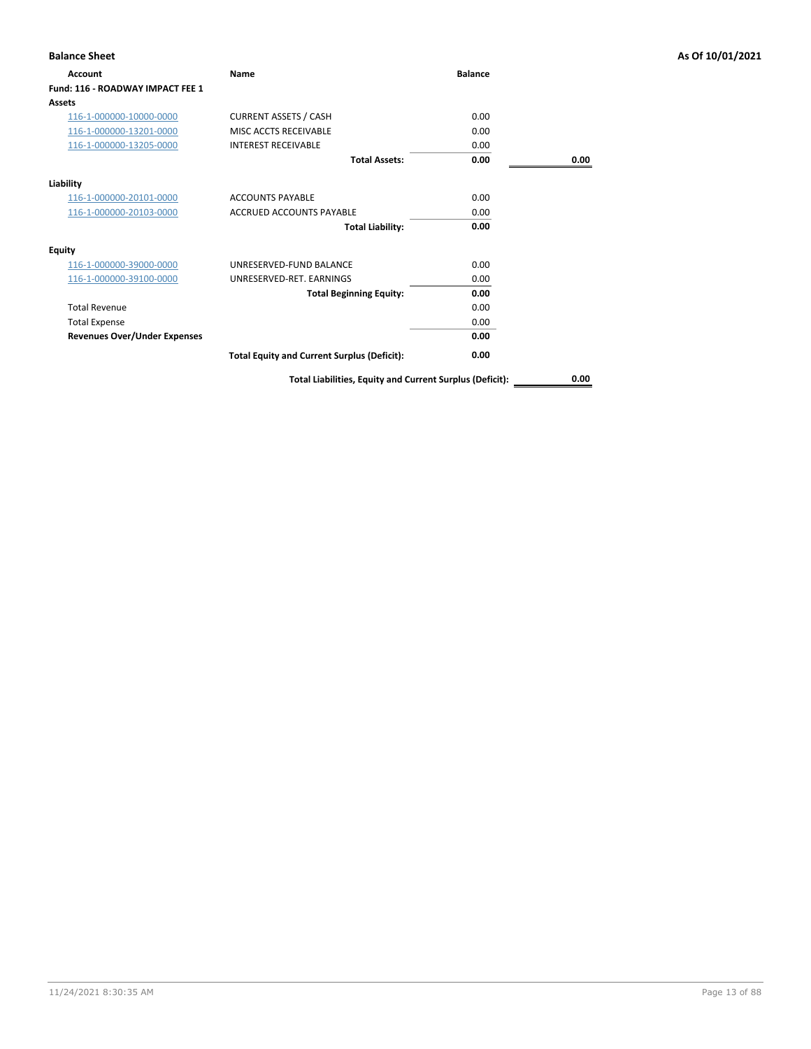| <b>Balance Sheet</b>                |                                                          |                |      | As Of 10/01/2021 |
|-------------------------------------|----------------------------------------------------------|----------------|------|------------------|
| Account                             | Name                                                     | <b>Balance</b> |      |                  |
| Fund: 116 - ROADWAY IMPACT FEE 1    |                                                          |                |      |                  |
| Assets                              |                                                          |                |      |                  |
| 116-1-000000-10000-0000             | <b>CURRENT ASSETS / CASH</b>                             | 0.00           |      |                  |
| 116-1-000000-13201-0000             | MISC ACCTS RECEIVABLE                                    | 0.00           |      |                  |
| 116-1-000000-13205-0000             | <b>INTEREST RECEIVABLE</b>                               | 0.00           |      |                  |
|                                     | <b>Total Assets:</b>                                     | 0.00           | 0.00 |                  |
| Liability                           |                                                          |                |      |                  |
| 116-1-000000-20101-0000             | <b>ACCOUNTS PAYABLE</b>                                  | 0.00           |      |                  |
| 116-1-000000-20103-0000             | <b>ACCRUED ACCOUNTS PAYABLE</b>                          | 0.00           |      |                  |
|                                     | <b>Total Liability:</b>                                  | 0.00           |      |                  |
| <b>Equity</b>                       |                                                          |                |      |                  |
| 116-1-000000-39000-0000             | UNRESERVED-FUND BALANCE                                  | 0.00           |      |                  |
| 116-1-000000-39100-0000             | UNRESERVED-RET. EARNINGS                                 | 0.00           |      |                  |
|                                     | <b>Total Beginning Equity:</b>                           | 0.00           |      |                  |
| <b>Total Revenue</b>                |                                                          | 0.00           |      |                  |
| <b>Total Expense</b>                |                                                          | 0.00           |      |                  |
| <b>Revenues Over/Under Expenses</b> |                                                          | 0.00           |      |                  |
|                                     | <b>Total Equity and Current Surplus (Deficit):</b>       | 0.00           |      |                  |
|                                     | Total Liabilities, Equity and Current Surplus (Deficit): |                | 0.00 |                  |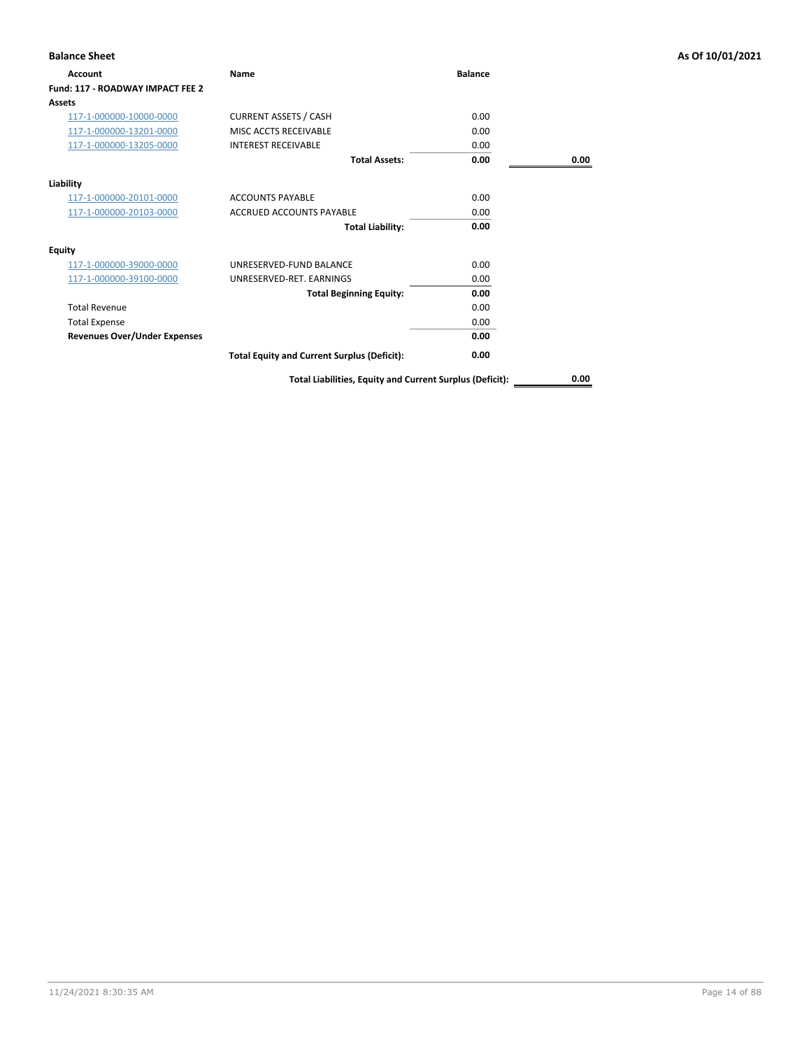| <b>Balance Sheet</b>                |                                                          |                |      | As Of 10/01/2021 |
|-------------------------------------|----------------------------------------------------------|----------------|------|------------------|
| Account                             | Name                                                     | <b>Balance</b> |      |                  |
| Fund: 117 - ROADWAY IMPACT FEE 2    |                                                          |                |      |                  |
| Assets                              |                                                          |                |      |                  |
| 117-1-000000-10000-0000             | <b>CURRENT ASSETS / CASH</b>                             | 0.00           |      |                  |
| 117-1-000000-13201-0000             | MISC ACCTS RECEIVABLE                                    | 0.00           |      |                  |
| 117-1-000000-13205-0000             | <b>INTEREST RECEIVABLE</b>                               | 0.00           |      |                  |
|                                     | <b>Total Assets:</b>                                     | 0.00           | 0.00 |                  |
| Liability                           |                                                          |                |      |                  |
| 117-1-000000-20101-0000             | <b>ACCOUNTS PAYABLE</b>                                  | 0.00           |      |                  |
| 117-1-000000-20103-0000             | <b>ACCRUED ACCOUNTS PAYABLE</b>                          | 0.00           |      |                  |
|                                     | <b>Total Liability:</b>                                  | 0.00           |      |                  |
| <b>Equity</b>                       |                                                          |                |      |                  |
| 117-1-000000-39000-0000             | UNRESERVED-FUND BALANCE                                  | 0.00           |      |                  |
| 117-1-000000-39100-0000             | UNRESERVED-RET. EARNINGS                                 | 0.00           |      |                  |
|                                     | <b>Total Beginning Equity:</b>                           | 0.00           |      |                  |
| <b>Total Revenue</b>                |                                                          | 0.00           |      |                  |
| <b>Total Expense</b>                |                                                          | 0.00           |      |                  |
| <b>Revenues Over/Under Expenses</b> |                                                          | 0.00           |      |                  |
|                                     | <b>Total Equity and Current Surplus (Deficit):</b>       | 0.00           |      |                  |
|                                     | Total Liabilities, Equity and Current Surplus (Deficit): |                | 0.00 |                  |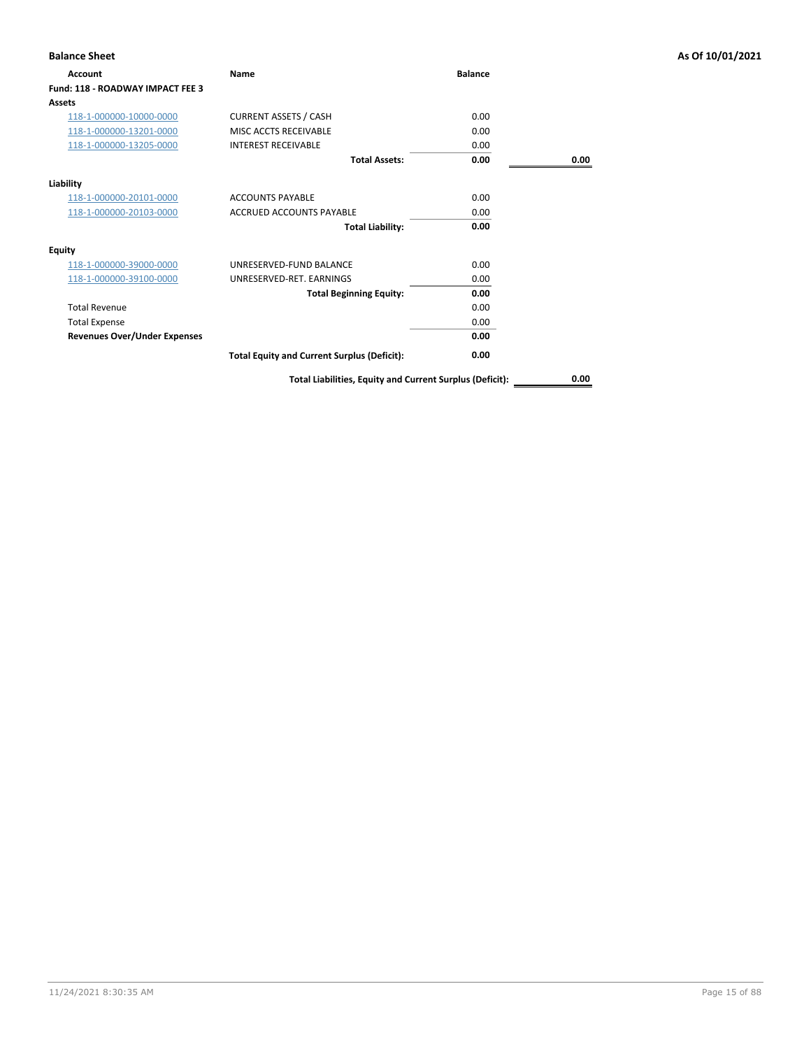| <b>Balance Sheet</b>                |                                                          |                |      | As Of 10/01/2021 |
|-------------------------------------|----------------------------------------------------------|----------------|------|------------------|
| Account                             | Name                                                     | <b>Balance</b> |      |                  |
| Fund: 118 - ROADWAY IMPACT FEE 3    |                                                          |                |      |                  |
| Assets                              |                                                          |                |      |                  |
| 118-1-000000-10000-0000             | <b>CURRENT ASSETS / CASH</b>                             | 0.00           |      |                  |
| 118-1-000000-13201-0000             | MISC ACCTS RECEIVABLE                                    | 0.00           |      |                  |
| 118-1-000000-13205-0000             | <b>INTEREST RECEIVABLE</b>                               | 0.00           |      |                  |
|                                     | <b>Total Assets:</b>                                     | 0.00           | 0.00 |                  |
| Liability                           |                                                          |                |      |                  |
| 118-1-000000-20101-0000             | <b>ACCOUNTS PAYABLE</b>                                  | 0.00           |      |                  |
| 118-1-000000-20103-0000             | <b>ACCRUED ACCOUNTS PAYABLE</b>                          | 0.00           |      |                  |
|                                     | <b>Total Liability:</b>                                  | 0.00           |      |                  |
| <b>Equity</b>                       |                                                          |                |      |                  |
| 118-1-000000-39000-0000             | UNRESERVED-FUND BALANCE                                  | 0.00           |      |                  |
| 118-1-000000-39100-0000             | UNRESERVED-RET. EARNINGS                                 | 0.00           |      |                  |
|                                     | <b>Total Beginning Equity:</b>                           | 0.00           |      |                  |
| <b>Total Revenue</b>                |                                                          | 0.00           |      |                  |
| <b>Total Expense</b>                |                                                          | 0.00           |      |                  |
| <b>Revenues Over/Under Expenses</b> |                                                          | 0.00           |      |                  |
|                                     | <b>Total Equity and Current Surplus (Deficit):</b>       | 0.00           |      |                  |
|                                     | Total Liabilities, Equity and Current Surplus (Deficit): |                | 0.00 |                  |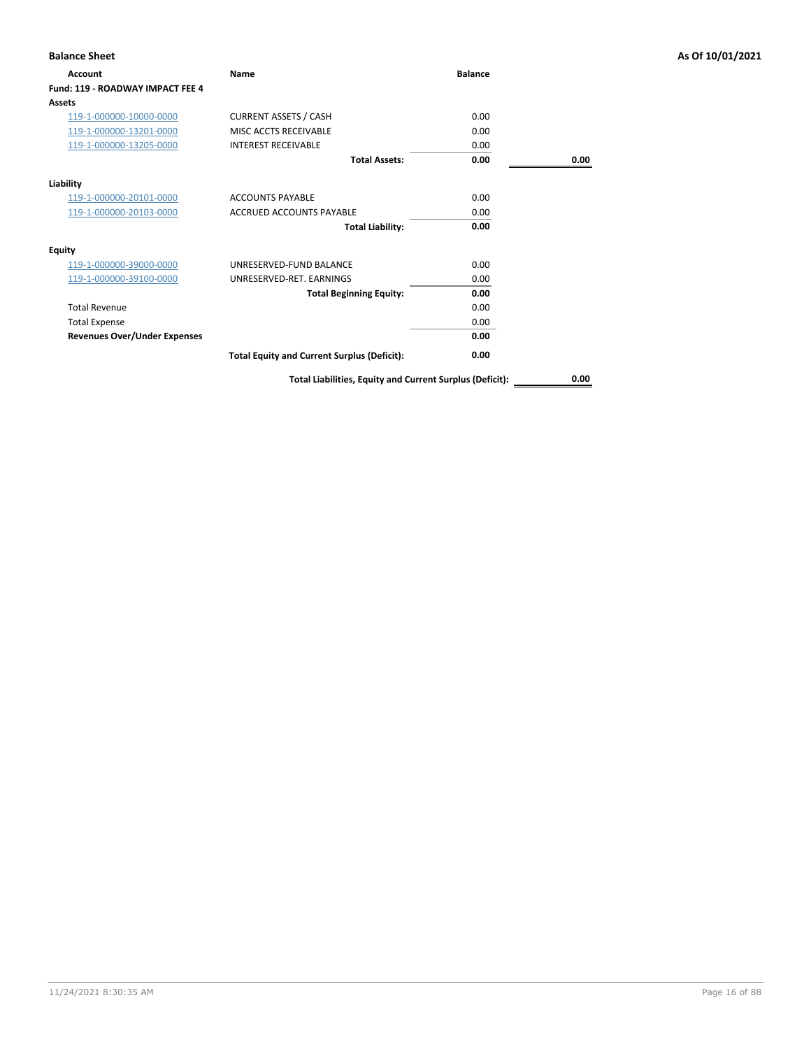| <b>Balance Sheet</b>                |                                                          |                |      | As Of 10/01/2021 |
|-------------------------------------|----------------------------------------------------------|----------------|------|------------------|
| Account                             | Name                                                     | <b>Balance</b> |      |                  |
| Fund: 119 - ROADWAY IMPACT FEE 4    |                                                          |                |      |                  |
| Assets                              |                                                          |                |      |                  |
| 119-1-000000-10000-0000             | <b>CURRENT ASSETS / CASH</b>                             | 0.00           |      |                  |
| 119-1-000000-13201-0000             | MISC ACCTS RECEIVABLE                                    | 0.00           |      |                  |
| 119-1-000000-13205-0000             | <b>INTEREST RECEIVABLE</b>                               | 0.00           |      |                  |
|                                     | <b>Total Assets:</b>                                     | 0.00           | 0.00 |                  |
| Liability                           |                                                          |                |      |                  |
| 119-1-000000-20101-0000             | <b>ACCOUNTS PAYABLE</b>                                  | 0.00           |      |                  |
| 119-1-000000-20103-0000             | <b>ACCRUED ACCOUNTS PAYABLE</b>                          | 0.00           |      |                  |
|                                     | <b>Total Liability:</b>                                  | 0.00           |      |                  |
| <b>Equity</b>                       |                                                          |                |      |                  |
| 119-1-000000-39000-0000             | UNRESERVED-FUND BALANCE                                  | 0.00           |      |                  |
| 119-1-000000-39100-0000             | UNRESERVED-RET. EARNINGS                                 | 0.00           |      |                  |
|                                     | <b>Total Beginning Equity:</b>                           | 0.00           |      |                  |
| <b>Total Revenue</b>                |                                                          | 0.00           |      |                  |
| <b>Total Expense</b>                |                                                          | 0.00           |      |                  |
| <b>Revenues Over/Under Expenses</b> |                                                          | 0.00           |      |                  |
|                                     | <b>Total Equity and Current Surplus (Deficit):</b>       | 0.00           |      |                  |
|                                     | Total Liabilities, Equity and Current Surplus (Deficit): |                | 0.00 |                  |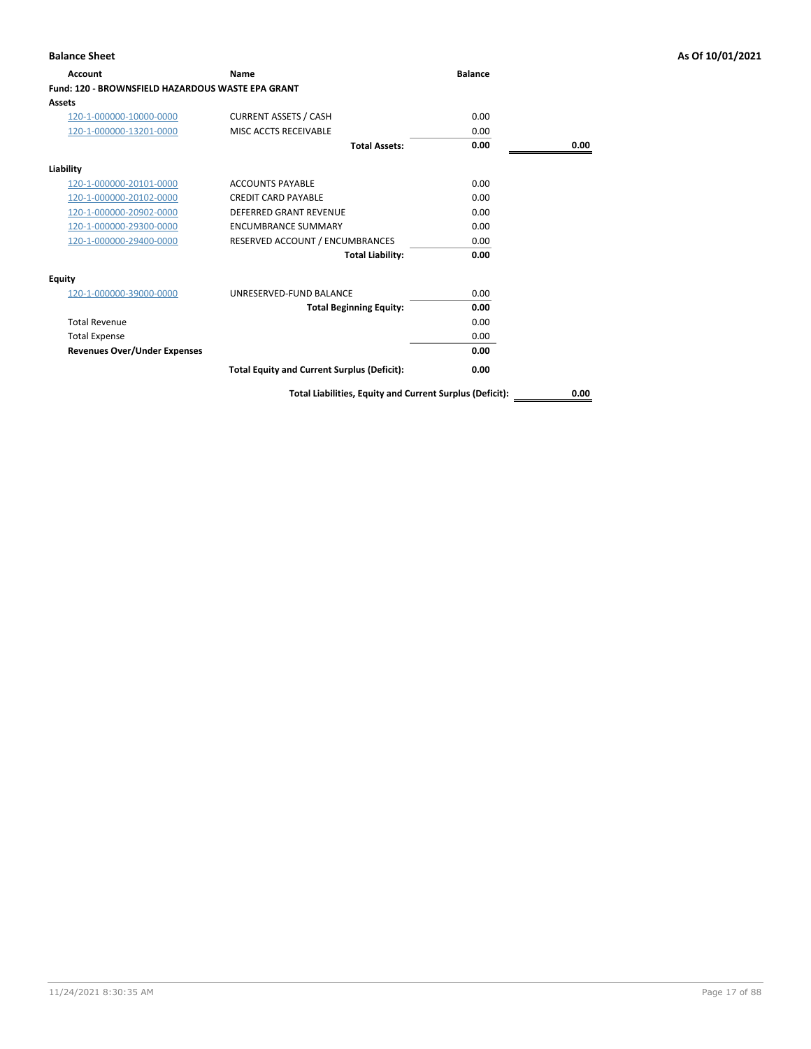| Account                                                  | <b>Name</b>                                        | <b>Balance</b> |      |
|----------------------------------------------------------|----------------------------------------------------|----------------|------|
| <b>Fund: 120 - BROWNSFIELD HAZARDOUS WASTE EPA GRANT</b> |                                                    |                |      |
| Assets                                                   |                                                    |                |      |
| 120-1-000000-10000-0000                                  | <b>CURRENT ASSETS / CASH</b>                       | 0.00           |      |
| 120-1-000000-13201-0000                                  | MISC ACCTS RECEIVABLE                              | 0.00           |      |
|                                                          | <b>Total Assets:</b>                               | 0.00           | 0.00 |
| Liability                                                |                                                    |                |      |
| 120-1-000000-20101-0000                                  | <b>ACCOUNTS PAYABLE</b>                            | 0.00           |      |
| 120-1-000000-20102-0000                                  | <b>CREDIT CARD PAYABLE</b>                         | 0.00           |      |
| 120-1-000000-20902-0000                                  | <b>DEFERRED GRANT REVENUE</b>                      | 0.00           |      |
| 120-1-000000-29300-0000                                  | <b>ENCUMBRANCE SUMMARY</b>                         | 0.00           |      |
| 120-1-000000-29400-0000                                  | RESERVED ACCOUNT / ENCUMBRANCES                    | 0.00           |      |
|                                                          | <b>Total Liability:</b>                            | 0.00           |      |
| <b>Equity</b>                                            |                                                    |                |      |
| 120-1-000000-39000-0000                                  | UNRESERVED-FUND BALANCE                            | 0.00           |      |
|                                                          | <b>Total Beginning Equity:</b>                     | 0.00           |      |
| <b>Total Revenue</b>                                     |                                                    | 0.00           |      |
| <b>Total Expense</b>                                     |                                                    | 0.00           |      |
| <b>Revenues Over/Under Expenses</b>                      |                                                    | 0.00           |      |
|                                                          | <b>Total Equity and Current Surplus (Deficit):</b> | 0.00           |      |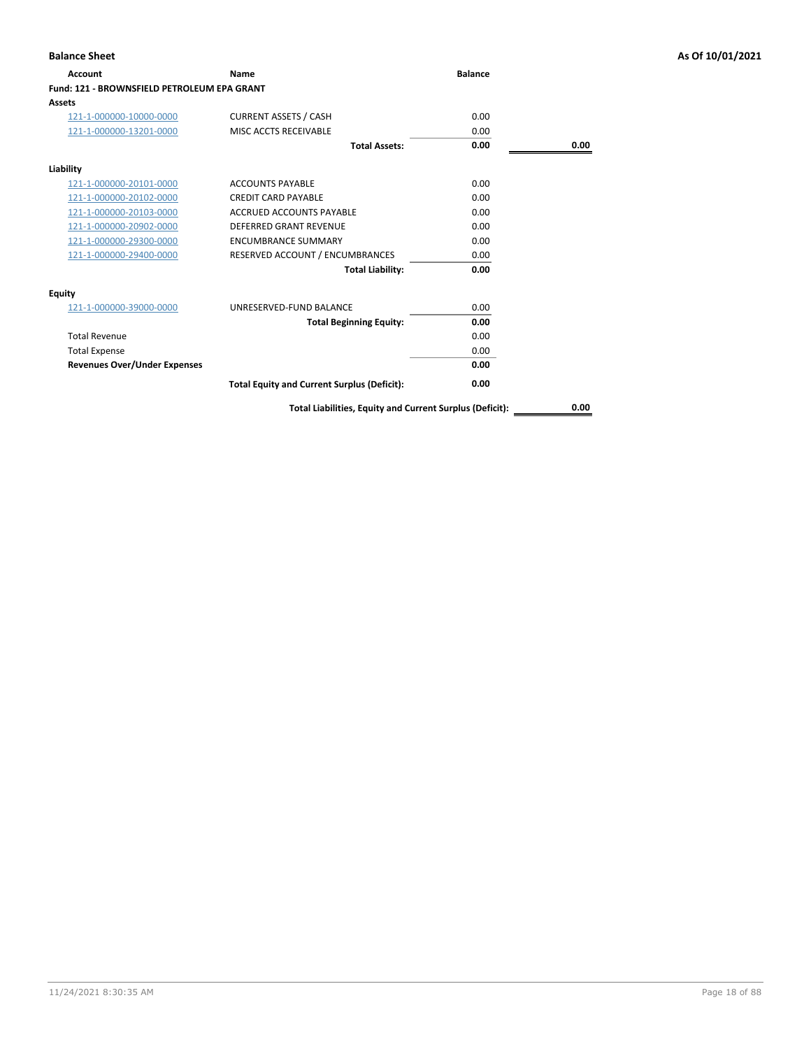| <b>Account</b>                                     | Name                                               | <b>Balance</b> |      |
|----------------------------------------------------|----------------------------------------------------|----------------|------|
| <b>Fund: 121 - BROWNSFIELD PETROLEUM EPA GRANT</b> |                                                    |                |      |
| Assets                                             |                                                    |                |      |
| 121-1-000000-10000-0000                            | <b>CURRENT ASSETS / CASH</b>                       | 0.00           |      |
| 121-1-000000-13201-0000                            | MISC ACCTS RECEIVABLE                              | 0.00           |      |
|                                                    | <b>Total Assets:</b>                               | 0.00           | 0.00 |
| Liability                                          |                                                    |                |      |
| 121-1-000000-20101-0000                            | <b>ACCOUNTS PAYABLE</b>                            | 0.00           |      |
| 121-1-000000-20102-0000                            | <b>CREDIT CARD PAYABLE</b>                         | 0.00           |      |
| 121-1-000000-20103-0000                            | <b>ACCRUED ACCOUNTS PAYABLE</b>                    | 0.00           |      |
| 121-1-000000-20902-0000                            | <b>DEFERRED GRANT REVENUE</b>                      | 0.00           |      |
| 121-1-000000-29300-0000                            | <b>ENCUMBRANCE SUMMARY</b>                         | 0.00           |      |
| 121-1-000000-29400-0000                            | RESERVED ACCOUNT / ENCUMBRANCES                    | 0.00           |      |
|                                                    | <b>Total Liability:</b>                            | 0.00           |      |
| Equity                                             |                                                    |                |      |
| 121-1-000000-39000-0000                            | UNRESERVED-FUND BALANCE                            | 0.00           |      |
|                                                    | <b>Total Beginning Equity:</b>                     | 0.00           |      |
| <b>Total Revenue</b>                               |                                                    | 0.00           |      |
| <b>Total Expense</b>                               |                                                    | 0.00           |      |
| <b>Revenues Over/Under Expenses</b>                |                                                    | 0.00           |      |
|                                                    | <b>Total Equity and Current Surplus (Deficit):</b> | 0.00           |      |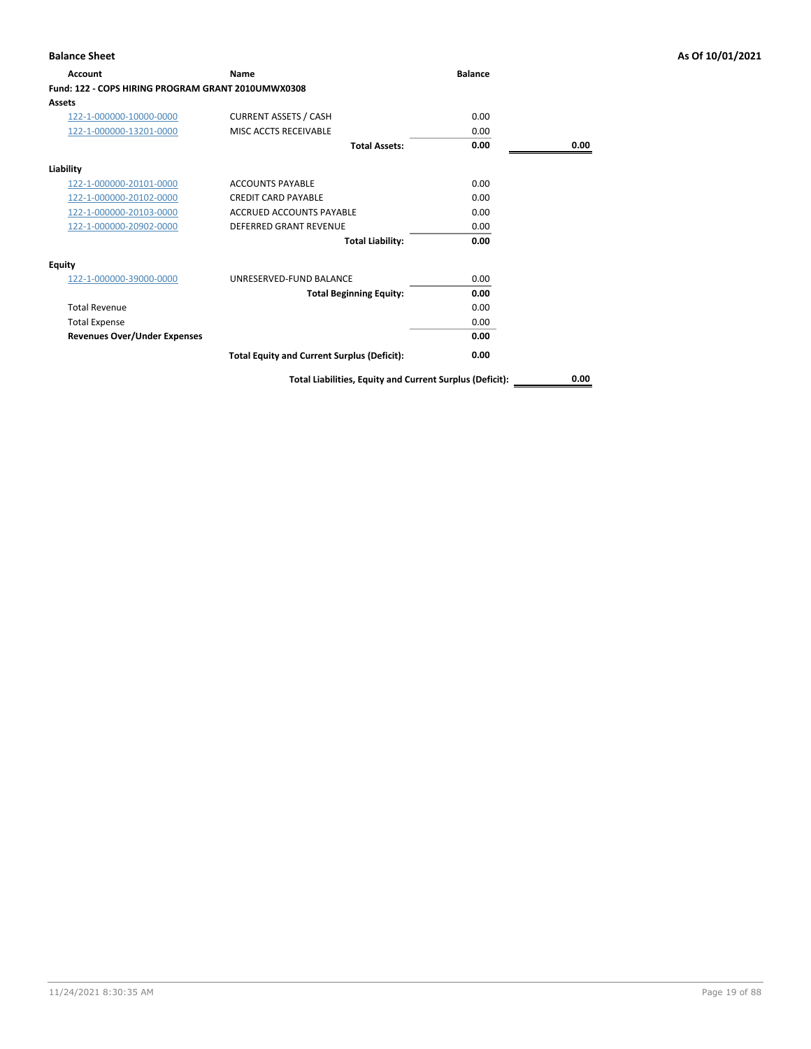| Account                                            | <b>Name</b>                                              | <b>Balance</b> |      |
|----------------------------------------------------|----------------------------------------------------------|----------------|------|
| Fund: 122 - COPS HIRING PROGRAM GRANT 2010UMWX0308 |                                                          |                |      |
| Assets                                             |                                                          |                |      |
| 122-1-000000-10000-0000                            | <b>CURRENT ASSETS / CASH</b>                             | 0.00           |      |
| 122-1-000000-13201-0000                            | MISC ACCTS RECEIVABLE                                    | 0.00           |      |
|                                                    | <b>Total Assets:</b>                                     | 0.00           | 0.00 |
| Liability                                          |                                                          |                |      |
| 122-1-000000-20101-0000                            | <b>ACCOUNTS PAYABLE</b>                                  | 0.00           |      |
| 122-1-000000-20102-0000                            | <b>CREDIT CARD PAYABLE</b>                               | 0.00           |      |
| 122-1-000000-20103-0000                            | <b>ACCRUED ACCOUNTS PAYABLE</b>                          | 0.00           |      |
| 122-1-000000-20902-0000                            | <b>DEFERRED GRANT REVENUE</b>                            | 0.00           |      |
|                                                    | <b>Total Liability:</b>                                  | 0.00           |      |
| Equity                                             |                                                          |                |      |
| 122-1-000000-39000-0000                            | UNRESERVED-FUND BALANCE                                  | 0.00           |      |
|                                                    | <b>Total Beginning Equity:</b>                           | 0.00           |      |
| <b>Total Revenue</b>                               |                                                          | 0.00           |      |
| <b>Total Expense</b>                               |                                                          | 0.00           |      |
| <b>Revenues Over/Under Expenses</b>                |                                                          | 0.00           |      |
|                                                    | <b>Total Equity and Current Surplus (Deficit):</b>       | 0.00           |      |
|                                                    | Total Liabilities, Equity and Current Surplus (Deficit): |                | 0.00 |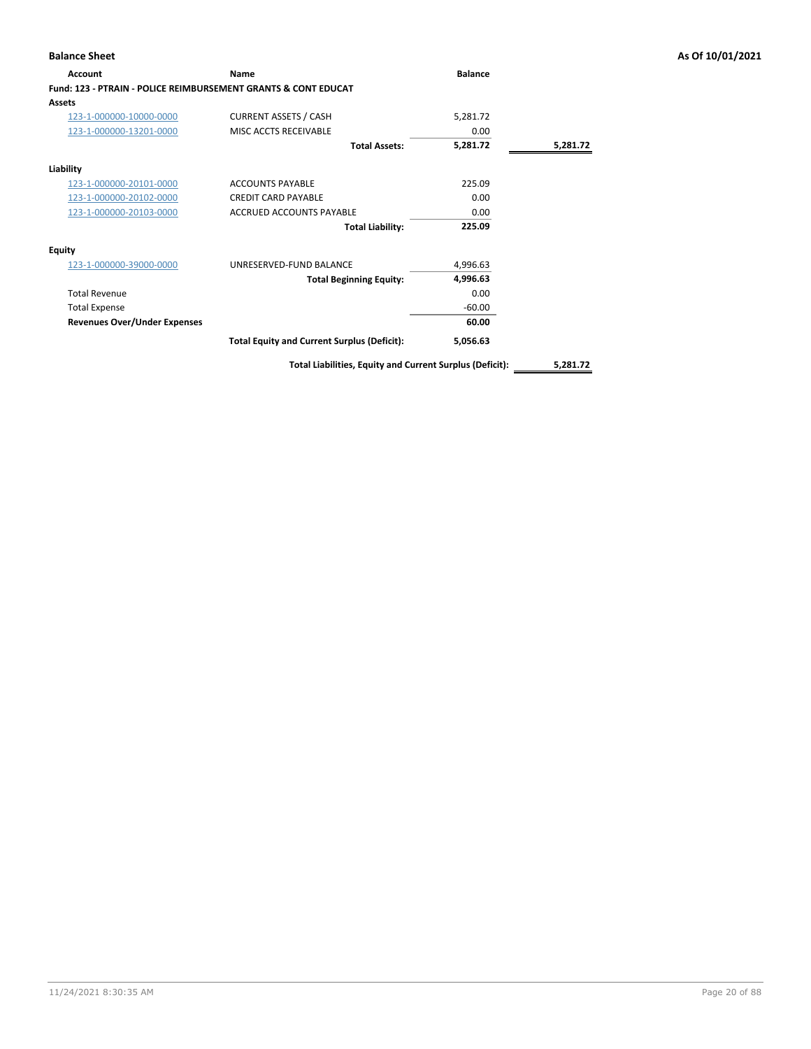| <b>Account</b>                                                            | Name                                               | <b>Balance</b> |          |
|---------------------------------------------------------------------------|----------------------------------------------------|----------------|----------|
| <b>Fund: 123 - PTRAIN - POLICE REIMBURSEMENT GRANTS &amp; CONT EDUCAT</b> |                                                    |                |          |
| <b>Assets</b>                                                             |                                                    |                |          |
| 123-1-000000-10000-0000                                                   | <b>CURRENT ASSETS / CASH</b>                       | 5,281.72       |          |
| 123-1-000000-13201-0000                                                   | MISC ACCTS RECEIVABLE                              | 0.00           |          |
|                                                                           | <b>Total Assets:</b>                               | 5,281.72       | 5,281.72 |
| Liability                                                                 |                                                    |                |          |
| 123-1-000000-20101-0000                                                   | <b>ACCOUNTS PAYABLE</b>                            | 225.09         |          |
| 123-1-000000-20102-0000                                                   | <b>CREDIT CARD PAYABLE</b>                         | 0.00           |          |
| 123-1-000000-20103-0000                                                   | ACCRUED ACCOUNTS PAYABLE                           | 0.00           |          |
|                                                                           | <b>Total Liability:</b>                            | 225.09         |          |
| <b>Equity</b>                                                             |                                                    |                |          |
| 123-1-000000-39000-0000                                                   | UNRESERVED-FUND BALANCE                            | 4,996.63       |          |
|                                                                           | <b>Total Beginning Equity:</b>                     | 4,996.63       |          |
| <b>Total Revenue</b>                                                      |                                                    | 0.00           |          |
| <b>Total Expense</b>                                                      |                                                    | $-60.00$       |          |
| <b>Revenues Over/Under Expenses</b>                                       |                                                    | 60.00          |          |
|                                                                           | <b>Total Equity and Current Surplus (Deficit):</b> | 5,056.63       |          |
|                                                                           |                                                    |                |          |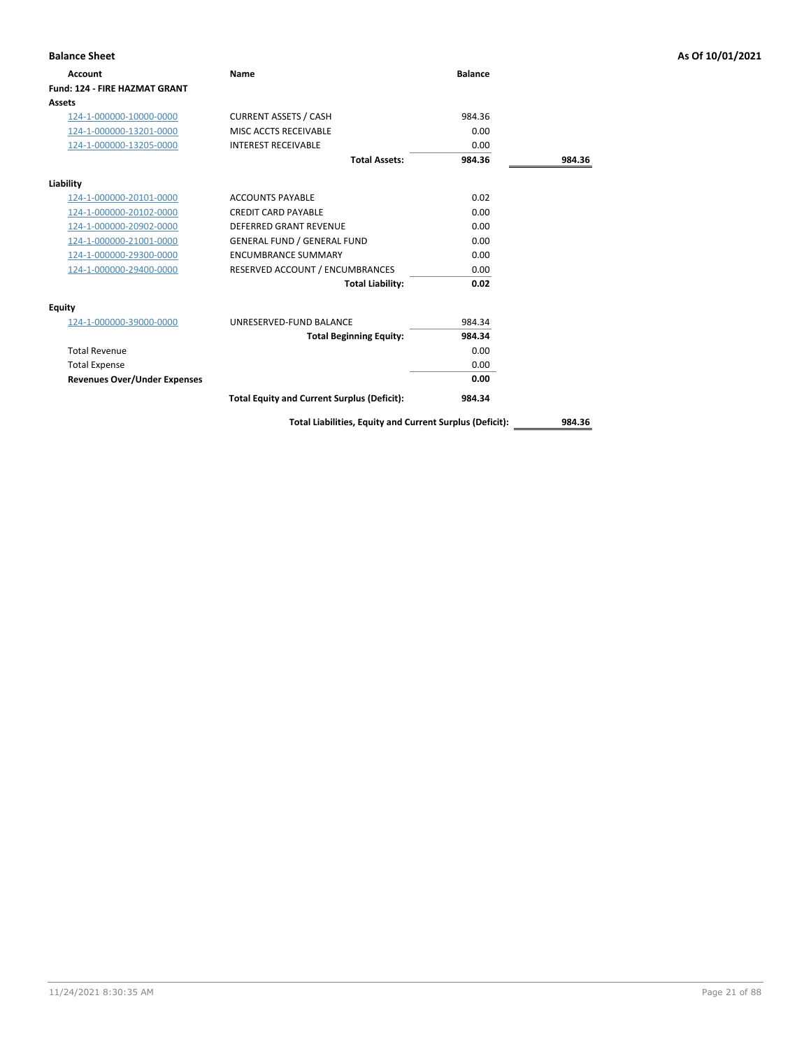| <b>Balance Sheet</b>                 |                                                    |                |        | As Of 10/01/2021 |
|--------------------------------------|----------------------------------------------------|----------------|--------|------------------|
| <b>Account</b>                       | Name                                               | <b>Balance</b> |        |                  |
| <b>Fund: 124 - FIRE HAZMAT GRANT</b> |                                                    |                |        |                  |
| <b>Assets</b>                        |                                                    |                |        |                  |
| 124-1-000000-10000-0000              | <b>CURRENT ASSETS / CASH</b>                       | 984.36         |        |                  |
| 124-1-000000-13201-0000              | MISC ACCTS RECEIVABLE                              | 0.00           |        |                  |
| 124-1-000000-13205-0000              | <b>INTEREST RECEIVABLE</b>                         | 0.00           |        |                  |
|                                      | <b>Total Assets:</b>                               | 984.36         | 984.36 |                  |
| Liability                            |                                                    |                |        |                  |
| 124-1-000000-20101-0000              | <b>ACCOUNTS PAYABLE</b>                            | 0.02           |        |                  |
| 124-1-000000-20102-0000              | <b>CREDIT CARD PAYABLE</b>                         | 0.00           |        |                  |
| 124-1-000000-20902-0000              | <b>DEFERRED GRANT REVENUE</b>                      | 0.00           |        |                  |
| 124-1-000000-21001-0000              | <b>GENERAL FUND / GENERAL FUND</b>                 | 0.00           |        |                  |
| 124-1-000000-29300-0000              | <b>ENCUMBRANCE SUMMARY</b>                         | 0.00           |        |                  |
| 124-1-000000-29400-0000              | RESERVED ACCOUNT / ENCUMBRANCES                    | 0.00           |        |                  |
|                                      | <b>Total Liability:</b>                            | 0.02           |        |                  |
| <b>Equity</b>                        |                                                    |                |        |                  |
| 124-1-000000-39000-0000              | UNRESERVED-FUND BALANCE                            | 984.34         |        |                  |
|                                      | <b>Total Beginning Equity:</b>                     | 984.34         |        |                  |
| <b>Total Revenue</b>                 |                                                    | 0.00           |        |                  |
| <b>Total Expense</b>                 |                                                    | 0.00           |        |                  |
| <b>Revenues Over/Under Expenses</b>  |                                                    | 0.00           |        |                  |
|                                      | <b>Total Equity and Current Surplus (Deficit):</b> | 984.34         |        |                  |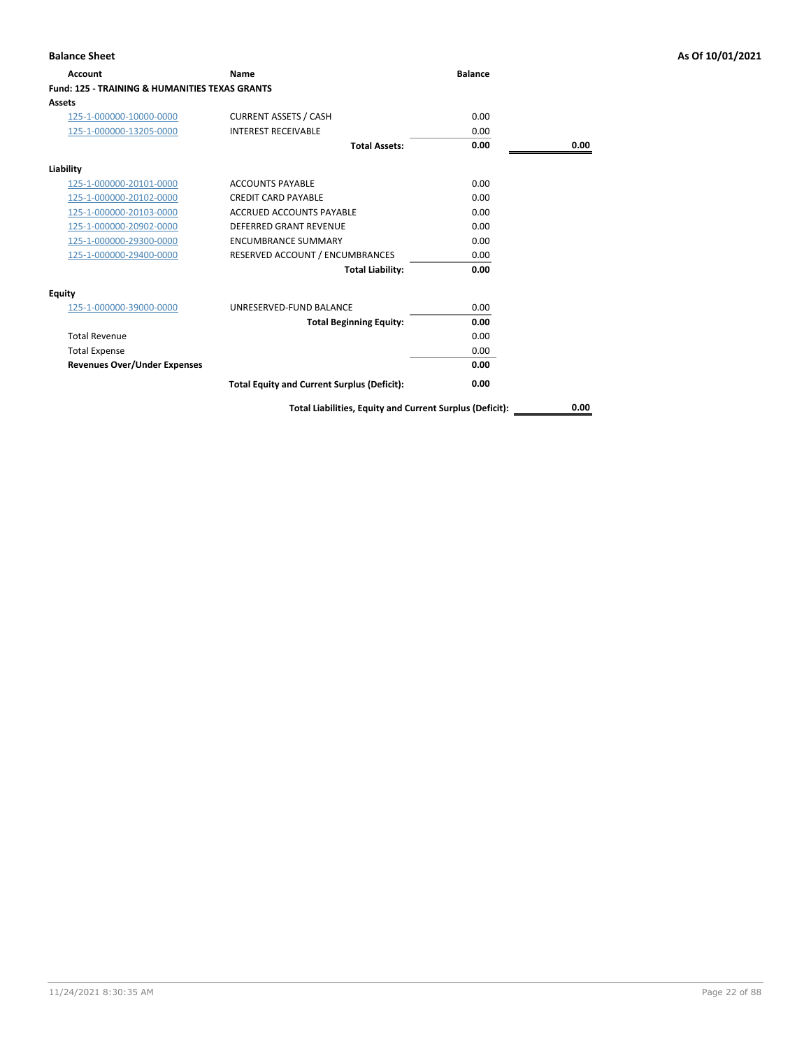| Account                                                   | Name                                               | <b>Balance</b> |      |
|-----------------------------------------------------------|----------------------------------------------------|----------------|------|
| <b>Fund: 125 - TRAINING &amp; HUMANITIES TEXAS GRANTS</b> |                                                    |                |      |
| Assets                                                    |                                                    |                |      |
| 125-1-000000-10000-0000                                   | <b>CURRENT ASSETS / CASH</b>                       | 0.00           |      |
| 125-1-000000-13205-0000                                   | <b>INTEREST RECEIVABLE</b>                         | 0.00           |      |
|                                                           | <b>Total Assets:</b>                               | 0.00           | 0.00 |
| Liability                                                 |                                                    |                |      |
| 125-1-000000-20101-0000                                   | <b>ACCOUNTS PAYABLE</b>                            | 0.00           |      |
| 125-1-000000-20102-0000                                   | <b>CREDIT CARD PAYABLE</b>                         | 0.00           |      |
| 125-1-000000-20103-0000                                   | <b>ACCRUED ACCOUNTS PAYABLE</b>                    | 0.00           |      |
| 125-1-000000-20902-0000                                   | <b>DEFERRED GRANT REVENUE</b>                      | 0.00           |      |
| 125-1-000000-29300-0000                                   | <b>ENCUMBRANCE SUMMARY</b>                         | 0.00           |      |
| 125-1-000000-29400-0000                                   | RESERVED ACCOUNT / ENCUMBRANCES                    | 0.00           |      |
|                                                           | <b>Total Liability:</b>                            | 0.00           |      |
| Equity                                                    |                                                    |                |      |
| 125-1-000000-39000-0000                                   | UNRESERVED-FUND BALANCE                            | 0.00           |      |
|                                                           | <b>Total Beginning Equity:</b>                     | 0.00           |      |
| <b>Total Revenue</b>                                      |                                                    | 0.00           |      |
| <b>Total Expense</b>                                      |                                                    | 0.00           |      |
| <b>Revenues Over/Under Expenses</b>                       |                                                    | 0.00           |      |
|                                                           | <b>Total Equity and Current Surplus (Deficit):</b> | 0.00           |      |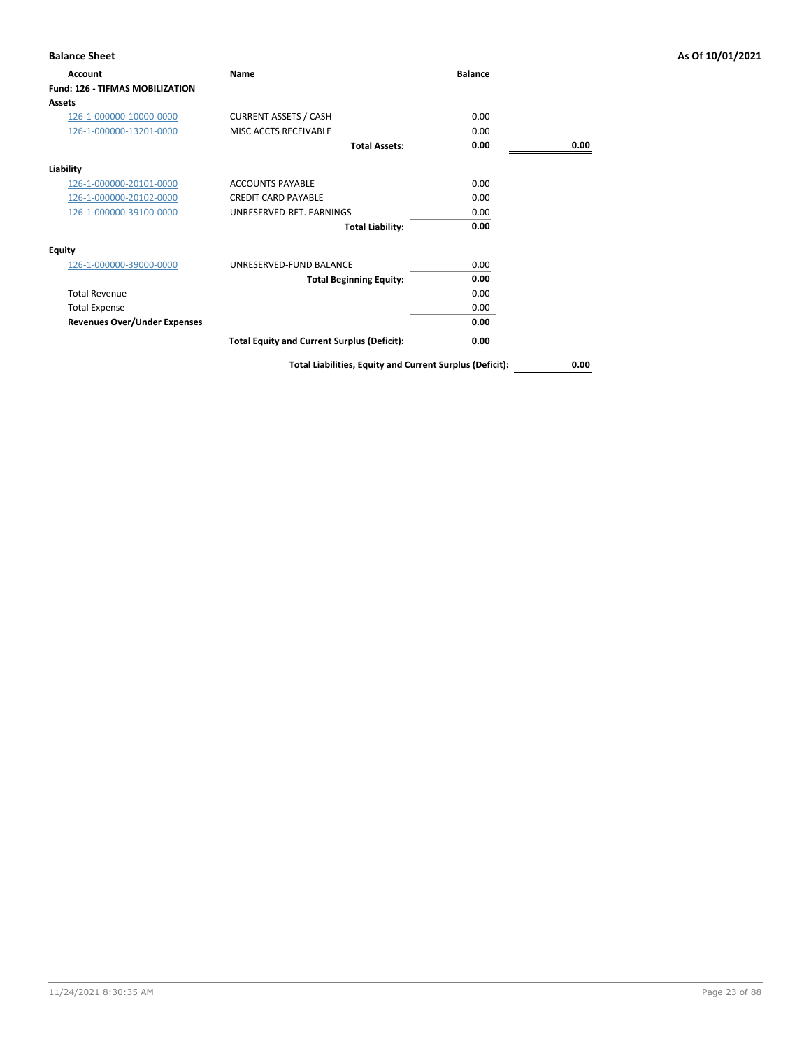| <b>Balance Sheet</b>                   |                                                          |                |      | As Of 10/01/2021 |
|----------------------------------------|----------------------------------------------------------|----------------|------|------------------|
| <b>Account</b>                         | Name                                                     | <b>Balance</b> |      |                  |
| <b>Fund: 126 - TIFMAS MOBILIZATION</b> |                                                          |                |      |                  |
| <b>Assets</b>                          |                                                          |                |      |                  |
| 126-1-000000-10000-0000                | <b>CURRENT ASSETS / CASH</b>                             | 0.00           |      |                  |
| 126-1-000000-13201-0000                | MISC ACCTS RECEIVABLE                                    | 0.00           |      |                  |
|                                        | <b>Total Assets:</b>                                     | 0.00           | 0.00 |                  |
| Liability                              |                                                          |                |      |                  |
| 126-1-000000-20101-0000                | <b>ACCOUNTS PAYABLE</b>                                  | 0.00           |      |                  |
| 126-1-000000-20102-0000                | <b>CREDIT CARD PAYABLE</b>                               | 0.00           |      |                  |
| 126-1-000000-39100-0000                | UNRESERVED-RET. EARNINGS                                 | 0.00           |      |                  |
|                                        | <b>Total Liability:</b>                                  | 0.00           |      |                  |
| Equity                                 |                                                          |                |      |                  |
| 126-1-000000-39000-0000                | UNRESERVED-FUND BALANCE                                  | 0.00           |      |                  |
|                                        | <b>Total Beginning Equity:</b>                           | 0.00           |      |                  |
| <b>Total Revenue</b>                   |                                                          | 0.00           |      |                  |
| <b>Total Expense</b>                   |                                                          | 0.00           |      |                  |
| <b>Revenues Over/Under Expenses</b>    |                                                          | 0.00           |      |                  |
|                                        | <b>Total Equity and Current Surplus (Deficit):</b>       | 0.00           |      |                  |
|                                        | Total Liabilities, Equity and Current Surplus (Deficit): |                | 0.00 |                  |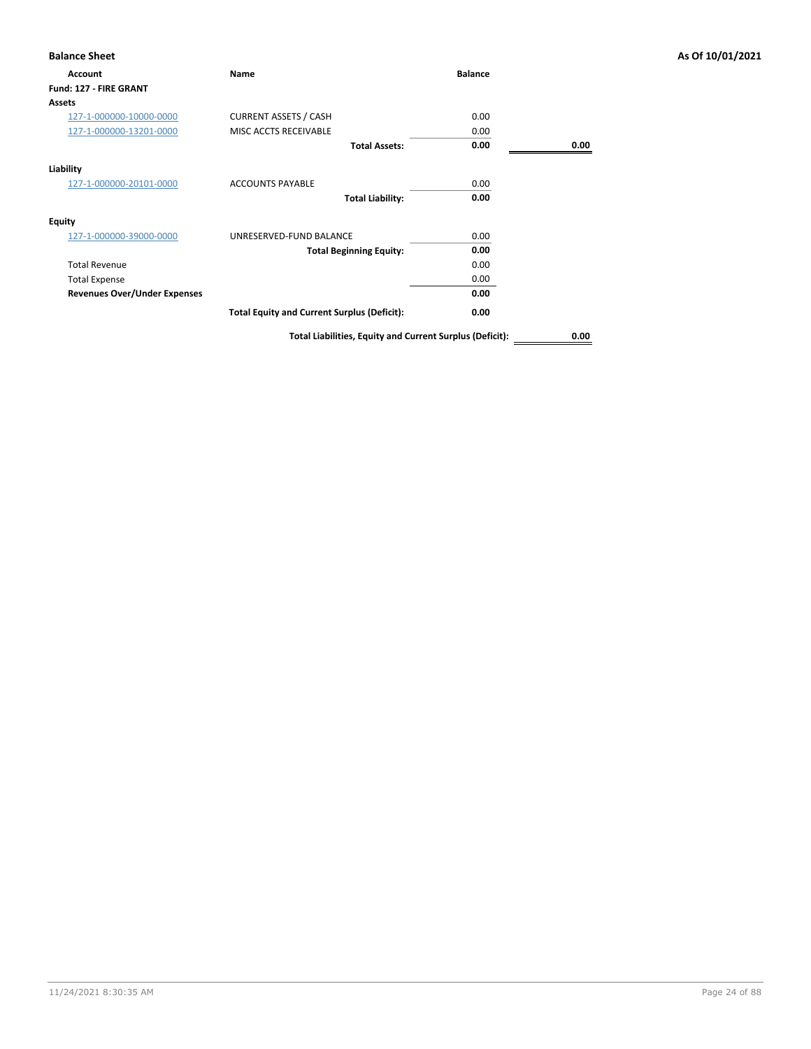| <b>Account</b>                      | Name                                               | <b>Balance</b> |      |
|-------------------------------------|----------------------------------------------------|----------------|------|
| Fund: 127 - FIRE GRANT              |                                                    |                |      |
| <b>Assets</b>                       |                                                    |                |      |
| 127-1-000000-10000-0000             | <b>CURRENT ASSETS / CASH</b>                       | 0.00           |      |
| 127-1-000000-13201-0000             | MISC ACCTS RECEIVABLE                              | 0.00           |      |
|                                     | <b>Total Assets:</b>                               | 0.00           | 0.00 |
| Liability                           |                                                    |                |      |
| 127-1-000000-20101-0000             | <b>ACCOUNTS PAYABLE</b>                            | 0.00           |      |
|                                     | <b>Total Liability:</b>                            | 0.00           |      |
| <b>Equity</b>                       |                                                    |                |      |
| 127-1-000000-39000-0000             | UNRESERVED-FUND BALANCE                            | 0.00           |      |
|                                     | <b>Total Beginning Equity:</b>                     | 0.00           |      |
| <b>Total Revenue</b>                |                                                    | 0.00           |      |
| <b>Total Expense</b>                |                                                    | 0.00           |      |
| <b>Revenues Over/Under Expenses</b> |                                                    | 0.00           |      |
|                                     | <b>Total Equity and Current Surplus (Deficit):</b> | 0.00           |      |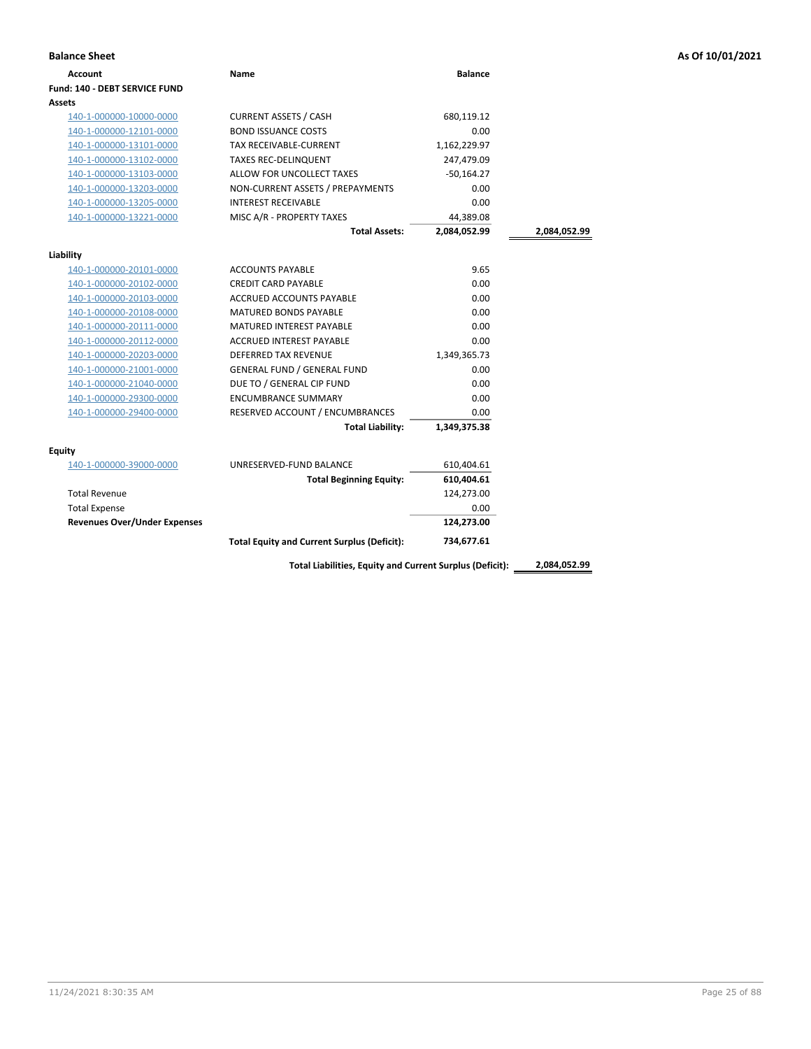| <b>Balance Sheet</b>                 |                                                    |                |              | As Of 10/01/2021 |
|--------------------------------------|----------------------------------------------------|----------------|--------------|------------------|
| Account                              | Name                                               | <b>Balance</b> |              |                  |
| <b>Fund: 140 - DEBT SERVICE FUND</b> |                                                    |                |              |                  |
| Assets                               |                                                    |                |              |                  |
| 140-1-000000-10000-0000              | <b>CURRENT ASSETS / CASH</b>                       | 680,119.12     |              |                  |
| 140-1-000000-12101-0000              | <b>BOND ISSUANCE COSTS</b>                         | 0.00           |              |                  |
| 140-1-000000-13101-0000              | TAX RECEIVABLE-CURRENT                             | 1,162,229.97   |              |                  |
| 140-1-000000-13102-0000              | <b>TAXES REC-DELINQUENT</b>                        | 247,479.09     |              |                  |
| 140-1-000000-13103-0000              | ALLOW FOR UNCOLLECT TAXES                          | $-50,164.27$   |              |                  |
| 140-1-000000-13203-0000              | NON-CURRENT ASSETS / PREPAYMENTS                   | 0.00           |              |                  |
| 140-1-000000-13205-0000              | <b>INTEREST RECEIVABLE</b>                         | 0.00           |              |                  |
| 140-1-000000-13221-0000              | MISC A/R - PROPERTY TAXES                          | 44,389.08      |              |                  |
|                                      | <b>Total Assets:</b>                               | 2,084,052.99   | 2,084,052.99 |                  |
| Liability                            |                                                    |                |              |                  |
| 140-1-000000-20101-0000              | <b>ACCOUNTS PAYABLE</b>                            | 9.65           |              |                  |
| 140-1-000000-20102-0000              | <b>CREDIT CARD PAYABLE</b>                         | 0.00           |              |                  |
| 140-1-000000-20103-0000              | ACCRUED ACCOUNTS PAYABLE                           | 0.00           |              |                  |
| 140-1-000000-20108-0000              | <b>MATURED BONDS PAYABLE</b>                       | 0.00           |              |                  |
| 140-1-000000-20111-0000              | <b>MATURED INTEREST PAYABLE</b>                    | 0.00           |              |                  |
| 140-1-000000-20112-0000              | ACCRUED INTEREST PAYABLE                           | 0.00           |              |                  |
| 140-1-000000-20203-0000              | <b>DEFERRED TAX REVENUE</b>                        | 1,349,365.73   |              |                  |
| 140-1-000000-21001-0000              | <b>GENERAL FUND / GENERAL FUND</b>                 | 0.00           |              |                  |
| 140-1-000000-21040-0000              | DUE TO / GENERAL CIP FUND                          | 0.00           |              |                  |
| 140-1-000000-29300-0000              | <b>ENCUMBRANCE SUMMARY</b>                         | 0.00           |              |                  |
| 140-1-000000-29400-0000              | RESERVED ACCOUNT / ENCUMBRANCES                    | 0.00           |              |                  |
|                                      | <b>Total Liability:</b>                            | 1,349,375.38   |              |                  |
| <b>Equity</b>                        |                                                    |                |              |                  |
| 140-1-000000-39000-0000              | UNRESERVED-FUND BALANCE                            | 610,404.61     |              |                  |
|                                      | <b>Total Beginning Equity:</b>                     | 610,404.61     |              |                  |
| <b>Total Revenue</b>                 |                                                    | 124,273.00     |              |                  |
| <b>Total Expense</b>                 |                                                    | 0.00           |              |                  |
| <b>Revenues Over/Under Expenses</b>  |                                                    | 124,273.00     |              |                  |
|                                      | <b>Total Equity and Current Surplus (Deficit):</b> | 734,677.61     |              |                  |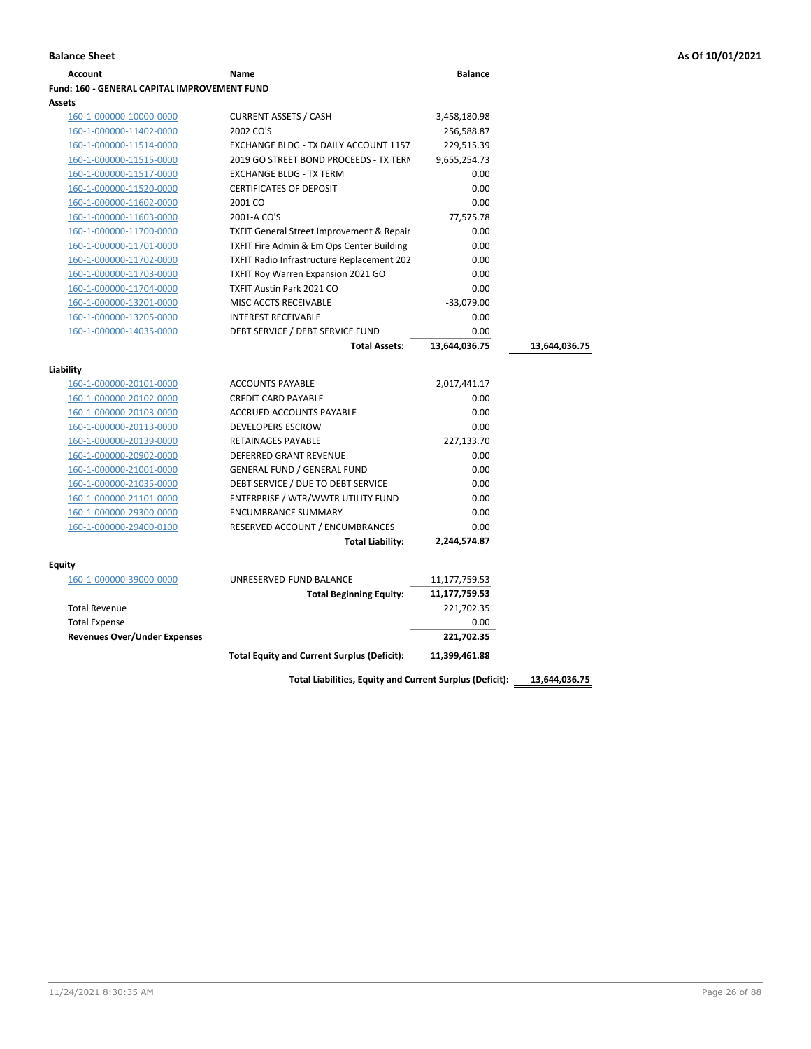| Account                                             | Name                                                 | <b>Balance</b> |               |
|-----------------------------------------------------|------------------------------------------------------|----------------|---------------|
| <b>Fund: 160 - GENERAL CAPITAL IMPROVEMENT FUND</b> |                                                      |                |               |
| <b>Assets</b>                                       |                                                      |                |               |
| 160-1-000000-10000-0000                             | <b>CURRENT ASSETS / CASH</b>                         | 3,458,180.98   |               |
| 160-1-000000-11402-0000                             | 2002 CO'S                                            | 256,588.87     |               |
| 160-1-000000-11514-0000                             | EXCHANGE BLDG - TX DAILY ACCOUNT 1157                | 229,515.39     |               |
| 160-1-000000-11515-0000                             | 2019 GO STREET BOND PROCEEDS - TX TERN               | 9,655,254.73   |               |
| 160-1-000000-11517-0000                             | <b>EXCHANGE BLDG - TX TERM</b>                       | 0.00           |               |
| 160-1-000000-11520-0000                             | <b>CERTIFICATES OF DEPOSIT</b>                       | 0.00           |               |
| 160-1-000000-11602-0000                             | 2001 CO                                              | 0.00           |               |
| 160-1-000000-11603-0000                             | 2001-A CO'S                                          | 77,575.78      |               |
| 160-1-000000-11700-0000                             | <b>TXFIT General Street Improvement &amp; Repair</b> | 0.00           |               |
| 160-1-000000-11701-0000                             | TXFIT Fire Admin & Em Ops Center Building            | 0.00           |               |
| 160-1-000000-11702-0000                             | TXFIT Radio Infrastructure Replacement 202           | 0.00           |               |
| 160-1-000000-11703-0000                             | <b>TXFIT Roy Warren Expansion 2021 GO</b>            | 0.00           |               |
| 160-1-000000-11704-0000                             | <b>TXFIT Austin Park 2021 CO</b>                     | 0.00           |               |
| 160-1-000000-13201-0000                             | MISC ACCTS RECEIVABLE                                | $-33,079.00$   |               |
| 160-1-000000-13205-0000                             | <b>INTEREST RECEIVABLE</b>                           | 0.00           |               |
| 160-1-000000-14035-0000                             | DEBT SERVICE / DEBT SERVICE FUND                     | 0.00           |               |
|                                                     | <b>Total Assets:</b>                                 | 13,644,036.75  | 13,644,036.75 |
|                                                     |                                                      |                |               |
| Liability                                           |                                                      |                |               |
| 160-1-000000-20101-0000                             | <b>ACCOUNTS PAYABLE</b>                              | 2,017,441.17   |               |
| 160-1-000000-20102-0000                             | <b>CREDIT CARD PAYABLE</b>                           | 0.00           |               |
| 160-1-000000-20103-0000                             | ACCRUED ACCOUNTS PAYABLE                             | 0.00           |               |
| 160-1-000000-20113-0000                             | <b>DEVELOPERS ESCROW</b>                             | 0.00           |               |
| 160-1-000000-20139-0000                             | <b>RETAINAGES PAYABLE</b>                            | 227,133.70     |               |
| 160-1-000000-20902-0000                             | <b>DEFERRED GRANT REVENUE</b>                        | 0.00           |               |
| 160-1-000000-21001-0000                             | <b>GENERAL FUND / GENERAL FUND</b>                   | 0.00           |               |
| 160-1-000000-21035-0000                             | DEBT SERVICE / DUE TO DEBT SERVICE                   | 0.00           |               |
| 160-1-000000-21101-0000                             | ENTERPRISE / WTR/WWTR UTILITY FUND                   | 0.00           |               |
| 160-1-000000-29300-0000                             | <b>ENCUMBRANCE SUMMARY</b>                           | 0.00           |               |
| 160-1-000000-29400-0100                             | RESERVED ACCOUNT / ENCUMBRANCES                      | 0.00           |               |
|                                                     | <b>Total Liability:</b>                              | 2,244,574.87   |               |
| <b>Equity</b>                                       |                                                      |                |               |
| 160-1-000000-39000-0000                             | UNRESERVED-FUND BALANCE                              | 11,177,759.53  |               |
|                                                     | <b>Total Beginning Equity:</b>                       | 11,177,759.53  |               |
| <b>Total Revenue</b>                                |                                                      | 221,702.35     |               |
| <b>Total Expense</b>                                |                                                      | 0.00           |               |
| <b>Revenues Over/Under Expenses</b>                 |                                                      | 221,702.35     |               |
|                                                     |                                                      |                |               |
|                                                     | <b>Total Equity and Current Surplus (Deficit):</b>   | 11,399,461.88  |               |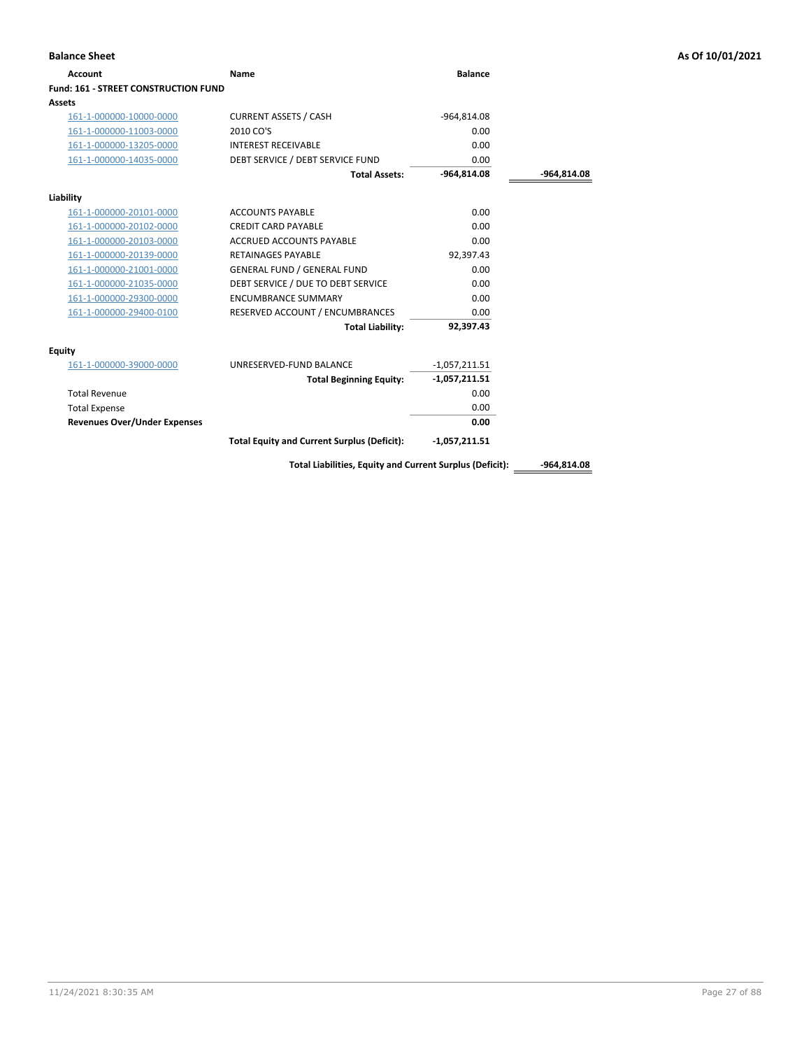| <b>Account</b>                              | Name                                                     | <b>Balance</b>  |               |
|---------------------------------------------|----------------------------------------------------------|-----------------|---------------|
| <b>Fund: 161 - STREET CONSTRUCTION FUND</b> |                                                          |                 |               |
| Assets                                      |                                                          |                 |               |
| 161-1-000000-10000-0000                     | <b>CURRENT ASSETS / CASH</b>                             | $-964,814.08$   |               |
| 161-1-000000-11003-0000                     | 2010 CO'S                                                | 0.00            |               |
| 161-1-000000-13205-0000                     | <b>INTEREST RECEIVABLE</b>                               | 0.00            |               |
| 161-1-000000-14035-0000                     | DEBT SERVICE / DEBT SERVICE FUND                         | 0.00            |               |
|                                             | <b>Total Assets:</b>                                     | $-964,814.08$   | $-964,814.08$ |
| Liability                                   |                                                          |                 |               |
| 161-1-000000-20101-0000                     | <b>ACCOUNTS PAYABLE</b>                                  | 0.00            |               |
| 161-1-000000-20102-0000                     | <b>CREDIT CARD PAYABLE</b>                               | 0.00            |               |
| 161-1-000000-20103-0000                     | <b>ACCRUED ACCOUNTS PAYABLE</b>                          | 0.00            |               |
| 161-1-000000-20139-0000                     | <b>RETAINAGES PAYABLE</b>                                | 92,397.43       |               |
| 161-1-000000-21001-0000                     | <b>GENERAL FUND / GENERAL FUND</b>                       | 0.00            |               |
| 161-1-000000-21035-0000                     | DEBT SERVICE / DUE TO DEBT SERVICE                       | 0.00            |               |
| 161-1-000000-29300-0000                     | <b>ENCUMBRANCE SUMMARY</b>                               | 0.00            |               |
| 161-1-000000-29400-0100                     | RESERVED ACCOUNT / ENCUMBRANCES                          | 0.00            |               |
|                                             | <b>Total Liability:</b>                                  | 92,397.43       |               |
| <b>Equity</b>                               |                                                          |                 |               |
| 161-1-000000-39000-0000                     | UNRESERVED-FUND BALANCE                                  | $-1,057,211.51$ |               |
|                                             | <b>Total Beginning Equity:</b>                           | $-1,057,211.51$ |               |
| <b>Total Revenue</b>                        |                                                          | 0.00            |               |
| <b>Total Expense</b>                        |                                                          | 0.00            |               |
| <b>Revenues Over/Under Expenses</b>         |                                                          | 0.00            |               |
|                                             | <b>Total Equity and Current Surplus (Deficit):</b>       | $-1,057,211.51$ |               |
|                                             | Total Liabilities, Equity and Current Surplus (Deficit): |                 | $-964,814.08$ |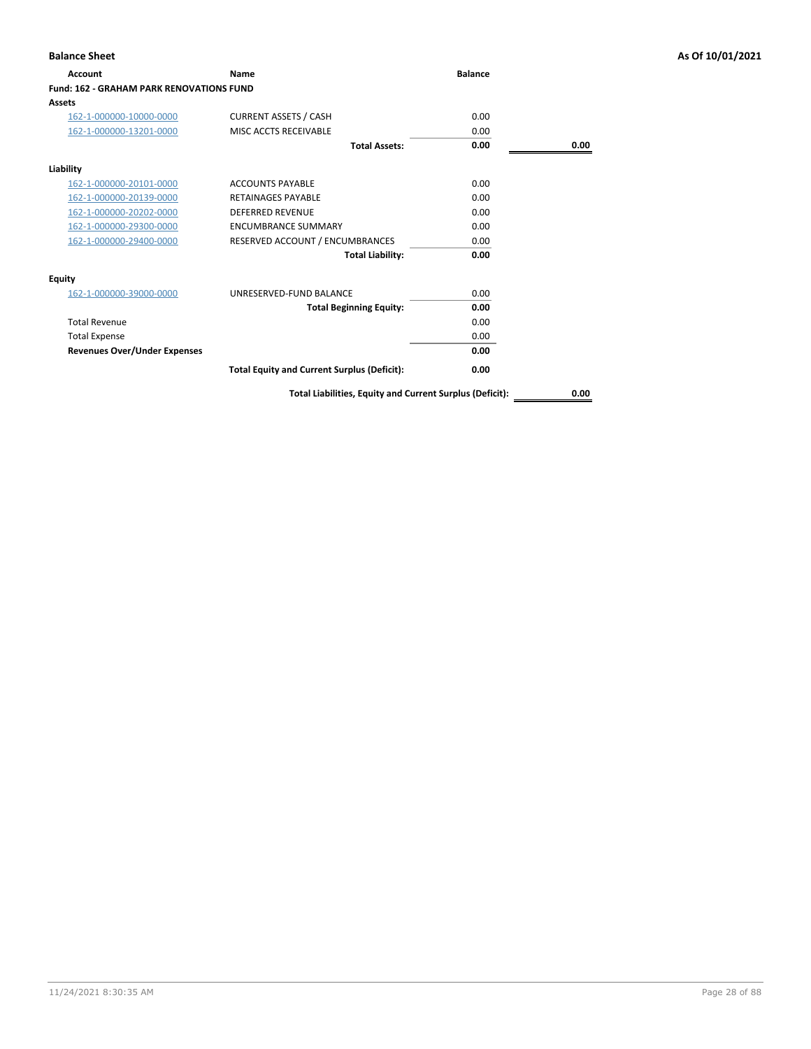| <b>Account</b>                                  | Name                                               | <b>Balance</b> |      |
|-------------------------------------------------|----------------------------------------------------|----------------|------|
| <b>Fund: 162 - GRAHAM PARK RENOVATIONS FUND</b> |                                                    |                |      |
| Assets                                          |                                                    |                |      |
| 162-1-000000-10000-0000                         | <b>CURRENT ASSETS / CASH</b>                       | 0.00           |      |
| 162-1-000000-13201-0000                         | MISC ACCTS RECEIVABLE                              | 0.00           |      |
|                                                 | <b>Total Assets:</b>                               | 0.00           | 0.00 |
| Liability                                       |                                                    |                |      |
| 162-1-000000-20101-0000                         | <b>ACCOUNTS PAYABLE</b>                            | 0.00           |      |
| 162-1-000000-20139-0000                         | <b>RETAINAGES PAYABLE</b>                          | 0.00           |      |
| 162-1-000000-20202-0000                         | <b>DEFERRED REVENUE</b>                            | 0.00           |      |
| 162-1-000000-29300-0000                         | <b>ENCUMBRANCE SUMMARY</b>                         | 0.00           |      |
| 162-1-000000-29400-0000                         | RESERVED ACCOUNT / ENCUMBRANCES                    | 0.00           |      |
|                                                 | <b>Total Liability:</b>                            | 0.00           |      |
| Equity                                          |                                                    |                |      |
| 162-1-000000-39000-0000                         | UNRESERVED-FUND BALANCE                            | 0.00           |      |
|                                                 | <b>Total Beginning Equity:</b>                     | 0.00           |      |
| <b>Total Revenue</b>                            |                                                    | 0.00           |      |
| <b>Total Expense</b>                            |                                                    | 0.00           |      |
| <b>Revenues Over/Under Expenses</b>             |                                                    | 0.00           |      |
|                                                 | <b>Total Equity and Current Surplus (Deficit):</b> | 0.00           |      |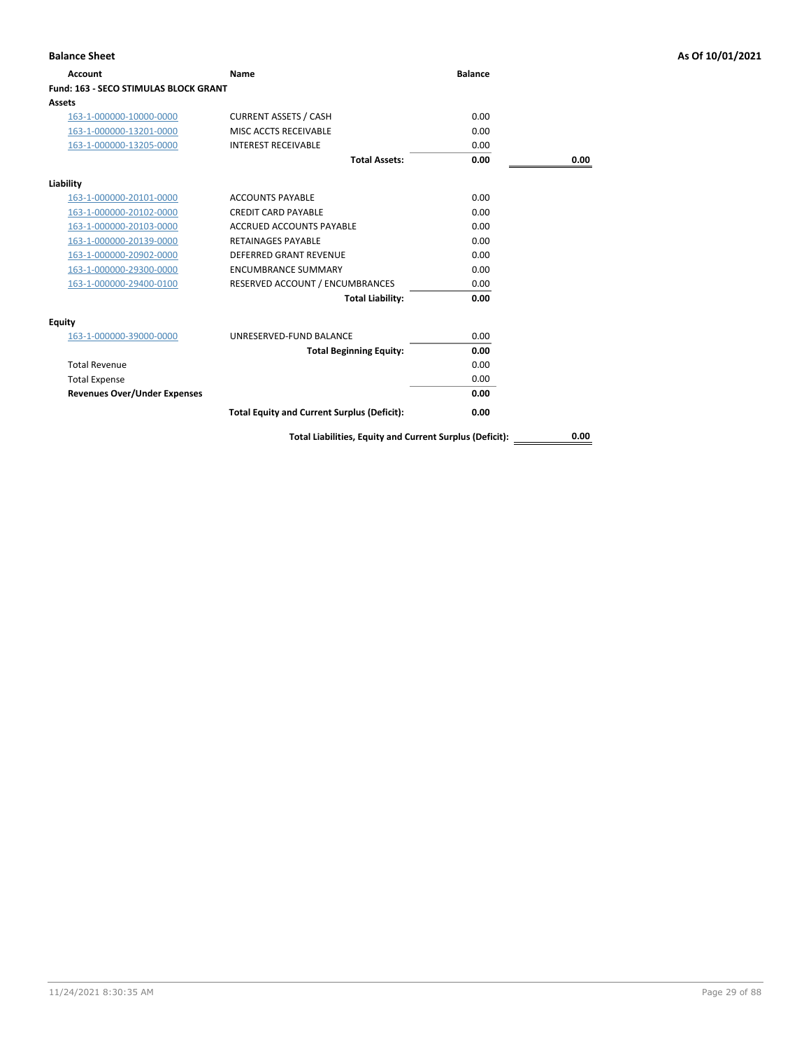| Account                                      | Name                                                     | <b>Balance</b> |      |
|----------------------------------------------|----------------------------------------------------------|----------------|------|
| <b>Fund: 163 - SECO STIMULAS BLOCK GRANT</b> |                                                          |                |      |
| Assets                                       |                                                          |                |      |
| 163-1-000000-10000-0000                      | <b>CURRENT ASSETS / CASH</b>                             | 0.00           |      |
| 163-1-000000-13201-0000                      | MISC ACCTS RECEIVABLE                                    | 0.00           |      |
| 163-1-000000-13205-0000                      | <b>INTEREST RECEIVABLE</b>                               | 0.00           |      |
|                                              | <b>Total Assets:</b>                                     | 0.00           | 0.00 |
| Liability                                    |                                                          |                |      |
| 163-1-000000-20101-0000                      | <b>ACCOUNTS PAYABLE</b>                                  | 0.00           |      |
| 163-1-000000-20102-0000                      | <b>CREDIT CARD PAYABLE</b>                               | 0.00           |      |
| 163-1-000000-20103-0000                      | <b>ACCRUED ACCOUNTS PAYABLE</b>                          | 0.00           |      |
| 163-1-000000-20139-0000                      | <b>RETAINAGES PAYABLE</b>                                | 0.00           |      |
| 163-1-000000-20902-0000                      | <b>DEFERRED GRANT REVENUE</b>                            | 0.00           |      |
| 163-1-000000-29300-0000                      | <b>ENCUMBRANCE SUMMARY</b>                               | 0.00           |      |
| 163-1-000000-29400-0100                      | RESERVED ACCOUNT / ENCUMBRANCES                          | 0.00           |      |
|                                              | <b>Total Liability:</b>                                  | 0.00           |      |
| <b>Equity</b>                                |                                                          |                |      |
| 163-1-000000-39000-0000                      | UNRESERVED-FUND BALANCE                                  | 0.00           |      |
|                                              | <b>Total Beginning Equity:</b>                           | 0.00           |      |
| <b>Total Revenue</b>                         |                                                          | 0.00           |      |
| <b>Total Expense</b>                         |                                                          | 0.00           |      |
| <b>Revenues Over/Under Expenses</b>          |                                                          | 0.00           |      |
|                                              | <b>Total Equity and Current Surplus (Deficit):</b>       | 0.00           |      |
|                                              | Total Liabilities, Equity and Current Surplus (Deficit): |                | 0.00 |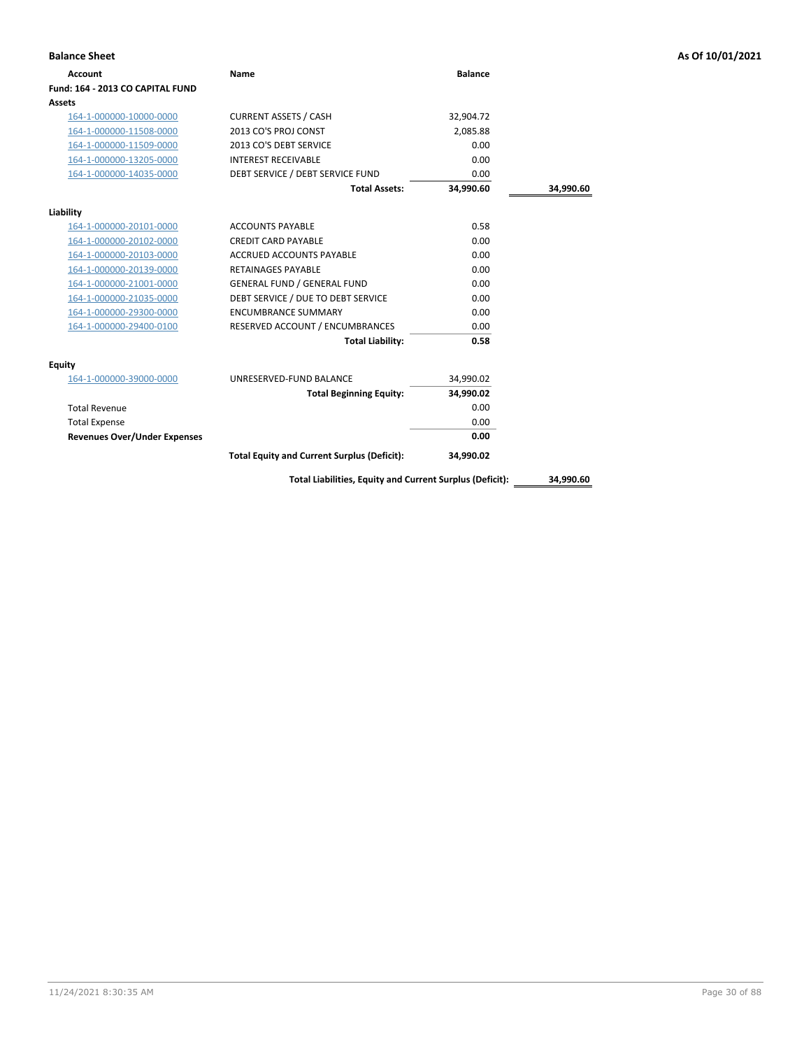| <b>Balance Sheet</b>                |                                                          |                |           | As Of 10/01/2021 |
|-------------------------------------|----------------------------------------------------------|----------------|-----------|------------------|
| <b>Account</b>                      | Name                                                     | <b>Balance</b> |           |                  |
| Fund: 164 - 2013 CO CAPITAL FUND    |                                                          |                |           |                  |
| Assets                              |                                                          |                |           |                  |
| 164-1-000000-10000-0000             | <b>CURRENT ASSETS / CASH</b>                             | 32,904.72      |           |                  |
| 164-1-000000-11508-0000             | 2013 CO'S PROJ CONST                                     | 2,085.88       |           |                  |
| 164-1-000000-11509-0000             | 2013 CO'S DEBT SERVICE                                   | 0.00           |           |                  |
| 164-1-000000-13205-0000             | <b>INTEREST RECEIVABLE</b>                               | 0.00           |           |                  |
| 164-1-000000-14035-0000             | DEBT SERVICE / DEBT SERVICE FUND                         | 0.00           |           |                  |
|                                     | <b>Total Assets:</b>                                     | 34,990.60      | 34,990.60 |                  |
| Liability                           |                                                          |                |           |                  |
| 164-1-000000-20101-0000             | <b>ACCOUNTS PAYABLE</b>                                  | 0.58           |           |                  |
| 164-1-000000-20102-0000             | <b>CREDIT CARD PAYABLE</b>                               | 0.00           |           |                  |
| 164-1-000000-20103-0000             | <b>ACCRUED ACCOUNTS PAYABLE</b>                          | 0.00           |           |                  |
| 164-1-000000-20139-0000             | <b>RETAINAGES PAYABLE</b>                                | 0.00           |           |                  |
| 164-1-000000-21001-0000             | <b>GENERAL FUND / GENERAL FUND</b>                       | 0.00           |           |                  |
| 164-1-000000-21035-0000             | DEBT SERVICE / DUE TO DEBT SERVICE                       | 0.00           |           |                  |
| 164-1-000000-29300-0000             | <b>ENCUMBRANCE SUMMARY</b>                               | 0.00           |           |                  |
| 164-1-000000-29400-0100             | RESERVED ACCOUNT / ENCUMBRANCES                          | 0.00           |           |                  |
|                                     | <b>Total Liability:</b>                                  | 0.58           |           |                  |
| <b>Equity</b>                       |                                                          |                |           |                  |
| 164-1-000000-39000-0000             | UNRESERVED-FUND BALANCE                                  | 34,990.02      |           |                  |
|                                     | <b>Total Beginning Equity:</b>                           | 34,990.02      |           |                  |
| <b>Total Revenue</b>                |                                                          | 0.00           |           |                  |
| <b>Total Expense</b>                |                                                          | 0.00           |           |                  |
| <b>Revenues Over/Under Expenses</b> |                                                          | 0.00           |           |                  |
|                                     | <b>Total Equity and Current Surplus (Deficit):</b>       | 34,990.02      |           |                  |
|                                     | Total Liabilities, Equity and Current Surplus (Deficit): |                | 34,990.60 |                  |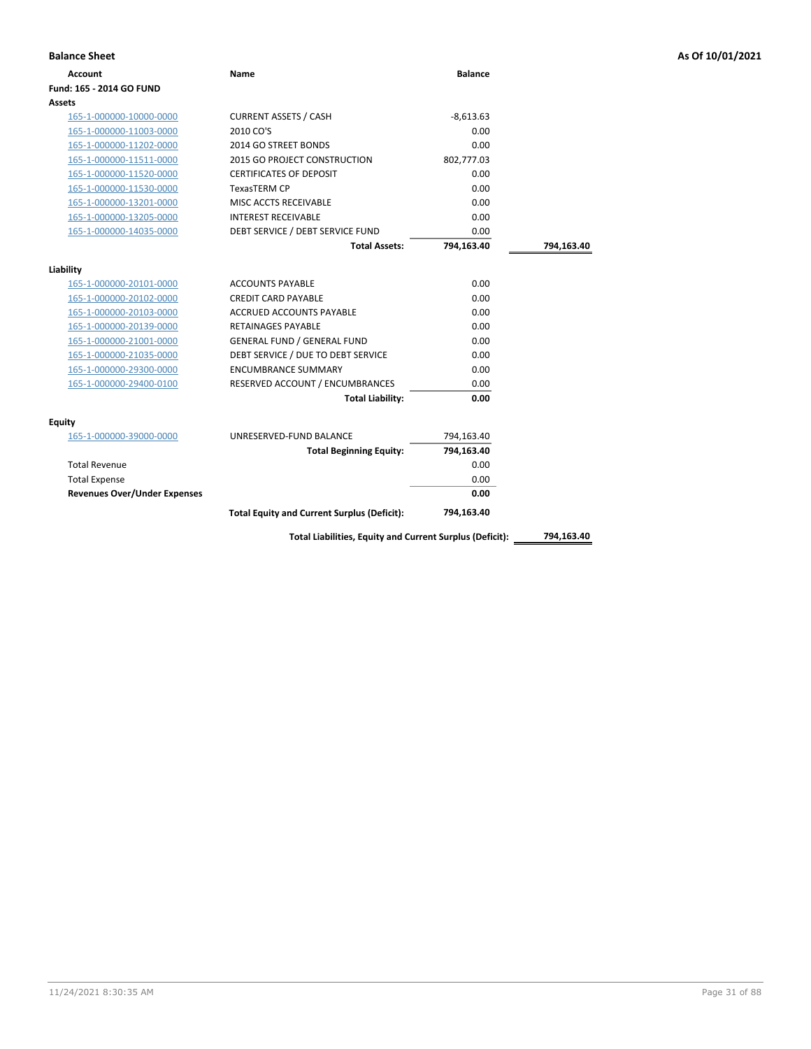| <b>Account</b>                      | Name                                               | <b>Balance</b> |            |
|-------------------------------------|----------------------------------------------------|----------------|------------|
| Fund: 165 - 2014 GO FUND            |                                                    |                |            |
| Assets                              |                                                    |                |            |
| 165-1-000000-10000-0000             | <b>CURRENT ASSETS / CASH</b>                       | $-8,613.63$    |            |
| 165-1-000000-11003-0000             | 2010 CO'S                                          | 0.00           |            |
| 165-1-000000-11202-0000             | 2014 GO STREET BONDS                               | 0.00           |            |
| 165-1-000000-11511-0000             | <b>2015 GO PROJECT CONSTRUCTION</b>                | 802,777.03     |            |
| 165-1-000000-11520-0000             | <b>CERTIFICATES OF DEPOSIT</b>                     | 0.00           |            |
| 165-1-000000-11530-0000             | <b>TexasTERM CP</b>                                | 0.00           |            |
| 165-1-000000-13201-0000             | MISC ACCTS RECEIVABLE                              | 0.00           |            |
| 165-1-000000-13205-0000             | <b>INTEREST RECEIVABLE</b>                         | 0.00           |            |
| 165-1-000000-14035-0000             | DEBT SERVICE / DEBT SERVICE FUND                   | 0.00           |            |
|                                     | <b>Total Assets:</b>                               | 794,163.40     | 794,163.40 |
|                                     |                                                    |                |            |
| Liability                           |                                                    |                |            |
| 165-1-000000-20101-0000             | <b>ACCOUNTS PAYABLE</b>                            | 0.00           |            |
| 165-1-000000-20102-0000             | <b>CREDIT CARD PAYABLE</b>                         | 0.00           |            |
| 165-1-000000-20103-0000             | <b>ACCRUED ACCOUNTS PAYABLE</b>                    | 0.00           |            |
| 165-1-000000-20139-0000             | <b>RETAINAGES PAYABLE</b>                          | 0.00           |            |
| 165-1-000000-21001-0000             | <b>GENERAL FUND / GENERAL FUND</b>                 | 0.00           |            |
| 165-1-000000-21035-0000             | DEBT SERVICE / DUE TO DEBT SERVICE                 | 0.00           |            |
| 165-1-000000-29300-0000             | <b>ENCUMBRANCE SUMMARY</b>                         | 0.00           |            |
| 165-1-000000-29400-0100             | RESERVED ACCOUNT / ENCUMBRANCES                    | 0.00           |            |
|                                     | <b>Total Liability:</b>                            | 0.00           |            |
| Equity                              |                                                    |                |            |
| 165-1-000000-39000-0000             | UNRESERVED-FUND BALANCE                            | 794,163.40     |            |
|                                     | <b>Total Beginning Equity:</b>                     | 794,163.40     |            |
| <b>Total Revenue</b>                |                                                    | 0.00           |            |
| <b>Total Expense</b>                |                                                    | 0.00           |            |
| <b>Revenues Over/Under Expenses</b> |                                                    | 0.00           |            |
|                                     | <b>Total Equity and Current Surplus (Deficit):</b> | 794,163.40     |            |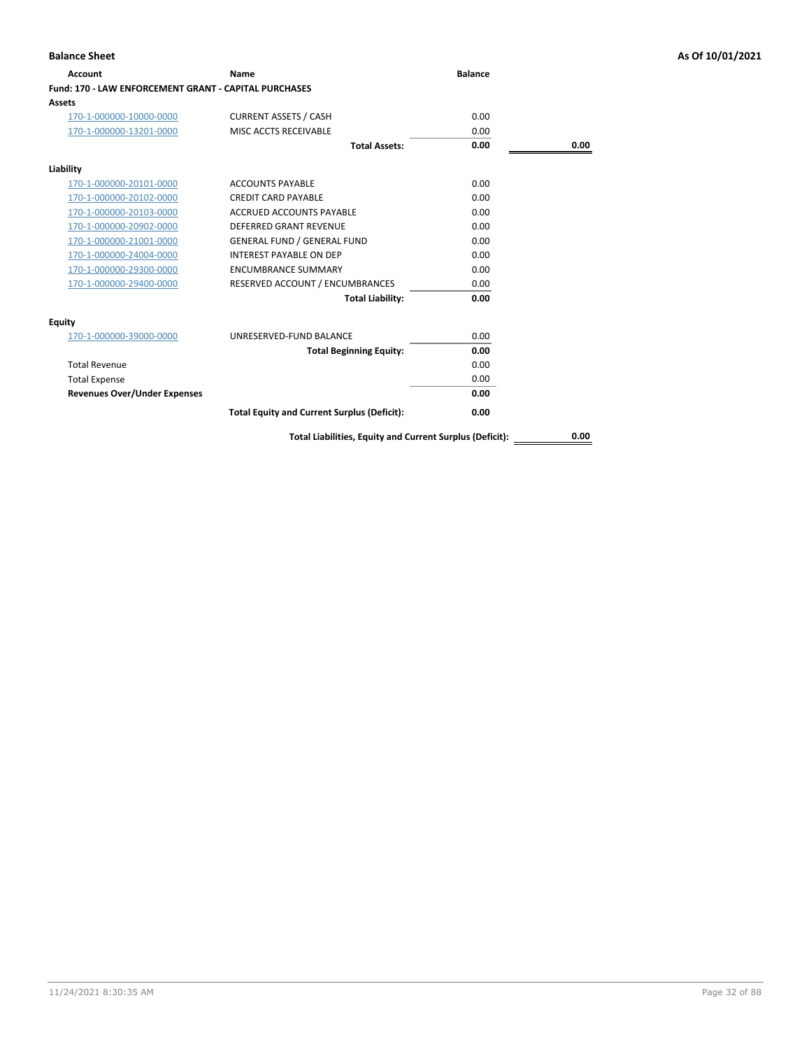| <b>Account</b>                                        | <b>Name</b>                                              | <b>Balance</b> |      |
|-------------------------------------------------------|----------------------------------------------------------|----------------|------|
| Fund: 170 - LAW ENFORCEMENT GRANT - CAPITAL PURCHASES |                                                          |                |      |
| <b>Assets</b>                                         |                                                          |                |      |
| 170-1-000000-10000-0000                               | <b>CURRENT ASSETS / CASH</b>                             | 0.00           |      |
| 170-1-000000-13201-0000                               | MISC ACCTS RECEIVABLE                                    | 0.00           |      |
|                                                       | <b>Total Assets:</b>                                     | 0.00           | 0.00 |
| Liability                                             |                                                          |                |      |
| 170-1-000000-20101-0000                               | <b>ACCOUNTS PAYABLE</b>                                  | 0.00           |      |
| 170-1-000000-20102-0000                               | <b>CREDIT CARD PAYABLE</b>                               | 0.00           |      |
| 170-1-000000-20103-0000                               | <b>ACCRUED ACCOUNTS PAYABLE</b>                          | 0.00           |      |
| 170-1-000000-20902-0000                               | <b>DEFERRED GRANT REVENUE</b>                            | 0.00           |      |
| 170-1-000000-21001-0000                               | <b>GENERAL FUND / GENERAL FUND</b>                       | 0.00           |      |
| 170-1-000000-24004-0000                               | <b>INTEREST PAYABLE ON DEP</b>                           | 0.00           |      |
| 170-1-000000-29300-0000                               | <b>ENCUMBRANCE SUMMARY</b>                               | 0.00           |      |
| 170-1-000000-29400-0000                               | RESERVED ACCOUNT / ENCUMBRANCES                          | 0.00           |      |
|                                                       | <b>Total Liability:</b>                                  | 0.00           |      |
| <b>Equity</b>                                         |                                                          |                |      |
| 170-1-000000-39000-0000                               | UNRESERVED-FUND BALANCE                                  | 0.00           |      |
|                                                       | <b>Total Beginning Equity:</b>                           | 0.00           |      |
| <b>Total Revenue</b>                                  |                                                          | 0.00           |      |
| <b>Total Expense</b>                                  |                                                          | 0.00           |      |
| <b>Revenues Over/Under Expenses</b>                   |                                                          | 0.00           |      |
|                                                       | <b>Total Equity and Current Surplus (Deficit):</b>       | 0.00           |      |
|                                                       | Total Liabilities, Equity and Current Surplus (Deficit): |                | 0.00 |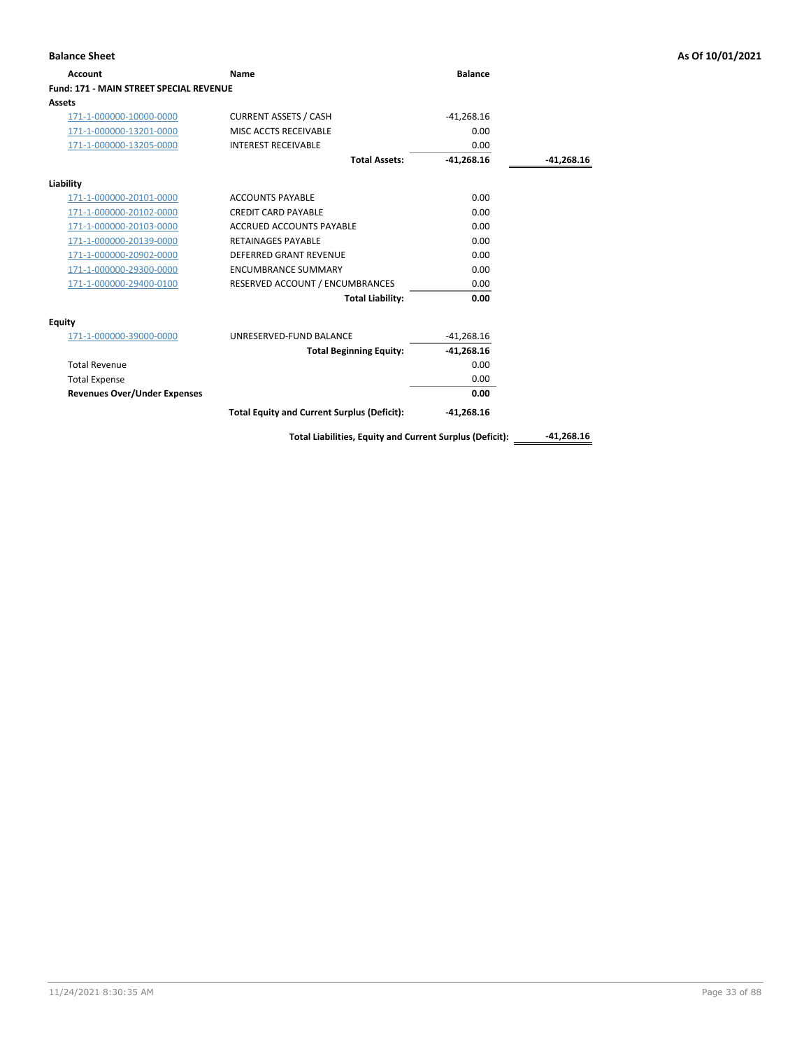| <b>Balance Sheet</b>                           |                                                          |                |              | As Of 10/01/2021 |
|------------------------------------------------|----------------------------------------------------------|----------------|--------------|------------------|
| <b>Account</b>                                 | <b>Name</b>                                              | <b>Balance</b> |              |                  |
| <b>Fund: 171 - MAIN STREET SPECIAL REVENUE</b> |                                                          |                |              |                  |
| <b>Assets</b>                                  |                                                          |                |              |                  |
| 171-1-000000-10000-0000                        | <b>CURRENT ASSETS / CASH</b>                             | $-41,268.16$   |              |                  |
| 171-1-000000-13201-0000                        | MISC ACCTS RECEIVABLE                                    | 0.00           |              |                  |
| 171-1-000000-13205-0000                        | <b>INTEREST RECEIVABLE</b>                               | 0.00           |              |                  |
|                                                | <b>Total Assets:</b>                                     | $-41,268.16$   | $-41,268.16$ |                  |
| Liability                                      |                                                          |                |              |                  |
| 171-1-000000-20101-0000                        | <b>ACCOUNTS PAYABLE</b>                                  | 0.00           |              |                  |
| 171-1-000000-20102-0000                        | <b>CREDIT CARD PAYABLE</b>                               | 0.00           |              |                  |
| 171-1-000000-20103-0000                        | ACCRUED ACCOUNTS PAYABLE                                 | 0.00           |              |                  |
| 171-1-000000-20139-0000                        | <b>RETAINAGES PAYABLE</b>                                | 0.00           |              |                  |
| 171-1-000000-20902-0000                        | <b>DEFERRED GRANT REVENUE</b>                            | 0.00           |              |                  |
| 171-1-000000-29300-0000                        | <b>ENCUMBRANCE SUMMARY</b>                               | 0.00           |              |                  |
| 171-1-000000-29400-0100                        | RESERVED ACCOUNT / ENCUMBRANCES                          | 0.00           |              |                  |
|                                                | <b>Total Liability:</b>                                  | 0.00           |              |                  |
| <b>Equity</b>                                  |                                                          |                |              |                  |
| 171-1-000000-39000-0000                        | UNRESERVED-FUND BALANCE                                  | $-41,268.16$   |              |                  |
|                                                | <b>Total Beginning Equity:</b>                           | $-41,268.16$   |              |                  |
| <b>Total Revenue</b>                           |                                                          | 0.00           |              |                  |
| <b>Total Expense</b>                           |                                                          | 0.00           |              |                  |
| <b>Revenues Over/Under Expenses</b>            |                                                          | 0.00           |              |                  |
|                                                | <b>Total Equity and Current Surplus (Deficit):</b>       | $-41,268.16$   |              |                  |
|                                                | Total Liabilities, Equity and Current Surplus (Deficit): |                | $-41.268.16$ |                  |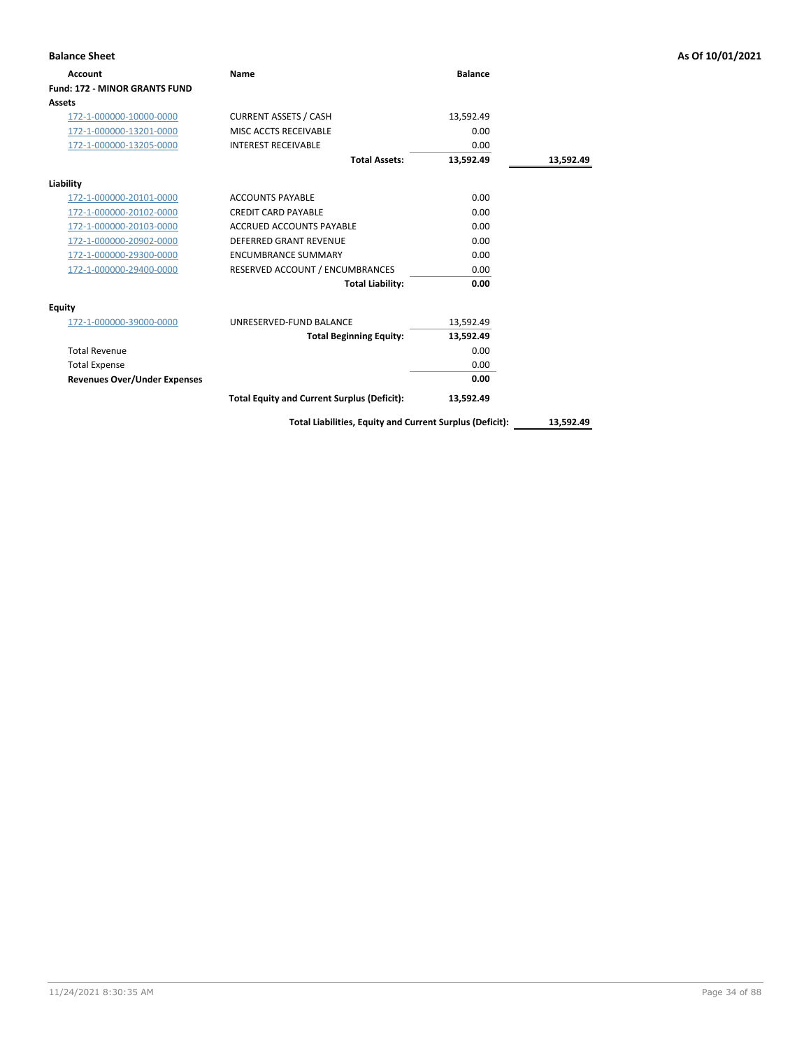| <b>Balance Sheet</b>                 |                                                    |                |           | As Of 10/01/2021 |
|--------------------------------------|----------------------------------------------------|----------------|-----------|------------------|
| <b>Account</b>                       | Name                                               | <b>Balance</b> |           |                  |
| <b>Fund: 172 - MINOR GRANTS FUND</b> |                                                    |                |           |                  |
| Assets                               |                                                    |                |           |                  |
| 172-1-000000-10000-0000              | <b>CURRENT ASSETS / CASH</b>                       | 13,592.49      |           |                  |
| 172-1-000000-13201-0000              | MISC ACCTS RECEIVABLE                              | 0.00           |           |                  |
| 172-1-000000-13205-0000              | <b>INTEREST RECEIVABLE</b>                         | 0.00           |           |                  |
|                                      | <b>Total Assets:</b>                               | 13,592.49      | 13,592.49 |                  |
| Liability                            |                                                    |                |           |                  |
| 172-1-000000-20101-0000              | <b>ACCOUNTS PAYABLE</b>                            | 0.00           |           |                  |
| 172-1-000000-20102-0000              | <b>CREDIT CARD PAYABLE</b>                         | 0.00           |           |                  |
| 172-1-000000-20103-0000              | ACCRUED ACCOUNTS PAYABLE                           | 0.00           |           |                  |
| 172-1-000000-20902-0000              | <b>DEFERRED GRANT REVENUE</b>                      | 0.00           |           |                  |
| 172-1-000000-29300-0000              | <b>ENCUMBRANCE SUMMARY</b>                         | 0.00           |           |                  |
| 172-1-000000-29400-0000              | RESERVED ACCOUNT / ENCUMBRANCES                    | 0.00           |           |                  |
|                                      | <b>Total Liability:</b>                            | 0.00           |           |                  |
| <b>Equity</b>                        |                                                    |                |           |                  |
| 172-1-000000-39000-0000              | UNRESERVED-FUND BALANCE                            | 13,592.49      |           |                  |
|                                      | <b>Total Beginning Equity:</b>                     | 13,592.49      |           |                  |
| <b>Total Revenue</b>                 |                                                    | 0.00           |           |                  |
| <b>Total Expense</b>                 |                                                    | 0.00           |           |                  |
| <b>Revenues Over/Under Expenses</b>  |                                                    | 0.00           |           |                  |
|                                      | <b>Total Equity and Current Surplus (Deficit):</b> | 13,592.49      |           |                  |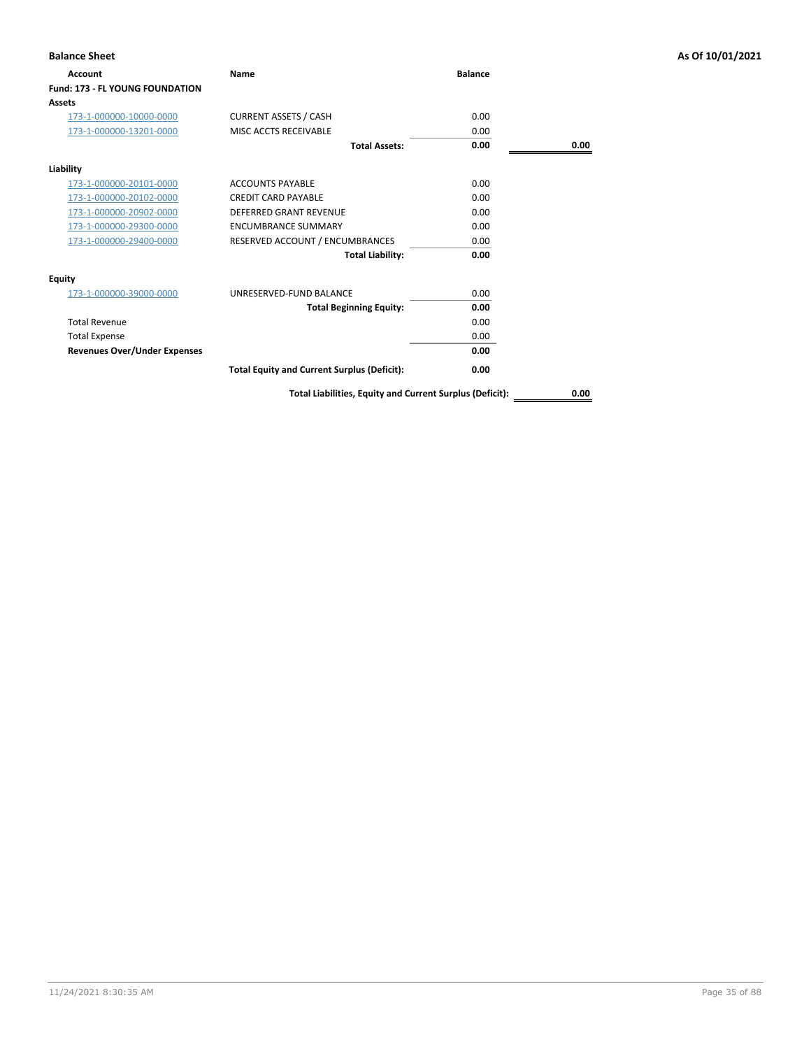| <b>Balance Sheet</b>                |                                                          |                |      | As Of 10/01/2021 |
|-------------------------------------|----------------------------------------------------------|----------------|------|------------------|
| Account                             | Name                                                     | <b>Balance</b> |      |                  |
| Fund: 173 - FL YOUNG FOUNDATION     |                                                          |                |      |                  |
| Assets                              |                                                          |                |      |                  |
| 173-1-000000-10000-0000             | <b>CURRENT ASSETS / CASH</b>                             | 0.00           |      |                  |
| 173-1-000000-13201-0000             | MISC ACCTS RECEIVABLE                                    | 0.00           |      |                  |
|                                     | <b>Total Assets:</b>                                     | 0.00           | 0.00 |                  |
| Liability                           |                                                          |                |      |                  |
| 173-1-000000-20101-0000             | <b>ACCOUNTS PAYABLE</b>                                  | 0.00           |      |                  |
| 173-1-000000-20102-0000             | <b>CREDIT CARD PAYABLE</b>                               | 0.00           |      |                  |
| 173-1-000000-20902-0000             | <b>DEFERRED GRANT REVENUE</b>                            | 0.00           |      |                  |
| 173-1-000000-29300-0000             | <b>ENCUMBRANCE SUMMARY</b>                               | 0.00           |      |                  |
| 173-1-000000-29400-0000             | RESERVED ACCOUNT / ENCUMBRANCES                          | 0.00           |      |                  |
|                                     | <b>Total Liability:</b>                                  | 0.00           |      |                  |
| <b>Equity</b>                       |                                                          |                |      |                  |
| 173-1-000000-39000-0000             | UNRESERVED-FUND BALANCE                                  | 0.00           |      |                  |
|                                     | <b>Total Beginning Equity:</b>                           | 0.00           |      |                  |
| <b>Total Revenue</b>                |                                                          | 0.00           |      |                  |
| <b>Total Expense</b>                |                                                          | 0.00           |      |                  |
| <b>Revenues Over/Under Expenses</b> |                                                          | 0.00           |      |                  |
|                                     | <b>Total Equity and Current Surplus (Deficit):</b>       | 0.00           |      |                  |
|                                     | Total Liabilities, Equity and Current Surplus (Deficit): |                | 0.00 |                  |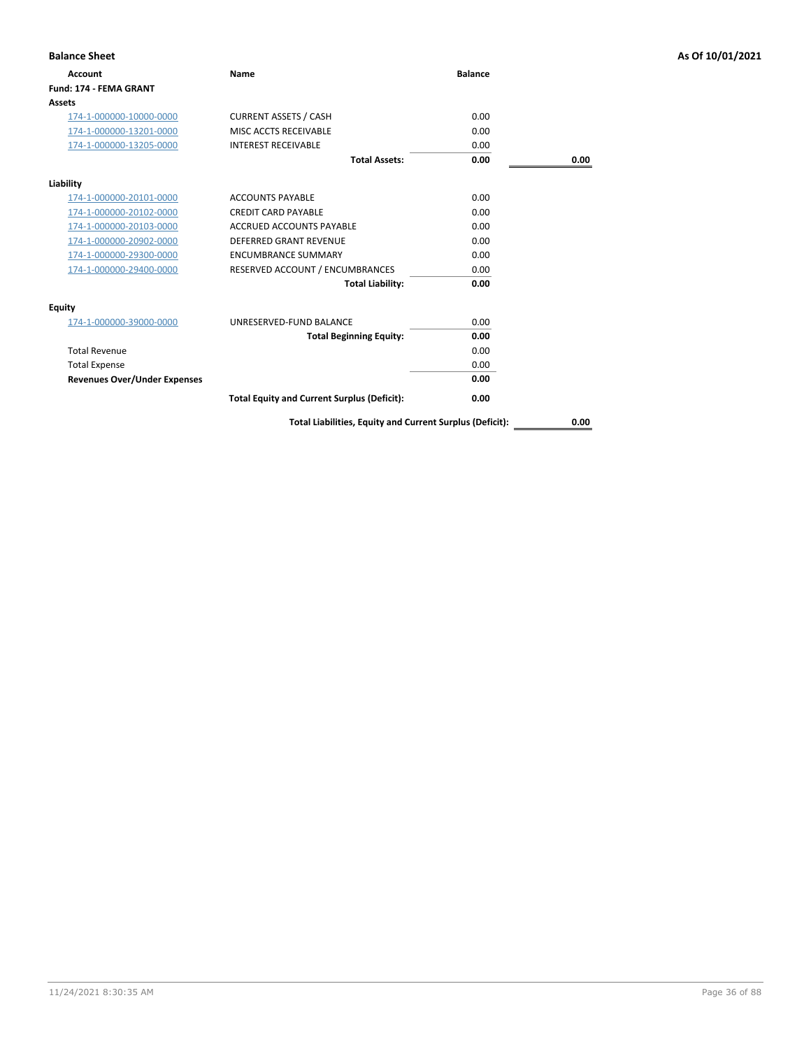| <b>Balance Sheet</b>                |                                                    |                |      | As Of 10/01/2021 |
|-------------------------------------|----------------------------------------------------|----------------|------|------------------|
| <b>Account</b>                      | Name                                               | <b>Balance</b> |      |                  |
| Fund: 174 - FEMA GRANT              |                                                    |                |      |                  |
| <b>Assets</b>                       |                                                    |                |      |                  |
| 174-1-000000-10000-0000             | <b>CURRENT ASSETS / CASH</b>                       | 0.00           |      |                  |
| 174-1-000000-13201-0000             | MISC ACCTS RECEIVABLE                              | 0.00           |      |                  |
| 174-1-000000-13205-0000             | <b>INTEREST RECEIVABLE</b>                         | 0.00           |      |                  |
|                                     | <b>Total Assets:</b>                               | 0.00           | 0.00 |                  |
| Liability                           |                                                    |                |      |                  |
| 174-1-000000-20101-0000             | <b>ACCOUNTS PAYABLE</b>                            | 0.00           |      |                  |
| 174-1-000000-20102-0000             | <b>CREDIT CARD PAYABLE</b>                         | 0.00           |      |                  |
| 174-1-000000-20103-0000             | <b>ACCRUED ACCOUNTS PAYABLE</b>                    | 0.00           |      |                  |
| 174-1-000000-20902-0000             | DEFERRED GRANT REVENUE                             | 0.00           |      |                  |
| 174-1-000000-29300-0000             | <b>ENCUMBRANCE SUMMARY</b>                         | 0.00           |      |                  |
| 174-1-000000-29400-0000             | RESERVED ACCOUNT / ENCUMBRANCES                    | 0.00           |      |                  |
|                                     | <b>Total Liability:</b>                            | 0.00           |      |                  |
| <b>Equity</b>                       |                                                    |                |      |                  |
| 174-1-000000-39000-0000             | UNRESERVED-FUND BALANCE                            | 0.00           |      |                  |
|                                     | <b>Total Beginning Equity:</b>                     | 0.00           |      |                  |
| <b>Total Revenue</b>                |                                                    | 0.00           |      |                  |
| <b>Total Expense</b>                |                                                    | 0.00           |      |                  |
| <b>Revenues Over/Under Expenses</b> |                                                    | 0.00           |      |                  |
|                                     | <b>Total Equity and Current Surplus (Deficit):</b> | 0.00           |      |                  |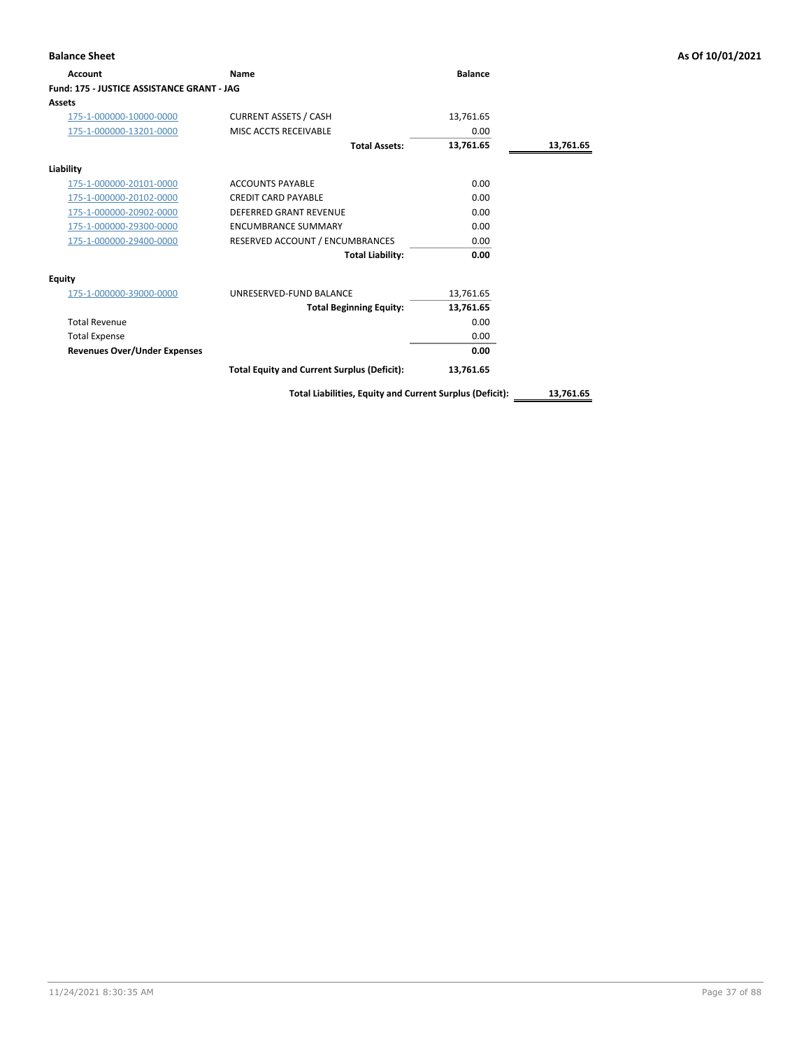| <b>Balance Sheet</b>                       |                                                    |                |           | As Of 10/01/2021 |
|--------------------------------------------|----------------------------------------------------|----------------|-----------|------------------|
| Account                                    | Name                                               | <b>Balance</b> |           |                  |
| Fund: 175 - JUSTICE ASSISTANCE GRANT - JAG |                                                    |                |           |                  |
| <b>Assets</b>                              |                                                    |                |           |                  |
| 175-1-000000-10000-0000                    | <b>CURRENT ASSETS / CASH</b>                       | 13,761.65      |           |                  |
| 175-1-000000-13201-0000                    | MISC ACCTS RECEIVABLE                              | 0.00           |           |                  |
|                                            | <b>Total Assets:</b>                               | 13,761.65      | 13,761.65 |                  |
| Liability                                  |                                                    |                |           |                  |
| 175-1-000000-20101-0000                    | <b>ACCOUNTS PAYABLE</b>                            | 0.00           |           |                  |
| 175-1-000000-20102-0000                    | <b>CREDIT CARD PAYABLE</b>                         | 0.00           |           |                  |
| 175-1-000000-20902-0000                    | <b>DEFERRED GRANT REVENUE</b>                      | 0.00           |           |                  |
| 175-1-000000-29300-0000                    | <b>ENCUMBRANCE SUMMARY</b>                         | 0.00           |           |                  |
| 175-1-000000-29400-0000                    | RESERVED ACCOUNT / ENCUMBRANCES                    | 0.00           |           |                  |
|                                            | <b>Total Liability:</b>                            | 0.00           |           |                  |
| <b>Equity</b>                              |                                                    |                |           |                  |
| 175-1-000000-39000-0000                    | UNRESERVED-FUND BALANCE                            | 13,761.65      |           |                  |
|                                            | <b>Total Beginning Equity:</b>                     | 13,761.65      |           |                  |
| <b>Total Revenue</b>                       |                                                    | 0.00           |           |                  |
| <b>Total Expense</b>                       |                                                    | 0.00           |           |                  |
| <b>Revenues Over/Under Expenses</b>        |                                                    | 0.00           |           |                  |
|                                            | <b>Total Equity and Current Surplus (Deficit):</b> | 13,761.65      |           |                  |
|                                            |                                                    |                |           |                  |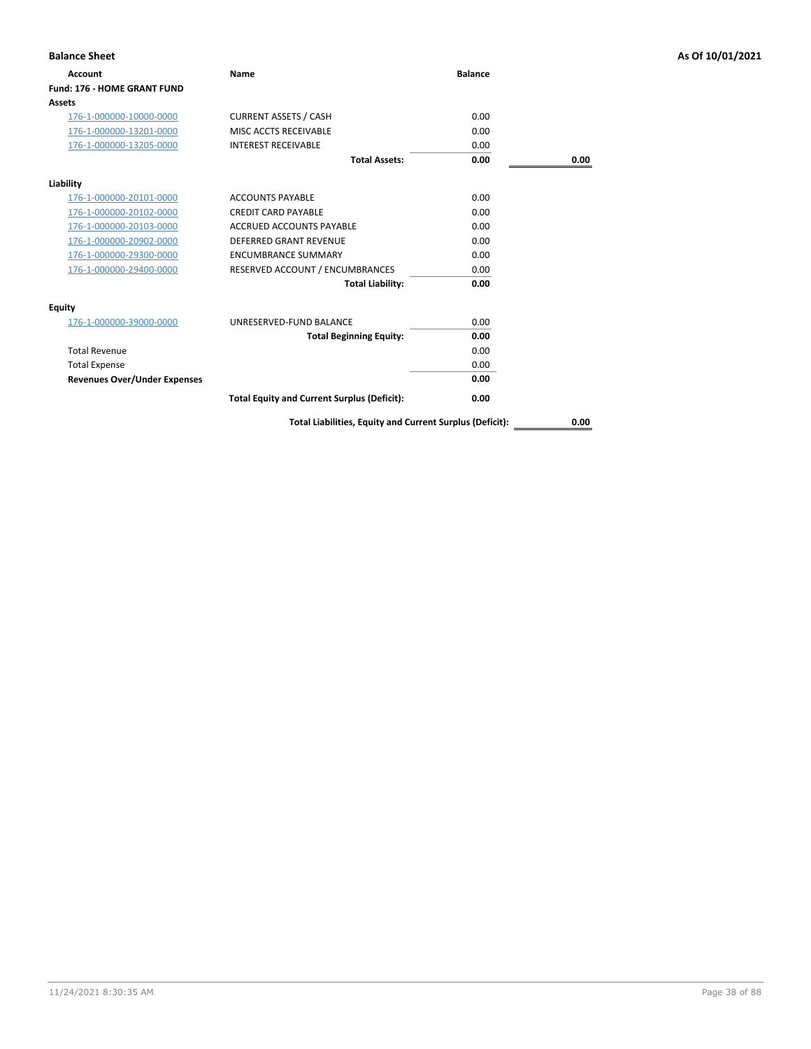| <b>Balance Sheet</b>                |                                                    |                |      | As Of 10/01/2021 |
|-------------------------------------|----------------------------------------------------|----------------|------|------------------|
| <b>Account</b>                      | Name                                               | <b>Balance</b> |      |                  |
| <b>Fund: 176 - HOME GRANT FUND</b>  |                                                    |                |      |                  |
| <b>Assets</b>                       |                                                    |                |      |                  |
| 176-1-000000-10000-0000             | <b>CURRENT ASSETS / CASH</b>                       | 0.00           |      |                  |
| 176-1-000000-13201-0000             | MISC ACCTS RECEIVABLE                              | 0.00           |      |                  |
| 176-1-000000-13205-0000             | <b>INTEREST RECEIVABLE</b>                         | 0.00           |      |                  |
|                                     | <b>Total Assets:</b>                               | 0.00           | 0.00 |                  |
| Liability                           |                                                    |                |      |                  |
| 176-1-000000-20101-0000             | <b>ACCOUNTS PAYABLE</b>                            | 0.00           |      |                  |
| 176-1-000000-20102-0000             | <b>CREDIT CARD PAYABLE</b>                         | 0.00           |      |                  |
| 176-1-000000-20103-0000             | <b>ACCRUED ACCOUNTS PAYABLE</b>                    | 0.00           |      |                  |
| 176-1-000000-20902-0000             | DEFERRED GRANT REVENUE                             | 0.00           |      |                  |
| 176-1-000000-29300-0000             | <b>ENCUMBRANCE SUMMARY</b>                         | 0.00           |      |                  |
| 176-1-000000-29400-0000             | RESERVED ACCOUNT / ENCUMBRANCES                    | 0.00           |      |                  |
|                                     | <b>Total Liability:</b>                            | 0.00           |      |                  |
| <b>Equity</b>                       |                                                    |                |      |                  |
| 176-1-000000-39000-0000             | UNRESERVED-FUND BALANCE                            | 0.00           |      |                  |
|                                     | <b>Total Beginning Equity:</b>                     | 0.00           |      |                  |
| <b>Total Revenue</b>                |                                                    | 0.00           |      |                  |
| <b>Total Expense</b>                |                                                    | 0.00           |      |                  |
| <b>Revenues Over/Under Expenses</b> |                                                    | 0.00           |      |                  |
|                                     | <b>Total Equity and Current Surplus (Deficit):</b> | 0.00           |      |                  |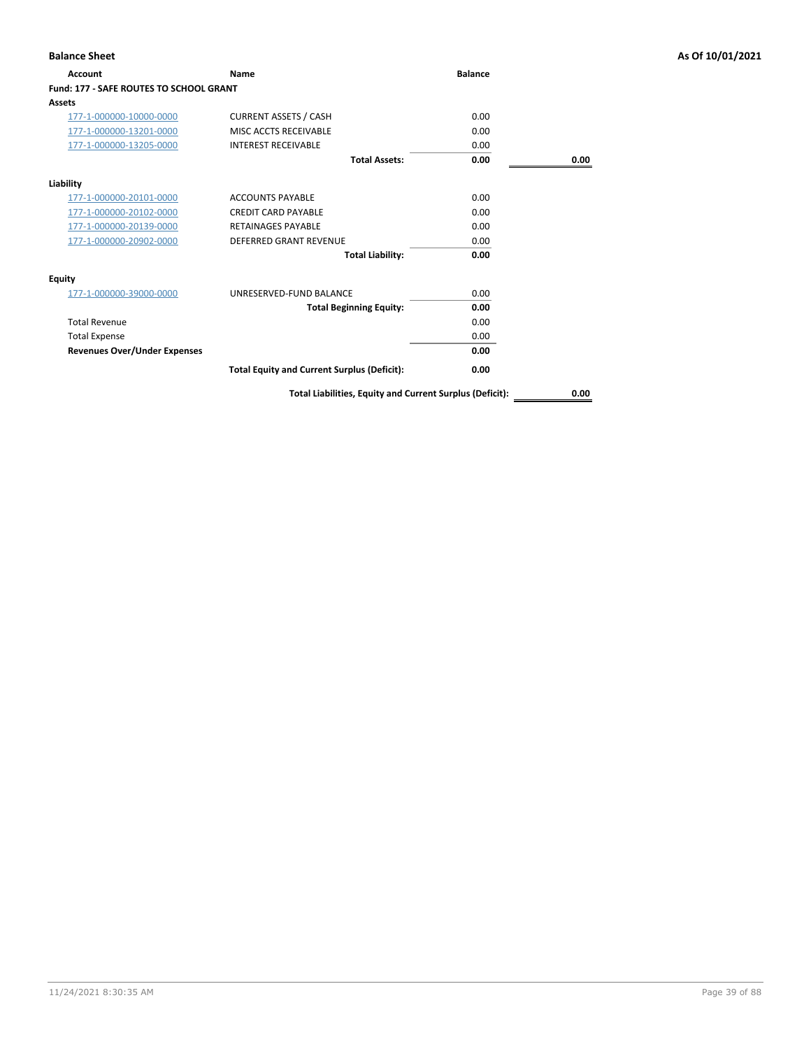| Account                                        | <b>Name</b>                                        | <b>Balance</b> |      |
|------------------------------------------------|----------------------------------------------------|----------------|------|
| <b>Fund: 177 - SAFE ROUTES TO SCHOOL GRANT</b> |                                                    |                |      |
| Assets                                         |                                                    |                |      |
| 177-1-000000-10000-0000                        | <b>CURRENT ASSETS / CASH</b>                       | 0.00           |      |
| 177-1-000000-13201-0000                        | MISC ACCTS RECEIVABLE                              | 0.00           |      |
| 177-1-000000-13205-0000                        | <b>INTEREST RECEIVABLE</b>                         | 0.00           |      |
|                                                | <b>Total Assets:</b>                               | 0.00           | 0.00 |
| Liability                                      |                                                    |                |      |
| 177-1-000000-20101-0000                        | <b>ACCOUNTS PAYABLE</b>                            | 0.00           |      |
| 177-1-000000-20102-0000                        | <b>CREDIT CARD PAYABLE</b>                         | 0.00           |      |
| 177-1-000000-20139-0000                        | <b>RETAINAGES PAYABLE</b>                          | 0.00           |      |
| 177-1-000000-20902-0000                        | <b>DEFERRED GRANT REVENUE</b>                      | 0.00           |      |
|                                                | <b>Total Liability:</b>                            | 0.00           |      |
| Equity                                         |                                                    |                |      |
| 177-1-000000-39000-0000                        | UNRESERVED-FUND BALANCE                            | 0.00           |      |
|                                                | <b>Total Beginning Equity:</b>                     | 0.00           |      |
| <b>Total Revenue</b>                           |                                                    | 0.00           |      |
| <b>Total Expense</b>                           |                                                    | 0.00           |      |
| <b>Revenues Over/Under Expenses</b>            |                                                    | 0.00           |      |
|                                                | <b>Total Equity and Current Surplus (Deficit):</b> | 0.00           |      |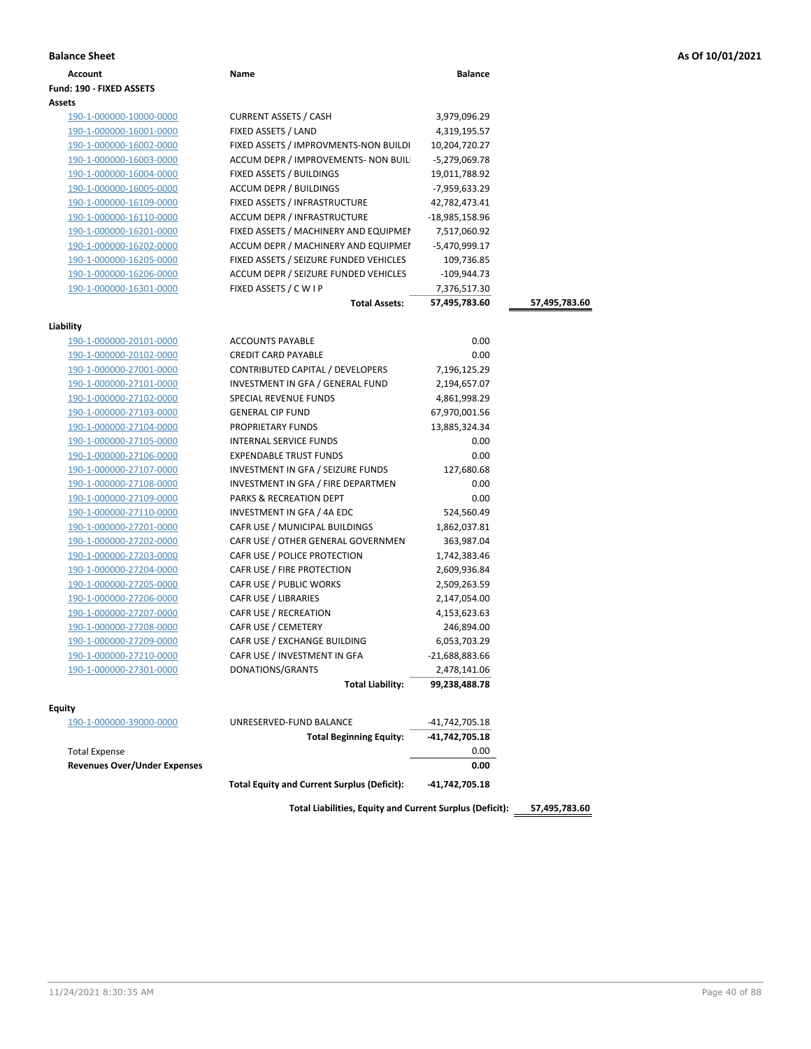|  |  |  |  | As Of 10/01/2021 |
|--|--|--|--|------------------|
|--|--|--|--|------------------|

| <b>Balance Sheet</b>                |                                                    |                |               | As Of 10/01/2021 |
|-------------------------------------|----------------------------------------------------|----------------|---------------|------------------|
| Account                             | Name                                               | <b>Balance</b> |               |                  |
| Fund: 190 - FIXED ASSETS            |                                                    |                |               |                  |
| Assets                              |                                                    |                |               |                  |
| 190-1-000000-10000-0000             | <b>CURRENT ASSETS / CASH</b>                       | 3,979,096.29   |               |                  |
| 190-1-000000-16001-0000             | FIXED ASSETS / LAND                                | 4,319,195.57   |               |                  |
| 190-1-000000-16002-0000             | FIXED ASSETS / IMPROVMENTS-NON BUILDI              | 10,204,720.27  |               |                  |
| 190-1-000000-16003-0000             | ACCUM DEPR / IMPROVEMENTS- NON BUIL                | -5,279,069.78  |               |                  |
| 190-1-000000-16004-0000             | FIXED ASSETS / BUILDINGS                           | 19,011,788.92  |               |                  |
| 190-1-000000-16005-0000             | ACCUM DEPR / BUILDINGS                             | -7,959,633.29  |               |                  |
| 190-1-000000-16109-0000             | FIXED ASSETS / INFRASTRUCTURE                      | 42,782,473.41  |               |                  |
| 190-1-000000-16110-0000             | ACCUM DEPR / INFRASTRUCTURE                        | -18,985,158.96 |               |                  |
| 190-1-000000-16201-0000             | FIXED ASSETS / MACHINERY AND EQUIPMEN              | 7,517,060.92   |               |                  |
| 190-1-000000-16202-0000             | ACCUM DEPR / MACHINERY AND EQUIPMEI                | -5,470,999.17  |               |                  |
| 190-1-000000-16205-0000             | FIXED ASSETS / SEIZURE FUNDED VEHICLES             | 109,736.85     |               |                  |
| 190-1-000000-16206-0000             | ACCUM DEPR / SEIZURE FUNDED VEHICLES               | $-109,944.73$  |               |                  |
| 190-1-000000-16301-0000             | FIXED ASSETS / C W I P                             | 7,376,517.30   |               |                  |
|                                     | <b>Total Assets:</b>                               | 57,495,783.60  | 57,495,783.60 |                  |
|                                     |                                                    |                |               |                  |
| Liability                           |                                                    |                |               |                  |
| 190-1-000000-20101-0000             | <b>ACCOUNTS PAYABLE</b>                            | 0.00           |               |                  |
| 190-1-000000-20102-0000             | <b>CREDIT CARD PAYABLE</b>                         | 0.00           |               |                  |
| 190-1-000000-27001-0000             | CONTRIBUTED CAPITAL / DEVELOPERS                   | 7,196,125.29   |               |                  |
| 190-1-000000-27101-0000             | INVESTMENT IN GFA / GENERAL FUND                   | 2,194,657.07   |               |                  |
| 190-1-000000-27102-0000             | SPECIAL REVENUE FUNDS                              | 4,861,998.29   |               |                  |
| 190-1-000000-27103-0000             | <b>GENERAL CIP FUND</b>                            | 67,970,001.56  |               |                  |
| 190-1-000000-27104-0000             | PROPRIETARY FUNDS                                  | 13,885,324.34  |               |                  |
| 190-1-000000-27105-0000             | INTERNAL SERVICE FUNDS                             | 0.00           |               |                  |
| 190-1-000000-27106-0000             | <b>EXPENDABLE TRUST FUNDS</b>                      | 0.00           |               |                  |
| 190-1-000000-27107-0000             | INVESTMENT IN GFA / SEIZURE FUNDS                  | 127,680.68     |               |                  |
| 190-1-000000-27108-0000             | INVESTMENT IN GFA / FIRE DEPARTMEN                 | 0.00           |               |                  |
| 190-1-000000-27109-0000             | PARKS & RECREATION DEPT                            | 0.00           |               |                  |
| 190-1-000000-27110-0000             | INVESTMENT IN GFA / 4A EDC                         | 524,560.49     |               |                  |
| 190-1-000000-27201-0000             | CAFR USE / MUNICIPAL BUILDINGS                     | 1,862,037.81   |               |                  |
| 190-1-000000-27202-0000             | CAFR USE / OTHER GENERAL GOVERNMEN                 | 363,987.04     |               |                  |
| 190-1-000000-27203-0000             | CAFR USE / POLICE PROTECTION                       | 1,742,383.46   |               |                  |
| 190-1-000000-27204-0000             | CAFR USE / FIRE PROTECTION                         | 2,609,936.84   |               |                  |
| 190-1-000000-27205-0000             | CAFR USE / PUBLIC WORKS                            | 2,509,263.59   |               |                  |
| 190-1-000000-27206-0000             | CAFR USE / LIBRARIES                               | 2,147,054.00   |               |                  |
| 190-1-000000-27207-0000             | CAFR USE / RECREATION                              | 4,153,623.63   |               |                  |
| 190-1-000000-27208-0000             | CAFR USE / CEMETERY                                | 246,894.00     |               |                  |
| 190-1-000000-27209-0000             | CAFR USE / EXCHANGE BUILDING                       | 6,053,703.29   |               |                  |
| 190-1-000000-27210-0000             | CAFR USE / INVESTMENT IN GFA                       | -21,688,883.66 |               |                  |
| 190-1-000000-27301-0000             | DONATIONS/GRANTS                                   | 2,478,141.06   |               |                  |
|                                     | <b>Total Liability:</b>                            | 99,238,488.78  |               |                  |
|                                     |                                                    |                |               |                  |
| Equity<br>190-1-000000-39000-0000   | UNRESERVED-FUND BALANCE                            | -41,742,705.18 |               |                  |
|                                     | <b>Total Beginning Equity:</b>                     | -41,742,705.18 |               |                  |
| <b>Total Expense</b>                |                                                    | 0.00           |               |                  |
| <b>Revenues Over/Under Expenses</b> |                                                    | 0.00           |               |                  |
|                                     |                                                    |                |               |                  |
|                                     | <b>Total Equity and Current Surplus (Deficit):</b> | -41,742,705.18 |               |                  |
|                                     |                                                    |                |               |                  |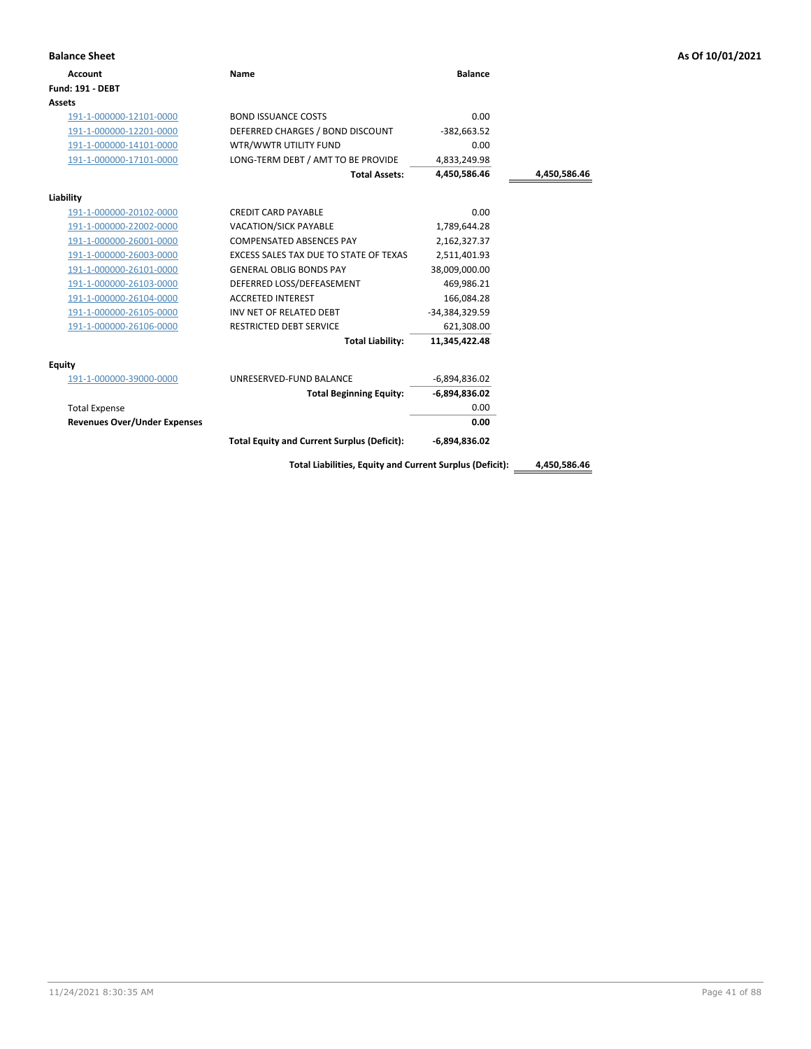| <b>Balance Sheet</b>                |                                                          |                 |              | As Of 10/01/2021 |
|-------------------------------------|----------------------------------------------------------|-----------------|--------------|------------------|
| <b>Account</b>                      | Name                                                     | <b>Balance</b>  |              |                  |
| <b>Fund: 191 - DEBT</b>             |                                                          |                 |              |                  |
| Assets                              |                                                          |                 |              |                  |
| 191-1-000000-12101-0000             | <b>BOND ISSUANCE COSTS</b>                               | 0.00            |              |                  |
| 191-1-000000-12201-0000             | DEFERRED CHARGES / BOND DISCOUNT                         | $-382,663.52$   |              |                  |
| 191-1-000000-14101-0000             | WTR/WWTR UTILITY FUND                                    | 0.00            |              |                  |
| 191-1-000000-17101-0000             | LONG-TERM DEBT / AMT TO BE PROVIDE                       | 4,833,249.98    |              |                  |
|                                     | <b>Total Assets:</b>                                     | 4,450,586.46    | 4,450,586.46 |                  |
| Liability                           |                                                          |                 |              |                  |
| 191-1-000000-20102-0000             | <b>CREDIT CARD PAYABLE</b>                               | 0.00            |              |                  |
| 191-1-000000-22002-0000             | VACATION/SICK PAYABLE                                    | 1,789,644.28    |              |                  |
| 191-1-000000-26001-0000             | COMPENSATED ABSENCES PAY                                 | 2,162,327.37    |              |                  |
| 191-1-000000-26003-0000             | EXCESS SALES TAX DUE TO STATE OF TEXAS                   | 2,511,401.93    |              |                  |
| 191-1-000000-26101-0000             | <b>GENERAL OBLIG BONDS PAY</b>                           | 38,009,000.00   |              |                  |
| 191-1-000000-26103-0000             | DEFERRED LOSS/DEFEASEMENT                                | 469,986.21      |              |                  |
| 191-1-000000-26104-0000             | <b>ACCRETED INTEREST</b>                                 | 166,084.28      |              |                  |
| 191-1-000000-26105-0000             | INV NET OF RELATED DEBT                                  | -34,384,329.59  |              |                  |
| 191-1-000000-26106-0000             | <b>RESTRICTED DEBT SERVICE</b>                           | 621,308.00      |              |                  |
|                                     | <b>Total Liability:</b>                                  | 11,345,422.48   |              |                  |
| <b>Equity</b>                       |                                                          |                 |              |                  |
| 191-1-000000-39000-0000             | UNRESERVED-FUND BALANCE                                  | $-6,894,836.02$ |              |                  |
|                                     | <b>Total Beginning Equity:</b>                           | $-6,894,836.02$ |              |                  |
| <b>Total Expense</b>                |                                                          | 0.00            |              |                  |
| <b>Revenues Over/Under Expenses</b> |                                                          | 0.00            |              |                  |
|                                     | <b>Total Equity and Current Surplus (Deficit):</b>       | $-6,894,836.02$ |              |                  |
|                                     | Total Liabilities, Equity and Current Surplus (Deficit): |                 | 4,450,586.46 |                  |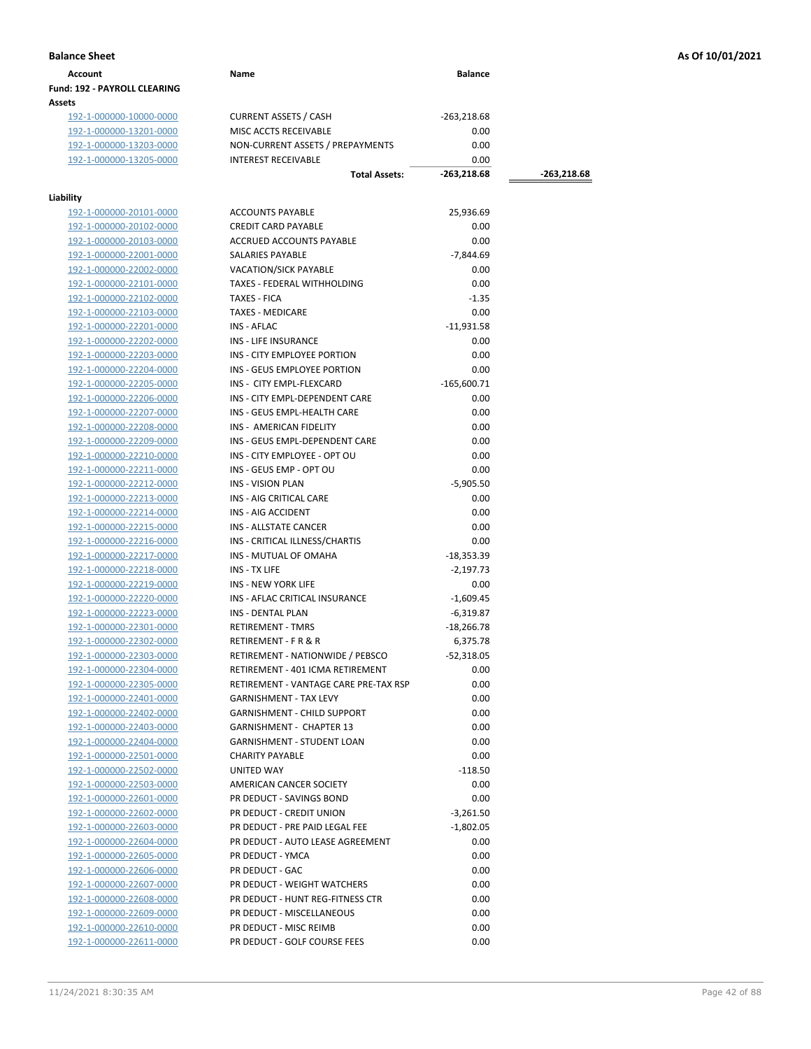| Account                             | Name | <b>Balance</b> |
|-------------------------------------|------|----------------|
| <b>Fund: 192 - PAYROLL CLEARING</b> |      |                |
| Assets                              |      |                |

192-1-000000-10000-0000 CURRENT ASSETS / CASH -263,218.68<br>192-1-000000-13201-0000 MISC ACCTS RECEIVABLE 0.00 192-1-000000-13201-0000 MISC ACCTS RECEIVABLE 0.00 192-1-000000-13203-0000 NON-CURRENT ASSETS / PREPAYMENTS 0.00 192-1-000000-13205-0000 INTEREST RECEIVABLE 0.00

# **Liability**

| lity                    |                                       |               |
|-------------------------|---------------------------------------|---------------|
| 192-1-000000-20101-0000 | <b>ACCOUNTS PAYABLE</b>               | 25,936.69     |
| 192-1-000000-20102-0000 | <b>CREDIT CARD PAYABLE</b>            | 0.00          |
| 192-1-000000-20103-0000 | <b>ACCRUED ACCOUNTS PAYABLE</b>       | 0.00          |
| 192-1-000000-22001-0000 | SALARIES PAYABLE                      | $-7,844.69$   |
| 192-1-000000-22002-0000 | <b>VACATION/SICK PAYABLE</b>          | 0.00          |
| 192-1-000000-22101-0000 | TAXES - FEDERAL WITHHOLDING           | 0.00          |
| 192-1-000000-22102-0000 | <b>TAXES - FICA</b>                   | $-1.35$       |
| 192-1-000000-22103-0000 | <b>TAXES - MEDICARE</b>               | 0.00          |
| 192-1-000000-22201-0000 | INS - AFLAC                           | $-11,931.58$  |
| 192-1-000000-22202-0000 | INS - LIFE INSURANCE                  | 0.00          |
| 192-1-000000-22203-0000 | INS - CITY EMPLOYEE PORTION           | 0.00          |
| 192-1-000000-22204-0000 | INS - GEUS EMPLOYEE PORTION           | 0.00          |
| 192-1-000000-22205-0000 | INS - CITY EMPL-FLEXCARD              | $-165,600.71$ |
| 192-1-000000-22206-0000 | INS - CITY EMPL-DEPENDENT CARE        | 0.00          |
| 192-1-000000-22207-0000 | INS - GEUS EMPL-HEALTH CARE           | 0.00          |
| 192-1-000000-22208-0000 | INS - AMERICAN FIDELITY               | 0.00          |
| 192-1-000000-22209-0000 | INS - GEUS EMPL-DEPENDENT CARE        | 0.00          |
| 192-1-000000-22210-0000 | INS - CITY EMPLOYEE - OPT OU          | 0.00          |
| 192-1-000000-22211-0000 | INS - GEUS EMP - OPT OU               | 0.00          |
| 192-1-000000-22212-0000 | <b>INS - VISION PLAN</b>              | $-5,905.50$   |
| 192-1-000000-22213-0000 | INS - AIG CRITICAL CARE               | 0.00          |
| 192-1-000000-22214-0000 | INS - AIG ACCIDENT                    | 0.00          |
| 192-1-000000-22215-0000 | <b>INS - ALLSTATE CANCER</b>          | 0.00          |
| 192-1-000000-22216-0000 | INS - CRITICAL ILLNESS/CHARTIS        | 0.00          |
| 192-1-000000-22217-0000 | INS - MUTUAL OF OMAHA                 | $-18,353.39$  |
| 192-1-000000-22218-0000 | INS - TX LIFE                         | $-2,197.73$   |
| 192-1-000000-22219-0000 | <b>INS - NEW YORK LIFE</b>            | 0.00          |
| 192-1-000000-22220-0000 | INS - AFLAC CRITICAL INSURANCE        | $-1,609.45$   |
| 192-1-000000-22223-0000 | <b>INS - DENTAL PLAN</b>              | $-6,319.87$   |
| 192-1-000000-22301-0000 | <b>RETIREMENT - TMRS</b>              | $-18,266.78$  |
| 192-1-000000-22302-0000 | <b>RETIREMENT - F R &amp; R</b>       | 6,375.78      |
| 192-1-000000-22303-0000 | RETIREMENT - NATIONWIDE / PEBSCO      | $-52,318.05$  |
| 192-1-000000-22304-0000 | RETIREMENT - 401 ICMA RETIREMENT      | 0.00          |
| 192-1-000000-22305-0000 | RETIREMENT - VANTAGE CARE PRE-TAX RSP | 0.00          |
| 192-1-000000-22401-0000 | <b>GARNISHMENT - TAX LEVY</b>         | 0.00          |
| 192-1-000000-22402-0000 | <b>GARNISHMENT - CHILD SUPPORT</b>    | 0.00          |
| 192-1-000000-22403-0000 | <b>GARNISHMENT - CHAPTER 13</b>       | 0.00          |
| 192-1-000000-22404-0000 | <b>GARNISHMENT - STUDENT LOAN</b>     | 0.00          |
| 192-1-000000-22501-0000 | <b>CHARITY PAYABLE</b>                | 0.00          |
| 192-1-000000-22502-0000 | <b>UNITED WAY</b>                     | $-118.50$     |
|                         | AMERICAN CANCER SOCIETY               |               |
| 192-1-000000-22503-0000 |                                       | 0.00          |
| 192-1-000000-22601-0000 | PR DEDUCT - SAVINGS BOND              | 0.00          |
| 192-1-000000-22602-0000 | PR DEDUCT - CREDIT UNION              | $-3,261.50$   |
| 192-1-000000-22603-0000 | PR DEDUCT - PRE PAID LEGAL FEE        | $-1,802.05$   |
| 192-1-000000-22604-0000 | PR DEDUCT - AUTO LEASE AGREEMENT      | 0.00          |
| 192-1-000000-22605-0000 | PR DEDUCT - YMCA                      | 0.00          |
| 192-1-000000-22606-0000 | PR DEDUCT - GAC                       | 0.00          |
| 192-1-000000-22607-0000 | PR DEDUCT - WEIGHT WATCHERS           | 0.00          |
| 192-1-000000-22608-0000 | PR DEDUCT - HUNT REG-FITNESS CTR      | 0.00          |
| 192-1-000000-22609-0000 | PR DEDUCT - MISCELLANEOUS             | 0.00          |
| 192-1-000000-22610-0000 | PR DEDUCT - MISC REIMB                | 0.00          |
| 192-1-000000-22611-0000 | PR DEDUCT - GOLF COURSE FEES          | 0.00          |

**Total Assets: -263,218.68 -263,218.68**

**Balance Sheet As Of 10/01/2021**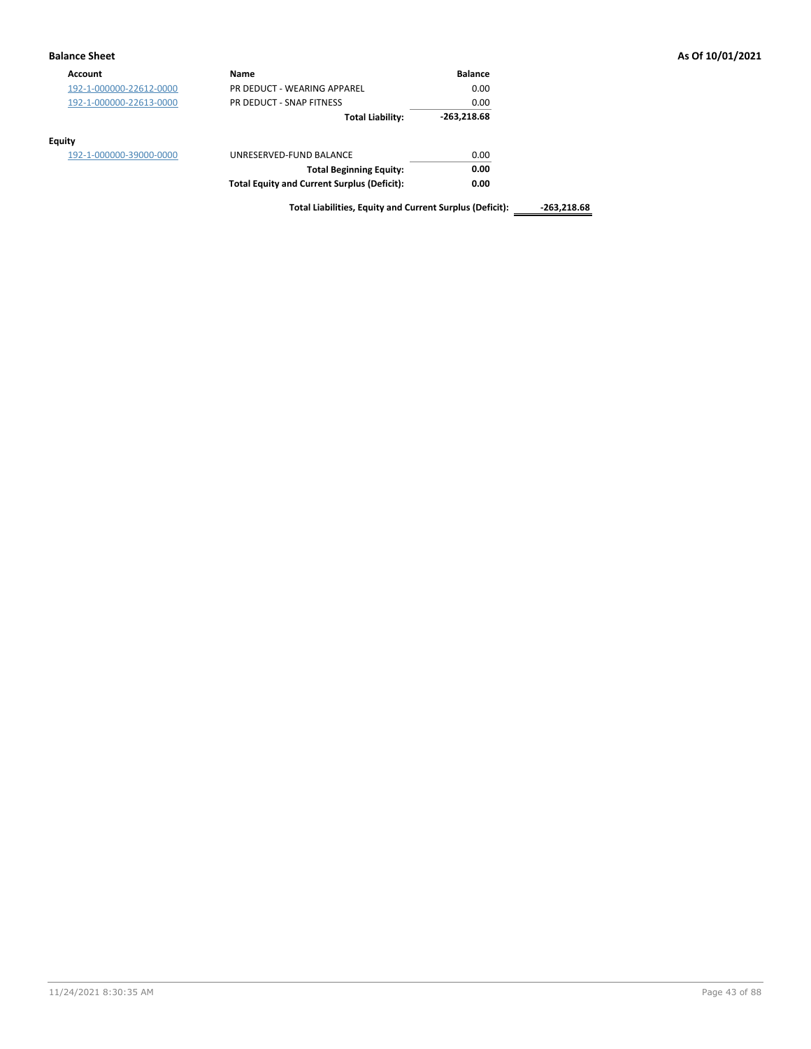| <b>Balance Sheet</b>    |                                                          |                |               | As Of 10/01/2021 |
|-------------------------|----------------------------------------------------------|----------------|---------------|------------------|
| <b>Account</b>          | <b>Name</b>                                              | <b>Balance</b> |               |                  |
| 192-1-000000-22612-0000 | PR DEDUCT - WEARING APPAREL                              | 0.00           |               |                  |
| 192-1-000000-22613-0000 | PR DEDUCT - SNAP FITNESS                                 | 0.00           |               |                  |
|                         | <b>Total Liability:</b>                                  | $-263,218.68$  |               |                  |
| <b>Equity</b>           |                                                          |                |               |                  |
| 192-1-000000-39000-0000 | UNRESERVED-FUND BALANCE                                  | 0.00           |               |                  |
|                         | <b>Total Beginning Equity:</b>                           | 0.00           |               |                  |
|                         | <b>Total Equity and Current Surplus (Deficit):</b>       | 0.00           |               |                  |
|                         | Total Liabilities, Equity and Current Surplus (Deficit): |                | $-263,218.68$ |                  |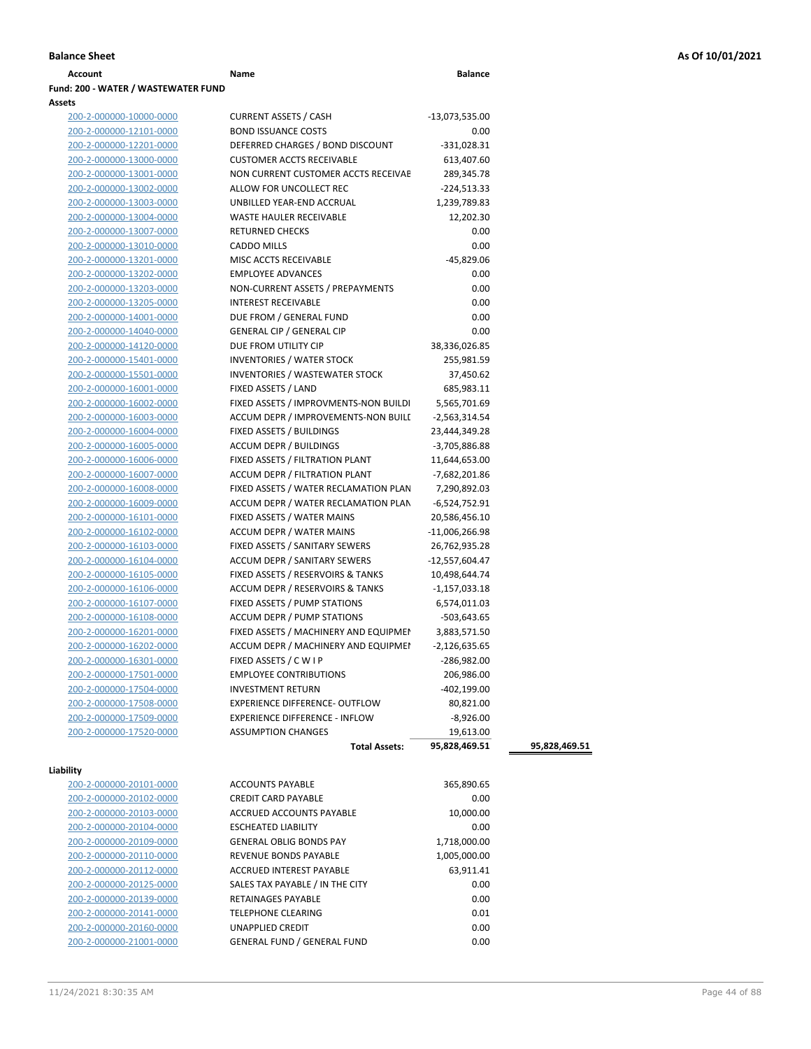| Account                             | Name | <b>Balance</b> |
|-------------------------------------|------|----------------|
| Fund: 200 - WATER / WASTEWATER FUND |      |                |
| <b>Assets</b>                       |      |                |

| 200-2-000000-10000-0000 | <b>CURRENT ASSETS / CASH</b>          | $-13,073,535.00$ |
|-------------------------|---------------------------------------|------------------|
| 200-2-000000-12101-0000 | <b>BOND ISSUANCE COSTS</b>            | 0.00             |
| 200-2-000000-12201-0000 | DEFERRED CHARGES / BOND DISCOUNT      | $-331,028.31$    |
| 200-2-000000-13000-0000 | <b>CUSTOMER ACCTS RECEIVABLE</b>      | 613,407.60       |
| 200-2-000000-13001-0000 | NON CURRENT CUSTOMER ACCTS RECEIVAE   | 289,345.78       |
| 200-2-000000-13002-0000 | ALLOW FOR UNCOLLECT REC               | $-224,513.33$    |
| 200-2-000000-13003-0000 | UNBILLED YEAR-END ACCRUAL             | 1,239,789.83     |
| 200-2-000000-13004-0000 | <b>WASTE HAULER RECEIVABLE</b>        | 12,202.30        |
| 200-2-000000-13007-0000 | <b>RETURNED CHECKS</b>                | 0.00             |
| 200-2-000000-13010-0000 | <b>CADDO MILLS</b>                    | 0.00             |
| 200-2-000000-13201-0000 | MISC ACCTS RECEIVABLE                 | $-45,829.06$     |
| 200-2-000000-13202-0000 | <b>EMPLOYEE ADVANCES</b>              | 0.00             |
| 200-2-000000-13203-0000 | NON-CURRENT ASSETS / PREPAYMENTS      | 0.00             |
| 200-2-000000-13205-0000 | <b>INTEREST RECEIVABLE</b>            | 0.00             |
| 200-2-000000-14001-0000 | DUE FROM / GENERAL FUND               | 0.00             |
| 200-2-000000-14040-0000 | <b>GENERAL CIP / GENERAL CIP</b>      | 0.00             |
| 200-2-000000-14120-0000 | DUE FROM UTILITY CIP                  | 38,336,026.85    |
| 200-2-000000-15401-0000 | <b>INVENTORIES / WATER STOCK</b>      | 255,981.59       |
| 200-2-000000-15501-0000 | INVENTORIES / WASTEWATER STOCK        | 37,450.62        |
| 200-2-000000-16001-0000 | FIXED ASSETS / LAND                   | 685,983.11       |
| 200-2-000000-16002-0000 | FIXED ASSETS / IMPROVMENTS-NON BUILDI | 5,565,701.69     |
| 200-2-000000-16003-0000 | ACCUM DEPR / IMPROVEMENTS-NON BUILI   | $-2,563,314.54$  |
| 200-2-000000-16004-0000 | FIXED ASSETS / BUILDINGS              | 23,444,349.28    |
| 200-2-000000-16005-0000 | <b>ACCUM DEPR / BUILDINGS</b>         | $-3,705,886.88$  |
| 200-2-000000-16006-0000 | FIXED ASSETS / FILTRATION PLANT       | 11,644,653.00    |
| 200-2-000000-16007-0000 | ACCUM DEPR / FILTRATION PLANT         | -7,682,201.86    |
| 200-2-000000-16008-0000 | FIXED ASSETS / WATER RECLAMATION PLAN | 7,290,892.03     |
| 200-2-000000-16009-0000 | ACCUM DEPR / WATER RECLAMATION PLAN   | $-6,524,752.91$  |
| 200-2-000000-16101-0000 | FIXED ASSETS / WATER MAINS            | 20,586,456.10    |
| 200-2-000000-16102-0000 | ACCUM DEPR / WATER MAINS              | $-11,006,266.98$ |
| 200-2-000000-16103-0000 | FIXED ASSETS / SANITARY SEWERS        | 26,762,935.28    |
| 200-2-000000-16104-0000 | <b>ACCUM DEPR / SANITARY SEWERS</b>   | $-12,557,604.47$ |
| 200-2-000000-16105-0000 | FIXED ASSETS / RESERVOIRS & TANKS     | 10,498,644.74    |
| 200-2-000000-16106-0000 | ACCUM DEPR / RESERVOIRS & TANKS       | $-1,157,033.18$  |
| 200-2-000000-16107-0000 | FIXED ASSETS / PUMP STATIONS          | 6,574,011.03     |
| 200-2-000000-16108-0000 | <b>ACCUM DEPR / PUMP STATIONS</b>     | -503,643.65      |
| 200-2-000000-16201-0000 | FIXED ASSETS / MACHINERY AND EQUIPMEN | 3,883,571.50     |
| 200-2-000000-16202-0000 | ACCUM DEPR / MACHINERY AND EQUIPMEI   | $-2,126,635.65$  |
| 200-2-000000-16301-0000 | FIXED ASSETS / C W I P                | -286,982.00      |
| 200-2-000000-17501-0000 | <b>EMPLOYEE CONTRIBUTIONS</b>         | 206,986.00       |
| 200-2-000000-17504-0000 | <b>INVESTMENT RETURN</b>              | $-402, 199.00$   |
| 200-2-000000-17508-0000 | <b>EXPERIENCE DIFFERENCE- OUTFLOW</b> | 80,821.00        |
| 200-2-000000-17509-0000 | <b>EXPERIENCE DIFFERENCE - INFLOW</b> | $-8,926.00$      |
| 200-2-000000-17520-0000 | <b>ASSUMPTION CHANGES</b>             | 19,613.00        |

# **Liability**

| 200-2-000000-20101-0000 |
|-------------------------|
| 200-2-000000-20102-0000 |
| 200-2-000000-20103-0000 |
| 200-2-000000-20104-0000 |
| 200-2-000000-20109-0000 |
| 200-2-000000-20110-0000 |
| 200-2-000000-20112-0000 |
| 200-2-000000-20125-0000 |
| 200-2-000000-20139-0000 |
| 200-2-000000-20141-0000 |
| 200-2-000000-20160-0000 |
| 200-2-000000-21001-0000 |

|                                                               | <b>Total Assets:</b> | 95,828,469.51 | 95,828,469.51 |
|---------------------------------------------------------------|----------------------|---------------|---------------|
| lity                                                          |                      |               |               |
| <b>ACCOUNTS PAYABLE</b><br>200-2-000000-20101-0000            |                      | 365,890.65    |               |
| 200-2-000000-20102-0000<br><b>CREDIT CARD PAYABLE</b>         |                      | 0.00          |               |
| 200-2-000000-20103-0000<br>ACCRUED ACCOUNTS PAYABLE           |                      | 10,000.00     |               |
| 200-2-000000-20104-0000<br><b>ESCHEATED LIABILITY</b>         |                      | 0.00          |               |
| <b>GENERAL OBLIG BONDS PAY</b><br>200-2-000000-20109-0000     |                      | 1,718,000.00  |               |
| 200-2-000000-20110-0000<br><b>REVENUE BONDS PAYABLE</b>       |                      | 1,005,000.00  |               |
| 200-2-000000-20112-0000<br>ACCRUED INTEREST PAYABLE           |                      | 63.911.41     |               |
| SALES TAX PAYABLE / IN THE CITY<br>200-2-000000-20125-0000    |                      | 0.00          |               |
| <b>RETAINAGES PAYABLE</b><br>200-2-000000-20139-0000          |                      | 0.00          |               |
| 200-2-000000-20141-0000<br>TELEPHONE CLEARING                 |                      | 0.01          |               |
| 200-2-000000-20160-0000<br>UNAPPLIED CREDIT                   |                      | 0.00          |               |
| <b>GENERAL FUND / GENERAL FUND</b><br>200-2-000000-21001-0000 |                      | 0.00          |               |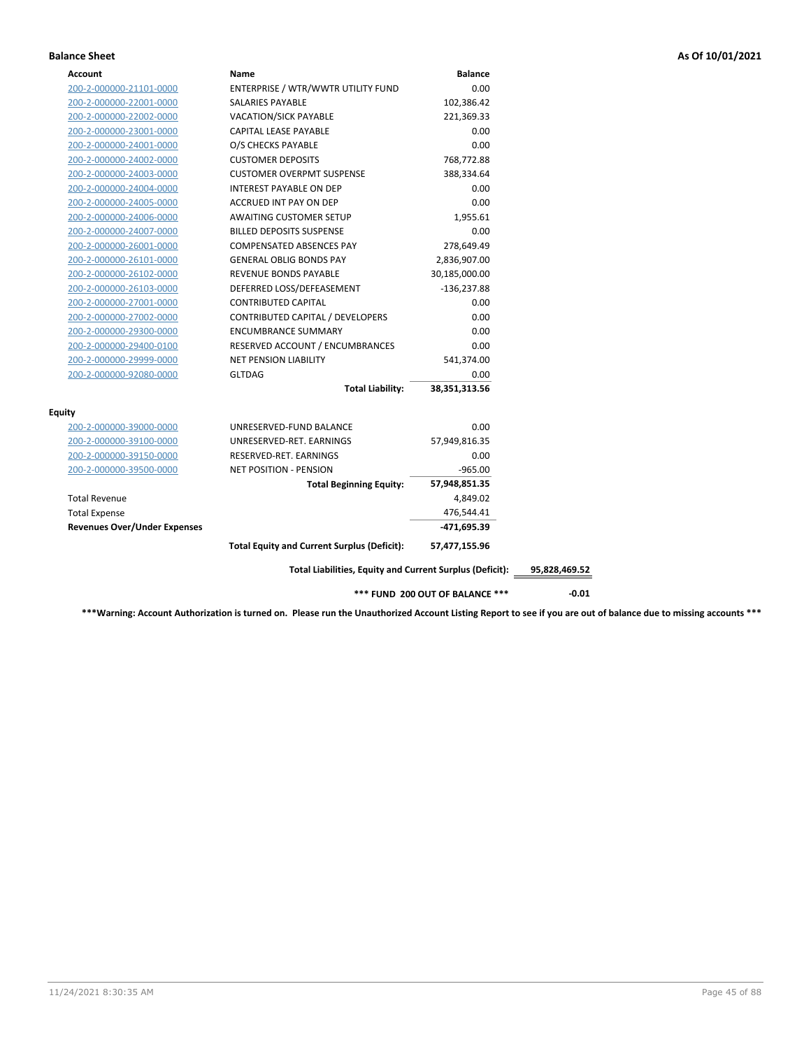# **Balance Sheet As Of 10/01/2021**

| Account                             | Name                                                     | <b>Balance</b>                  |
|-------------------------------------|----------------------------------------------------------|---------------------------------|
| 200-2-000000-21101-0000             | ENTERPRISE / WTR/WWTR UTILITY FUND                       | 0.00                            |
| 200-2-000000-22001-0000             | SALARIES PAYABLE                                         | 102,386.42                      |
| 200-2-000000-22002-0000             | <b>VACATION/SICK PAYABLE</b>                             | 221,369.33                      |
| 200-2-000000-23001-0000             | CAPITAL LEASE PAYABLE                                    | 0.00                            |
| 200-2-000000-24001-0000             | O/S CHECKS PAYABLE                                       | 0.00                            |
| 200-2-000000-24002-0000             | <b>CUSTOMER DEPOSITS</b>                                 | 768,772.88                      |
| 200-2-000000-24003-0000             | <b>CUSTOMER OVERPMT SUSPENSE</b>                         | 388,334.64                      |
| 200-2-000000-24004-0000             | <b>INTEREST PAYABLE ON DEP</b>                           | 0.00                            |
| 200-2-000000-24005-0000             | ACCRUED INT PAY ON DEP                                   | 0.00                            |
| 200-2-000000-24006-0000             | <b>AWAITING CUSTOMER SETUP</b>                           | 1,955.61                        |
| 200-2-000000-24007-0000             | <b>BILLED DEPOSITS SUSPENSE</b>                          | 0.00                            |
| 200-2-000000-26001-0000             | COMPENSATED ABSENCES PAY                                 | 278,649.49                      |
| 200-2-000000-26101-0000             | <b>GENERAL OBLIG BONDS PAY</b>                           | 2,836,907.00                    |
| 200-2-000000-26102-0000             | REVENUE BONDS PAYABLE                                    | 30,185,000.00                   |
| 200-2-000000-26103-0000             | DEFERRED LOSS/DEFEASEMENT                                | $-136,237.88$                   |
| 200-2-000000-27001-0000             | <b>CONTRIBUTED CAPITAL</b>                               | 0.00                            |
| 200-2-000000-27002-0000             | CONTRIBUTED CAPITAL / DEVELOPERS                         | 0.00                            |
| 200-2-000000-29300-0000             | <b>ENCUMBRANCE SUMMARY</b>                               | 0.00                            |
| 200-2-000000-29400-0100             | RESERVED ACCOUNT / ENCUMBRANCES                          | 0.00                            |
| 200-2-000000-29999-0000             | <b>NET PENSION LIABILITY</b>                             | 541,374.00                      |
| 200-2-000000-92080-0000             | <b>GLTDAG</b>                                            | 0.00                            |
|                                     | <b>Total Liability:</b>                                  | 38,351,313.56                   |
| <b>Equity</b>                       |                                                          |                                 |
| 200-2-000000-39000-0000             | UNRESERVED-FUND BALANCE                                  | 0.00                            |
| 200-2-000000-39100-0000             | UNRESERVED-RET. EARNINGS                                 | 57,949,816.35                   |
| 200-2-000000-39150-0000             | RESERVED-RET. EARNINGS                                   | 0.00                            |
| 200-2-000000-39500-0000             | <b>NET POSITION - PENSION</b>                            | $-965.00$                       |
|                                     | <b>Total Beginning Equity:</b>                           | 57,948,851.35                   |
| <b>Total Revenue</b>                |                                                          | 4,849.02                        |
| <b>Total Expense</b>                |                                                          | 476,544.41                      |
| <b>Revenues Over/Under Expenses</b> |                                                          | $-471,695.39$                   |
|                                     | <b>Total Equity and Current Surplus (Deficit):</b>       | 57,477,155.96                   |
|                                     | Total Liabilities, Equity and Current Surplus (Deficit): |                                 |
|                                     |                                                          | *** FUND 200 OUT OF BALANCE *** |

**\*\*\*Warning: Account Authorization is turned on. Please run the Unauthorized Account Listing Report to see if you are out of balance due to missing accounts \*\*\***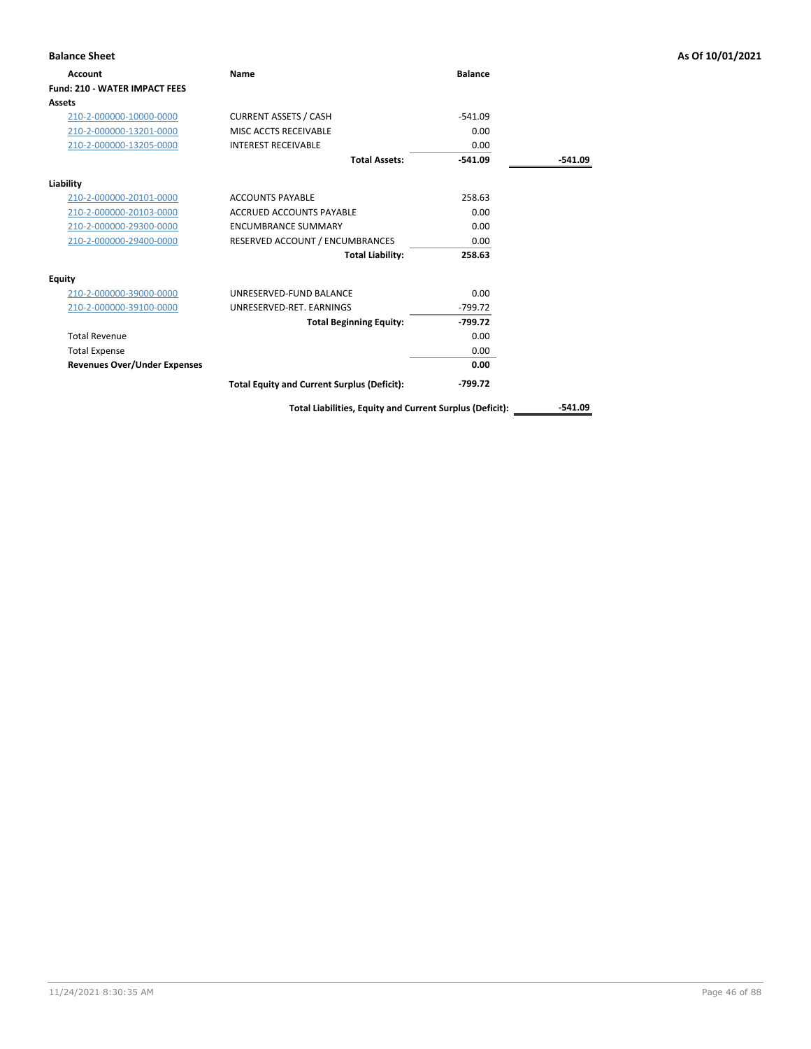| <b>Balance Sheet</b>                |                                                    |                |         | As Of 10/01/2021 |
|-------------------------------------|----------------------------------------------------|----------------|---------|------------------|
| Account                             | Name                                               | <b>Balance</b> |         |                  |
| Fund: 210 - WATER IMPACT FEES       |                                                    |                |         |                  |
| Assets                              |                                                    |                |         |                  |
| 210-2-000000-10000-0000             | <b>CURRENT ASSETS / CASH</b>                       | $-541.09$      |         |                  |
| 210-2-000000-13201-0000             | MISC ACCTS RECEIVABLE                              | 0.00           |         |                  |
| 210-2-000000-13205-0000             | <b>INTEREST RECEIVABLE</b>                         | 0.00           |         |                  |
|                                     | <b>Total Assets:</b>                               | $-541.09$      | -541.09 |                  |
| Liability                           |                                                    |                |         |                  |
| 210-2-000000-20101-0000             | <b>ACCOUNTS PAYABLE</b>                            | 258.63         |         |                  |
| 210-2-000000-20103-0000             | <b>ACCRUED ACCOUNTS PAYABLE</b>                    | 0.00           |         |                  |
| 210-2-000000-29300-0000             | <b>ENCUMBRANCE SUMMARY</b>                         | 0.00           |         |                  |
| 210-2-000000-29400-0000             | RESERVED ACCOUNT / ENCUMBRANCES                    | 0.00           |         |                  |
|                                     | <b>Total Liability:</b>                            | 258.63         |         |                  |
| <b>Equity</b>                       |                                                    |                |         |                  |
| 210-2-000000-39000-0000             | UNRESERVED-FUND BALANCE                            | 0.00           |         |                  |
| 210-2-000000-39100-0000             | UNRESERVED-RET. EARNINGS                           | $-799.72$      |         |                  |
|                                     | <b>Total Beginning Equity:</b>                     | $-799.72$      |         |                  |
| <b>Total Revenue</b>                |                                                    | 0.00           |         |                  |
| <b>Total Expense</b>                |                                                    | 0.00           |         |                  |
| <b>Revenues Over/Under Expenses</b> |                                                    | 0.00           |         |                  |
|                                     | <b>Total Equity and Current Surplus (Deficit):</b> | $-799.72$      |         |                  |

Total Liabilities, Equity and Current Surplus (Deficit): \_\_\_\_\_\_\_\_\_\_\_-541.09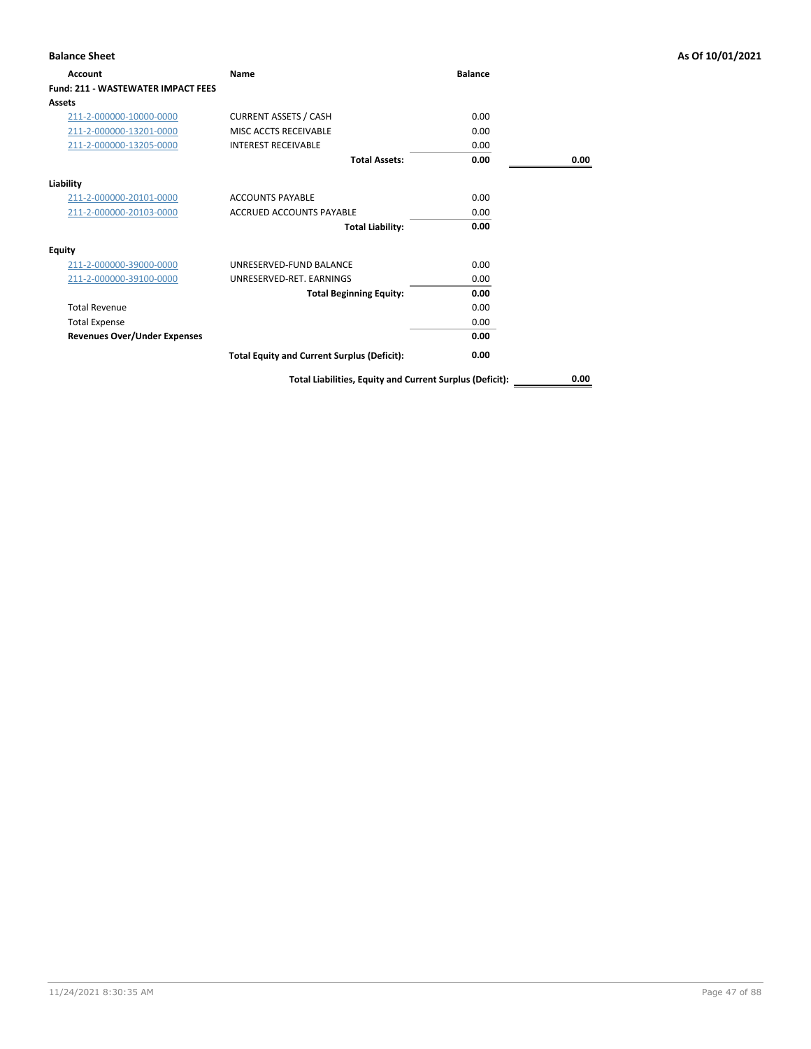| <b>Balance Sheet</b>                      |                                                          |                |      | As Of 10/01/2021 |
|-------------------------------------------|----------------------------------------------------------|----------------|------|------------------|
| Account                                   | Name                                                     | <b>Balance</b> |      |                  |
| <b>Fund: 211 - WASTEWATER IMPACT FEES</b> |                                                          |                |      |                  |
| Assets                                    |                                                          |                |      |                  |
| 211-2-000000-10000-0000                   | <b>CURRENT ASSETS / CASH</b>                             | 0.00           |      |                  |
| 211-2-000000-13201-0000                   | MISC ACCTS RECEIVABLE                                    | 0.00           |      |                  |
| 211-2-000000-13205-0000                   | <b>INTEREST RECEIVABLE</b>                               | 0.00           |      |                  |
|                                           | <b>Total Assets:</b>                                     | 0.00           | 0.00 |                  |
| Liability                                 |                                                          |                |      |                  |
| 211-2-000000-20101-0000                   | <b>ACCOUNTS PAYABLE</b>                                  | 0.00           |      |                  |
| 211-2-000000-20103-0000                   | <b>ACCRUED ACCOUNTS PAYABLE</b>                          | 0.00           |      |                  |
|                                           | <b>Total Liability:</b>                                  | 0.00           |      |                  |
| <b>Equity</b>                             |                                                          |                |      |                  |
| 211-2-000000-39000-0000                   | UNRESERVED-FUND BALANCE                                  | 0.00           |      |                  |
| 211-2-000000-39100-0000                   | UNRESERVED-RET. EARNINGS                                 | 0.00           |      |                  |
|                                           | <b>Total Beginning Equity:</b>                           | 0.00           |      |                  |
| <b>Total Revenue</b>                      |                                                          | 0.00           |      |                  |
| <b>Total Expense</b>                      |                                                          | 0.00           |      |                  |
| <b>Revenues Over/Under Expenses</b>       |                                                          | 0.00           |      |                  |
|                                           | <b>Total Equity and Current Surplus (Deficit):</b>       | 0.00           |      |                  |
|                                           | Total Liabilities, Equity and Current Surplus (Deficit): |                | 0.00 |                  |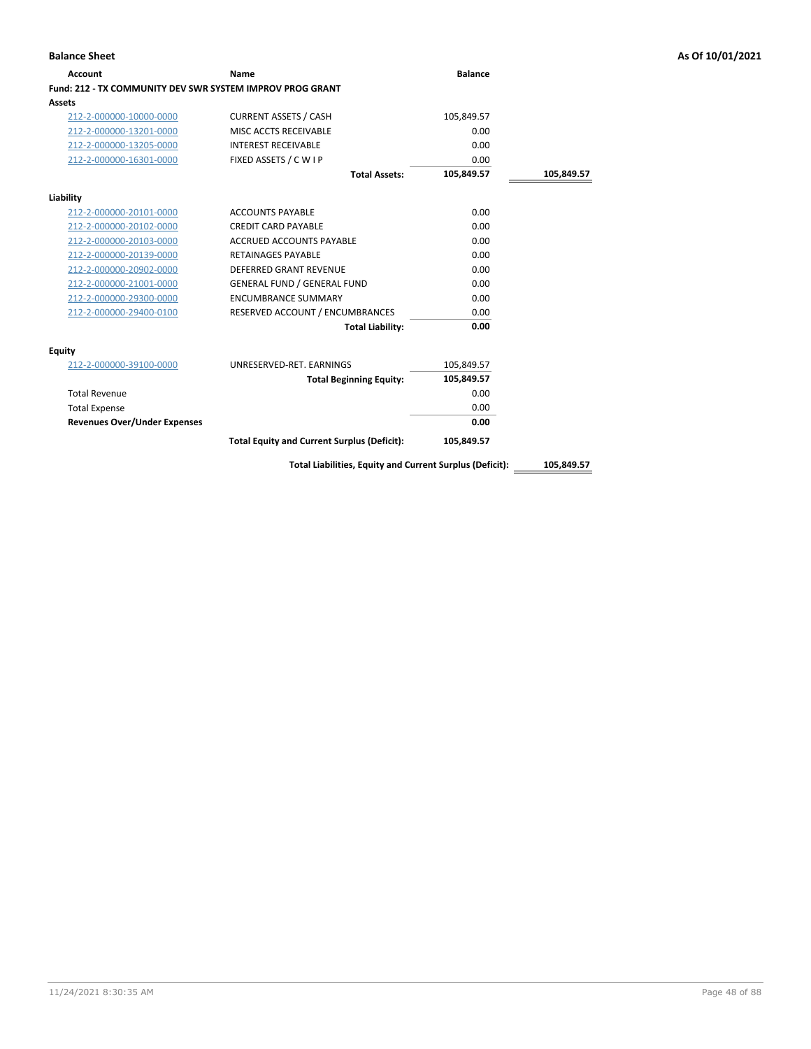| Account                                                   | Name                                                     | <b>Balance</b> |            |
|-----------------------------------------------------------|----------------------------------------------------------|----------------|------------|
| Fund: 212 - TX COMMUNITY DEV SWR SYSTEM IMPROV PROG GRANT |                                                          |                |            |
| Assets                                                    |                                                          |                |            |
| 212-2-000000-10000-0000                                   | <b>CURRENT ASSETS / CASH</b>                             | 105,849.57     |            |
| 212-2-000000-13201-0000                                   | MISC ACCTS RECEIVABLE                                    | 0.00           |            |
| 212-2-000000-13205-0000                                   | <b>INTEREST RECEIVABLE</b>                               | 0.00           |            |
| 212-2-000000-16301-0000                                   | FIXED ASSETS / C W I P                                   | 0.00           |            |
|                                                           | <b>Total Assets:</b>                                     | 105,849.57     | 105,849.57 |
| Liability                                                 |                                                          |                |            |
| 212-2-000000-20101-0000                                   | <b>ACCOUNTS PAYABLE</b>                                  | 0.00           |            |
| 212-2-000000-20102-0000                                   | <b>CREDIT CARD PAYABLE</b>                               | 0.00           |            |
| 212-2-000000-20103-0000                                   | <b>ACCRUED ACCOUNTS PAYABLE</b>                          | 0.00           |            |
| 212-2-000000-20139-0000                                   | <b>RETAINAGES PAYABLE</b>                                | 0.00           |            |
| 212-2-000000-20902-0000                                   | <b>DEFERRED GRANT REVENUE</b>                            | 0.00           |            |
| 212-2-000000-21001-0000                                   | <b>GENERAL FUND / GENERAL FUND</b>                       | 0.00           |            |
| 212-2-000000-29300-0000                                   | <b>ENCUMBRANCE SUMMARY</b>                               | 0.00           |            |
| 212-2-000000-29400-0100                                   | RESERVED ACCOUNT / ENCUMBRANCES                          | 0.00           |            |
|                                                           | <b>Total Liability:</b>                                  | 0.00           |            |
| Equity                                                    |                                                          |                |            |
| 212-2-000000-39100-0000                                   | UNRESERVED-RET. EARNINGS                                 | 105,849.57     |            |
|                                                           | <b>Total Beginning Equity:</b>                           | 105,849.57     |            |
| <b>Total Revenue</b>                                      |                                                          | 0.00           |            |
| <b>Total Expense</b>                                      |                                                          | 0.00           |            |
| <b>Revenues Over/Under Expenses</b>                       |                                                          | 0.00           |            |
|                                                           | <b>Total Equity and Current Surplus (Deficit):</b>       | 105,849.57     |            |
|                                                           | Total Liabilities, Equity and Current Surplus (Deficit): |                | 105,849.57 |

**Balance Sheet As Of 10/01/2021**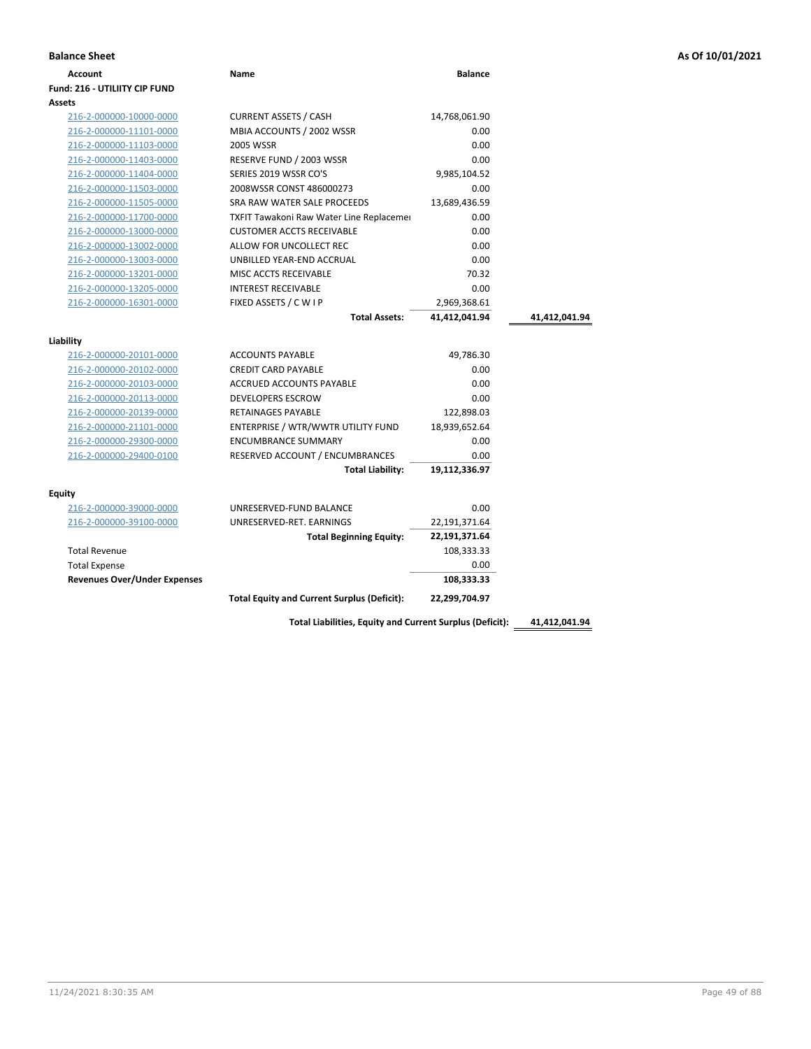| As Of 10/01/2021 |  |  |  |
|------------------|--|--|--|
|                  |  |  |  |

| <b>Balance Sheet</b>                                        |                                                    |                    |               | As Of 10/01/2021 |
|-------------------------------------------------------------|----------------------------------------------------|--------------------|---------------|------------------|
| <b>Account</b>                                              | Name                                               | <b>Balance</b>     |               |                  |
| Fund: 216 - UTILIITY CIP FUND                               |                                                    |                    |               |                  |
| Assets                                                      |                                                    |                    |               |                  |
| 216-2-000000-10000-0000                                     | <b>CURRENT ASSETS / CASH</b>                       | 14,768,061.90      |               |                  |
| 216-2-000000-11101-0000                                     | MBIA ACCOUNTS / 2002 WSSR                          | 0.00               |               |                  |
| 216-2-000000-11103-0000                                     | 2005 WSSR                                          | 0.00               |               |                  |
| 216-2-000000-11403-0000                                     | RESERVE FUND / 2003 WSSR                           | 0.00               |               |                  |
| 216-2-000000-11404-0000                                     | SERIES 2019 WSSR CO'S                              | 9,985,104.52       |               |                  |
| 216-2-000000-11503-0000                                     | 2008WSSR CONST 486000273                           | 0.00               |               |                  |
| 216-2-000000-11505-0000                                     | SRA RAW WATER SALE PROCEEDS                        | 13,689,436.59      |               |                  |
| 216-2-000000-11700-0000                                     | TXFIT Tawakoni Raw Water Line Replacemer           | 0.00               |               |                  |
| 216-2-000000-13000-0000                                     | <b>CUSTOMER ACCTS RECEIVABLE</b>                   | 0.00               |               |                  |
| 216-2-000000-13002-0000                                     | ALLOW FOR UNCOLLECT REC                            | 0.00               |               |                  |
| 216-2-000000-13003-0000                                     | UNBILLED YEAR-END ACCRUAL                          | 0.00               |               |                  |
| 216-2-000000-13201-0000                                     | MISC ACCTS RECEIVABLE                              | 70.32              |               |                  |
| 216-2-000000-13205-0000                                     | <b>INTEREST RECEIVABLE</b>                         | 0.00               |               |                  |
| 216-2-000000-16301-0000                                     | FIXED ASSETS / C W I P                             | 2,969,368.61       |               |                  |
|                                                             | <b>Total Assets:</b>                               | 41,412,041.94      | 41,412,041.94 |                  |
| Liability                                                   |                                                    |                    |               |                  |
| 216-2-000000-20101-0000                                     | <b>ACCOUNTS PAYABLE</b>                            | 49,786.30          |               |                  |
| 216-2-000000-20102-0000                                     | <b>CREDIT CARD PAYABLE</b>                         | 0.00               |               |                  |
| 216-2-000000-20103-0000                                     | ACCRUED ACCOUNTS PAYABLE                           | 0.00               |               |                  |
| 216-2-000000-20113-0000                                     | <b>DEVELOPERS ESCROW</b>                           | 0.00               |               |                  |
| 216-2-000000-20139-0000                                     | RETAINAGES PAYABLE                                 | 122,898.03         |               |                  |
| 216-2-000000-21101-0000                                     | ENTERPRISE / WTR/WWTR UTILITY FUND                 | 18,939,652.64      |               |                  |
| 216-2-000000-29300-0000                                     | <b>ENCUMBRANCE SUMMARY</b>                         | 0.00               |               |                  |
| 216-2-000000-29400-0100                                     | RESERVED ACCOUNT / ENCUMBRANCES                    | 0.00               |               |                  |
|                                                             | Total Liability:                                   | 19,112,336.97      |               |                  |
|                                                             |                                                    |                    |               |                  |
| Equity<br>216-2-000000-39000-0000                           | UNRESERVED-FUND BALANCE                            | 0.00               |               |                  |
|                                                             | UNRESERVED-RET. EARNINGS                           |                    |               |                  |
| 216-2-000000-39100-0000                                     |                                                    | 22,191,371.64      |               |                  |
| <b>Total Revenue</b>                                        | <b>Total Beginning Equity:</b>                     | 22,191,371.64      |               |                  |
|                                                             |                                                    | 108,333.33         |               |                  |
| <b>Total Expense</b><br><b>Revenues Over/Under Expenses</b> |                                                    | 0.00<br>108,333.33 |               |                  |
|                                                             |                                                    |                    |               |                  |
|                                                             | <b>Total Equity and Current Surplus (Deficit):</b> | 22,299,704.97      |               |                  |
|                                                             |                                                    |                    |               |                  |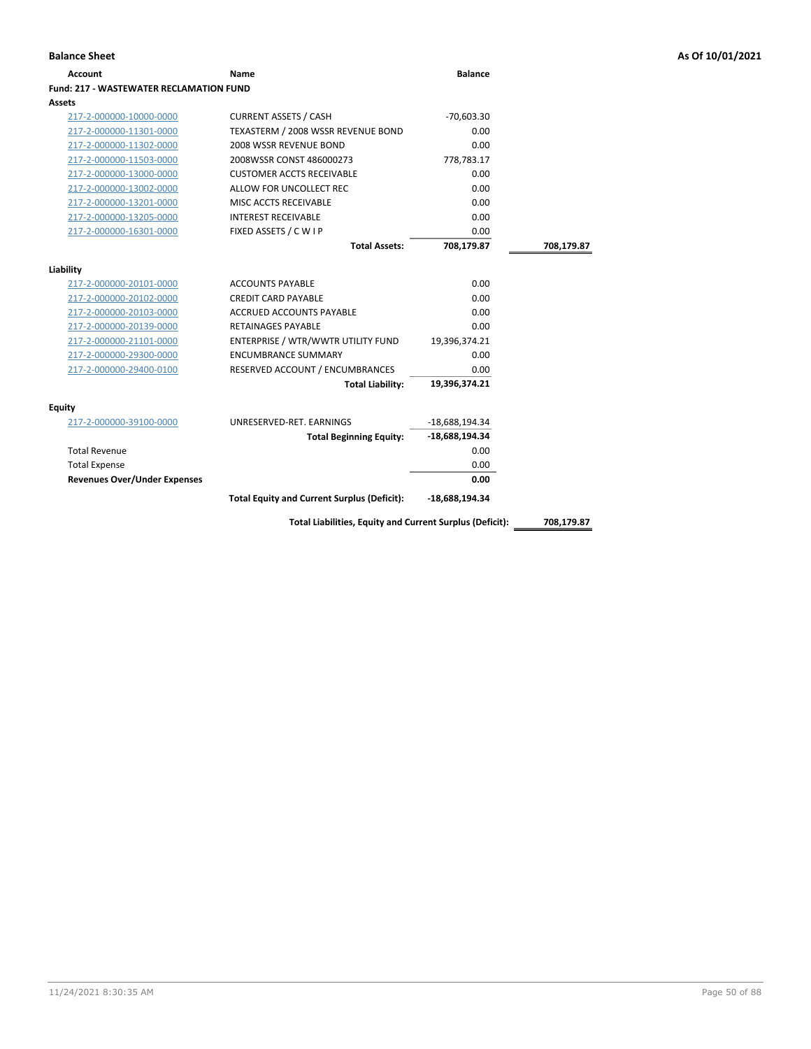| Account                                 | Name                                                     | <b>Balance</b>   |            |
|-----------------------------------------|----------------------------------------------------------|------------------|------------|
| Fund: 217 - WASTEWATER RECLAMATION FUND |                                                          |                  |            |
| Assets                                  |                                                          |                  |            |
| 217-2-000000-10000-0000                 | <b>CURRENT ASSETS / CASH</b>                             | $-70,603.30$     |            |
| 217-2-000000-11301-0000                 | TEXASTERM / 2008 WSSR REVENUE BOND                       | 0.00             |            |
| 217-2-000000-11302-0000                 | 2008 WSSR REVENUE BOND                                   | 0.00             |            |
| 217-2-000000-11503-0000                 | 2008WSSR CONST 486000273                                 | 778,783.17       |            |
| 217-2-000000-13000-0000                 | <b>CUSTOMER ACCTS RECEIVABLE</b>                         | 0.00             |            |
| 217-2-000000-13002-0000                 | ALLOW FOR UNCOLLECT REC                                  | 0.00             |            |
| 217-2-000000-13201-0000                 | MISC ACCTS RECEIVABLE                                    | 0.00             |            |
| 217-2-000000-13205-0000                 | <b>INTEREST RECEIVABLE</b>                               | 0.00             |            |
| 217-2-000000-16301-0000                 | FIXED ASSETS / C W I P                                   | 0.00             |            |
|                                         | <b>Total Assets:</b>                                     | 708,179.87       | 708,179.87 |
|                                         |                                                          |                  |            |
| Liability                               |                                                          |                  |            |
| 217-2-000000-20101-0000                 | <b>ACCOUNTS PAYABLE</b>                                  | 0.00             |            |
| 217-2-000000-20102-0000                 | <b>CREDIT CARD PAYABLE</b>                               | 0.00             |            |
| 217-2-000000-20103-0000                 | <b>ACCRUED ACCOUNTS PAYABLE</b>                          | 0.00             |            |
| 217-2-000000-20139-0000                 | <b>RETAINAGES PAYABLE</b>                                | 0.00             |            |
| 217-2-000000-21101-0000                 | ENTERPRISE / WTR/WWTR UTILITY FUND                       | 19,396,374.21    |            |
| 217-2-000000-29300-0000                 | <b>ENCUMBRANCE SUMMARY</b>                               | 0.00             |            |
| 217-2-000000-29400-0100                 | RESERVED ACCOUNT / ENCUMBRANCES                          | 0.00             |            |
|                                         | <b>Total Liability:</b>                                  | 19,396,374.21    |            |
| <b>Equity</b>                           |                                                          |                  |            |
| 217-2-000000-39100-0000                 | UNRESERVED-RET. EARNINGS                                 | -18,688,194.34   |            |
|                                         | <b>Total Beginning Equity:</b>                           | -18,688,194.34   |            |
| <b>Total Revenue</b>                    |                                                          | 0.00             |            |
| <b>Total Expense</b>                    |                                                          | 0.00             |            |
| <b>Revenues Over/Under Expenses</b>     |                                                          | 0.00             |            |
|                                         | <b>Total Equity and Current Surplus (Deficit):</b>       | $-18,688,194.34$ |            |
|                                         | Total Liabilities, Equity and Current Surplus (Deficit): |                  | 708,179.87 |
|                                         |                                                          |                  |            |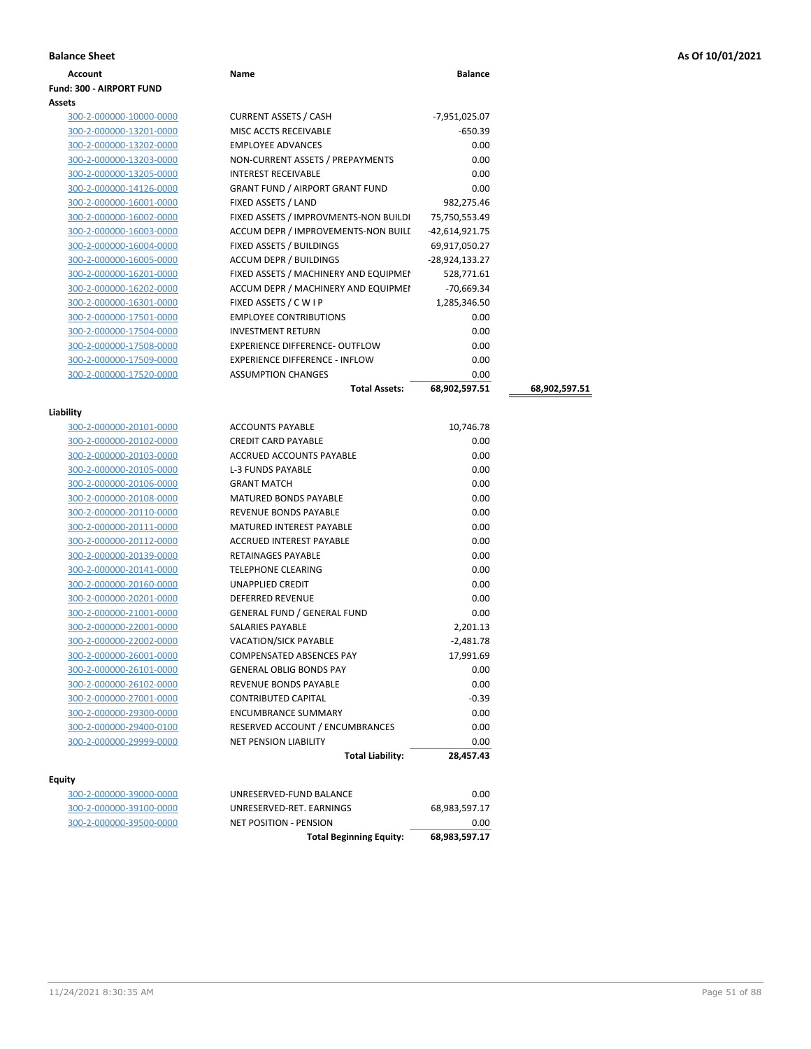|  |  |  | As Of 10/01/2021 |
|--|--|--|------------------|
|--|--|--|------------------|

| <b>Balance Sheet</b>            |                                        |                |               | As Of 10/01/2021 |
|---------------------------------|----------------------------------------|----------------|---------------|------------------|
| Account                         | Name                                   | <b>Balance</b> |               |                  |
| <b>Fund: 300 - AIRPORT FUND</b> |                                        |                |               |                  |
| <b>Assets</b>                   |                                        |                |               |                  |
| 300-2-000000-10000-0000         | <b>CURRENT ASSETS / CASH</b>           | -7,951,025.07  |               |                  |
| 300-2-000000-13201-0000         | MISC ACCTS RECEIVABLE                  | -650.39        |               |                  |
| 300-2-000000-13202-0000         | <b>EMPLOYEE ADVANCES</b>               | 0.00           |               |                  |
| 300-2-000000-13203-0000         | NON-CURRENT ASSETS / PREPAYMENTS       | 0.00           |               |                  |
| 300-2-000000-13205-0000         | <b>INTEREST RECEIVABLE</b>             | 0.00           |               |                  |
| 300-2-000000-14126-0000         | <b>GRANT FUND / AIRPORT GRANT FUND</b> | 0.00           |               |                  |
| 300-2-000000-16001-0000         | FIXED ASSETS / LAND                    | 982,275.46     |               |                  |
| 300-2-000000-16002-0000         | FIXED ASSETS / IMPROVMENTS-NON BUILDI  | 75,750,553.49  |               |                  |
| 300-2-000000-16003-0000         | ACCUM DEPR / IMPROVEMENTS-NON BUILL    | -42,614,921.75 |               |                  |
| 300-2-000000-16004-0000         | FIXED ASSETS / BUILDINGS               | 69,917,050.27  |               |                  |
| 300-2-000000-16005-0000         | ACCUM DEPR / BUILDINGS                 | -28,924,133.27 |               |                  |
| 300-2-000000-16201-0000         | FIXED ASSETS / MACHINERY AND EQUIPMEN  | 528,771.61     |               |                  |
| 300-2-000000-16202-0000         | ACCUM DEPR / MACHINERY AND EQUIPMEI    | $-70,669.34$   |               |                  |
| 300-2-000000-16301-0000         | FIXED ASSETS / C W I P                 | 1,285,346.50   |               |                  |
| 300-2-000000-17501-0000         | <b>EMPLOYEE CONTRIBUTIONS</b>          | 0.00           |               |                  |
| 300-2-000000-17504-0000         | <b>INVESTMENT RETURN</b>               | 0.00           |               |                  |
| 300-2-000000-17508-0000         | <b>EXPERIENCE DIFFERENCE- OUTFLOW</b>  | 0.00           |               |                  |
| 300-2-000000-17509-0000         | <b>EXPERIENCE DIFFERENCE - INFLOW</b>  | 0.00           |               |                  |
| 300-2-000000-17520-0000         | <b>ASSUMPTION CHANGES</b>              | 0.00           |               |                  |
|                                 | <b>Total Assets:</b>                   | 68,902,597.51  | 68,902,597.51 |                  |
|                                 |                                        |                |               |                  |
| Liability                       |                                        |                |               |                  |
| 300-2-000000-20101-0000         | <b>ACCOUNTS PAYABLE</b>                | 10,746.78      |               |                  |
| 300-2-000000-20102-0000         | <b>CREDIT CARD PAYABLE</b>             | 0.00           |               |                  |
| 300-2-000000-20103-0000         | ACCRUED ACCOUNTS PAYABLE               | 0.00           |               |                  |
| 300-2-000000-20105-0000         | L-3 FUNDS PAYABLE                      | 0.00           |               |                  |
| 300-2-000000-20106-0000         | <b>GRANT MATCH</b>                     | 0.00           |               |                  |
| 300-2-000000-20108-0000         | <b>MATURED BONDS PAYABLE</b>           | 0.00           |               |                  |
| 300-2-000000-20110-0000         | REVENUE BONDS PAYABLE                  | 0.00           |               |                  |
| 300-2-000000-20111-0000         | MATURED INTEREST PAYABLE               | 0.00           |               |                  |
| 300-2-000000-20112-0000         | ACCRUED INTEREST PAYABLE               | 0.00           |               |                  |
| 300-2-000000-20139-0000         | RETAINAGES PAYABLE                     | 0.00           |               |                  |
| 300-2-000000-20141-0000         | <b>TELEPHONE CLEARING</b>              | 0.00           |               |                  |
| 300-2-000000-20160-0000         | UNAPPLIED CREDIT                       | 0.00           |               |                  |
| 300-2-000000-20201-0000         | <b>DEFERRED REVENUE</b>                | 0.00           |               |                  |
| 300-2-000000-21001-0000         | <b>GENERAL FUND / GENERAL FUND</b>     | 0.00           |               |                  |
| 300-2-000000-22001-0000         | SALARIES PAYABLE                       | 2,201.13       |               |                  |
| 300-2-000000-22002-0000         | VACATION/SICK PAYABLE                  | -2,481.78      |               |                  |
| 300-2-000000-26001-0000         | COMPENSATED ABSENCES PAY               | 17,991.69      |               |                  |
| 300-2-000000-26101-0000         | <b>GENERAL OBLIG BONDS PAY</b>         | 0.00           |               |                  |
| 300-2-000000-26102-0000         | REVENUE BONDS PAYABLE                  | 0.00           |               |                  |
| 300-2-000000-27001-0000         | CONTRIBUTED CAPITAL                    | $-0.39$        |               |                  |
| 300-2-000000-29300-0000         | <b>ENCUMBRANCE SUMMARY</b>             | 0.00           |               |                  |
| 300-2-000000-29400-0100         | RESERVED ACCOUNT / ENCUMBRANCES        | 0.00           |               |                  |
| 300-2-000000-29999-0000         | <b>NET PENSION LIABILITY</b>           | 0.00           |               |                  |
|                                 | <b>Total Liability:</b>                | 28,457.43      |               |                  |
| Equity                          |                                        |                |               |                  |
| 300-2-000000-39000-0000         | UNRESERVED-FUND BALANCE                | 0.00           |               |                  |

| 300-Z-000000-39000-0000 |  |
|-------------------------|--|
| 300-2-000000-39100-0000 |  |
| 300-2-000000-39500-0000 |  |

|                         | <b>Total Beginning Equity:</b> | 68,983,597.17 |
|-------------------------|--------------------------------|---------------|
| 300-2-000000-39500-0000 | NET POSITION - PENSION         | 0.00          |
| 300-2-000000-39100-0000 | UNRESERVED-RET. EARNINGS       | 68.983.597.17 |
| 300-2-000000-39000-0000 | UNRESERVED-FUND BALANCE        | 0.00          |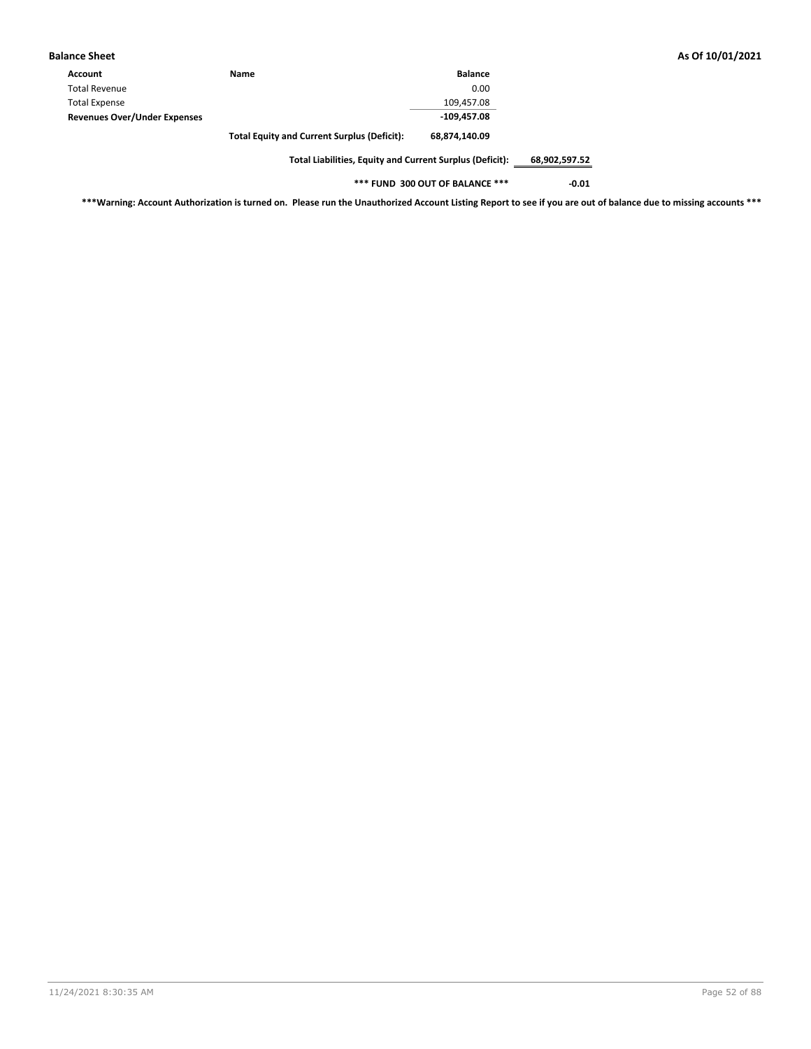| As Of 10/01/2021 |  |  |  |
|------------------|--|--|--|
|------------------|--|--|--|

| Name                                | <b>Balance</b>                                     |
|-------------------------------------|----------------------------------------------------|
|                                     | 0.00                                               |
|                                     | 109.457.08                                         |
| <b>Revenues Over/Under Expenses</b> | $-109,457.08$                                      |
|                                     | 68,874,140.09                                      |
|                                     | <b>Total Equity and Current Surplus (Deficit):</b> |

**Total Liabilities, Equity and Current Surplus (Deficit): 68,902,597.52**

**\*\*\* FUND 300 OUT OF BALANCE \*\*\* -0.01**

**\*\*\*Warning: Account Authorization is turned on. Please run the Unauthorized Account Listing Report to see if you are out of balance due to missing accounts \*\*\***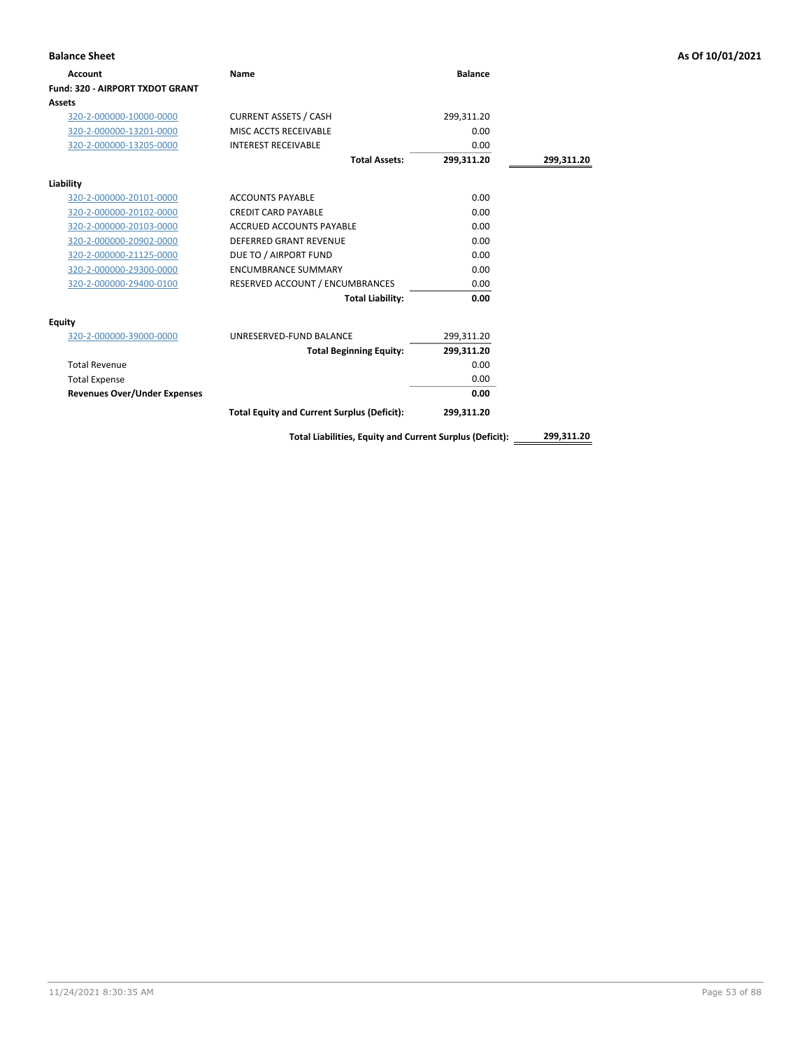| <b>Balance Sheet</b>                |                                                          |                |            | As Of 10/01/2021 |
|-------------------------------------|----------------------------------------------------------|----------------|------------|------------------|
| <b>Account</b>                      | Name                                                     | <b>Balance</b> |            |                  |
| Fund: 320 - AIRPORT TXDOT GRANT     |                                                          |                |            |                  |
| Assets                              |                                                          |                |            |                  |
| 320-2-000000-10000-0000             | <b>CURRENT ASSETS / CASH</b>                             | 299,311.20     |            |                  |
| 320-2-000000-13201-0000             | MISC ACCTS RECEIVABLE                                    | 0.00           |            |                  |
| 320-2-000000-13205-0000             | <b>INTEREST RECEIVABLE</b>                               | 0.00           |            |                  |
|                                     | <b>Total Assets:</b>                                     | 299,311.20     | 299,311.20 |                  |
| Liability                           |                                                          |                |            |                  |
| 320-2-000000-20101-0000             | <b>ACCOUNTS PAYABLE</b>                                  | 0.00           |            |                  |
| 320-2-000000-20102-0000             | <b>CREDIT CARD PAYABLE</b>                               | 0.00           |            |                  |
| 320-2-000000-20103-0000             | ACCRUED ACCOUNTS PAYABLE                                 | 0.00           |            |                  |
| 320-2-000000-20902-0000             | <b>DEFERRED GRANT REVENUE</b>                            | 0.00           |            |                  |
| 320-2-000000-21125-0000             | DUE TO / AIRPORT FUND                                    | 0.00           |            |                  |
| 320-2-000000-29300-0000             | <b>ENCUMBRANCE SUMMARY</b>                               | 0.00           |            |                  |
| 320-2-000000-29400-0100             | RESERVED ACCOUNT / ENCUMBRANCES                          | 0.00           |            |                  |
|                                     | <b>Total Liability:</b>                                  | 0.00           |            |                  |
| <b>Equity</b>                       |                                                          |                |            |                  |
| 320-2-000000-39000-0000             | UNRESERVED-FUND BALANCE                                  | 299,311.20     |            |                  |
|                                     | <b>Total Beginning Equity:</b>                           | 299,311.20     |            |                  |
| <b>Total Revenue</b>                |                                                          | 0.00           |            |                  |
| <b>Total Expense</b>                |                                                          | 0.00           |            |                  |
| <b>Revenues Over/Under Expenses</b> |                                                          | 0.00           |            |                  |
|                                     | <b>Total Equity and Current Surplus (Deficit):</b>       | 299,311.20     |            |                  |
|                                     | Total Liabilities, Equity and Current Surplus (Deficit): |                | 299,311.20 |                  |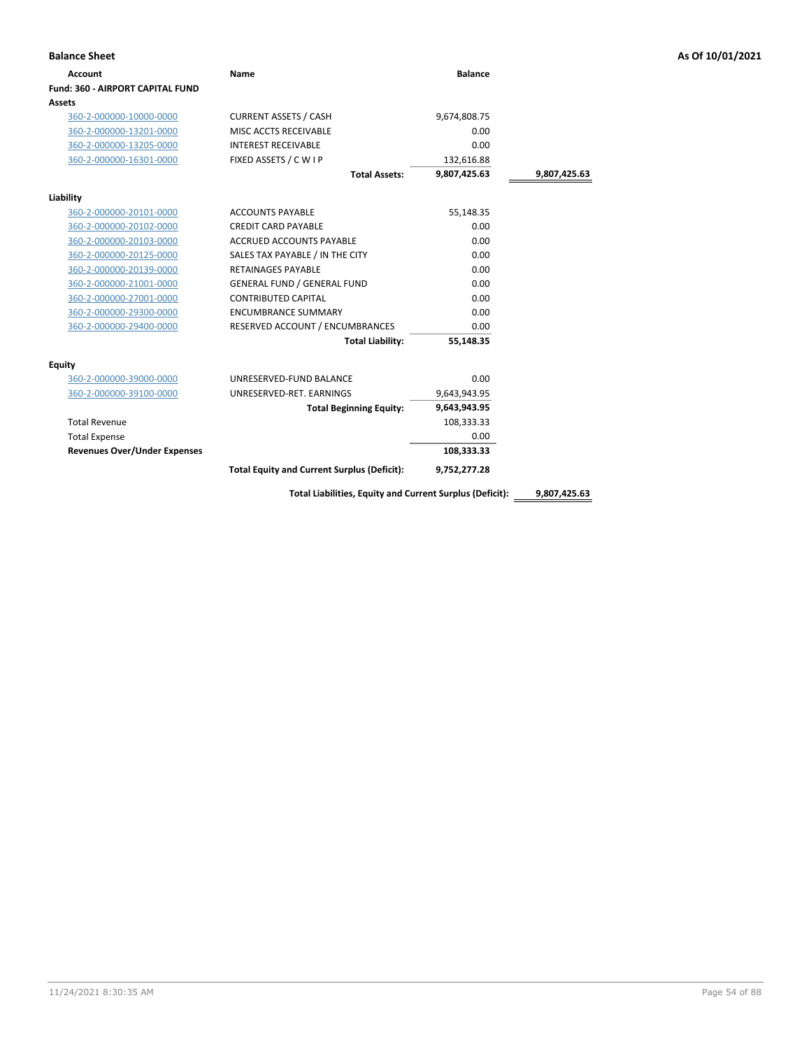| <b>Account</b>                          | Name                                                     | <b>Balance</b> |              |
|-----------------------------------------|----------------------------------------------------------|----------------|--------------|
| <b>Fund: 360 - AIRPORT CAPITAL FUND</b> |                                                          |                |              |
| Assets                                  |                                                          |                |              |
| 360-2-000000-10000-0000                 | <b>CURRENT ASSETS / CASH</b>                             | 9,674,808.75   |              |
| 360-2-000000-13201-0000                 | MISC ACCTS RECEIVABLE                                    | 0.00           |              |
| 360-2-000000-13205-0000                 | <b>INTEREST RECEIVABLE</b>                               | 0.00           |              |
| 360-2-000000-16301-0000                 | FIXED ASSETS / C W I P                                   | 132,616.88     |              |
|                                         | <b>Total Assets:</b>                                     | 9,807,425.63   | 9,807,425.63 |
| Liability                               |                                                          |                |              |
| 360-2-000000-20101-0000                 | <b>ACCOUNTS PAYABLE</b>                                  | 55,148.35      |              |
| 360-2-000000-20102-0000                 | <b>CREDIT CARD PAYABLE</b>                               | 0.00           |              |
| 360-2-000000-20103-0000                 | <b>ACCRUED ACCOUNTS PAYABLE</b>                          | 0.00           |              |
| 360-2-000000-20125-0000                 | SALES TAX PAYABLE / IN THE CITY                          | 0.00           |              |
| 360-2-000000-20139-0000                 | <b>RETAINAGES PAYABLE</b>                                | 0.00           |              |
| 360-2-000000-21001-0000                 | <b>GENERAL FUND / GENERAL FUND</b>                       | 0.00           |              |
| 360-2-000000-27001-0000                 | <b>CONTRIBUTED CAPITAL</b>                               | 0.00           |              |
| 360-2-000000-29300-0000                 | <b>ENCUMBRANCE SUMMARY</b>                               | 0.00           |              |
| 360-2-000000-29400-0000                 | RESERVED ACCOUNT / ENCUMBRANCES                          | 0.00           |              |
|                                         | <b>Total Liability:</b>                                  | 55,148.35      |              |
| Equity                                  |                                                          |                |              |
| 360-2-000000-39000-0000                 | UNRESERVED-FUND BALANCE                                  | 0.00           |              |
| 360-2-000000-39100-0000                 | UNRESERVED-RET. EARNINGS                                 | 9,643,943.95   |              |
|                                         | <b>Total Beginning Equity:</b>                           | 9,643,943.95   |              |
| <b>Total Revenue</b>                    |                                                          | 108,333.33     |              |
| <b>Total Expense</b>                    |                                                          | 0.00           |              |
| <b>Revenues Over/Under Expenses</b>     |                                                          | 108,333.33     |              |
|                                         | <b>Total Equity and Current Surplus (Deficit):</b>       | 9,752,277.28   |              |
|                                         | Total Liabilities, Equity and Current Surplus (Deficit): |                | 9,807,425.63 |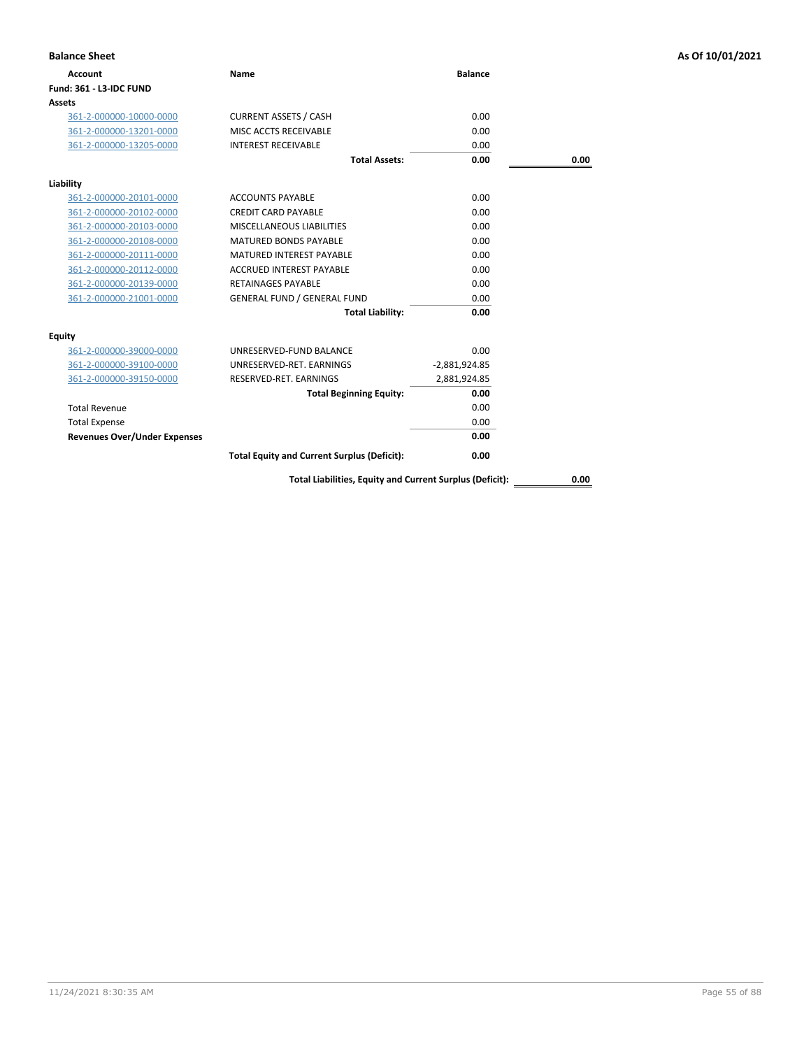| <b>Balance Sheet</b>                |                                                          |                 |      | As Of 10/01/2021 |
|-------------------------------------|----------------------------------------------------------|-----------------|------|------------------|
| <b>Account</b>                      | Name                                                     | <b>Balance</b>  |      |                  |
| Fund: 361 - L3-IDC FUND             |                                                          |                 |      |                  |
| Assets                              |                                                          |                 |      |                  |
| 361-2-000000-10000-0000             | <b>CURRENT ASSETS / CASH</b>                             | 0.00            |      |                  |
| 361-2-000000-13201-0000             | MISC ACCTS RECEIVABLE                                    | 0.00            |      |                  |
| 361-2-000000-13205-0000             | <b>INTEREST RECEIVABLE</b>                               | 0.00            |      |                  |
|                                     | <b>Total Assets:</b>                                     | 0.00            | 0.00 |                  |
| Liability                           |                                                          |                 |      |                  |
| 361-2-000000-20101-0000             | <b>ACCOUNTS PAYABLE</b>                                  | 0.00            |      |                  |
| 361-2-000000-20102-0000             | <b>CREDIT CARD PAYABLE</b>                               | 0.00            |      |                  |
| 361-2-000000-20103-0000             | MISCELLANEOUS LIABILITIES                                | 0.00            |      |                  |
| 361-2-000000-20108-0000             | MATURED BONDS PAYABLE                                    | 0.00            |      |                  |
| 361-2-000000-20111-0000             | MATURED INTEREST PAYABLE                                 | 0.00            |      |                  |
| 361-2-000000-20112-0000             | <b>ACCRUED INTEREST PAYABLE</b>                          | 0.00            |      |                  |
| 361-2-000000-20139-0000             | <b>RETAINAGES PAYABLE</b>                                | 0.00            |      |                  |
| 361-2-000000-21001-0000             | <b>GENERAL FUND / GENERAL FUND</b>                       | 0.00            |      |                  |
|                                     | <b>Total Liability:</b>                                  | 0.00            |      |                  |
| <b>Equity</b>                       |                                                          |                 |      |                  |
| 361-2-000000-39000-0000             | UNRESERVED-FUND BALANCE                                  | 0.00            |      |                  |
| 361-2-000000-39100-0000             | UNRESERVED-RET. EARNINGS                                 | $-2,881,924.85$ |      |                  |
| 361-2-000000-39150-0000             | RESERVED-RET. EARNINGS                                   | 2,881,924.85    |      |                  |
|                                     | <b>Total Beginning Equity:</b>                           | 0.00            |      |                  |
| <b>Total Revenue</b>                |                                                          | 0.00            |      |                  |
| <b>Total Expense</b>                |                                                          | 0.00            |      |                  |
| <b>Revenues Over/Under Expenses</b> |                                                          | 0.00            |      |                  |
|                                     | <b>Total Equity and Current Surplus (Deficit):</b>       | 0.00            |      |                  |
|                                     | Total Liabilities, Equity and Current Surplus (Deficit): |                 | 0.00 |                  |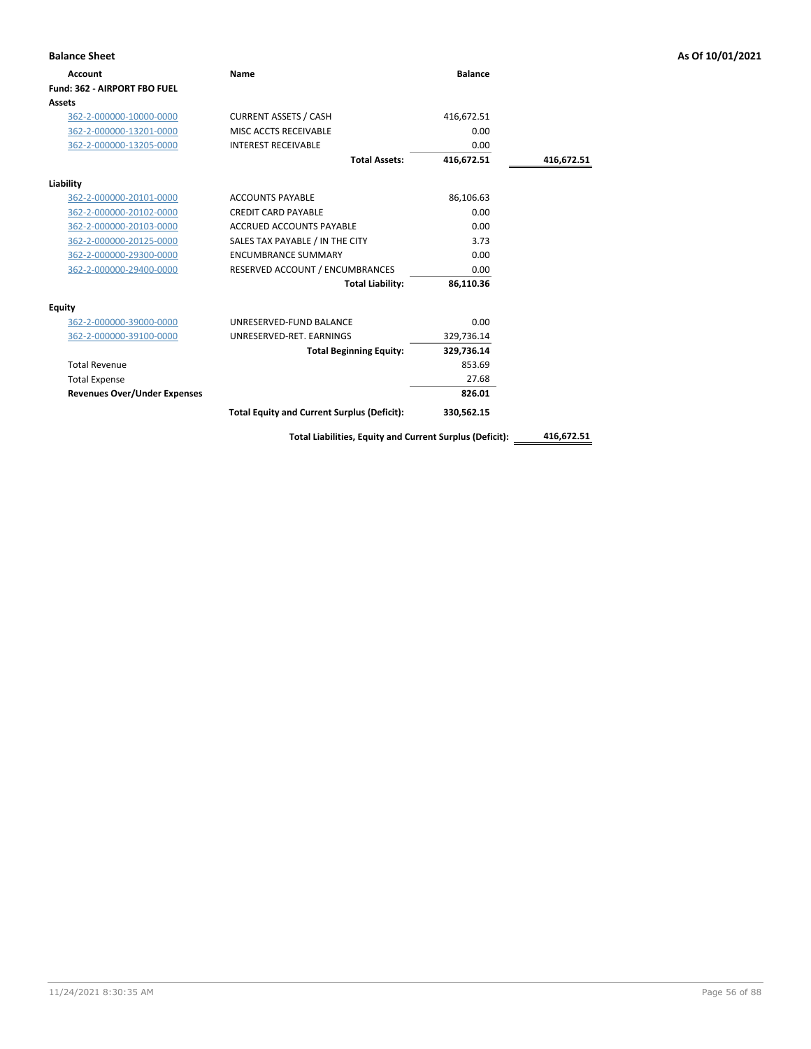| <b>Balance Sheet</b>                |                                                    |                |            | As Of 10/01/2021 |
|-------------------------------------|----------------------------------------------------|----------------|------------|------------------|
| Account                             | Name                                               | <b>Balance</b> |            |                  |
| Fund: 362 - AIRPORT FBO FUEL        |                                                    |                |            |                  |
| Assets                              |                                                    |                |            |                  |
| 362-2-000000-10000-0000             | <b>CURRENT ASSETS / CASH</b>                       | 416,672.51     |            |                  |
| 362-2-000000-13201-0000             | MISC ACCTS RECEIVABLE                              | 0.00           |            |                  |
| 362-2-000000-13205-0000             | <b>INTEREST RECEIVABLE</b>                         | 0.00           |            |                  |
|                                     | <b>Total Assets:</b>                               | 416,672.51     | 416,672.51 |                  |
| Liability                           |                                                    |                |            |                  |
| 362-2-000000-20101-0000             | <b>ACCOUNTS PAYABLE</b>                            | 86,106.63      |            |                  |
| 362-2-000000-20102-0000             | <b>CREDIT CARD PAYABLE</b>                         | 0.00           |            |                  |
| 362-2-000000-20103-0000             | <b>ACCRUED ACCOUNTS PAYABLE</b>                    | 0.00           |            |                  |
| 362-2-000000-20125-0000             | SALES TAX PAYABLE / IN THE CITY                    | 3.73           |            |                  |
| 362-2-000000-29300-0000             | <b>ENCUMBRANCE SUMMARY</b>                         | 0.00           |            |                  |
| 362-2-000000-29400-0000             | RESERVED ACCOUNT / ENCUMBRANCES                    | 0.00           |            |                  |
|                                     | <b>Total Liability:</b>                            | 86,110.36      |            |                  |
| <b>Equity</b>                       |                                                    |                |            |                  |
| 362-2-000000-39000-0000             | UNRESERVED-FUND BALANCE                            | 0.00           |            |                  |
| 362-2-000000-39100-0000             | UNRESERVED-RET. EARNINGS                           | 329,736.14     |            |                  |
|                                     | <b>Total Beginning Equity:</b>                     | 329,736.14     |            |                  |
| <b>Total Revenue</b>                |                                                    | 853.69         |            |                  |
| <b>Total Expense</b>                |                                                    | 27.68          |            |                  |
| <b>Revenues Over/Under Expenses</b> |                                                    | 826.01         |            |                  |
|                                     | <b>Total Equity and Current Surplus (Deficit):</b> | 330,562.15     |            |                  |
|                                     |                                                    |                |            |                  |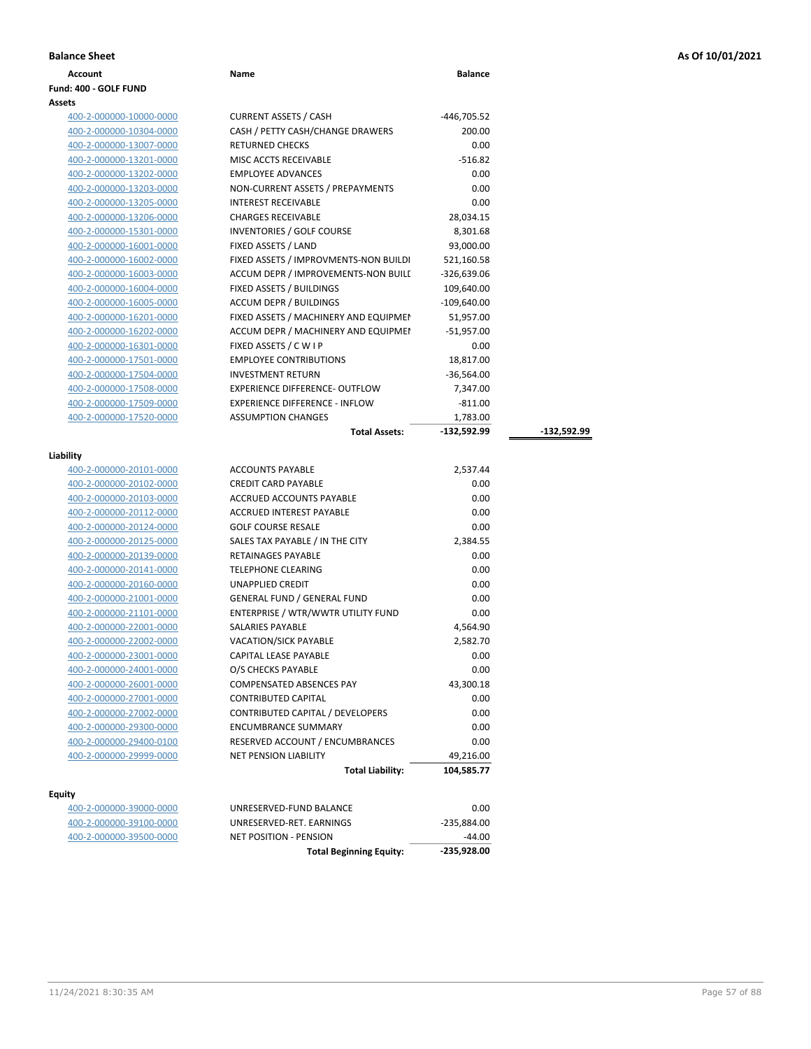| <b>Balance Sheet</b> | As Of 10/01/2021<br>. |
|----------------------|-----------------------|
|----------------------|-----------------------|

| <b>Balance Sheet</b> |      |                |
|----------------------|------|----------------|
| Account              | Name | <b>Balance</b> |

### **Fund: 400 - GOLF FUND Assets**

| 400-2-000000-10000-0000 |
|-------------------------|
| 400-2-000000-10304-0000 |
| 400-2-000000-13007-0000 |
| 400-2-000000-13201-0000 |
| 400-2-000000-13202-0000 |
| 400-2-000000-13203-0000 |
| 400-2-000000-13205-0000 |
| 400-2-000000-13206-0000 |
| 400-2-000000-15301-0000 |
| 400-2-000000-16001-0000 |
| 400-2-000000-16002-0000 |
| 400-2-000000-16003-0000 |
| 400-2-000000-16004-0000 |
| 400-2-000000-16005-0000 |
| 400-2-000000-16201-0000 |
| 400-2-000000-16202-0000 |
| 400-2-000000-16301-0000 |
| 400-2-000000-17501-0000 |
| 400-2-000000-17504-0000 |
| 400-2-000000-17508-0000 |
| 400-2-000000-17509-0000 |
| 400-2-000000-17520-0000 |

| 400-2-000000-10000-0000 | <b>CURRENT ASSETS / CASH</b>          | -446,705.52   |             |
|-------------------------|---------------------------------------|---------------|-------------|
| 400-2-000000-10304-0000 | CASH / PETTY CASH/CHANGE DRAWERS      | 200.00        |             |
| 400-2-000000-13007-0000 | <b>RETURNED CHECKS</b>                | 0.00          |             |
| 400-2-000000-13201-0000 | MISC ACCTS RECEIVABLE                 | $-516.82$     |             |
| 400-2-000000-13202-0000 | <b>EMPLOYEE ADVANCES</b>              | 0.00          |             |
| 400-2-000000-13203-0000 | NON-CURRENT ASSETS / PREPAYMENTS      | 0.00          |             |
| 400-2-000000-13205-0000 | <b>INTEREST RECEIVABLE</b>            | 0.00          |             |
| 400-2-000000-13206-0000 | <b>CHARGES RECEIVABLE</b>             | 28,034.15     |             |
| 400-2-000000-15301-0000 | <b>INVENTORIES / GOLF COURSE</b>      | 8,301.68      |             |
| 400-2-000000-16001-0000 | FIXED ASSETS / LAND                   | 93,000.00     |             |
| 400-2-000000-16002-0000 | FIXED ASSETS / IMPROVMENTS-NON BUILDI | 521,160.58    |             |
| 400-2-000000-16003-0000 | ACCUM DEPR / IMPROVEMENTS-NON BUILI   | -326,639.06   |             |
| 400-2-000000-16004-0000 | FIXED ASSETS / BUILDINGS              | 109,640.00    |             |
| 400-2-000000-16005-0000 | <b>ACCUM DEPR / BUILDINGS</b>         | $-109,640.00$ |             |
| 400-2-000000-16201-0000 | FIXED ASSETS / MACHINERY AND EQUIPMEN | 51,957.00     |             |
| 400-2-000000-16202-0000 | ACCUM DEPR / MACHINERY AND EQUIPMEI   | $-51,957.00$  |             |
| 400-2-000000-16301-0000 | FIXED ASSETS / C W I P                | 0.00          |             |
| 400-2-000000-17501-0000 | <b>EMPLOYEE CONTRIBUTIONS</b>         | 18,817.00     |             |
| 400-2-000000-17504-0000 | <b>INVESTMENT RETURN</b>              | $-36,564.00$  |             |
| 400-2-000000-17508-0000 | <b>EXPERIENCE DIFFERENCE- OUTFLOW</b> | 7,347.00      |             |
| 400-2-000000-17509-0000 | <b>EXPERIENCE DIFFERENCE - INFLOW</b> | $-811.00$     |             |
| 400-2-000000-17520-0000 | <b>ASSUMPTION CHANGES</b>             | 1,783.00      |             |
|                         | <b>Total Assets:</b>                  | $-132,592.99$ | -132,592.99 |
| lity                    |                                       |               |             |
| 400-2-000000-20101-0000 | <b>ACCOUNTS PAYABLE</b>               | 2,537.44      |             |
| 400-2-000000-20102-0000 | <b>CREDIT CARD PAYABLE</b>            | 0.00          |             |
| 400-2-000000-20103-0000 | ACCRUED ACCOUNTS PAYABLE              | 0.00          |             |
| 400-2-000000-20112-0000 | ACCRUED INTEREST PAYABLE              | 0.00          |             |
| 400-2-000000-20124-0000 | <b>GOLF COURSE RESALE</b>             | 0.00          |             |
| 400-2-000000-20125-0000 | SALES TAX PAYABLE / IN THE CITY       | 2,384.55      |             |
| 400-2-000000-20139-0000 | RETAINAGES PAYABLE                    | 0.00          |             |
| 400-2-000000-20141-0000 | <b>TELEPHONE CLEARING</b>             | 0.00          |             |
| 400-2-000000-20160-0000 | UNAPPLIED CREDIT                      | 0.00          |             |
| 400-2-000000-21001-0000 | <b>GENERAL FUND / GENERAL FUND</b>    | 0.00          |             |
| 400-2-000000-21101-0000 | ENTERPRISE / WTR/WWTR UTILITY FUND    | 0.00          |             |
| 400-2-000000-22001-0000 | <b>SALARIES PAYABLE</b>               | 4,564.90      |             |
| 400-2-000000-22002-0000 | <b>VACATION/SICK PAYABLE</b>          | 2,582.70      |             |
| 400-2-000000-23001-0000 | CAPITAL LEASE PAYABLE                 | 0.00          |             |
| 400-2-000000-24001-0000 | O/S CHECKS PAYABLE                    | 0.00          |             |
| 400-2-000000-26001-0000 | <b>COMPENSATED ABSENCES PAY</b>       | 43,300.18     |             |
| 400-2-000000-27001-0000 |                                       | 0.00          |             |
|                         | <b>CONTRIBUTED CAPITAL</b>            |               |             |
| 400-2-000000-27002-0000 | CONTRIBUTED CAPITAL / DEVELOPERS      | 0.00          |             |

## **Equity**

**Liability**

| UNRESERVED-FUND     |
|---------------------|
| UNRESERVED-RET. E.  |
| NET POSITION - PENS |
|                     |

|                         | <b>Total Beginning Equity:</b> | -235,928.00 |
|-------------------------|--------------------------------|-------------|
| 400-2-000000-39500-0000 | NET POSITION - PENSION         | -44.00      |
| 400-2-000000-39100-0000 | UNRESERVED-RET. EARNINGS       | -235.884.00 |
| 400-2-000000-39000-0000 | UNRESERVED-FUND BALANCE        | 0.00        |
| tv                      |                                |             |

**Total Liability: 104,585.77**

400-2-000000-29400-0100 RESERVED ACCOUNT / ENCUMBRANCES 0.00 400-2-000000-29999-0000 NET PENSION LIABILITY 49,216.00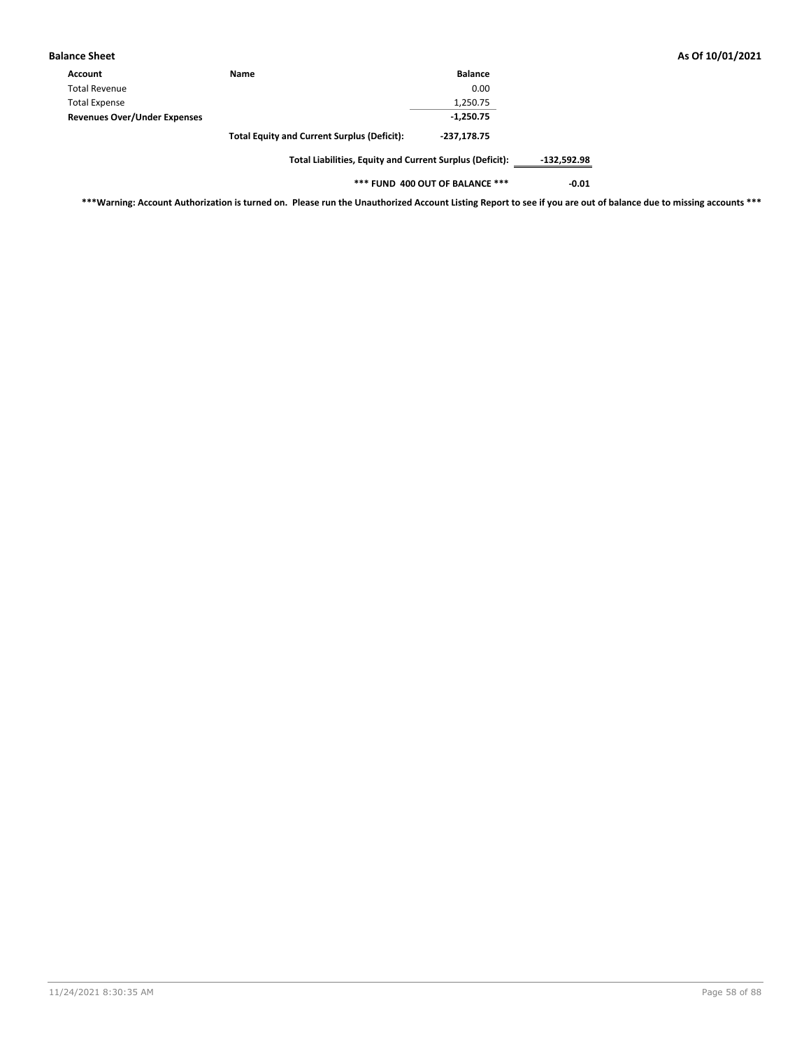| <b>Balance Sheet</b>                |                                                          |                |               |
|-------------------------------------|----------------------------------------------------------|----------------|---------------|
| Account                             | <b>Name</b>                                              | <b>Balance</b> |               |
| <b>Total Revenue</b>                |                                                          | 0.00           |               |
| <b>Total Expense</b>                |                                                          | 1,250.75       |               |
| <b>Revenues Over/Under Expenses</b> |                                                          | $-1,250.75$    |               |
|                                     | <b>Total Equity and Current Surplus (Deficit):</b>       | -237.178.75    |               |
|                                     | Total Liabilities, Equity and Current Surplus (Deficit): |                | $-132,592.98$ |

**\*\*\* FUND 400 OUT OF BALANCE \*\*\* -0.01**

**\*\*\*Warning: Account Authorization is turned on. Please run the Unauthorized Account Listing Report to see if you are out of balance due to missing accounts \*\*\***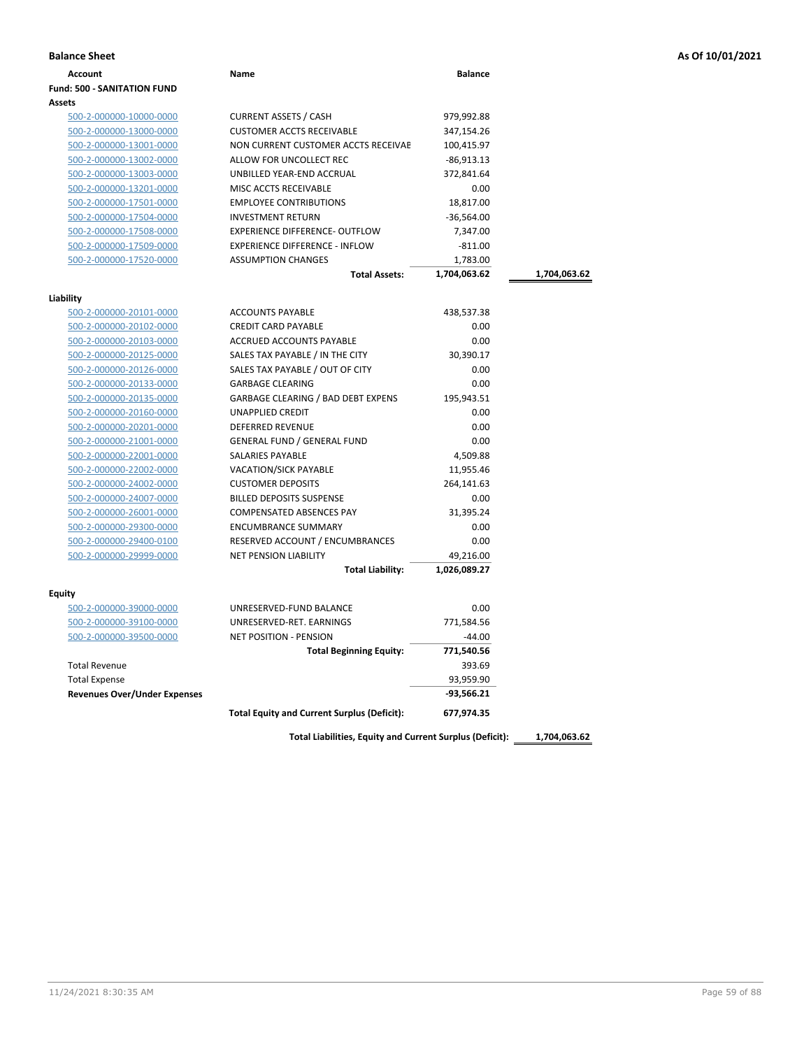| As Of 10/01/2021 |  |  |  |
|------------------|--|--|--|
|------------------|--|--|--|

| <b>Balance Sheet</b>                 |                                                    |                |              | As Of 10/01/2021 |
|--------------------------------------|----------------------------------------------------|----------------|--------------|------------------|
| <b>Account</b>                       | Name                                               | <b>Balance</b> |              |                  |
| <b>Fund: 500 - SANITATION FUND</b>   |                                                    |                |              |                  |
| <b>Assets</b>                        |                                                    |                |              |                  |
| 500-2-000000-10000-0000              | <b>CURRENT ASSETS / CASH</b>                       | 979,992.88     |              |                  |
| 500-2-000000-13000-0000              | <b>CUSTOMER ACCTS RECEIVABLE</b>                   | 347,154.26     |              |                  |
| 500-2-000000-13001-0000              | NON CURRENT CUSTOMER ACCTS RECEIVAE                | 100,415.97     |              |                  |
| 500-2-000000-13002-0000              | ALLOW FOR UNCOLLECT REC                            | $-86,913.13$   |              |                  |
| 500-2-000000-13003-0000              | UNBILLED YEAR-END ACCRUAL                          | 372,841.64     |              |                  |
| 500-2-000000-13201-0000              | MISC ACCTS RECEIVABLE                              | 0.00           |              |                  |
| 500-2-000000-17501-0000              | <b>EMPLOYEE CONTRIBUTIONS</b>                      | 18,817.00      |              |                  |
| 500-2-000000-17504-0000              | <b>INVESTMENT RETURN</b>                           | $-36,564.00$   |              |                  |
| 500-2-000000-17508-0000              | <b>EXPERIENCE DIFFERENCE- OUTFLOW</b>              | 7,347.00       |              |                  |
| 500-2-000000-17509-0000              | <b>EXPERIENCE DIFFERENCE - INFLOW</b>              | $-811.00$      |              |                  |
| 500-2-000000-17520-0000              | <b>ASSUMPTION CHANGES</b>                          | 1,783.00       |              |                  |
|                                      | <b>Total Assets:</b>                               | 1,704,063.62   | 1,704,063.62 |                  |
|                                      |                                                    |                |              |                  |
| Liability<br>500-2-000000-20101-0000 | <b>ACCOUNTS PAYABLE</b>                            | 438,537.38     |              |                  |
| 500-2-000000-20102-0000              | <b>CREDIT CARD PAYABLE</b>                         | 0.00           |              |                  |
| 500-2-000000-20103-0000              | ACCRUED ACCOUNTS PAYABLE                           | 0.00           |              |                  |
| 500-2-000000-20125-0000              | SALES TAX PAYABLE / IN THE CITY                    | 30,390.17      |              |                  |
| 500-2-000000-20126-0000              | SALES TAX PAYABLE / OUT OF CITY                    | 0.00           |              |                  |
| 500-2-000000-20133-0000              | <b>GARBAGE CLEARING</b>                            | 0.00           |              |                  |
| 500-2-000000-20135-0000              | <b>GARBAGE CLEARING / BAD DEBT EXPENS</b>          | 195,943.51     |              |                  |
| 500-2-000000-20160-0000              | UNAPPLIED CREDIT                                   | 0.00           |              |                  |
| 500-2-000000-20201-0000              | <b>DEFERRED REVENUE</b>                            | 0.00           |              |                  |
| 500-2-000000-21001-0000              | <b>GENERAL FUND / GENERAL FUND</b>                 | 0.00           |              |                  |
| 500-2-000000-22001-0000              | SALARIES PAYABLE                                   | 4,509.88       |              |                  |
| 500-2-000000-22002-0000              | VACATION/SICK PAYABLE                              | 11,955.46      |              |                  |
| 500-2-000000-24002-0000              | <b>CUSTOMER DEPOSITS</b>                           | 264,141.63     |              |                  |
| 500-2-000000-24007-0000              | <b>BILLED DEPOSITS SUSPENSE</b>                    | 0.00           |              |                  |
| 500-2-000000-26001-0000              | COMPENSATED ABSENCES PAY                           | 31,395.24      |              |                  |
| 500-2-000000-29300-0000              | <b>ENCUMBRANCE SUMMARY</b>                         | 0.00           |              |                  |
| 500-2-000000-29400-0100              | RESERVED ACCOUNT / ENCUMBRANCES                    | 0.00           |              |                  |
| 500-2-000000-29999-0000              | NET PENSION LIABILITY                              | 49,216.00      |              |                  |
|                                      | <b>Total Liability:</b>                            | 1,026,089.27   |              |                  |
|                                      |                                                    |                |              |                  |
| <b>Equity</b>                        |                                                    |                |              |                  |
| 500-2-000000-39000-0000              | UNRESERVED-FUND BALANCE                            | 0.00           |              |                  |
| 500-2-000000-39100-0000              | UNRESERVED-RET. EARNINGS                           | 771,584.56     |              |                  |
| 500-2-000000-39500-0000              | <b>NET POSITION - PENSION</b>                      | $-44.00$       |              |                  |
|                                      | <b>Total Beginning Equity:</b>                     | 771,540.56     |              |                  |
| <b>Total Revenue</b>                 |                                                    | 393.69         |              |                  |
| <b>Total Expense</b>                 |                                                    | 93,959.90      |              |                  |
| <b>Revenues Over/Under Expenses</b>  |                                                    | $-93,566.21$   |              |                  |
|                                      | <b>Total Equity and Current Surplus (Deficit):</b> | 677,974.35     |              |                  |
|                                      |                                                    |                |              |                  |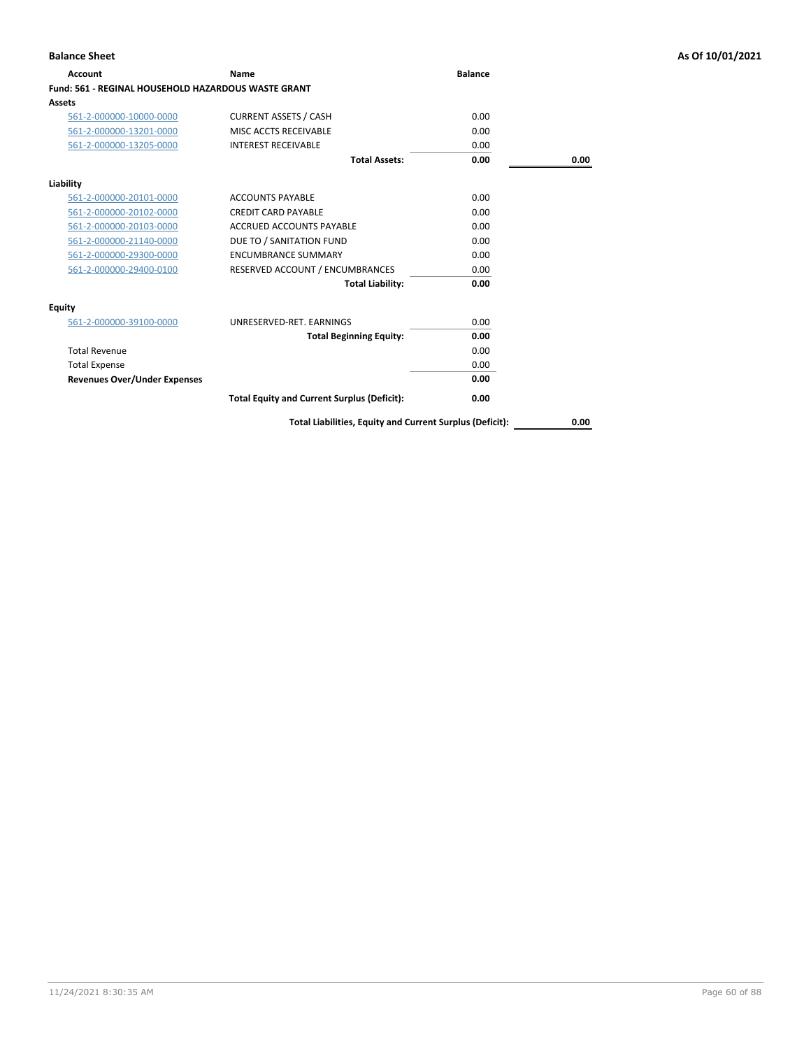| <b>Account</b>                                      | Name                                               | <b>Balance</b> |      |
|-----------------------------------------------------|----------------------------------------------------|----------------|------|
| Fund: 561 - REGINAL HOUSEHOLD HAZARDOUS WASTE GRANT |                                                    |                |      |
| Assets                                              |                                                    |                |      |
| 561-2-000000-10000-0000                             | <b>CURRENT ASSETS / CASH</b>                       | 0.00           |      |
| 561-2-000000-13201-0000                             | MISC ACCTS RECEIVABLE                              | 0.00           |      |
| 561-2-000000-13205-0000                             | <b>INTEREST RECEIVABLE</b>                         | 0.00           |      |
|                                                     | <b>Total Assets:</b>                               | 0.00           | 0.00 |
| Liability                                           |                                                    |                |      |
| 561-2-000000-20101-0000                             | <b>ACCOUNTS PAYABLE</b>                            | 0.00           |      |
| 561-2-000000-20102-0000                             | <b>CREDIT CARD PAYABLE</b>                         | 0.00           |      |
| 561-2-000000-20103-0000                             | ACCRUED ACCOUNTS PAYABLE                           | 0.00           |      |
| 561-2-000000-21140-0000                             | DUE TO / SANITATION FUND                           | 0.00           |      |
| 561-2-000000-29300-0000                             | <b>ENCUMBRANCE SUMMARY</b>                         | 0.00           |      |
| 561-2-000000-29400-0100                             | RESERVED ACCOUNT / ENCUMBRANCES                    | 0.00           |      |
|                                                     | <b>Total Liability:</b>                            | 0.00           |      |
| Equity                                              |                                                    |                |      |
| 561-2-000000-39100-0000                             | UNRESERVED-RET, EARNINGS                           | 0.00           |      |
|                                                     | <b>Total Beginning Equity:</b>                     | 0.00           |      |
| <b>Total Revenue</b>                                |                                                    | 0.00           |      |
| <b>Total Expense</b>                                |                                                    | 0.00           |      |
| <b>Revenues Over/Under Expenses</b>                 |                                                    | 0.00           |      |
|                                                     | <b>Total Equity and Current Surplus (Deficit):</b> | 0.00           |      |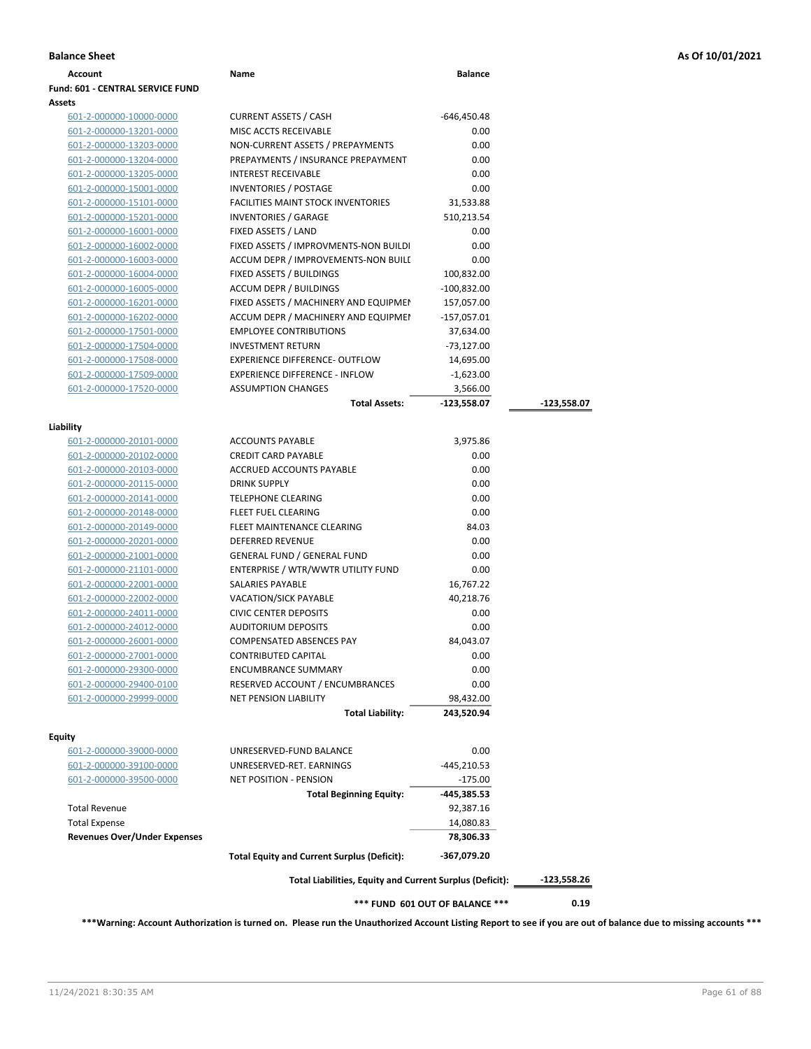| Account                                 | Name                                                     | <b>Balance</b>                  |             |
|-----------------------------------------|----------------------------------------------------------|---------------------------------|-------------|
| <b>Fund: 601 - CENTRAL SERVICE FUND</b> |                                                          |                                 |             |
| <b>Assets</b>                           |                                                          |                                 |             |
| 601-2-000000-10000-0000                 | <b>CURRENT ASSETS / CASH</b>                             | -646,450.48                     |             |
| 601-2-000000-13201-0000                 | MISC ACCTS RECEIVABLE                                    | 0.00                            |             |
| 601-2-000000-13203-0000                 | NON-CURRENT ASSETS / PREPAYMENTS                         | 0.00                            |             |
| 601-2-000000-13204-0000                 | PREPAYMENTS / INSURANCE PREPAYMENT                       | 0.00                            |             |
| 601-2-000000-13205-0000                 | <b>INTEREST RECEIVABLE</b>                               | 0.00                            |             |
| 601-2-000000-15001-0000                 | <b>INVENTORIES / POSTAGE</b>                             | 0.00                            |             |
| 601-2-000000-15101-0000                 | <b>FACILITIES MAINT STOCK INVENTORIES</b>                | 31,533.88                       |             |
| 601-2-000000-15201-0000                 | <b>INVENTORIES / GARAGE</b>                              | 510,213.54                      |             |
| 601-2-000000-16001-0000                 | FIXED ASSETS / LAND                                      | 0.00                            |             |
| 601-2-000000-16002-0000                 | FIXED ASSETS / IMPROVMENTS-NON BUILDI                    | 0.00                            |             |
| 601-2-000000-16003-0000                 | ACCUM DEPR / IMPROVEMENTS-NON BUILI                      | 0.00                            |             |
| 601-2-000000-16004-0000                 | FIXED ASSETS / BUILDINGS                                 | 100,832.00                      |             |
| 601-2-000000-16005-0000                 | <b>ACCUM DEPR / BUILDINGS</b>                            | $-100,832.00$                   |             |
| 601-2-000000-16201-0000                 | FIXED ASSETS / MACHINERY AND EQUIPMEN                    | 157,057.00                      |             |
| 601-2-000000-16202-0000                 | ACCUM DEPR / MACHINERY AND EQUIPMEI                      | $-157,057.01$                   |             |
| 601-2-000000-17501-0000                 | <b>EMPLOYEE CONTRIBUTIONS</b>                            | 37,634.00                       |             |
| 601-2-000000-17504-0000                 | <b>INVESTMENT RETURN</b>                                 | $-73,127.00$                    |             |
| 601-2-000000-17508-0000                 | EXPERIENCE DIFFERENCE- OUTFLOW                           | 14,695.00                       |             |
| 601-2-000000-17509-0000                 | <b>EXPERIENCE DIFFERENCE - INFLOW</b>                    | $-1,623.00$                     |             |
| 601-2-000000-17520-0000                 | <b>ASSUMPTION CHANGES</b>                                | 3,566.00                        |             |
|                                         | <b>Total Assets:</b>                                     | -123,558.07                     | -123,558.07 |
|                                         |                                                          |                                 |             |
| Liability                               |                                                          |                                 |             |
| 601-2-000000-20101-0000                 | <b>ACCOUNTS PAYABLE</b>                                  | 3,975.86                        |             |
| 601-2-000000-20102-0000                 | <b>CREDIT CARD PAYABLE</b>                               | 0.00                            |             |
| 601-2-000000-20103-0000                 | ACCRUED ACCOUNTS PAYABLE                                 | 0.00                            |             |
| 601-2-000000-20115-0000                 | <b>DRINK SUPPLY</b>                                      | 0.00                            |             |
| 601-2-000000-20141-0000                 | <b>TELEPHONE CLEARING</b>                                | 0.00                            |             |
| 601-2-000000-20148-0000                 | FLEET FUEL CLEARING                                      | 0.00                            |             |
| 601-2-000000-20149-0000                 | FLEET MAINTENANCE CLEARING                               | 84.03                           |             |
| 601-2-000000-20201-0000                 | <b>DEFERRED REVENUE</b>                                  | 0.00                            |             |
| 601-2-000000-21001-0000                 | <b>GENERAL FUND / GENERAL FUND</b>                       | 0.00                            |             |
| 601-2-000000-21101-0000                 | ENTERPRISE / WTR/WWTR UTILITY FUND                       | 0.00                            |             |
| 601-2-000000-22001-0000                 | SALARIES PAYABLE                                         | 16,767.22                       |             |
| 601-2-000000-22002-0000                 | <b>VACATION/SICK PAYABLE</b>                             | 40,218.76                       |             |
| 601-2-000000-24011-0000                 | <b>CIVIC CENTER DEPOSITS</b>                             | 0.00                            |             |
| 601-2-000000-24012-0000                 | <b>AUDITORIUM DEPOSITS</b>                               | 0.00                            |             |
| 601-2-000000-26001-0000                 | <b>COMPENSATED ABSENCES PAY</b>                          | 84,043.07                       |             |
| 601-2-000000-27001-0000                 | <b>CONTRIBUTED CAPITAL</b>                               | 0.00                            |             |
| 601-2-000000-29300-0000                 | <b>ENCUMBRANCE SUMMARY</b>                               | 0.00                            |             |
| 601-2-000000-29400-0100                 | RESERVED ACCOUNT / ENCUMBRANCES                          | 0.00                            |             |
| 601-2-000000-29999-0000                 | <b>NET PENSION LIABILITY</b>                             | 98,432.00                       |             |
|                                         | <b>Total Liability:</b>                                  | 243,520.94                      |             |
|                                         |                                                          |                                 |             |
| <b>Equity</b>                           |                                                          |                                 |             |
| 601-2-000000-39000-0000                 | UNRESERVED-FUND BALANCE                                  | 0.00                            |             |
| 601-2-000000-39100-0000                 | UNRESERVED-RET. EARNINGS                                 | $-445,210.53$                   |             |
| 601-2-000000-39500-0000                 | <b>NET POSITION - PENSION</b>                            | $-175.00$                       |             |
|                                         | <b>Total Beginning Equity:</b>                           | -445,385.53                     |             |
| <b>Total Revenue</b>                    |                                                          | 92,387.16                       |             |
| <b>Total Expense</b>                    |                                                          | 14,080.83                       |             |
| <b>Revenues Over/Under Expenses</b>     |                                                          | 78,306.33                       |             |
|                                         | <b>Total Equity and Current Surplus (Deficit):</b>       | -367,079.20                     |             |
|                                         | Total Liabilities, Equity and Current Surplus (Deficit): |                                 | -123,558.26 |
|                                         |                                                          | *** FUND 601 OUT OF BALANCE *** | 0.19        |

**\*\*\*Warning: Account Authorization is turned on. Please run the Unauthorized Account Listing Report to see if you are out of balance due to missing accounts \*\*\***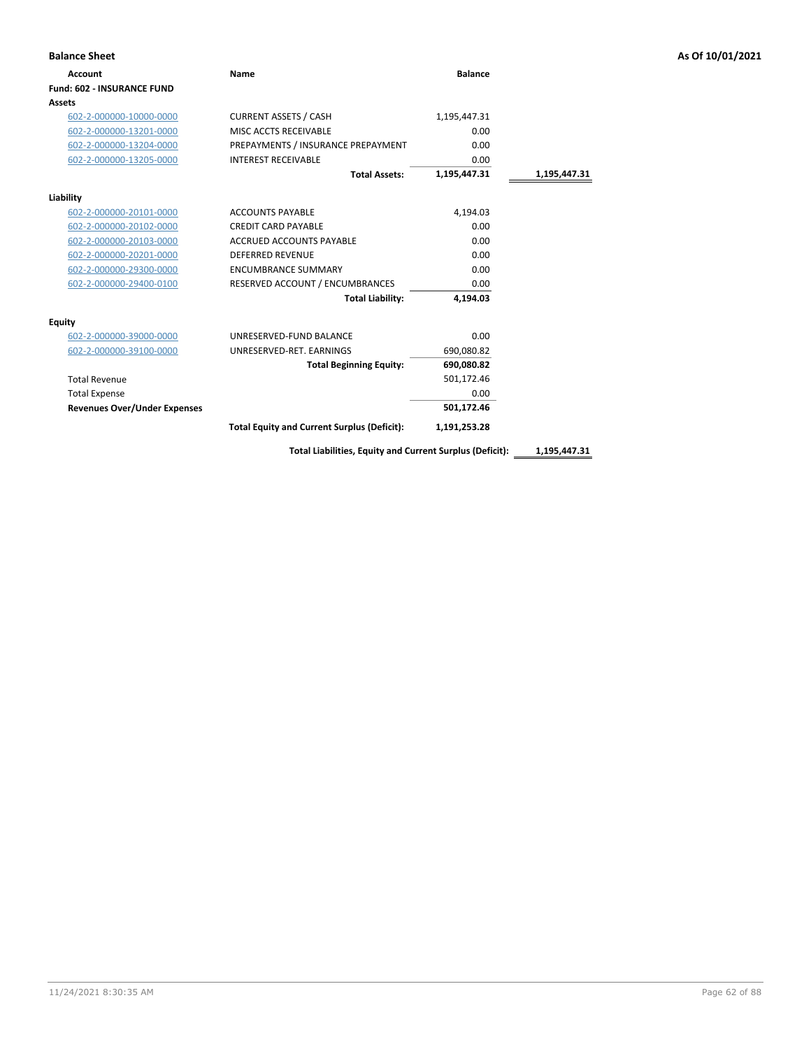| <b>Balance Sheet</b>                |                                                    |                |              | As Of 10/01/2021 |
|-------------------------------------|----------------------------------------------------|----------------|--------------|------------------|
| Account                             | Name                                               | <b>Balance</b> |              |                  |
| <b>Fund: 602 - INSURANCE FUND</b>   |                                                    |                |              |                  |
| Assets                              |                                                    |                |              |                  |
| 602-2-000000-10000-0000             | <b>CURRENT ASSETS / CASH</b>                       | 1,195,447.31   |              |                  |
| 602-2-000000-13201-0000             | MISC ACCTS RECEIVABLE                              | 0.00           |              |                  |
| 602-2-000000-13204-0000             | PREPAYMENTS / INSURANCE PREPAYMENT                 | 0.00           |              |                  |
| 602-2-000000-13205-0000             | <b>INTEREST RECEIVABLE</b>                         | 0.00           |              |                  |
|                                     | <b>Total Assets:</b>                               | 1,195,447.31   | 1,195,447.31 |                  |
| Liability                           |                                                    |                |              |                  |
| 602-2-000000-20101-0000             | <b>ACCOUNTS PAYABLE</b>                            | 4,194.03       |              |                  |
| 602-2-000000-20102-0000             | <b>CREDIT CARD PAYABLE</b>                         | 0.00           |              |                  |
| 602-2-000000-20103-0000             | <b>ACCRUED ACCOUNTS PAYABLE</b>                    | 0.00           |              |                  |
| 602-2-000000-20201-0000             | <b>DEFERRED REVENUE</b>                            | 0.00           |              |                  |
| 602-2-000000-29300-0000             | <b>ENCUMBRANCE SUMMARY</b>                         | 0.00           |              |                  |
| 602-2-000000-29400-0100             | RESERVED ACCOUNT / ENCUMBRANCES                    | 0.00           |              |                  |
|                                     | <b>Total Liability:</b>                            | 4,194.03       |              |                  |
| <b>Equity</b>                       |                                                    |                |              |                  |
| 602-2-000000-39000-0000             | UNRESERVED-FUND BALANCE                            | 0.00           |              |                  |
| 602-2-000000-39100-0000             | UNRESERVED-RET. EARNINGS                           | 690,080.82     |              |                  |
|                                     | <b>Total Beginning Equity:</b>                     | 690,080.82     |              |                  |
| <b>Total Revenue</b>                |                                                    | 501,172.46     |              |                  |
| <b>Total Expense</b>                |                                                    | 0.00           |              |                  |
| <b>Revenues Over/Under Expenses</b> |                                                    | 501,172.46     |              |                  |
|                                     | <b>Total Equity and Current Surplus (Deficit):</b> | 1,191,253.28   |              |                  |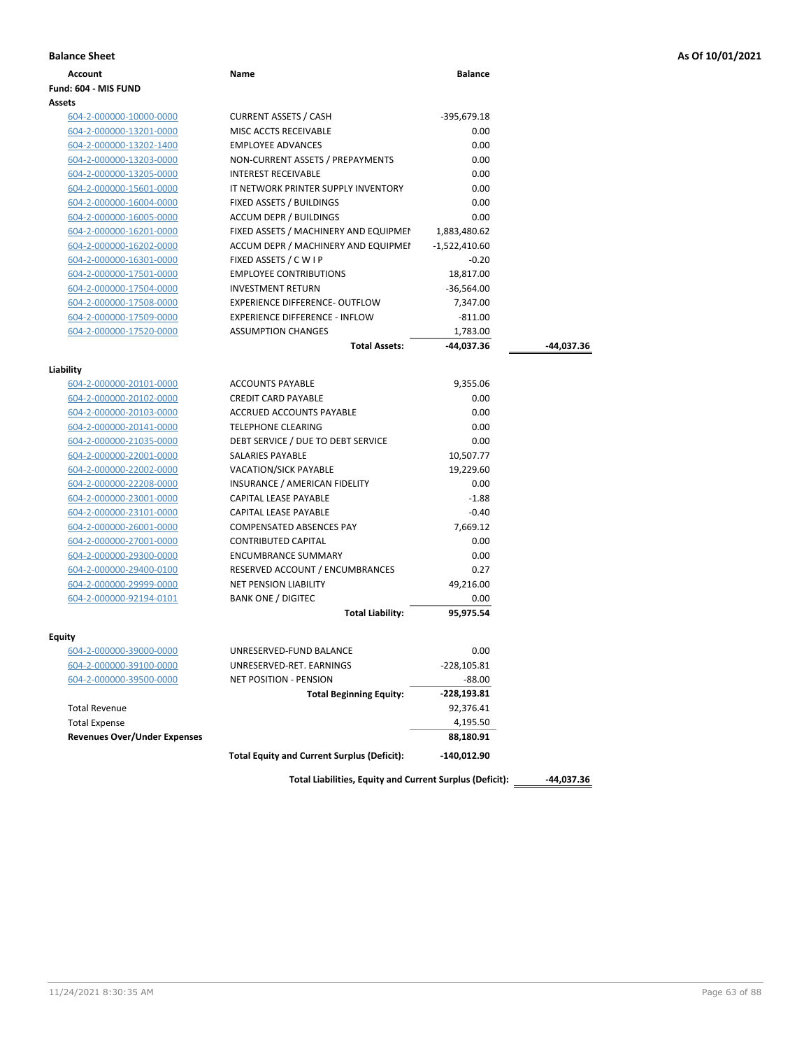|  |  |  | As Of 10/01/2021 |  |  |
|--|--|--|------------------|--|--|
|--|--|--|------------------|--|--|

| <b>Balance Sheet</b>                |                                                          |                 |            | As Of 10/01/2021 |
|-------------------------------------|----------------------------------------------------------|-----------------|------------|------------------|
| <b>Account</b>                      | Name                                                     | <b>Balance</b>  |            |                  |
| Fund: 604 - MIS FUND                |                                                          |                 |            |                  |
| Assets                              |                                                          |                 |            |                  |
| 604-2-000000-10000-0000             | <b>CURRENT ASSETS / CASH</b>                             | -395,679.18     |            |                  |
| 604-2-000000-13201-0000             | MISC ACCTS RECEIVABLE                                    | 0.00            |            |                  |
| 604-2-000000-13202-1400             | <b>EMPLOYEE ADVANCES</b>                                 | 0.00            |            |                  |
| 604-2-000000-13203-0000             | NON-CURRENT ASSETS / PREPAYMENTS                         | 0.00            |            |                  |
| 604-2-000000-13205-0000             | <b>INTEREST RECEIVABLE</b>                               | 0.00            |            |                  |
| 604-2-000000-15601-0000             | IT NETWORK PRINTER SUPPLY INVENTORY                      | 0.00            |            |                  |
| 604-2-000000-16004-0000             | FIXED ASSETS / BUILDINGS                                 | 0.00            |            |                  |
| 604-2-000000-16005-0000             | <b>ACCUM DEPR / BUILDINGS</b>                            | 0.00            |            |                  |
| 604-2-000000-16201-0000             | FIXED ASSETS / MACHINERY AND EQUIPMEN                    | 1,883,480.62    |            |                  |
| 604-2-000000-16202-0000             | ACCUM DEPR / MACHINERY AND EQUIPMEI                      | $-1,522,410.60$ |            |                  |
| 604-2-000000-16301-0000             | FIXED ASSETS / C W I P                                   | $-0.20$         |            |                  |
| 604-2-000000-17501-0000             | <b>EMPLOYEE CONTRIBUTIONS</b>                            | 18,817.00       |            |                  |
| 604-2-000000-17504-0000             | <b>INVESTMENT RETURN</b>                                 | $-36,564.00$    |            |                  |
| 604-2-000000-17508-0000             | EXPERIENCE DIFFERENCE- OUTFLOW                           | 7,347.00        |            |                  |
| 604-2-000000-17509-0000             | <b>EXPERIENCE DIFFERENCE - INFLOW</b>                    | $-811.00$       |            |                  |
| 604-2-000000-17520-0000             | <b>ASSUMPTION CHANGES</b>                                | 1,783.00        |            |                  |
|                                     | <b>Total Assets:</b>                                     | -44,037.36      | -44,037.36 |                  |
| Liability                           |                                                          |                 |            |                  |
| 604-2-000000-20101-0000             | <b>ACCOUNTS PAYABLE</b>                                  | 9,355.06        |            |                  |
| 604-2-000000-20102-0000             | <b>CREDIT CARD PAYABLE</b>                               | 0.00            |            |                  |
| 604-2-000000-20103-0000             | <b>ACCRUED ACCOUNTS PAYABLE</b>                          | 0.00            |            |                  |
| 604-2-000000-20141-0000             | <b>TELEPHONE CLEARING</b>                                | 0.00            |            |                  |
| 604-2-000000-21035-0000             | DEBT SERVICE / DUE TO DEBT SERVICE                       | 0.00            |            |                  |
| 604-2-000000-22001-0000             | SALARIES PAYABLE                                         | 10,507.77       |            |                  |
| 604-2-000000-22002-0000             | VACATION/SICK PAYABLE                                    | 19,229.60       |            |                  |
| 604-2-000000-22208-0000             | INSURANCE / AMERICAN FIDELITY                            | 0.00            |            |                  |
| 604-2-000000-23001-0000             | CAPITAL LEASE PAYABLE                                    | $-1.88$         |            |                  |
| 604-2-000000-23101-0000             | CAPITAL LEASE PAYABLE                                    | $-0.40$         |            |                  |
| 604-2-000000-26001-0000             | COMPENSATED ABSENCES PAY                                 | 7,669.12        |            |                  |
| 604-2-000000-27001-0000             | <b>CONTRIBUTED CAPITAL</b>                               | 0.00            |            |                  |
| 604-2-000000-29300-0000             | <b>ENCUMBRANCE SUMMARY</b>                               | 0.00            |            |                  |
| 604-2-000000-29400-0100             | RESERVED ACCOUNT / ENCUMBRANCES                          | 0.27            |            |                  |
| 604-2-000000-29999-0000             | <b>NET PENSION LIABILITY</b>                             | 49,216.00       |            |                  |
| 604-2-000000-92194-0101             | <b>BANK ONE / DIGITEC</b>                                | 0.00            |            |                  |
|                                     | <b>Total Liability:</b>                                  | 95,975.54       |            |                  |
|                                     |                                                          |                 |            |                  |
| Equity                              |                                                          |                 |            |                  |
| 604-2-000000-39000-0000             | UNRESERVED-FUND BALANCE                                  | 0.00            |            |                  |
| 604-2-000000-39100-0000             | UNRESERVED-RET. EARNINGS                                 | $-228,105.81$   |            |                  |
| 604-2-000000-39500-0000             | <b>NET POSITION - PENSION</b>                            | $-88.00$        |            |                  |
|                                     | <b>Total Beginning Equity:</b>                           | -228,193.81     |            |                  |
| <b>Total Revenue</b>                |                                                          | 92,376.41       |            |                  |
| <b>Total Expense</b>                |                                                          | 4,195.50        |            |                  |
| <b>Revenues Over/Under Expenses</b> |                                                          | 88,180.91       |            |                  |
|                                     | <b>Total Equity and Current Surplus (Deficit):</b>       | -140,012.90     |            |                  |
|                                     |                                                          |                 |            |                  |
|                                     | Total Liabilities, Equity and Current Surplus (Deficit): |                 | -44,037.36 |                  |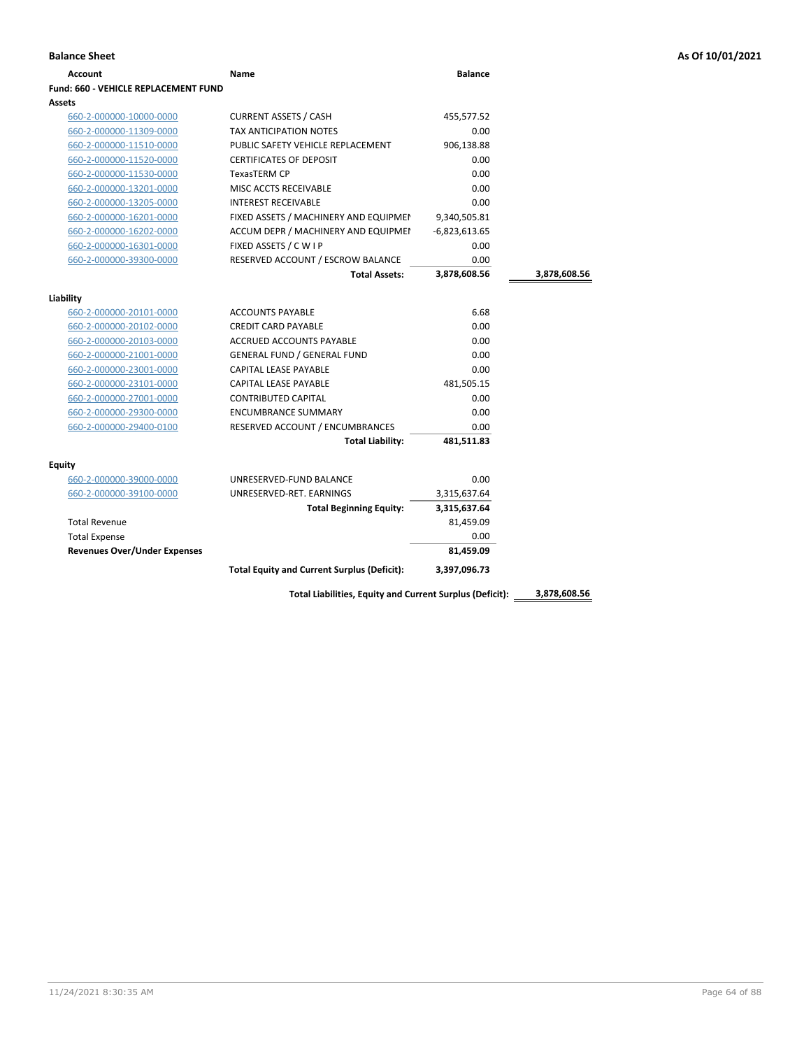| Account                              | Name                                  | <b>Balance</b>  |              |
|--------------------------------------|---------------------------------------|-----------------|--------------|
| Fund: 660 - VEHICLE REPLACEMENT FUND |                                       |                 |              |
| Assets                               |                                       |                 |              |
| 660-2-000000-10000-0000              | <b>CURRENT ASSETS / CASH</b>          | 455,577.52      |              |
| 660-2-000000-11309-0000              | <b>TAX ANTICIPATION NOTES</b>         | 0.00            |              |
| 660-2-000000-11510-0000              | PUBLIC SAFETY VEHICLE REPLACEMENT     | 906,138.88      |              |
| 660-2-000000-11520-0000              | <b>CERTIFICATES OF DEPOSIT</b>        | 0.00            |              |
| 660-2-000000-11530-0000              | <b>TexasTERM CP</b>                   | 0.00            |              |
| 660-2-000000-13201-0000              | MISC ACCTS RECEIVABLE                 | 0.00            |              |
| 660-2-000000-13205-0000              | <b>INTEREST RECEIVABLE</b>            | 0.00            |              |
| 660-2-000000-16201-0000              | FIXED ASSETS / MACHINERY AND EQUIPMEN | 9,340,505.81    |              |
| 660-2-000000-16202-0000              | ACCUM DEPR / MACHINERY AND EQUIPMEI   | $-6,823,613.65$ |              |
| 660-2-000000-16301-0000              | FIXED ASSETS / C W I P                | 0.00            |              |
| 660-2-000000-39300-0000              | RESERVED ACCOUNT / ESCROW BALANCE     | 0.00            |              |
|                                      | <b>Total Assets:</b>                  | 3,878,608.56    | 3,878,608.56 |
|                                      |                                       |                 |              |
| Liability                            |                                       |                 |              |
| 660-2-000000-20101-0000              | <b>ACCOUNTS PAYABLE</b>               | 6.68            |              |
| 660-2-000000-20102-0000              | <b>CREDIT CARD PAYABLE</b>            | 0.00            |              |
| 660-2-000000-20103-0000              | ACCRUED ACCOUNTS PAYABLE              | 0.00            |              |
| 660-2-000000-21001-0000              | <b>GENERAL FUND / GENERAL FUND</b>    | 0.00            |              |
| 660-2-000000-23001-0000              | <b>CAPITAL LEASE PAYABLE</b>          | 0.00            |              |
| 660-2-000000-23101-0000              | <b>CAPITAL LEASE PAYABLE</b>          | 481,505.15      |              |
| 660-2-000000-27001-0000              | <b>CONTRIBUTED CAPITAL</b>            | 0.00            |              |
| 660-2-000000-29300-0000              | <b>ENCUMBRANCE SUMMARY</b>            | 0.00            |              |
| 660-2-000000-29400-0100              | RESERVED ACCOUNT / ENCUMBRANCES       | 0.00            |              |
|                                      | <b>Total Liability:</b>               | 481,511.83      |              |
| Equity                               |                                       |                 |              |
| 660-2-000000-39000-0000              | UNRESERVED-FUND BALANCE               | 0.00            |              |
| 660-2-000000-39100-0000              | UNRESERVED-RET. EARNINGS              | 3,315,637.64    |              |
|                                      | <b>Total Beginning Equity:</b>        | 3,315,637.64    |              |
| <b>Total Revenue</b>                 |                                       | 81,459.09       |              |
| <b>Total Expense</b>                 |                                       | 0.00            |              |
| <b>Revenues Over/Under Expenses</b>  |                                       | 81,459.09       |              |
|                                      |                                       |                 |              |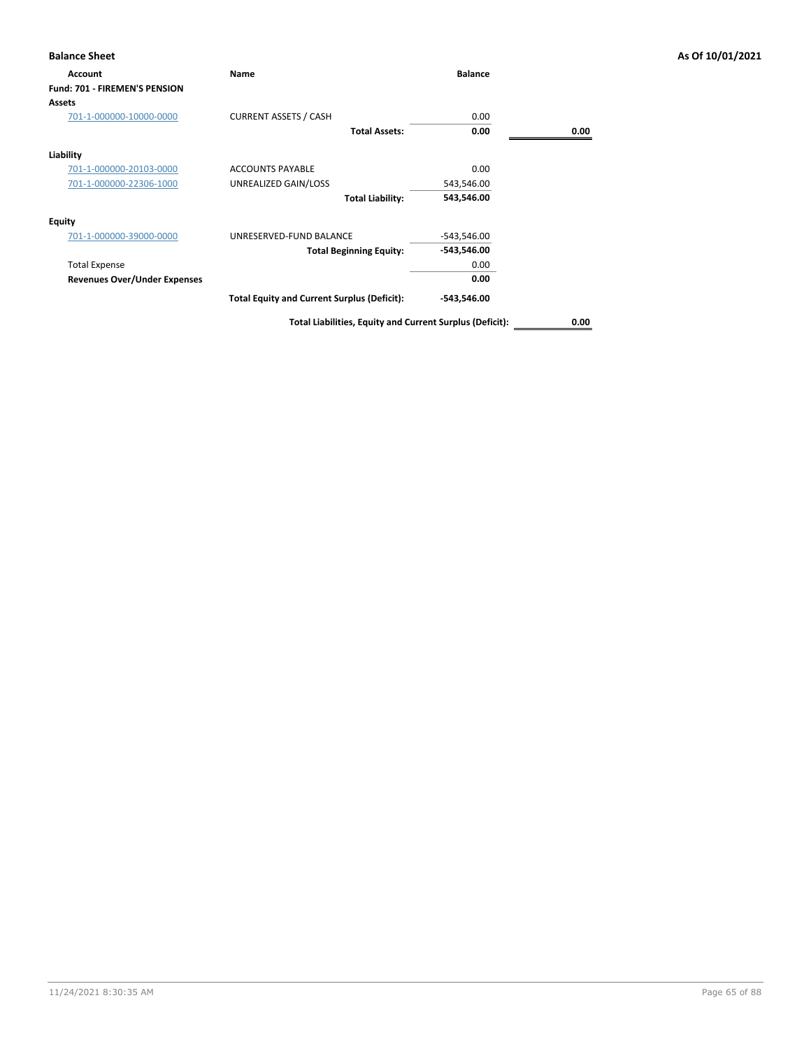| <b>Balance Sheet</b>                 |                                                    |                |      | As Of 10/01/2021 |
|--------------------------------------|----------------------------------------------------|----------------|------|------------------|
| Account                              | Name                                               | <b>Balance</b> |      |                  |
| <b>Fund: 701 - FIREMEN'S PENSION</b> |                                                    |                |      |                  |
| <b>Assets</b>                        |                                                    |                |      |                  |
| 701-1-000000-10000-0000              | <b>CURRENT ASSETS / CASH</b>                       | 0.00           |      |                  |
|                                      | <b>Total Assets:</b>                               | 0.00           | 0.00 |                  |
| Liability                            |                                                    |                |      |                  |
| 701-1-000000-20103-0000              | <b>ACCOUNTS PAYABLE</b>                            | 0.00           |      |                  |
| 701-1-000000-22306-1000              | UNREALIZED GAIN/LOSS                               | 543,546.00     |      |                  |
|                                      | <b>Total Liability:</b>                            | 543,546.00     |      |                  |
| <b>Equity</b>                        |                                                    |                |      |                  |
| 701-1-000000-39000-0000              | UNRESERVED-FUND BALANCE                            | $-543,546.00$  |      |                  |
|                                      | <b>Total Beginning Equity:</b>                     | -543,546.00    |      |                  |
| <b>Total Expense</b>                 |                                                    | 0.00           |      |                  |
| <b>Revenues Over/Under Expenses</b>  |                                                    | 0.00           |      |                  |
|                                      | <b>Total Equity and Current Surplus (Deficit):</b> | $-543,546.00$  |      |                  |
|                                      |                                                    |                |      |                  |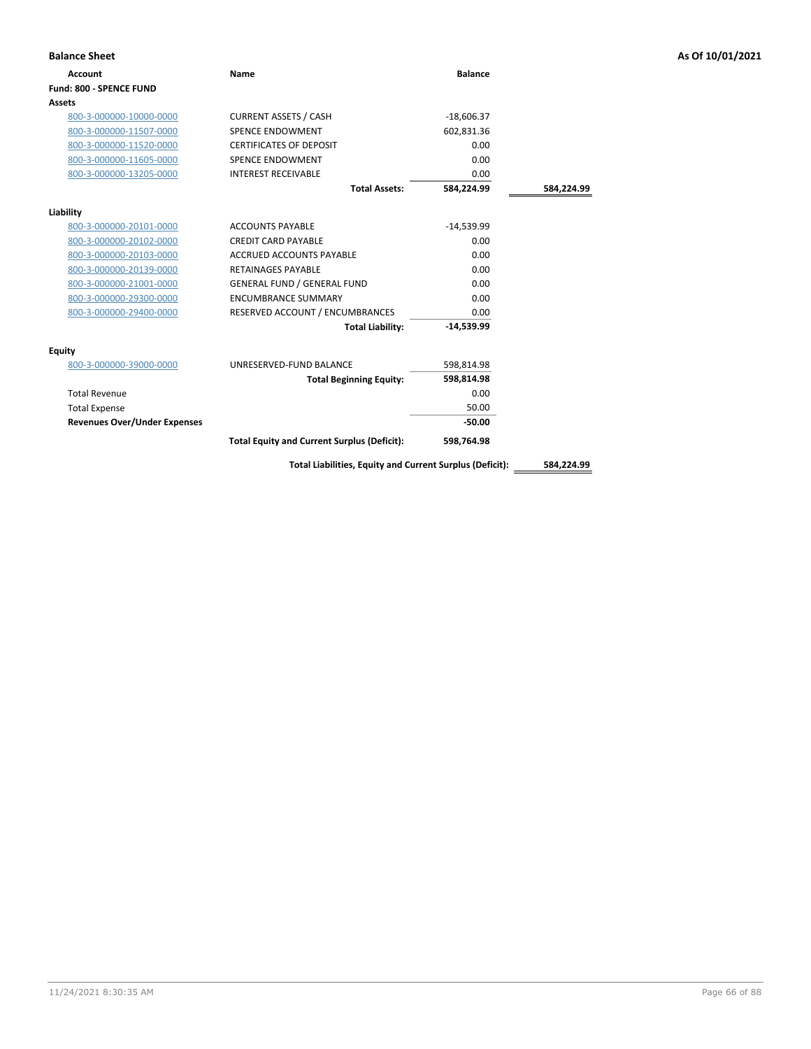| <b>Balance Sheet</b>                |                                                          |                |            | As Of 10/01/2021 |
|-------------------------------------|----------------------------------------------------------|----------------|------------|------------------|
| <b>Account</b>                      | Name                                                     | <b>Balance</b> |            |                  |
| Fund: 800 - SPENCE FUND             |                                                          |                |            |                  |
| Assets                              |                                                          |                |            |                  |
| 800-3-000000-10000-0000             | <b>CURRENT ASSETS / CASH</b>                             | $-18,606.37$   |            |                  |
| 800-3-000000-11507-0000             | <b>SPENCE ENDOWMENT</b>                                  | 602,831.36     |            |                  |
| 800-3-000000-11520-0000             | <b>CERTIFICATES OF DEPOSIT</b>                           | 0.00           |            |                  |
| 800-3-000000-11605-0000             | SPENCE ENDOWMENT                                         | 0.00           |            |                  |
| 800-3-000000-13205-0000             | <b>INTEREST RECEIVABLE</b>                               | 0.00           |            |                  |
|                                     | <b>Total Assets:</b>                                     | 584,224.99     | 584,224.99 |                  |
| Liability                           |                                                          |                |            |                  |
| 800-3-000000-20101-0000             | <b>ACCOUNTS PAYABLE</b>                                  | $-14,539.99$   |            |                  |
| 800-3-000000-20102-0000             | <b>CREDIT CARD PAYABLE</b>                               | 0.00           |            |                  |
| 800-3-000000-20103-0000             | <b>ACCRUED ACCOUNTS PAYABLE</b>                          | 0.00           |            |                  |
| 800-3-000000-20139-0000             | <b>RETAINAGES PAYABLE</b>                                | 0.00           |            |                  |
| 800-3-000000-21001-0000             | <b>GENERAL FUND / GENERAL FUND</b>                       | 0.00           |            |                  |
| 800-3-000000-29300-0000             | <b>ENCUMBRANCE SUMMARY</b>                               | 0.00           |            |                  |
| 800-3-000000-29400-0000             | RESERVED ACCOUNT / ENCUMBRANCES                          | 0.00           |            |                  |
|                                     | <b>Total Liability:</b>                                  | $-14,539.99$   |            |                  |
| <b>Equity</b>                       |                                                          |                |            |                  |
| 800-3-000000-39000-0000             | UNRESERVED-FUND BALANCE                                  | 598,814.98     |            |                  |
|                                     | <b>Total Beginning Equity:</b>                           | 598,814.98     |            |                  |
| <b>Total Revenue</b>                |                                                          | 0.00           |            |                  |
| <b>Total Expense</b>                |                                                          | 50.00          |            |                  |
| <b>Revenues Over/Under Expenses</b> |                                                          | $-50.00$       |            |                  |
|                                     | <b>Total Equity and Current Surplus (Deficit):</b>       | 598,764.98     |            |                  |
|                                     | Total Liabilities, Equity and Current Surplus (Deficit): |                | 584,224.99 |                  |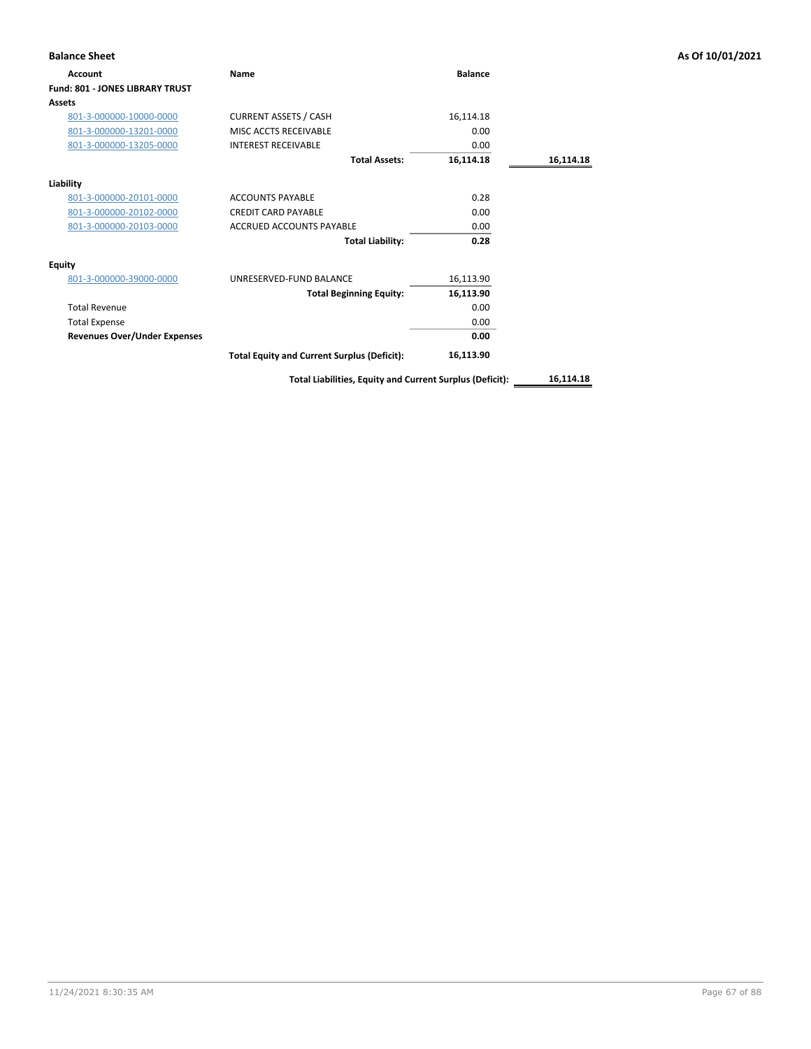| <b>Balance Sheet</b>                   |                                                          |                |           | As Of 10/01/2021 |
|----------------------------------------|----------------------------------------------------------|----------------|-----------|------------------|
| <b>Account</b>                         | Name                                                     | <b>Balance</b> |           |                  |
| <b>Fund: 801 - JONES LIBRARY TRUST</b> |                                                          |                |           |                  |
| <b>Assets</b>                          |                                                          |                |           |                  |
| 801-3-000000-10000-0000                | <b>CURRENT ASSETS / CASH</b>                             | 16,114.18      |           |                  |
| 801-3-000000-13201-0000                | MISC ACCTS RECEIVABLE                                    | 0.00           |           |                  |
| 801-3-000000-13205-0000                | <b>INTEREST RECEIVABLE</b>                               | 0.00           |           |                  |
|                                        | <b>Total Assets:</b>                                     | 16,114.18      | 16,114.18 |                  |
| Liability                              |                                                          |                |           |                  |
| 801-3-000000-20101-0000                | <b>ACCOUNTS PAYABLE</b>                                  | 0.28           |           |                  |
| 801-3-000000-20102-0000                | <b>CREDIT CARD PAYABLE</b>                               | 0.00           |           |                  |
| 801-3-000000-20103-0000                | <b>ACCRUED ACCOUNTS PAYABLE</b>                          | 0.00           |           |                  |
|                                        | <b>Total Liability:</b>                                  | 0.28           |           |                  |
| <b>Equity</b>                          |                                                          |                |           |                  |
| 801-3-000000-39000-0000                | UNRESERVED-FUND BALANCE                                  | 16,113.90      |           |                  |
|                                        | <b>Total Beginning Equity:</b>                           | 16,113.90      |           |                  |
| <b>Total Revenue</b>                   |                                                          | 0.00           |           |                  |
| <b>Total Expense</b>                   |                                                          | 0.00           |           |                  |
| <b>Revenues Over/Under Expenses</b>    |                                                          | 0.00           |           |                  |
|                                        | <b>Total Equity and Current Surplus (Deficit):</b>       | 16,113.90      |           |                  |
|                                        | Total Liabilities, Equity and Current Surplus (Deficit): |                | 16,114.18 |                  |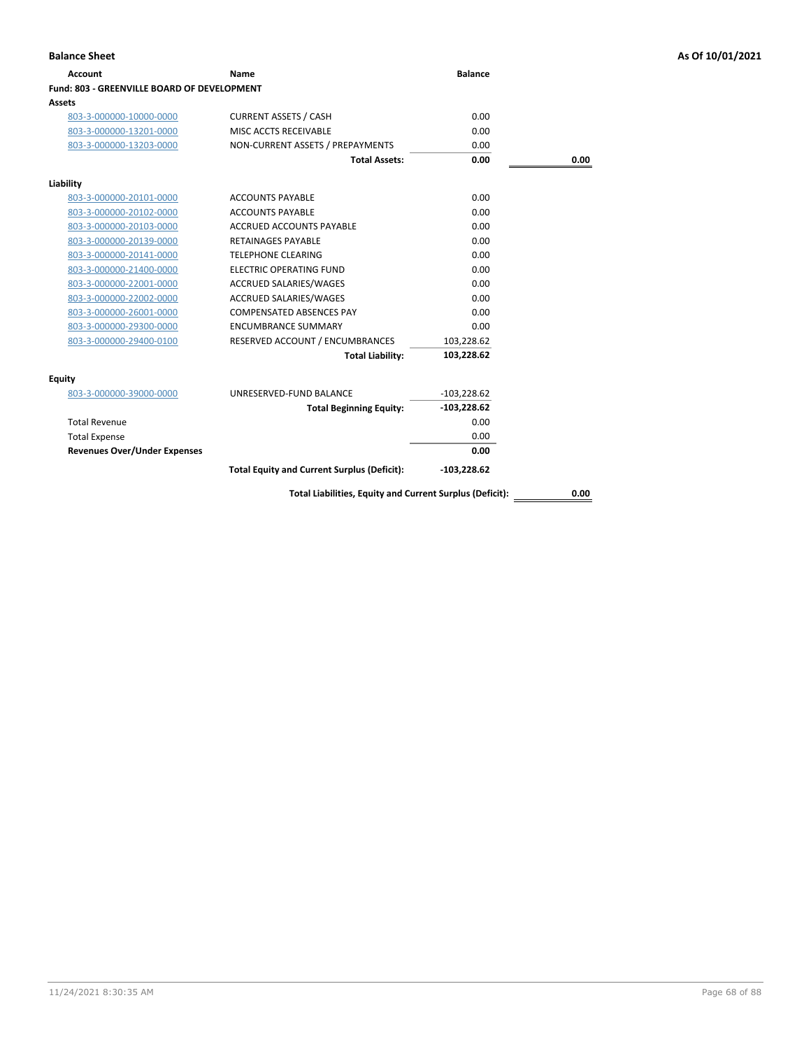**Assets**

**Fund: 803 - GREENVILLE BOARD OF DEVELOPMENT**

| <b>Account</b>                           | Name                             | <b>Balance</b> |      |  |
|------------------------------------------|----------------------------------|----------------|------|--|
| d: 803 - GREENVILLE BOARD OF DEVELOPMENT |                                  |                |      |  |
| ets                                      |                                  |                |      |  |
| 803-3-000000-10000-0000                  | <b>CURRENT ASSETS / CASH</b>     | 0.00           |      |  |
| 803-3-000000-13201-0000                  | MISC ACCTS RECEIVABLE            | 0.00           |      |  |
| 803-3-000000-13203-0000                  | NON-CURRENT ASSETS / PREPAYMENTS | 0.00           |      |  |
|                                          | <b>Total Assets:</b>             | 0.00           | 0.00 |  |
| ility                                    |                                  |                |      |  |

|                                     | <b>Total Assets:</b>                               | 0.00          | 0.00 |
|-------------------------------------|----------------------------------------------------|---------------|------|
| Liability                           |                                                    |               |      |
| 803-3-000000-20101-0000             | <b>ACCOUNTS PAYABLE</b>                            | 0.00          |      |
| 803-3-000000-20102-0000             | <b>ACCOUNTS PAYABLE</b>                            | 0.00          |      |
| 803-3-000000-20103-0000             | ACCRUED ACCOUNTS PAYABLE                           | 0.00          |      |
| 803-3-000000-20139-0000             | <b>RETAINAGES PAYABLE</b>                          | 0.00          |      |
| 803-3-000000-20141-0000             | <b>TELEPHONE CLEARING</b>                          | 0.00          |      |
| 803-3-000000-21400-0000             | ELECTRIC OPERATING FUND                            | 0.00          |      |
| 803-3-000000-22001-0000             | ACCRUED SALARIES/WAGES                             | 0.00          |      |
| 803-3-000000-22002-0000             | ACCRUED SALARIES/WAGES                             | 0.00          |      |
| 803-3-000000-26001-0000             | <b>COMPENSATED ABSENCES PAY</b>                    | 0.00          |      |
| 803-3-000000-29300-0000             | <b>ENCUMBRANCE SUMMARY</b>                         | 0.00          |      |
| 803-3-000000-29400-0100             | RESERVED ACCOUNT / ENCUMBRANCES                    | 103,228.62    |      |
|                                     | <b>Total Liability:</b>                            | 103,228.62    |      |
| Equity                              |                                                    |               |      |
| 803-3-000000-39000-0000             | UNRESERVED-FUND BALANCE                            | $-103,228.62$ |      |
|                                     | <b>Total Beginning Equity:</b>                     | $-103,228.62$ |      |
| <b>Total Revenue</b>                |                                                    | 0.00          |      |
| <b>Total Expense</b>                |                                                    | 0.00          |      |
| <b>Revenues Over/Under Expenses</b> |                                                    | 0.00          |      |
|                                     | <b>Total Equity and Current Surplus (Deficit):</b> | $-103,228.62$ |      |
|                                     |                                                    |               |      |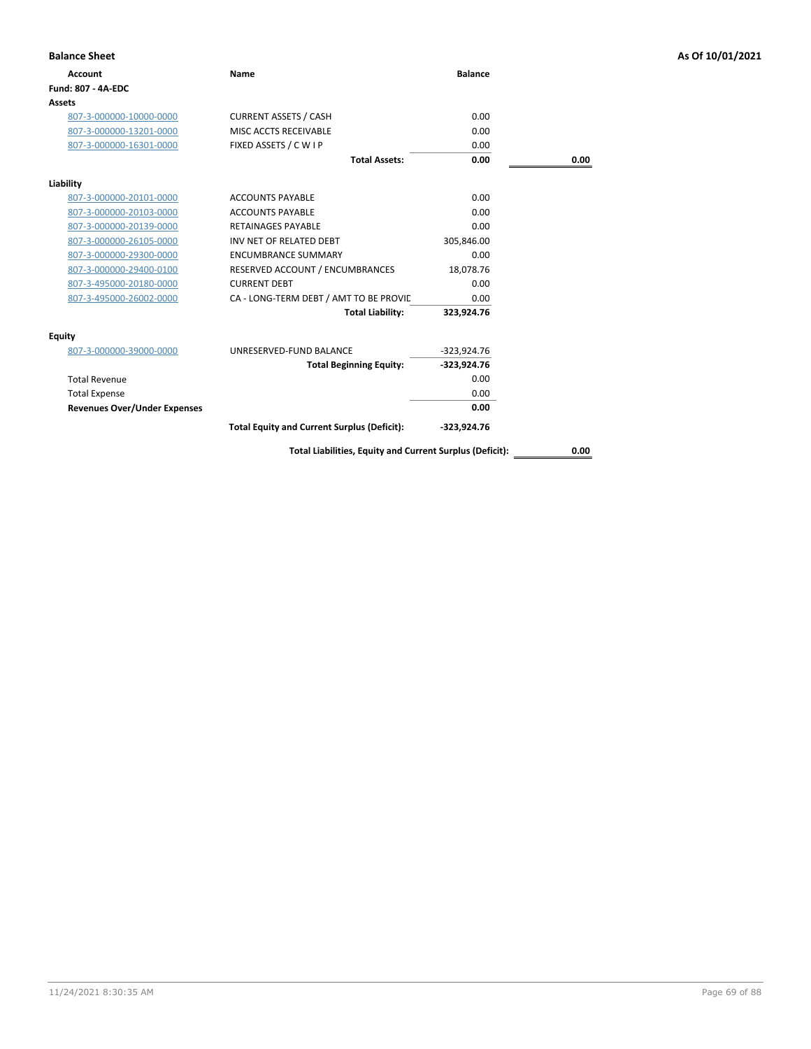| <b>Balance Sheet</b>                |                                                          |                |      | As Of 10/01/2021 |
|-------------------------------------|----------------------------------------------------------|----------------|------|------------------|
| <b>Account</b>                      | Name                                                     | <b>Balance</b> |      |                  |
| Fund: 807 - 4A-EDC                  |                                                          |                |      |                  |
| Assets                              |                                                          |                |      |                  |
| 807-3-000000-10000-0000             | <b>CURRENT ASSETS / CASH</b>                             | 0.00           |      |                  |
| 807-3-000000-13201-0000             | MISC ACCTS RECEIVABLE                                    | 0.00           |      |                  |
| 807-3-000000-16301-0000             | FIXED ASSETS / C W I P                                   | 0.00           |      |                  |
|                                     | <b>Total Assets:</b>                                     | 0.00           | 0.00 |                  |
| Liability                           |                                                          |                |      |                  |
| 807-3-000000-20101-0000             | <b>ACCOUNTS PAYABLE</b>                                  | 0.00           |      |                  |
| 807-3-000000-20103-0000             | <b>ACCOUNTS PAYABLE</b>                                  | 0.00           |      |                  |
| 807-3-000000-20139-0000             | RETAINAGES PAYABLE                                       | 0.00           |      |                  |
| 807-3-000000-26105-0000             | INV NET OF RELATED DEBT                                  | 305,846.00     |      |                  |
| 807-3-000000-29300-0000             | <b>ENCUMBRANCE SUMMARY</b>                               | 0.00           |      |                  |
| 807-3-000000-29400-0100             | RESERVED ACCOUNT / ENCUMBRANCES                          | 18,078.76      |      |                  |
| 807-3-495000-20180-0000             | <b>CURRENT DEBT</b>                                      | 0.00           |      |                  |
| 807-3-495000-26002-0000             | CA - LONG-TERM DEBT / AMT TO BE PROVIC                   | 0.00           |      |                  |
|                                     | <b>Total Liability:</b>                                  | 323,924.76     |      |                  |
| Equity                              |                                                          |                |      |                  |
| 807-3-000000-39000-0000             | UNRESERVED-FUND BALANCE                                  | $-323,924.76$  |      |                  |
|                                     | <b>Total Beginning Equity:</b>                           | $-323,924.76$  |      |                  |
| <b>Total Revenue</b>                |                                                          | 0.00           |      |                  |
| <b>Total Expense</b>                |                                                          | 0.00           |      |                  |
| <b>Revenues Over/Under Expenses</b> |                                                          | 0.00           |      |                  |
|                                     | <b>Total Equity and Current Surplus (Deficit):</b>       | -323,924.76    |      |                  |
|                                     | Total Liabilities, Equity and Current Surplus (Deficit): |                | 0.00 |                  |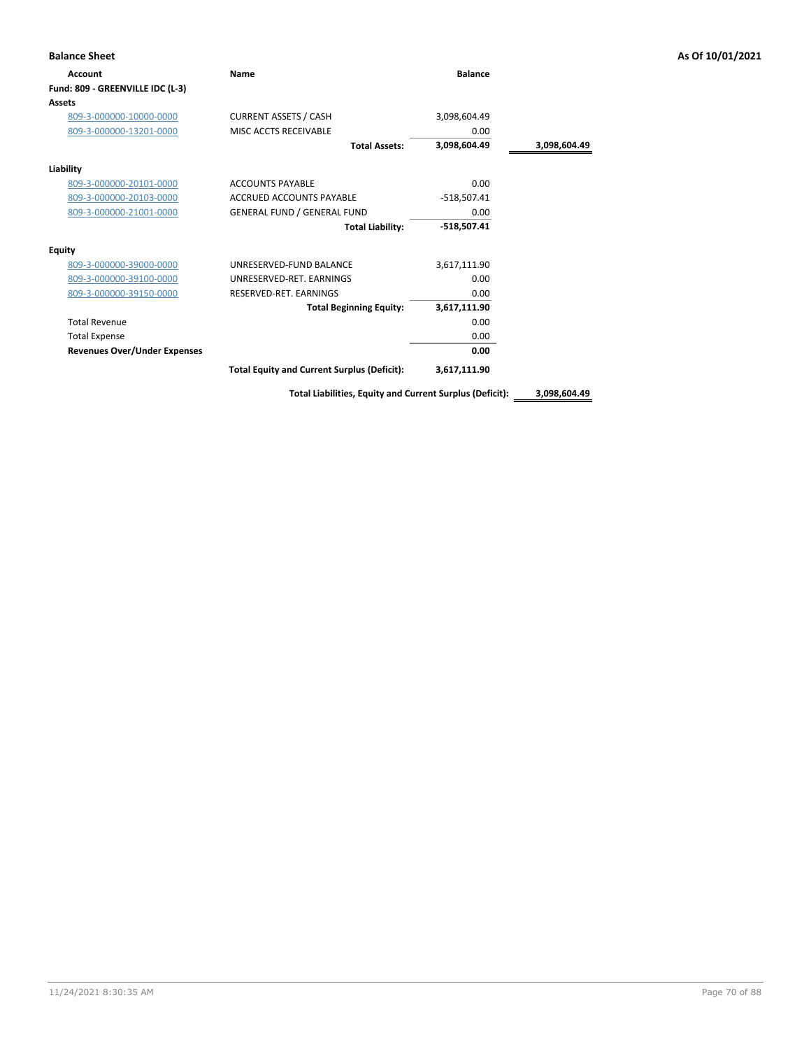| <b>Balance Sheet</b>                |                                                    |                |              | As Of 10/01/2021 |
|-------------------------------------|----------------------------------------------------|----------------|--------------|------------------|
| Account                             | Name                                               | <b>Balance</b> |              |                  |
| Fund: 809 - GREENVILLE IDC (L-3)    |                                                    |                |              |                  |
| <b>Assets</b>                       |                                                    |                |              |                  |
| 809-3-000000-10000-0000             | <b>CURRENT ASSETS / CASH</b>                       | 3,098,604.49   |              |                  |
| 809-3-000000-13201-0000             | MISC ACCTS RECEIVABLE                              | 0.00           |              |                  |
|                                     | <b>Total Assets:</b>                               | 3,098,604.49   | 3,098,604.49 |                  |
| Liability                           |                                                    |                |              |                  |
| 809-3-000000-20101-0000             | <b>ACCOUNTS PAYABLE</b>                            | 0.00           |              |                  |
| 809-3-000000-20103-0000             | ACCRUED ACCOUNTS PAYABLE                           | $-518,507.41$  |              |                  |
| 809-3-000000-21001-0000             | <b>GENERAL FUND / GENERAL FUND</b>                 | 0.00           |              |                  |
|                                     | <b>Total Liability:</b>                            | $-518,507.41$  |              |                  |
| Equity                              |                                                    |                |              |                  |
| 809-3-000000-39000-0000             | UNRESERVED-FUND BALANCE                            | 3,617,111.90   |              |                  |
| 809-3-000000-39100-0000             | UNRESERVED-RET. EARNINGS                           | 0.00           |              |                  |
| 809-3-000000-39150-0000             | RESERVED-RET. EARNINGS                             | 0.00           |              |                  |
|                                     | <b>Total Beginning Equity:</b>                     | 3,617,111.90   |              |                  |
| <b>Total Revenue</b>                |                                                    | 0.00           |              |                  |
| <b>Total Expense</b>                |                                                    | 0.00           |              |                  |
| <b>Revenues Over/Under Expenses</b> |                                                    | 0.00           |              |                  |
|                                     | <b>Total Equity and Current Surplus (Deficit):</b> | 3,617,111.90   |              |                  |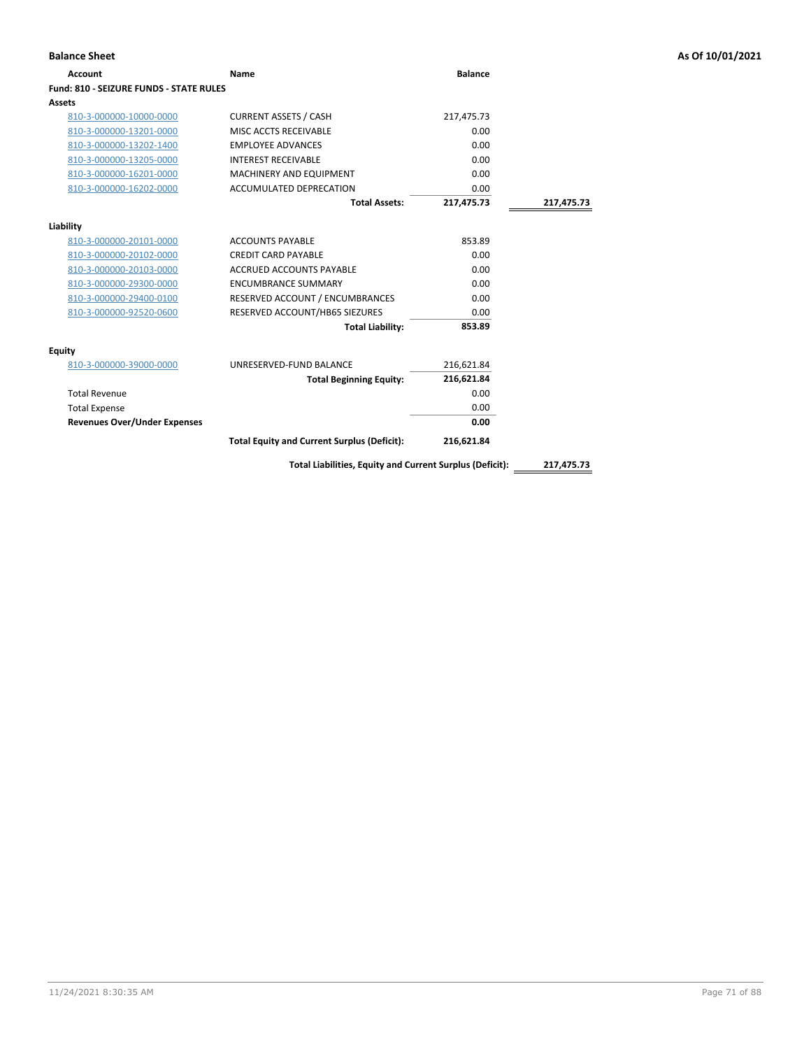| <b>Balance Sheet</b>                    |                                                          |                |            | As Of 10/01/2021 |
|-----------------------------------------|----------------------------------------------------------|----------------|------------|------------------|
| <b>Account</b>                          | Name                                                     | <b>Balance</b> |            |                  |
| Fund: 810 - SEIZURE FUNDS - STATE RULES |                                                          |                |            |                  |
| Assets                                  |                                                          |                |            |                  |
| 810-3-000000-10000-0000                 | <b>CURRENT ASSETS / CASH</b>                             | 217,475.73     |            |                  |
| 810-3-000000-13201-0000                 | MISC ACCTS RECEIVABLE                                    | 0.00           |            |                  |
| 810-3-000000-13202-1400                 | <b>EMPLOYEE ADVANCES</b>                                 | 0.00           |            |                  |
| 810-3-000000-13205-0000                 | <b>INTEREST RECEIVABLE</b>                               | 0.00           |            |                  |
| 810-3-000000-16201-0000                 | MACHINERY AND EQUIPMENT                                  | 0.00           |            |                  |
| 810-3-000000-16202-0000                 | ACCUMULATED DEPRECATION                                  | 0.00           |            |                  |
|                                         | <b>Total Assets:</b>                                     | 217,475.73     | 217,475.73 |                  |
| Liability                               |                                                          |                |            |                  |
| 810-3-000000-20101-0000                 | <b>ACCOUNTS PAYABLE</b>                                  | 853.89         |            |                  |
| 810-3-000000-20102-0000                 | <b>CREDIT CARD PAYABLE</b>                               | 0.00           |            |                  |
| 810-3-000000-20103-0000                 | <b>ACCRUED ACCOUNTS PAYABLE</b>                          | 0.00           |            |                  |
| 810-3-000000-29300-0000                 | <b>ENCUMBRANCE SUMMARY</b>                               | 0.00           |            |                  |
| 810-3-000000-29400-0100                 | RESERVED ACCOUNT / ENCUMBRANCES                          | 0.00           |            |                  |
| 810-3-000000-92520-0600                 | RESERVED ACCOUNT/HB65 SIEZURES                           | 0.00           |            |                  |
|                                         | <b>Total Liability:</b>                                  | 853.89         |            |                  |
| <b>Equity</b>                           |                                                          |                |            |                  |
| 810-3-000000-39000-0000                 | UNRESERVED-FUND BALANCE                                  | 216,621.84     |            |                  |
|                                         | <b>Total Beginning Equity:</b>                           | 216,621.84     |            |                  |
| <b>Total Revenue</b>                    |                                                          | 0.00           |            |                  |
| <b>Total Expense</b>                    |                                                          | 0.00           |            |                  |
| <b>Revenues Over/Under Expenses</b>     |                                                          | 0.00           |            |                  |
|                                         | <b>Total Equity and Current Surplus (Deficit):</b>       | 216,621.84     |            |                  |
|                                         | Total Liabilities, Equity and Current Surplus (Deficit): |                | 217,475.73 |                  |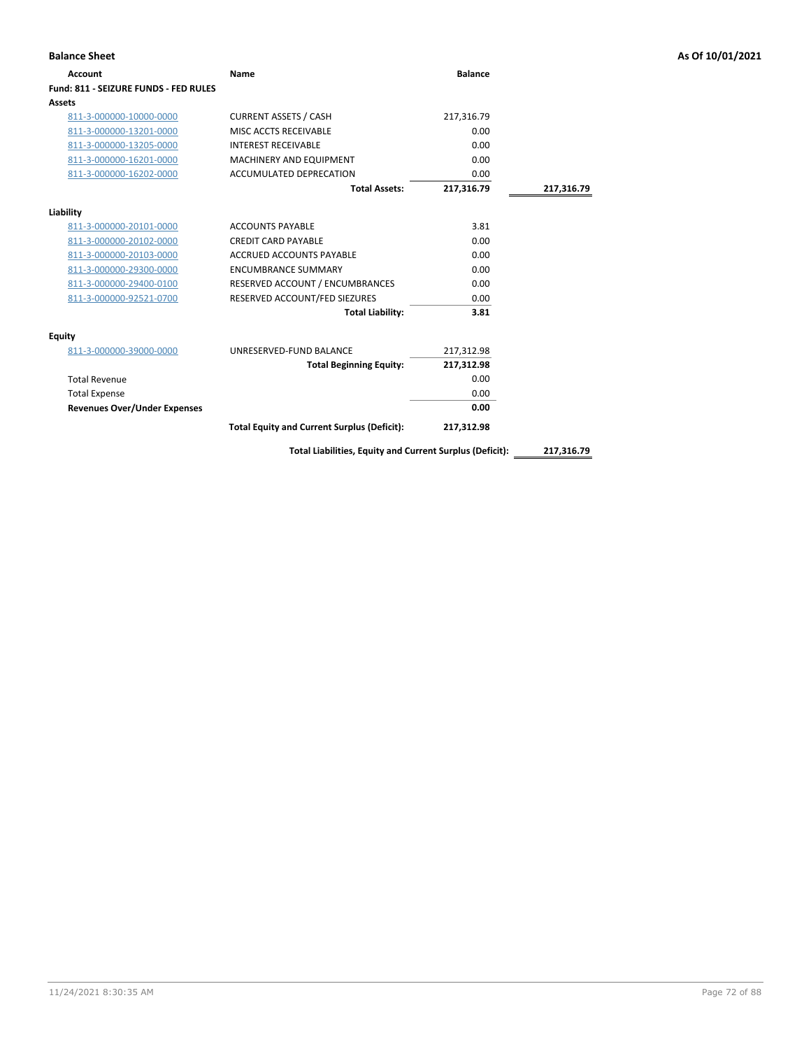| <b>Account</b>                        | Name                                                     | <b>Balance</b> |            |
|---------------------------------------|----------------------------------------------------------|----------------|------------|
| Fund: 811 - SEIZURE FUNDS - FED RULES |                                                          |                |            |
| Assets                                |                                                          |                |            |
| 811-3-000000-10000-0000               | <b>CURRENT ASSETS / CASH</b>                             | 217,316.79     |            |
| 811-3-000000-13201-0000               | MISC ACCTS RECEIVABLE                                    | 0.00           |            |
| 811-3-000000-13205-0000               | <b>INTEREST RECEIVABLE</b>                               | 0.00           |            |
| 811-3-000000-16201-0000               | <b>MACHINERY AND EQUIPMENT</b>                           | 0.00           |            |
| 811-3-000000-16202-0000               | ACCUMULATED DEPRECATION                                  | 0.00           |            |
|                                       | <b>Total Assets:</b>                                     | 217,316.79     | 217,316.79 |
| Liability                             |                                                          |                |            |
| 811-3-000000-20101-0000               | <b>ACCOUNTS PAYABLE</b>                                  | 3.81           |            |
| 811-3-000000-20102-0000               | <b>CREDIT CARD PAYABLE</b>                               | 0.00           |            |
| 811-3-000000-20103-0000               | <b>ACCRUED ACCOUNTS PAYABLE</b>                          | 0.00           |            |
| 811-3-000000-29300-0000               | <b>ENCUMBRANCE SUMMARY</b>                               | 0.00           |            |
| 811-3-000000-29400-0100               | RESERVED ACCOUNT / ENCUMBRANCES                          | 0.00           |            |
| 811-3-000000-92521-0700               | RESERVED ACCOUNT/FED SIEZURES                            | 0.00           |            |
|                                       | <b>Total Liability:</b>                                  | 3.81           |            |
| Equity                                |                                                          |                |            |
| 811-3-000000-39000-0000               | UNRESERVED-FUND BALANCE                                  | 217,312.98     |            |
|                                       | <b>Total Beginning Equity:</b>                           | 217,312.98     |            |
| <b>Total Revenue</b>                  |                                                          | 0.00           |            |
| <b>Total Expense</b>                  |                                                          | 0.00           |            |
| <b>Revenues Over/Under Expenses</b>   |                                                          | 0.00           |            |
|                                       | <b>Total Equity and Current Surplus (Deficit):</b>       | 217,312.98     |            |
|                                       | Total Liabilities, Equity and Current Surplus (Deficit): |                | 217,316.79 |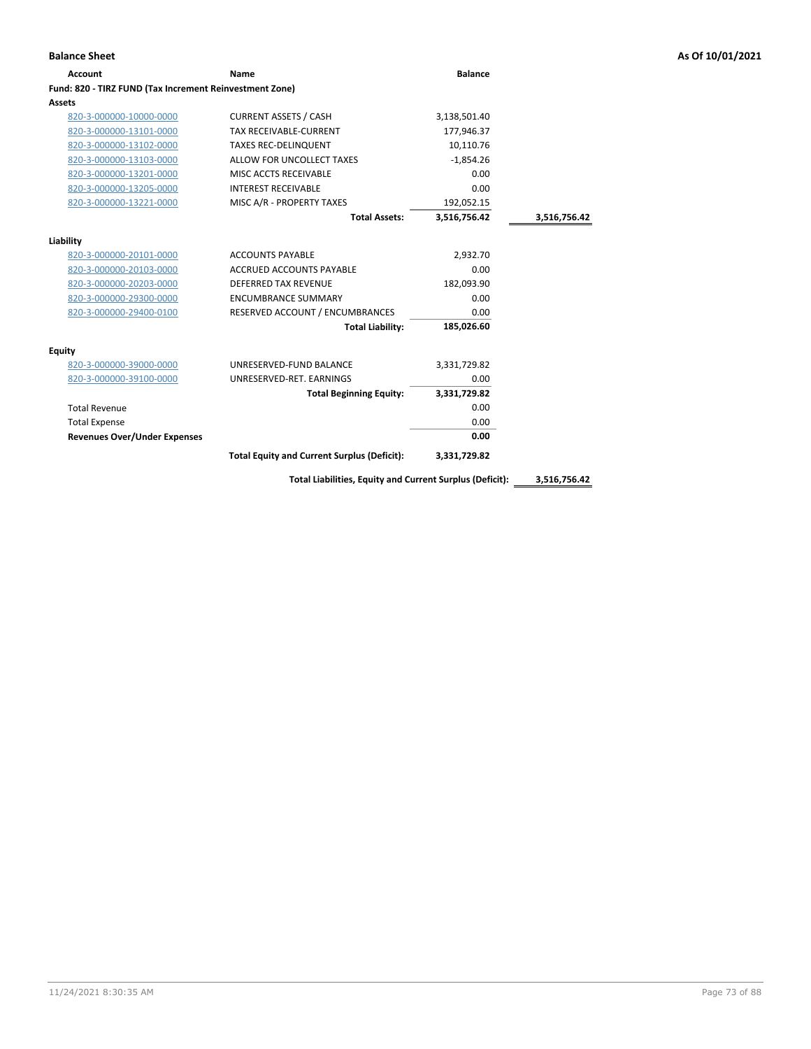| <b>Account</b>                                          | Name                                               | <b>Balance</b> |              |
|---------------------------------------------------------|----------------------------------------------------|----------------|--------------|
| Fund: 820 - TIRZ FUND (Tax Increment Reinvestment Zone) |                                                    |                |              |
| <b>Assets</b>                                           |                                                    |                |              |
| 820-3-000000-10000-0000                                 | <b>CURRENT ASSETS / CASH</b>                       | 3,138,501.40   |              |
| 820-3-000000-13101-0000                                 | TAX RECEIVABLE-CURRENT                             | 177,946.37     |              |
| 820-3-000000-13102-0000                                 | <b>TAXES REC-DELINQUENT</b>                        | 10,110.76      |              |
| 820-3-000000-13103-0000                                 | ALLOW FOR UNCOLLECT TAXES                          | $-1.854.26$    |              |
| 820-3-000000-13201-0000                                 | MISC ACCTS RECEIVABLE                              | 0.00           |              |
| 820-3-000000-13205-0000                                 | <b>INTEREST RECEIVABLE</b>                         | 0.00           |              |
| 820-3-000000-13221-0000                                 | MISC A/R - PROPERTY TAXES                          | 192,052.15     |              |
|                                                         | <b>Total Assets:</b>                               | 3,516,756.42   | 3,516,756.42 |
| Liability                                               |                                                    |                |              |
| 820-3-000000-20101-0000                                 | <b>ACCOUNTS PAYABLE</b>                            | 2,932.70       |              |
| 820-3-000000-20103-0000                                 | <b>ACCRUED ACCOUNTS PAYABLE</b>                    | 0.00           |              |
| 820-3-000000-20203-0000                                 | <b>DEFERRED TAX REVENUE</b>                        | 182.093.90     |              |
| 820-3-000000-29300-0000                                 | <b>ENCUMBRANCE SUMMARY</b>                         | 0.00           |              |
| 820-3-000000-29400-0100                                 | RESERVED ACCOUNT / ENCUMBRANCES                    | 0.00           |              |
|                                                         | <b>Total Liability:</b>                            | 185,026.60     |              |
| Equity                                                  |                                                    |                |              |
| 820-3-000000-39000-0000                                 | UNRESERVED-FUND BALANCE                            | 3,331,729.82   |              |
| 820-3-000000-39100-0000                                 | UNRESERVED-RET. EARNINGS                           | 0.00           |              |
|                                                         | <b>Total Beginning Equity:</b>                     | 3,331,729.82   |              |
| <b>Total Revenue</b>                                    |                                                    | 0.00           |              |
| <b>Total Expense</b>                                    |                                                    | 0.00           |              |
| <b>Revenues Over/Under Expenses</b>                     |                                                    | 0.00           |              |
|                                                         | <b>Total Equity and Current Surplus (Deficit):</b> | 3,331,729.82   |              |
|                                                         |                                                    |                |              |

**Total Liabilities, Equity and Current Surplus (Deficit): 3,516,756.42**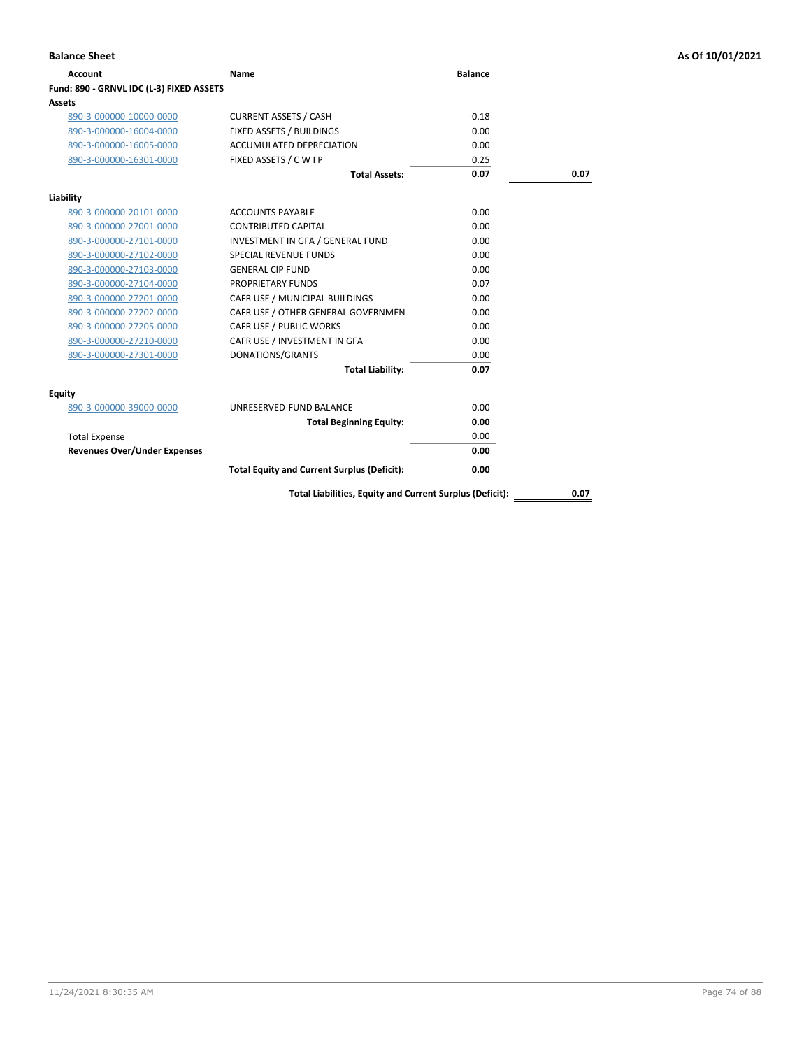| Account                                  | Name                                                     | <b>Balance</b> |      |
|------------------------------------------|----------------------------------------------------------|----------------|------|
| Fund: 890 - GRNVL IDC (L-3) FIXED ASSETS |                                                          |                |      |
| Assets                                   |                                                          |                |      |
| 890-3-000000-10000-0000                  | <b>CURRENT ASSETS / CASH</b>                             | $-0.18$        |      |
| 890-3-000000-16004-0000                  | FIXED ASSETS / BUILDINGS                                 | 0.00           |      |
| 890-3-000000-16005-0000                  | <b>ACCUMULATED DEPRECIATION</b>                          | 0.00           |      |
| 890-3-000000-16301-0000                  | FIXED ASSETS / C W I P                                   | 0.25           |      |
|                                          | <b>Total Assets:</b>                                     | 0.07           | 0.07 |
| Liability                                |                                                          |                |      |
| 890-3-000000-20101-0000                  | <b>ACCOUNTS PAYABLE</b>                                  | 0.00           |      |
| 890-3-000000-27001-0000                  | <b>CONTRIBUTED CAPITAL</b>                               | 0.00           |      |
| 890-3-000000-27101-0000                  | INVESTMENT IN GFA / GENERAL FUND                         | 0.00           |      |
| 890-3-000000-27102-0000                  | <b>SPECIAL REVENUE FUNDS</b>                             | 0.00           |      |
| 890-3-000000-27103-0000                  | <b>GENERAL CIP FUND</b>                                  | 0.00           |      |
| 890-3-000000-27104-0000                  | PROPRIETARY FUNDS                                        | 0.07           |      |
| 890-3-000000-27201-0000                  | CAFR USE / MUNICIPAL BUILDINGS                           | 0.00           |      |
| 890-3-000000-27202-0000                  | CAFR USE / OTHER GENERAL GOVERNMEN                       | 0.00           |      |
| 890-3-000000-27205-0000                  | CAFR USE / PUBLIC WORKS                                  | 0.00           |      |
| 890-3-000000-27210-0000                  | CAFR USE / INVESTMENT IN GFA                             | 0.00           |      |
| 890-3-000000-27301-0000                  | DONATIONS/GRANTS                                         | 0.00           |      |
|                                          | <b>Total Liability:</b>                                  | 0.07           |      |
| Equity                                   |                                                          |                |      |
| 890-3-000000-39000-0000                  | UNRESERVED-FUND BALANCE                                  | 0.00           |      |
|                                          | <b>Total Beginning Equity:</b>                           | 0.00           |      |
| <b>Total Expense</b>                     |                                                          | 0.00           |      |
| <b>Revenues Over/Under Expenses</b>      |                                                          | 0.00           |      |
|                                          | <b>Total Equity and Current Surplus (Deficit):</b>       | 0.00           |      |
|                                          | Total Liabilities, Equity and Current Surplus (Deficit): |                | 0.07 |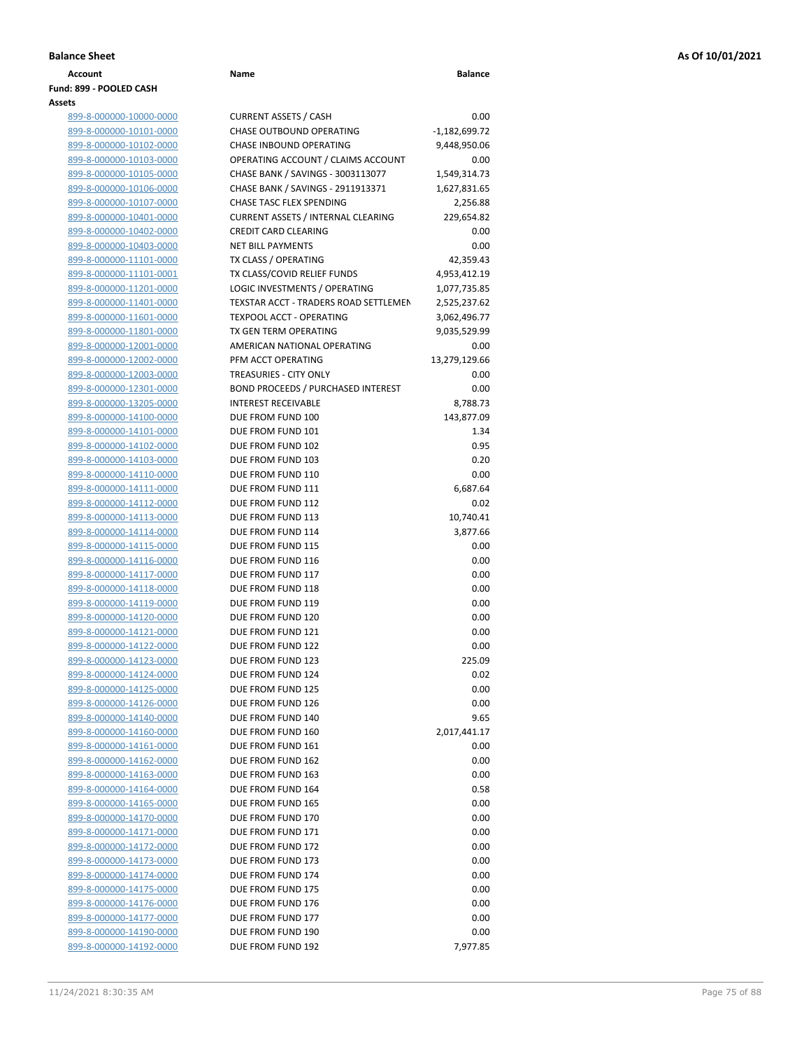|  | Balance Sheet |  |
|--|---------------|--|
|  |               |  |

### **Account Name Balance Fund: 899 - POOLED CASH Assets**

| .                              |    |
|--------------------------------|----|
| 899-8-000000-10000-0000        | Cι |
| 899-8-000000-10101-0000        | Сŀ |
| 899-8-000000-10102-0000        | Сŀ |
| 899-8-000000-10103-0000        | OI |
| 899-8-000000-10105-0000        | Сŀ |
| 899-8-000000-10106-0000        | Сŀ |
| 899-8-000000-10107-0000        | Сŀ |
| 899-8-000000-10401-0000        | Cι |
| 899-8-000000-10402-0000        | СF |
| 899-8-000000-10403-0000        | NI |
| 899-8-000000-11101-0000        | T) |
| 899-8-000000-11101-0001        | T) |
| 899-8-000000-11201-0000        | LC |
| 899-8-000000-11401-0000        | ΤE |
| 899-8-000000-11601-0000        | TE |
| 899-8-000000-11801-0000        | T) |
| 899-8-000000-12001-0000        | Al |
| 899-8-000000-12002-0000        | PF |
| 899-8-000000-12003-0000        | ΤF |
| 899-8-000000-12301-0000        | вo |
| 899-8-000000-13205-0000        | IN |
| 899-8-000000-14100-0000        | D١ |
| 899-8-000000-14101-0000        | D١ |
| 899-8-000000-14102-0000        | D١ |
| 899-8-000000-14103-0000        | D١ |
| 899-8-000000-14110-0000        | DI |
| 899-8-000000-14111-0000        | D١ |
| 899-8-000000-14112-0000        | D١ |
| 899-8-000000-14113-0000        | D١ |
| 899-8-000000-14114-0000        | D١ |
| 899-8-000000-14115-0000        | D١ |
| 899-8-000000-14116-0000        | D١ |
| 899-8-000000-14117-0000        | D١ |
| 899-8-000000-14118-0000        | D١ |
| 899-8-000000-14119-0000        | D١ |
| 899-8-000000-14120-0000        | D١ |
| 899-8-000000-14121-0000        | D١ |
| 899-8-000000-14122-0000        | D١ |
| 899-8-000000-14123-0000        | D١ |
| 899-8-000000-14124-0000        | D١ |
| 899-8-000000-14125-0000        | D  |
| 899-8-000000-14126-0000        | D١ |
| 899-8-000000-14140-0000        | D١ |
| 899-8-000000-14160-0000        | D١ |
| 899-8-000000-14161-0000        | D  |
| 899-8-000000-14162-0000        | D١ |
| 899-8-000000-14163-0000        | D١ |
| 899-8-000000-14164-0000        | D١ |
| 899-8-000000-14165-0000        | D١ |
| 899-8-000000-14170-0000        | D١ |
| 899-8-000000-14171-0000        | D١ |
| 899-8-000000-14172-0000        | D١ |
| 899-8-000000-14173-0000        | D١ |
| 899-8-000000-14174-0000        | D١ |
| 899-8-000000-14175-0000        | D  |
| 899-8-000000-14176-0000        | D١ |
| 899-8-000000-14177-0000        | D١ |
| 899-8-000000-14190-0000        | D١ |
| <u>899-8-000000-14192-0000</u> | D١ |

| ts                                                 |                                                                            |                      |
|----------------------------------------------------|----------------------------------------------------------------------------|----------------------|
| 899-8-000000-10000-0000                            | <b>CURRENT ASSETS / CASH</b>                                               | 0.00                 |
| 899-8-000000-10101-0000                            | CHASE OUTBOUND OPERATING                                                   | $-1,182,699.72$      |
| 899-8-000000-10102-0000                            | CHASE INBOUND OPERATING                                                    | 9,448,950.06         |
| 899-8-000000-10103-0000                            | OPERATING ACCOUNT / CLAIMS ACCOUNT                                         | 0.00                 |
| 899-8-000000-10105-0000                            | CHASE BANK / SAVINGS - 3003113077                                          | 1,549,314.73         |
| 899-8-000000-10106-0000                            | CHASE BANK / SAVINGS - 2911913371                                          | 1,627,831.65         |
| 899-8-000000-10107-0000                            | CHASE TASC FLEX SPENDING                                                   | 2,256.88             |
| 899-8-000000-10401-0000                            | <b>CURRENT ASSETS / INTERNAL CLEARING</b>                                  | 229,654.82           |
| 899-8-000000-10402-0000                            | <b>CREDIT CARD CLEARING</b>                                                | 0.00                 |
| 899-8-000000-10403-0000                            | <b>NET BILL PAYMENTS</b>                                                   | 0.00                 |
| 899-8-000000-11101-0000                            | TX CLASS / OPERATING                                                       | 42,359.43            |
| 899-8-000000-11101-0001                            | TX CLASS/COVID RELIEF FUNDS                                                | 4,953,412.19         |
| 899-8-000000-11201-0000                            | LOGIC INVESTMENTS / OPERATING                                              | 1,077,735.85         |
| 899-8-000000-11401-0000                            | TEXSTAR ACCT - TRADERS ROAD SETTLEMEN                                      | 2,525,237.62         |
| 899-8-000000-11601-0000                            | <b>TEXPOOL ACCT - OPERATING</b>                                            | 3,062,496.77         |
| 899-8-000000-11801-0000                            | TX GEN TERM OPERATING                                                      | 9,035,529.99         |
| 899-8-000000-12001-0000                            | AMERICAN NATIONAL OPERATING                                                | 0.00                 |
| 899-8-000000-12002-0000                            | PFM ACCT OPERATING                                                         | 13,279,129.66        |
| 899-8-000000-12003-0000                            | <b>TREASURIES - CITY ONLY</b><br><b>BOND PROCEEDS / PURCHASED INTEREST</b> | 0.00<br>0.00         |
| 899-8-000000-12301-0000<br>899-8-000000-13205-0000 | <b>INTEREST RECEIVABLE</b>                                                 | 8,788.73             |
| 899-8-000000-14100-0000                            | DUE FROM FUND 100                                                          | 143,877.09           |
| 899-8-000000-14101-0000                            | DUE FROM FUND 101                                                          | 1.34                 |
| 899-8-000000-14102-0000                            | DUE FROM FUND 102                                                          | 0.95                 |
| 899-8-000000-14103-0000                            | DUE FROM FUND 103                                                          | 0.20                 |
| 899-8-000000-14110-0000                            | DUE FROM FUND 110                                                          | 0.00                 |
| 899-8-000000-14111-0000                            | DUE FROM FUND 111                                                          | 6,687.64             |
| 899-8-000000-14112-0000                            | DUE FROM FUND 112                                                          | 0.02                 |
| 899-8-000000-14113-0000                            | DUE FROM FUND 113                                                          | 10,740.41            |
| 899-8-000000-14114-0000                            | DUE FROM FUND 114                                                          | 3,877.66             |
| 899-8-000000-14115-0000                            | DUE FROM FUND 115                                                          | 0.00                 |
| 899-8-000000-14116-0000                            | DUE FROM FUND 116                                                          | 0.00                 |
| 899-8-000000-14117-0000                            | DUE FROM FUND 117                                                          | 0.00                 |
| 899-8-000000-14118-0000                            | DUE FROM FUND 118                                                          | 0.00                 |
| 899-8-000000-14119-0000                            | DUE FROM FUND 119                                                          | 0.00                 |
| 899-8-000000-14120-0000                            | DUE FROM FUND 120                                                          | 0.00                 |
| 899-8-000000-14121-0000                            | DUE FROM FUND 121                                                          | 0.00                 |
| 899-8-000000-14122-0000                            | DUE FROM FUND 122                                                          | 0.00                 |
| 899-8-000000-14123-0000                            | DUE FROM FUND 123                                                          | 225.09               |
| 899-8-000000-14124-0000                            | DUE FROM FUND 124                                                          | 0.02                 |
| 899-8-000000-14125-0000                            | DUE FROM FUND 125                                                          | 0.00                 |
| 899-8-000000-14126-0000                            | DUE FROM FUND 126<br>DUE FROM FUND 140                                     | 0.00                 |
| 899-8-000000-14140-0000<br>899-8-000000-14160-0000 | DUE FROM FUND 160                                                          | 9.65                 |
| 899-8-000000-14161-0000                            | DUE FROM FUND 161                                                          | 2,017,441.17<br>0.00 |
| 899-8-000000-14162-0000                            | DUE FROM FUND 162                                                          | 0.00                 |
| 899-8-000000-14163-0000                            | DUE FROM FUND 163                                                          | 0.00                 |
| 899-8-000000-14164-0000                            | DUE FROM FUND 164                                                          | 0.58                 |
| 899-8-000000-14165-0000                            | DUE FROM FUND 165                                                          | 0.00                 |
| 899-8-000000-14170-0000                            | DUE FROM FUND 170                                                          | 0.00                 |
| 899-8-000000-14171-0000                            | DUE FROM FUND 171                                                          | 0.00                 |
| 899-8-000000-14172-0000                            | DUE FROM FUND 172                                                          | 0.00                 |
| 899-8-000000-14173-0000                            | DUE FROM FUND 173                                                          | 0.00                 |
| 899-8-000000-14174-0000                            | DUE FROM FUND 174                                                          | 0.00                 |
| 899-8-000000-14175-0000                            | DUE FROM FUND 175                                                          | 0.00                 |
| 899-8-000000-14176-0000                            | DUE FROM FUND 176                                                          | 0.00                 |
| 899-8-000000-14177-0000                            | DUE FROM FUND 177                                                          | 0.00                 |
| 899-8-000000-14190-0000                            | DUE FROM FUND 190                                                          | 0.00                 |
| 899-8-000000-14192-0000                            | DUE FROM FUND 192                                                          | 7,977.85             |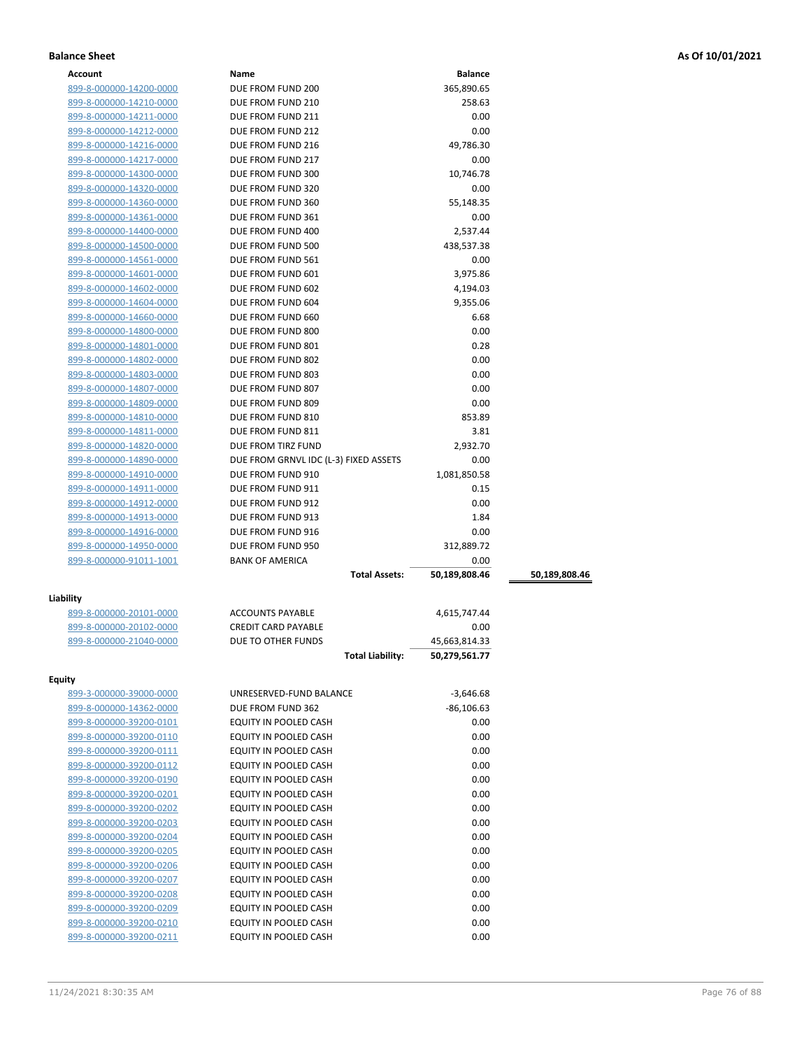| Account                 | Name                                  | <b>Balance</b> |               |
|-------------------------|---------------------------------------|----------------|---------------|
| 899-8-000000-14200-0000 | DUE FROM FUND 200                     | 365,890.65     |               |
| 899-8-000000-14210-0000 | DUE FROM FUND 210                     | 258.63         |               |
| 899-8-000000-14211-0000 | DUE FROM FUND 211                     | 0.00           |               |
| 899-8-000000-14212-0000 | DUE FROM FUND 212                     | 0.00           |               |
| 899-8-000000-14216-0000 | DUE FROM FUND 216                     | 49,786.30      |               |
| 899-8-000000-14217-0000 | DUE FROM FUND 217                     | 0.00           |               |
| 899-8-000000-14300-0000 | DUE FROM FUND 300                     | 10,746.78      |               |
| 899-8-000000-14320-0000 | DUE FROM FUND 320                     | 0.00           |               |
| 899-8-000000-14360-0000 | DUE FROM FUND 360                     | 55,148.35      |               |
| 899-8-000000-14361-0000 | DUE FROM FUND 361                     | 0.00           |               |
| 899-8-000000-14400-0000 | DUE FROM FUND 400                     | 2,537.44       |               |
| 899-8-000000-14500-0000 | DUE FROM FUND 500                     | 438,537.38     |               |
| 899-8-000000-14561-0000 | DUE FROM FUND 561                     | 0.00           |               |
| 899-8-000000-14601-0000 | DUE FROM FUND 601                     | 3,975.86       |               |
| 899-8-000000-14602-0000 | DUE FROM FUND 602                     | 4,194.03       |               |
| 899-8-000000-14604-0000 | DUE FROM FUND 604                     | 9,355.06       |               |
| 899-8-000000-14660-0000 | DUE FROM FUND 660                     | 6.68           |               |
| 899-8-000000-14800-0000 | DUE FROM FUND 800                     | 0.00           |               |
| 899-8-000000-14801-0000 | DUE FROM FUND 801                     | 0.28           |               |
| 899-8-000000-14802-0000 | DUE FROM FUND 802                     | 0.00           |               |
| 899-8-000000-14803-0000 | DUE FROM FUND 803                     | 0.00           |               |
| 899-8-000000-14807-0000 | DUE FROM FUND 807                     | 0.00           |               |
| 899-8-000000-14809-0000 | DUE FROM FUND 809                     | 0.00           |               |
| 899-8-000000-14810-0000 | DUE FROM FUND 810                     | 853.89         |               |
| 899-8-000000-14811-0000 | DUE FROM FUND 811                     | 3.81           |               |
| 899-8-000000-14820-0000 | DUE FROM TIRZ FUND                    | 2,932.70       |               |
| 899-8-000000-14890-0000 | DUE FROM GRNVL IDC (L-3) FIXED ASSETS | 0.00           |               |
| 899-8-000000-14910-0000 | DUE FROM FUND 910                     | 1,081,850.58   |               |
| 899-8-000000-14911-0000 | DUE FROM FUND 911                     | 0.15           |               |
| 899-8-000000-14912-0000 | DUE FROM FUND 912                     | 0.00           |               |
| 899-8-000000-14913-0000 | DUE FROM FUND 913                     | 1.84           |               |
| 899-8-000000-14916-0000 | DUE FROM FUND 916                     | 0.00           |               |
| 899-8-000000-14950-0000 | DUE FROM FUND 950                     | 312,889.72     |               |
| 899-8-000000-91011-1001 | <b>BANK OF AMERICA</b>                | 0.00           |               |
|                         | <b>Total Assets:</b>                  | 50,189,808.46  | 50,189,808.46 |
| Liability               |                                       |                |               |
| 899-8-000000-20101-0000 | <b>ACCOUNTS PAYABLE</b>               | 4,615,747.44   |               |
| 899-8-000000-20102-0000 | <b>CREDIT CARD PAYABLE</b>            | 0.00           |               |
| 899-8-000000-21040-0000 | DUE TO OTHER FUNDS                    | 45,663,814.33  |               |
|                         | <b>Total Liability:</b>               | 50,279,561.77  |               |
|                         |                                       |                |               |
| Equity                  |                                       |                |               |
| 899-3-000000-39000-0000 | UNRESERVED-FUND BALANCE               | $-3,646.68$    |               |
| 899-8-000000-14362-0000 | DUE FROM FUND 362                     | $-86,106.63$   |               |
| 899-8-000000-39200-0101 | EQUITY IN POOLED CASH                 | 0.00           |               |
| 899-8-000000-39200-0110 | EQUITY IN POOLED CASH                 | 0.00           |               |
| 899-8-000000-39200-0111 | EQUITY IN POOLED CASH                 | 0.00           |               |
| 899-8-000000-39200-0112 | EQUITY IN POOLED CASH                 | 0.00           |               |
| 899-8-000000-39200-0190 | EQUITY IN POOLED CASH                 | 0.00           |               |
| 899-8-000000-39200-0201 | EQUITY IN POOLED CASH                 | 0.00           |               |
| 899-8-000000-39200-0202 | EQUITY IN POOLED CASH                 | 0.00           |               |
| 899-8-000000-39200-0203 | EQUITY IN POOLED CASH                 | 0.00           |               |
| 899-8-000000-39200-0204 | EQUITY IN POOLED CASH                 | 0.00           |               |
| 899-8-000000-39200-0205 | EQUITY IN POOLED CASH                 | 0.00           |               |
| 899-8-000000-39200-0206 | EQUITY IN POOLED CASH                 | 0.00           |               |
| 899-8-000000-39200-0207 | EQUITY IN POOLED CASH                 | 0.00           |               |
| 899-8-000000-39200-0208 | EQUITY IN POOLED CASH                 | 0.00           |               |
| 899-8-000000-39200-0209 | EQUITY IN POOLED CASH                 | 0.00           |               |
| 899-8-000000-39200-0210 | EQUITY IN POOLED CASH                 | 0.00           |               |

899-8-000000-39200-0211 EQUITY IN POOLED CASH 0.00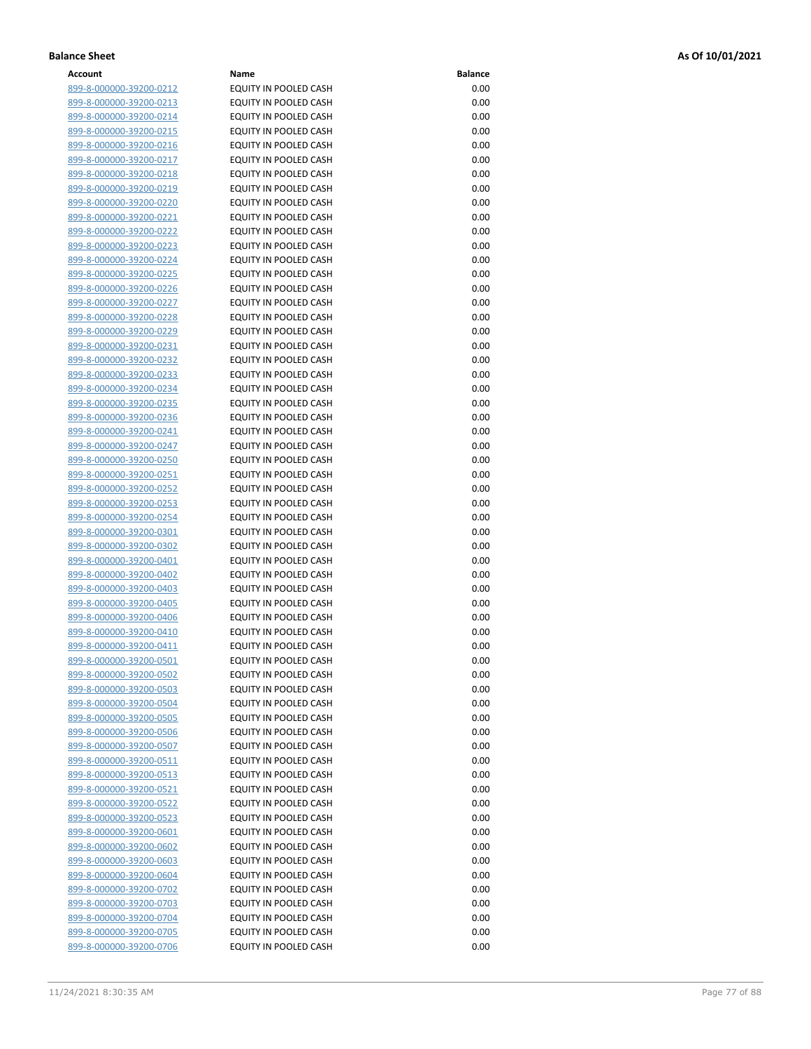| Account                        | Name                         | <b>Balance</b> |
|--------------------------------|------------------------------|----------------|
| 899-8-000000-39200-0212        | EQUITY IN POOLED CASH        | 0.00           |
| 899-8-000000-39200-0213        | EQUITY IN POOLED CASH        | 0.00           |
| 899-8-000000-39200-0214        | EQUITY IN POOLED CASH        | 0.00           |
| 899-8-000000-39200-0215        | EQUITY IN POOLED CASH        | 0.00           |
| 899-8-000000-39200-0216        | EQUITY IN POOLED CASH        | 0.00           |
|                                | <b>EQUITY IN POOLED CASH</b> | 0.00           |
| 899-8-000000-39200-0217        |                              |                |
| 899-8-000000-39200-0218        | EQUITY IN POOLED CASH        | 0.00           |
| 899-8-000000-39200-0219        | EQUITY IN POOLED CASH        | 0.00           |
| 899-8-000000-39200-0220        | EQUITY IN POOLED CASH        | 0.00           |
| 899-8-000000-39200-0221        | EQUITY IN POOLED CASH        | 0.00           |
| 899-8-000000-39200-0222        | EQUITY IN POOLED CASH        | 0.00           |
| 899-8-000000-39200-0223        | EQUITY IN POOLED CASH        | 0.00           |
| 899-8-000000-39200-0224        | EQUITY IN POOLED CASH        | 0.00           |
| 899-8-000000-39200-0225        | EQUITY IN POOLED CASH        | 0.00           |
| 899-8-000000-39200-0226        | EQUITY IN POOLED CASH        | 0.00           |
| 899-8-000000-39200-0227        | EQUITY IN POOLED CASH        | 0.00           |
| 899-8-000000-39200-0228        | EQUITY IN POOLED CASH        | 0.00           |
| 899-8-000000-39200-0229        | EQUITY IN POOLED CASH        | 0.00           |
| 899-8-000000-39200-0231        | EQUITY IN POOLED CASH        | 0.00           |
| 899-8-000000-39200-0232        | EQUITY IN POOLED CASH        | 0.00           |
| 899-8-000000-39200-0233        | EQUITY IN POOLED CASH        | 0.00           |
| 899-8-000000-39200-0234        | EQUITY IN POOLED CASH        | 0.00           |
| 899-8-000000-39200-0235        | EQUITY IN POOLED CASH        | 0.00           |
| 899-8-000000-39200-0236        | EQUITY IN POOLED CASH        | 0.00           |
| 899-8-000000-39200-0241        | EQUITY IN POOLED CASH        | 0.00           |
|                                | <b>EQUITY IN POOLED CASH</b> | 0.00           |
| 899-8-000000-39200-0247        | EQUITY IN POOLED CASH        | 0.00           |
| 899-8-000000-39200-0250        |                              |                |
| 899-8-000000-39200-0251        | EQUITY IN POOLED CASH        | 0.00           |
| 899-8-000000-39200-0252        | EQUITY IN POOLED CASH        | 0.00           |
| 899-8-000000-39200-0253        | EQUITY IN POOLED CASH        | 0.00           |
| 899-8-000000-39200-0254        | EQUITY IN POOLED CASH        | 0.00           |
| 899-8-000000-39200-0301        | EQUITY IN POOLED CASH        | 0.00           |
| 899-8-000000-39200-0302        | EQUITY IN POOLED CASH        | 0.00           |
| 899-8-000000-39200-0401        | EQUITY IN POOLED CASH        | 0.00           |
| 899-8-000000-39200-0402        | EQUITY IN POOLED CASH        | 0.00           |
| 899-8-000000-39200-0403        | EQUITY IN POOLED CASH        | 0.00           |
| 899-8-000000-39200-0405        | EQUITY IN POOLED CASH        | 0.00           |
| 899-8-000000-39200-0406        | EQUITY IN POOLED CASH        | 0.00           |
| 899-8-000000-39200-0410        | EQUITY IN POOLED CASH        | 0.00           |
| 899-8-000000-39200-0411        | EQUITY IN POOLED CASH        | 0.00           |
| <u>899-8-000000-39200-0501</u> | EQUITY IN POOLED CASH        | 0.00           |
| 899-8-000000-39200-0502        | EQUITY IN POOLED CASH        | 0.00           |
| 899-8-000000-39200-0503        | EQUITY IN POOLED CASH        | 0.00           |
| 899-8-000000-39200-0504        | EQUITY IN POOLED CASH        | 0.00           |
| 899-8-000000-39200-0505        | EQUITY IN POOLED CASH        | 0.00           |
| 899-8-000000-39200-0506        | EQUITY IN POOLED CASH        | 0.00           |
| 899-8-000000-39200-0507        | EQUITY IN POOLED CASH        | 0.00           |
| <u>899-8-000000-39200-0511</u> | EQUITY IN POOLED CASH        | 0.00           |
| 899-8-000000-39200-0513        | EQUITY IN POOLED CASH        | 0.00           |
| 899-8-000000-39200-0521        | EQUITY IN POOLED CASH        | 0.00           |
| 899-8-000000-39200-0522        | EQUITY IN POOLED CASH        | 0.00           |
| 899-8-000000-39200-0523        | EQUITY IN POOLED CASH        | 0.00           |
| <u>899-8-000000-39200-0601</u> | EQUITY IN POOLED CASH        | 0.00           |
| 899-8-000000-39200-0602        | EQUITY IN POOLED CASH        | 0.00           |
|                                |                              |                |
| 899-8-000000-39200-0603        | EQUITY IN POOLED CASH        | 0.00           |
| 899-8-000000-39200-0604        | EQUITY IN POOLED CASH        | 0.00           |
| 899-8-000000-39200-0702        | EQUITY IN POOLED CASH        | 0.00           |
| <u>899-8-000000-39200-0703</u> | EQUITY IN POOLED CASH        | 0.00           |
| 899-8-000000-39200-0704        | EQUITY IN POOLED CASH        | 0.00           |
| 899-8-000000-39200-0705        | EQUITY IN POOLED CASH        | 0.00           |
| 899-8-000000-39200-0706        | EQUITY IN POOLED CASH        | 0.00           |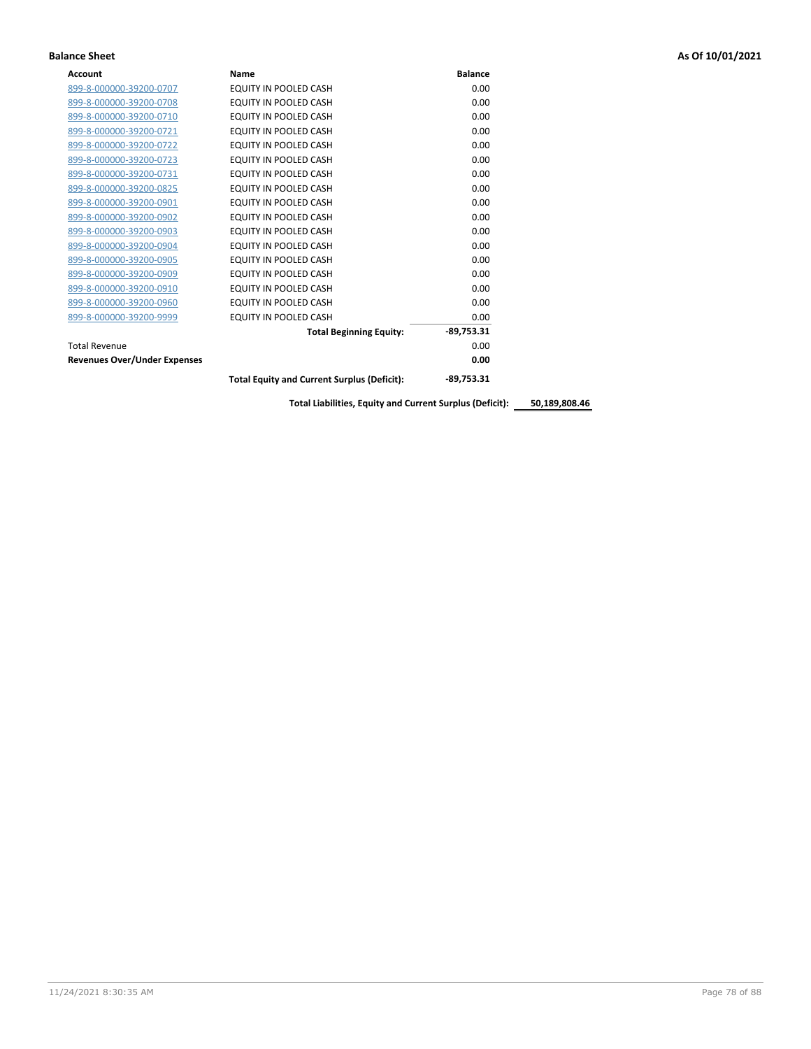| Account                             | Name                                               | <b>Balance</b> |
|-------------------------------------|----------------------------------------------------|----------------|
| 899-8-000000-39200-0707             | EQUITY IN POOLED CASH                              | 0.00           |
| 899-8-000000-39200-0708             | EQUITY IN POOLED CASH                              | 0.00           |
| 899-8-000000-39200-0710             | EQUITY IN POOLED CASH                              | 0.00           |
| 899-8-000000-39200-0721             | <b>EQUITY IN POOLED CASH</b>                       | 0.00           |
| 899-8-000000-39200-0722             | EQUITY IN POOLED CASH                              | 0.00           |
| 899-8-000000-39200-0723             | EQUITY IN POOLED CASH                              | 0.00           |
| 899-8-000000-39200-0731             | EQUITY IN POOLED CASH                              | 0.00           |
| 899-8-000000-39200-0825             | EQUITY IN POOLED CASH                              | 0.00           |
| 899-8-000000-39200-0901             | EQUITY IN POOLED CASH                              | 0.00           |
| 899-8-000000-39200-0902             | EQUITY IN POOLED CASH                              | 0.00           |
| 899-8-000000-39200-0903             | EQUITY IN POOLED CASH                              | 0.00           |
| 899-8-000000-39200-0904             | EQUITY IN POOLED CASH                              | 0.00           |
| 899-8-000000-39200-0905             | <b>EQUITY IN POOLED CASH</b>                       | 0.00           |
| 899-8-000000-39200-0909             | EQUITY IN POOLED CASH                              | 0.00           |
| 899-8-000000-39200-0910             | EQUITY IN POOLED CASH                              | 0.00           |
| 899-8-000000-39200-0960             | EQUITY IN POOLED CASH                              | 0.00           |
| 899-8-000000-39200-9999             | EQUITY IN POOLED CASH                              | 0.00           |
|                                     | <b>Total Beginning Equity:</b>                     | $-89,753.31$   |
| <b>Total Revenue</b>                |                                                    | 0.00           |
| <b>Revenues Over/Under Expenses</b> |                                                    | 0.00           |
|                                     | <b>Total Equity and Current Surplus (Deficit):</b> | $-89,753.31$   |

**Total Liabilities, Equity and Current Surplus (Deficit): 50,189,808.46**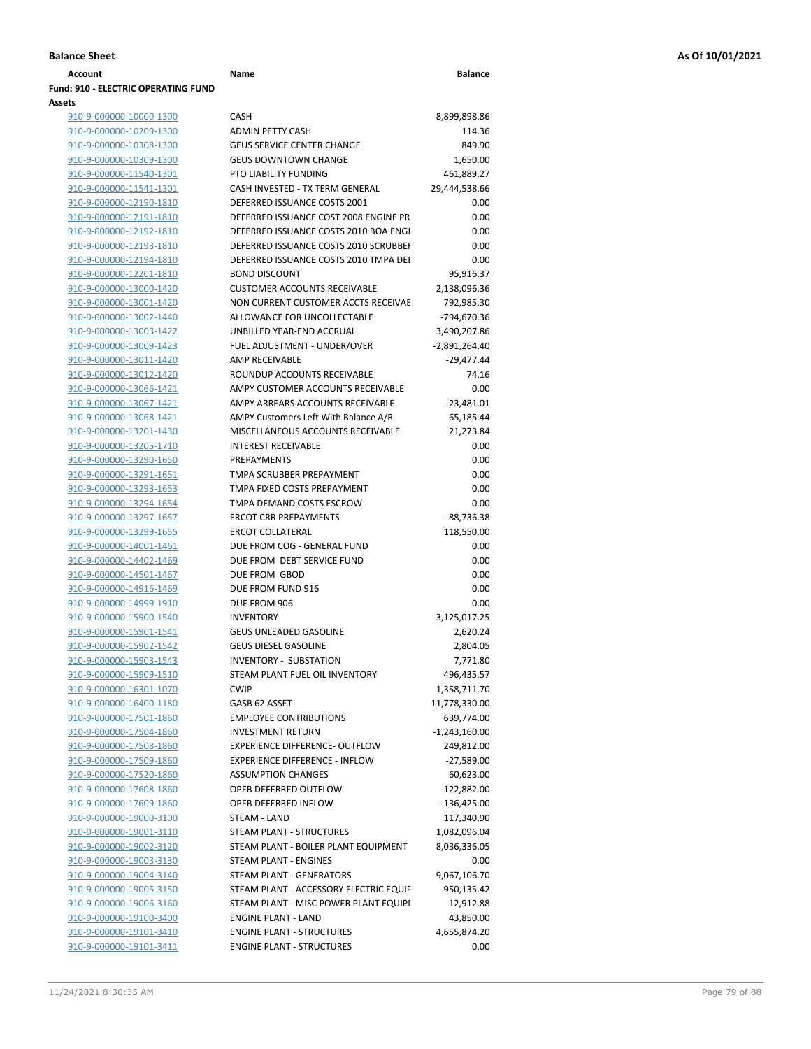| Account                             | Name                                   | <b>Balance</b>  |
|-------------------------------------|----------------------------------------|-----------------|
| Fund: 910 - ELECTRIC OPERATING FUND |                                        |                 |
| Assets                              |                                        |                 |
| 910-9-000000-10000-1300             | <b>CASH</b>                            | 8,899,898.86    |
| 910-9-000000-10209-1300             | <b>ADMIN PETTY CASH</b>                | 114.36          |
| 910-9-000000-10308-1300             | <b>GEUS SERVICE CENTER CHANGE</b>      | 849.90          |
| 910-9-000000-10309-1300             | <b>GEUS DOWNTOWN CHANGE</b>            | 1,650.00        |
| 910-9-000000-11540-1301             | PTO LIABILITY FUNDING                  | 461,889.27      |
| 910-9-000000-11541-1301             | CASH INVESTED - TX TERM GENERAL        | 29,444,538.66   |
| 910-9-000000-12190-1810             | DEFERRED ISSUANCE COSTS 2001           | 0.00            |
| 910-9-000000-12191-1810             | DEFERRED ISSUANCE COST 2008 ENGINE PR  | 0.00            |
| 910-9-000000-12192-1810             | DEFERRED ISSUANCE COSTS 2010 BOA ENGL  | 0.00            |
| 910-9-000000-12193-1810             | DEFERRED ISSUANCE COSTS 2010 SCRUBBEI  | 0.00            |
| 910-9-000000-12194-1810             | DEFERRED ISSUANCE COSTS 2010 TMPA DEI  | 0.00            |
| 910-9-000000-12201-1810             | <b>BOND DISCOUNT</b>                   | 95,916.37       |
| 910-9-000000-13000-1420             | <b>CUSTOMER ACCOUNTS RECEIVABLE</b>    | 2,138,096.36    |
| 910-9-000000-13001-1420             | NON CURRENT CUSTOMER ACCTS RECEIVAE    | 792,985.30      |
| 910-9-000000-13002-1440             | ALLOWANCE FOR UNCOLLECTABLE            | -794,670.36     |
| 910-9-000000-13003-1422             | UNBILLED YEAR-END ACCRUAL              | 3,490,207.86    |
| 910-9-000000-13009-1423             | FUEL ADJUSTMENT - UNDER/OVER           | $-2,891,264.40$ |
| 910-9-000000-13011-1420             | <b>AMP RECEIVABLE</b>                  | $-29,477.44$    |
| 910-9-000000-13012-1420             | ROUNDUP ACCOUNTS RECEIVABLE            | 74.16           |
| 910-9-000000-13066-1421             | AMPY CUSTOMER ACCOUNTS RECEIVABLE      | 0.00            |
| 910-9-000000-13067-1421             | AMPY ARREARS ACCOUNTS RECEIVABLE       | $-23,481.01$    |
| 910-9-000000-13068-1421             | AMPY Customers Left With Balance A/R   | 65,185.44       |
| 910-9-000000-13201-1430             | MISCELLANEOUS ACCOUNTS RECEIVABLE      | 21,273.84       |
| 910-9-000000-13205-1710             | <b>INTEREST RECEIVABLE</b>             | 0.00            |
| 910-9-000000-13290-1650             | <b>PREPAYMENTS</b>                     | 0.00            |
| 910-9-000000-13291-1651             | TMPA SCRUBBER PREPAYMENT               | 0.00            |
| 910-9-000000-13293-1653             | TMPA FIXED COSTS PREPAYMENT            | 0.00            |
| 910-9-000000-13294-1654             | TMPA DEMAND COSTS ESCROW               | 0.00            |
| 910-9-000000-13297-1657             | <b>ERCOT CRR PREPAYMENTS</b>           | $-88,736.38$    |
| 910-9-000000-13299-1655             | <b>ERCOT COLLATERAL</b>                | 118,550.00      |
| 910-9-000000-14001-1461             | DUE FROM COG - GENERAL FUND            | 0.00            |
| 910-9-000000-14402-1469             | DUE FROM DEBT SERVICE FUND             | 0.00            |
| 910-9-000000-14501-1467             | DUE FROM GBOD                          | 0.00            |
| 910-9-000000-14916-1469             | DUE FROM FUND 916                      | 0.00            |
| 910-9-000000-14999-1910             | DUE FROM 906                           | 0.00            |
| 910-9-000000-15900-1540             | <b>INVENTORY</b>                       | 3,125,017.25    |
| 910-9-000000-15901-1541             | <b>GEUS UNLEADED GASOLINE</b>          | 2,620.24        |
| 910-9-000000-15902-1542             | <b>GEUS DIESEL GASOLINE</b>            | 2,804.05        |
| 910-9-000000-15903-1543             | <b>INVENTORY - SUBSTATION</b>          | 7,771.80        |
| 910-9-000000-15909-1510             | STEAM PLANT FUEL OIL INVENTORY         | 496,435.57      |
| 910-9-000000-16301-1070             | <b>CWIP</b>                            | 1,358,711.70    |
| 910-9-000000-16400-1180             | GASB 62 ASSET                          | 11,778,330.00   |
| 910-9-000000-17501-1860             | <b>EMPLOYEE CONTRIBUTIONS</b>          | 639,774.00      |
| 910-9-000000-17504-1860             | <b>INVESTMENT RETURN</b>               | $-1,243,160.00$ |
| 910-9-000000-17508-1860             | <b>EXPERIENCE DIFFERENCE- OUTFLOW</b>  | 249,812.00      |
| 910-9-000000-17509-1860             | <b>EXPERIENCE DIFFERENCE - INFLOW</b>  | $-27,589.00$    |
| 910-9-000000-17520-1860             | <b>ASSUMPTION CHANGES</b>              | 60,623.00       |
| 910-9-000000-17608-1860             | OPEB DEFERRED OUTFLOW                  | 122,882.00      |
| 910-9-000000-17609-1860             | OPEB DEFERRED INFLOW                   | $-136,425.00$   |
| 910-9-000000-19000-3100             | STEAM - LAND                           | 117,340.90      |
| 910-9-000000-19001-3110             | STEAM PLANT - STRUCTURES               | 1,082,096.04    |
| 910-9-000000-19002-3120             | STEAM PLANT - BOILER PLANT EQUIPMENT   | 8,036,336.05    |
| 910-9-000000-19003-3130             | STEAM PLANT - ENGINES                  | 0.00            |
| 910-9-000000-19004-3140             | STEAM PLANT - GENERATORS               | 9,067,106.70    |
| 910-9-000000-19005-3150             | STEAM PLANT - ACCESSORY ELECTRIC EQUIF | 950,135.42      |
| 910-9-000000-19006-3160             | STEAM PLANT - MISC POWER PLANT EQUIPI  | 12,912.88       |
| 910-9-000000-19100-3400             | <b>ENGINE PLANT - LAND</b>             | 43,850.00       |
|                                     |                                        |                 |

910-9-000000-19101-3411 ENGINE PLANT - STRUCTURES 0.00

| 910-9-000000-10000-1300                            | CASH                                                        | 8,899,898.86       |
|----------------------------------------------------|-------------------------------------------------------------|--------------------|
| 910-9-000000-10209-1300                            | <b>ADMIN PETTY CASH</b>                                     | 114.36             |
| 910-9-000000-10308-1300                            | <b>GEUS SERVICE CENTER CHANGE</b>                           | 849.90             |
| 910-9-000000-10309-1300                            | <b>GEUS DOWNTOWN CHANGE</b>                                 | 1,650.00           |
| 910-9-000000-11540-1301                            | PTO LIABILITY FUNDING                                       | 461,889.27         |
| 910-9-000000-11541-1301                            | CASH INVESTED - TX TERM GENERAL                             | 29,444,538.66      |
| 910-9-000000-12190-1810                            | DEFERRED ISSUANCE COSTS 2001                                | 0.00               |
| 910-9-000000-12191-1810                            | DEFERRED ISSUANCE COST 2008 ENGINE PR                       | 0.00               |
| 910-9-000000-12192-1810                            | DEFERRED ISSUANCE COSTS 2010 BOA ENGI                       | 0.00               |
| 910-9-000000-12193-1810                            | DEFERRED ISSUANCE COSTS 2010 SCRUBBEF                       | 0.00               |
| 910-9-000000-12194-1810                            | DEFERRED ISSUANCE COSTS 2010 TMPA DEI                       | 0.00               |
| 910-9-000000-12201-1810                            | <b>BOND DISCOUNT</b>                                        | 95,916.37          |
| 910-9-000000-13000-1420                            | <b>CUSTOMER ACCOUNTS RECEIVABLE</b>                         | 2,138,096.36       |
| 910-9-000000-13001-1420                            | NON CURRENT CUSTOMER ACCTS RECEIVAE                         | 792,985.30         |
| 910-9-000000-13002-1440                            | ALLOWANCE FOR UNCOLLECTABLE                                 | -794,670.36        |
| 910-9-000000-13003-1422                            | UNBILLED YEAR-END ACCRUAL                                   | 3,490,207.86       |
| 910-9-000000-13009-1423                            | FUEL ADJUSTMENT - UNDER/OVER                                | $-2,891,264.40$    |
| 910-9-000000-13011-1420                            | AMP RECEIVABLE                                              | $-29,477.44$       |
| 910-9-000000-13012-1420                            | ROUNDUP ACCOUNTS RECEIVABLE                                 | 74.16              |
| 910-9-000000-13066-1421                            | AMPY CUSTOMER ACCOUNTS RECEIVABLE                           | 0.00               |
| 910-9-000000-13067-1421                            | AMPY ARREARS ACCOUNTS RECEIVABLE                            | $-23,481.01$       |
| 910-9-000000-13068-1421                            | AMPY Customers Left With Balance A/R                        | 65,185.44          |
| 910-9-000000-13201-1430                            | MISCELLANEOUS ACCOUNTS RECEIVABLE                           | 21,273.84          |
| 910-9-000000-13205-1710                            | <b>INTEREST RECEIVABLE</b>                                  | 0.00               |
| 910-9-000000-13290-1650                            | <b>PREPAYMENTS</b>                                          | 0.00               |
| 910-9-000000-13291-1651                            | TMPA SCRUBBER PREPAYMENT                                    | 0.00               |
| 910-9-000000-13293-1653                            | TMPA FIXED COSTS PREPAYMENT                                 | 0.00               |
| 910-9-000000-13294-1654                            | TMPA DEMAND COSTS ESCROW                                    | 0.00               |
| 910-9-000000-13297-1657                            | <b>ERCOT CRR PREPAYMENTS</b>                                | $-88,736.38$       |
| 910-9-000000-13299-1655<br>910-9-000000-14001-1461 | <b>ERCOT COLLATERAL</b><br>DUE FROM COG - GENERAL FUND      | 118,550.00<br>0.00 |
| 910-9-000000-14402-1469                            | DUE FROM DEBT SERVICE FUND                                  | 0.00               |
| 910-9-000000-14501-1467                            | DUE FROM GBOD                                               | 0.00               |
| 910-9-000000-14916-1469                            | DUE FROM FUND 916                                           | 0.00               |
| 910-9-000000-14999-1910                            | DUE FROM 906                                                | 0.00               |
| 910-9-000000-15900-1540                            | <b>INVENTORY</b>                                            | 3,125,017.25       |
| 910-9-000000-15901-1541                            | <b>GEUS UNLEADED GASOLINE</b>                               | 2,620.24           |
| 910-9-000000-15902-1542                            | <b>GEUS DIESEL GASOLINE</b>                                 | 2,804.05           |
| 910-9-000000-15903-1543                            | INVENTORY - SUBSTATION                                      | 7,771.80           |
| 910-9-000000-15909-1510                            | STEAM PLANT FUEL OIL INVENTORY                              | 496,435.57         |
| 910-9-000000-16301-1070                            | <b>CWIP</b>                                                 | 1,358,711.70       |
| 910-9-000000-16400-1180                            | GASB 62 ASSET                                               | 11,778,330.00      |
| 910-9-000000-17501-1860                            | <b>EMPLOYEE CONTRIBUTIONS</b>                               | 639,774.00         |
| 910-9-000000-17504-1860                            | <b>INVESTMENT RETURN</b>                                    | $-1,243,160.00$    |
| 910-9-000000-17508-1860                            | <b>EXPERIENCE DIFFERENCE- OUTFLOW</b>                       | 249,812.00         |
| 910-9-000000-17509-1860                            | <b>EXPERIENCE DIFFERENCE - INFLOW</b>                       | $-27,589.00$       |
| 910-9-000000-17520-1860                            | <b>ASSUMPTION CHANGES</b>                                   | 60,623.00          |
| 910-9-000000-17608-1860                            | OPEB DEFERRED OUTFLOW                                       | 122,882.00         |
| 910-9-000000-17609-1860                            | OPEB DEFERRED INFLOW                                        | $-136,425.00$      |
| 910-9-000000-19000-3100                            | STEAM - LAND                                                | 117,340.90         |
| 910-9-000000-19001-3110                            | STEAM PLANT - STRUCTURES                                    | 1,082,096.04       |
| 910-9-000000-19002-3120                            | STEAM PLANT - BOILER PLANT EQUIPMENT                        | 8,036,336.05       |
| 910-9-000000-19003-3130                            | STEAM PLANT - ENGINES                                       | 0.00               |
| 910-9-000000-19004-3140                            | STEAM PLANT - GENERATORS                                    | 9,067,106.70       |
| 910-9-000000-19005-3150                            | STEAM PLANT - ACCESSORY ELECTRIC EQUIF                      | 950,135.42         |
| 910-9-000000-19006-3160                            | STEAM PLANT - MISC POWER PLANT EQUIPI                       | 12,912.88          |
| 910-9-000000-19100-3400                            | <b>ENGINE PLANT - LAND</b>                                  | 43,850.00          |
| 910-9-000000-19101-3410<br>000000 10101 2411       | <b>ENGINE PLANT - STRUCTURES</b><br>CINE DI ANT. CTOUCTUDES | 4,655,874.20       |
|                                                    |                                                             | n nn               |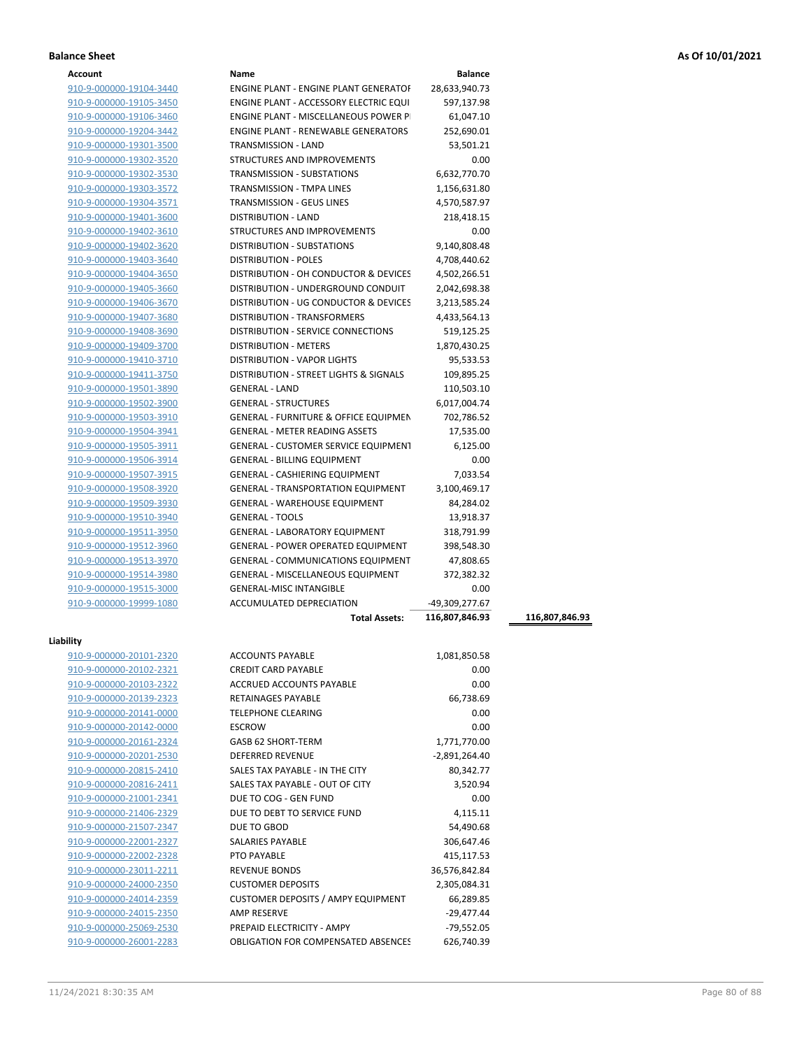| Account |
|---------|
|---------|

| Account                 | Name                                             | <b>Balance</b> |                |
|-------------------------|--------------------------------------------------|----------------|----------------|
| 910-9-000000-19104-3440 | <b>ENGINE PLANT - ENGINE PLANT GENERATOF</b>     | 28,633,940.73  |                |
| 910-9-000000-19105-3450 | ENGINE PLANT - ACCESSORY ELECTRIC EQUI           | 597,137.98     |                |
| 910-9-000000-19106-3460 | ENGINE PLANT - MISCELLANEOUS POWER P             | 61,047.10      |                |
| 910-9-000000-19204-3442 | <b>ENGINE PLANT - RENEWABLE GENERATORS</b>       | 252,690.01     |                |
| 910-9-000000-19301-3500 | TRANSMISSION - LAND                              | 53,501.21      |                |
| 910-9-000000-19302-3520 | STRUCTURES AND IMPROVEMENTS                      | 0.00           |                |
| 910-9-000000-19302-3530 | TRANSMISSION - SUBSTATIONS                       | 6,632,770.70   |                |
| 910-9-000000-19303-3572 | TRANSMISSION - TMPA LINES                        | 1,156,631.80   |                |
| 910-9-000000-19304-3571 | <b>TRANSMISSION - GEUS LINES</b>                 | 4,570,587.97   |                |
| 910-9-000000-19401-3600 | DISTRIBUTION - LAND                              | 218,418.15     |                |
| 910-9-000000-19402-3610 | STRUCTURES AND IMPROVEMENTS                      | 0.00           |                |
| 910-9-000000-19402-3620 | DISTRIBUTION - SUBSTATIONS                       | 9,140,808.48   |                |
| 910-9-000000-19403-3640 | <b>DISTRIBUTION - POLES</b>                      | 4,708,440.62   |                |
|                         |                                                  |                |                |
| 910-9-000000-19404-3650 | DISTRIBUTION - OH CONDUCTOR & DEVICES            | 4,502,266.51   |                |
| 910-9-000000-19405-3660 | DISTRIBUTION - UNDERGROUND CONDUIT               | 2,042,698.38   |                |
| 910-9-000000-19406-3670 | DISTRIBUTION - UG CONDUCTOR & DEVICES            | 3,213,585.24   |                |
| 910-9-000000-19407-3680 | DISTRIBUTION - TRANSFORMERS                      | 4,433,564.13   |                |
| 910-9-000000-19408-3690 | DISTRIBUTION - SERVICE CONNECTIONS               | 519,125.25     |                |
| 910-9-000000-19409-3700 | <b>DISTRIBUTION - METERS</b>                     | 1,870,430.25   |                |
| 910-9-000000-19410-3710 | <b>DISTRIBUTION - VAPOR LIGHTS</b>               | 95,533.53      |                |
| 910-9-000000-19411-3750 | DISTRIBUTION - STREET LIGHTS & SIGNALS           | 109,895.25     |                |
| 910-9-000000-19501-3890 | <b>GENERAL - LAND</b>                            | 110,503.10     |                |
| 910-9-000000-19502-3900 | <b>GENERAL - STRUCTURES</b>                      | 6,017,004.74   |                |
| 910-9-000000-19503-3910 | <b>GENERAL - FURNITURE &amp; OFFICE EQUIPMEN</b> | 702,786.52     |                |
| 910-9-000000-19504-3941 | <b>GENERAL - METER READING ASSETS</b>            | 17,535.00      |                |
| 910-9-000000-19505-3911 | <b>GENERAL - CUSTOMER SERVICE EQUIPMENT</b>      | 6,125.00       |                |
| 910-9-000000-19506-3914 | <b>GENERAL - BILLING EQUIPMENT</b>               | 0.00           |                |
| 910-9-000000-19507-3915 | <b>GENERAL - CASHIERING EQUIPMENT</b>            | 7,033.54       |                |
| 910-9-000000-19508-3920 | <b>GENERAL - TRANSPORTATION EQUIPMENT</b>        | 3,100,469.17   |                |
| 910-9-000000-19509-3930 | <b>GENERAL - WAREHOUSE EQUIPMENT</b>             | 84,284.02      |                |
| 910-9-000000-19510-3940 | <b>GENERAL - TOOLS</b>                           | 13,918.37      |                |
| 910-9-000000-19511-3950 | GENERAL - LABORATORY EQUIPMENT                   | 318,791.99     |                |
| 910-9-000000-19512-3960 | <b>GENERAL - POWER OPERATED EQUIPMENT</b>        | 398,548.30     |                |
| 910-9-000000-19513-3970 | <b>GENERAL - COMMUNICATIONS EQUIPMENT</b>        | 47,808.65      |                |
| 910-9-000000-19514-3980 | GENERAL - MISCELLANEOUS EQUIPMENT                | 372,382.32     |                |
|                         | <b>GENERAL-MISC INTANGIBLE</b>                   | 0.00           |                |
| 910-9-000000-19515-3000 |                                                  |                |                |
| 910-9-000000-19999-1080 | ACCUMULATED DEPRECIATION                         | -49,309,277.67 |                |
|                         | <b>Total Assets:</b>                             | 116,807,846.93 | 116,807,846.93 |
| Liability               |                                                  |                |                |
| 910-9-000000-20101-2320 | <b>ACCOUNTS PAYABLE</b>                          | 1,081,850.58   |                |
| 910-9-000000-20102-2321 | <b>CREDIT CARD PAYABLE</b>                       | 0.00           |                |
| 910-9-000000-20103-2322 | <b>ACCRUED ACCOUNTS PAYABLE</b>                  | 0.00           |                |
| 910-9-000000-20139-2323 | RETAINAGES PAYABLE                               | 66,738.69      |                |
| 910-9-000000-20141-0000 | TELEPHONE CLEARING                               | 0.00           |                |
| 910-9-000000-20142-0000 | <b>ESCROW</b>                                    | 0.00           |                |
|                         | GASB 62 SHORT-TERM                               |                |                |
| 910-9-000000-20161-2324 |                                                  | 1,771,770.00   |                |
| 910-9-000000-20201-2530 | DEFERRED REVENUE                                 | -2,891,264.40  |                |
| 910-9-000000-20815-2410 | SALES TAX PAYABLE - IN THE CITY                  | 80,342.77      |                |
| 910-9-000000-20816-2411 | SALES TAX PAYABLE - OUT OF CITY                  | 3,520.94       |                |
| 910-9-000000-21001-2341 | DUE TO COG - GEN FUND                            | 0.00           |                |
| 910-9-000000-21406-2329 | DUE TO DEBT TO SERVICE FUND                      | 4,115.11       |                |
| 910-9-000000-21507-2347 | DUE TO GBOD                                      | 54,490.68      |                |
| 910-9-000000-22001-2327 | SALARIES PAYABLE                                 | 306,647.46     |                |
| 910-9-000000-22002-2328 | PTO PAYABLE                                      | 415,117.53     |                |
| 910-9-000000-23011-2211 | <b>REVENUE BONDS</b>                             | 36,576,842.84  |                |
| 910-9-000000-24000-2350 | <b>CUSTOMER DEPOSITS</b>                         | 2,305,084.31   |                |
| 910-9-000000-24014-2359 | <b>CUSTOMER DEPOSITS / AMPY EQUIPMENT</b>        | 66,289.85      |                |
| 910-9-000000-24015-2350 | AMP RESERVE                                      | $-29,477.44$   |                |

910-9-000000-25069-2530 **PREPAID ELECTRICITY - AMPY** -79,552.05 910-9-000000-26001-2283 OBLIGATION FOR COMPENSATED ABSENCES 626,740.39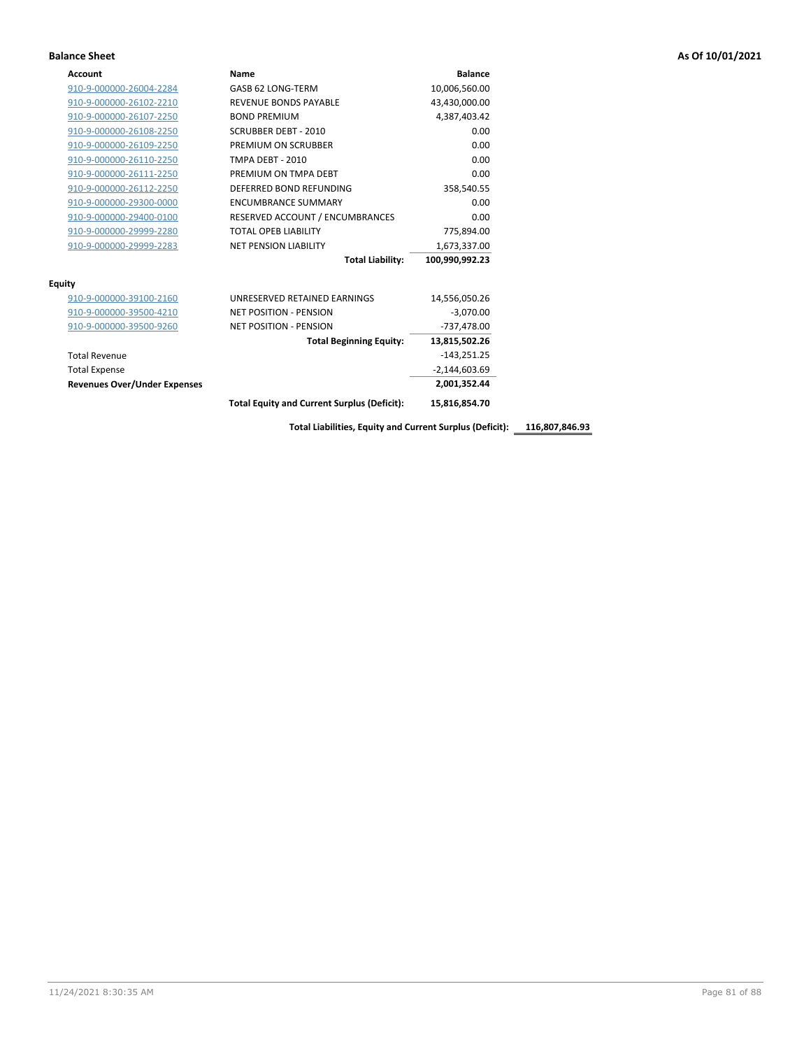| <b>Account</b>                      | Name                                               | <b>Balance</b>  |
|-------------------------------------|----------------------------------------------------|-----------------|
| 910-9-000000-26004-2284             | GASB 62 LONG-TERM                                  | 10,006,560.00   |
| 910-9-000000-26102-2210             | <b>REVENUE BONDS PAYABLE</b>                       | 43,430,000.00   |
| 910-9-000000-26107-2250             | <b>BOND PREMIUM</b>                                | 4,387,403.42    |
| 910-9-000000-26108-2250             | <b>SCRUBBER DEBT - 2010</b>                        | 0.00            |
| 910-9-000000-26109-2250             | PREMIUM ON SCRUBBER                                | 0.00            |
| 910-9-000000-26110-2250             | <b>TMPA DEBT - 2010</b>                            | 0.00            |
| 910-9-000000-26111-2250             | PREMIUM ON TMPA DEBT                               | 0.00            |
| 910-9-000000-26112-2250             | DEFERRED BOND REFUNDING                            | 358,540.55      |
| 910-9-000000-29300-0000             | <b>ENCUMBRANCE SUMMARY</b>                         | 0.00            |
| 910-9-000000-29400-0100             | RESERVED ACCOUNT / ENCUMBRANCES                    | 0.00            |
| 910-9-000000-29999-2280             | <b>TOTAL OPEB LIABILITY</b>                        | 775,894.00      |
| 910-9-000000-29999-2283             | <b>NET PENSION LIABILITY</b>                       | 1,673,337.00    |
|                                     | <b>Total Liability:</b>                            | 100,990,992.23  |
| <b>Equity</b>                       |                                                    |                 |
| 910-9-000000-39100-2160             | <b>UNRESERVED RETAINED FARNINGS</b>                | 14,556,050.26   |
| 910-9-000000-39500-4210             | <b>NET POSITION - PENSION</b>                      | $-3,070.00$     |
| 910-9-000000-39500-9260             | <b>NET POSITION - PENSION</b>                      | -737,478.00     |
|                                     | <b>Total Beginning Equity:</b>                     | 13,815,502.26   |
| <b>Total Revenue</b>                |                                                    | $-143,251.25$   |
| <b>Total Expense</b>                |                                                    | $-2,144,603.69$ |
| <b>Revenues Over/Under Expenses</b> |                                                    | 2,001,352.44    |
|                                     | <b>Total Equity and Current Surplus (Deficit):</b> | 15.816.854.70   |

**Total Liabilities, Equity and Current Surplus (Deficit): 116,807,846.93**

11/24/2021 8:30:35 AM Page 81 of 88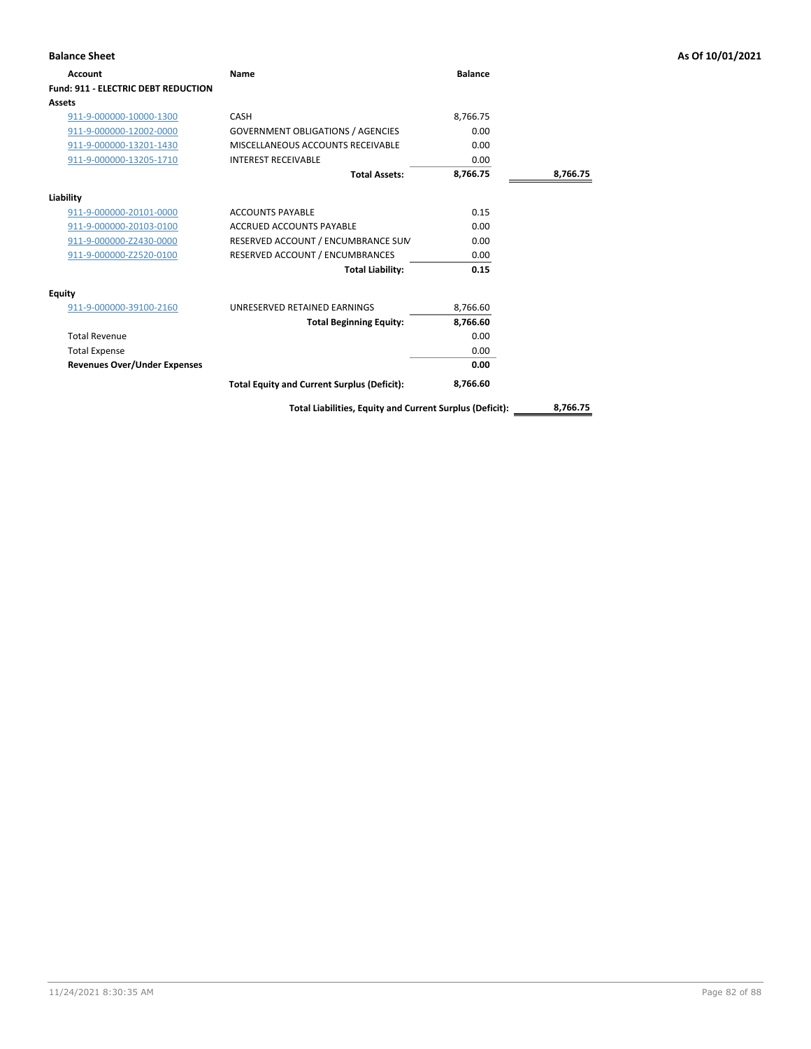| <b>Balance Sheet</b>                       |                                                          |                |          | As Of 10/01/2021 |
|--------------------------------------------|----------------------------------------------------------|----------------|----------|------------------|
| Account                                    | Name                                                     | <b>Balance</b> |          |                  |
| <b>Fund: 911 - ELECTRIC DEBT REDUCTION</b> |                                                          |                |          |                  |
| <b>Assets</b>                              |                                                          |                |          |                  |
| 911-9-000000-10000-1300                    | CASH                                                     | 8,766.75       |          |                  |
| 911-9-000000-12002-0000                    | <b>GOVERNMENT OBLIGATIONS / AGENCIES</b>                 | 0.00           |          |                  |
| 911-9-000000-13201-1430                    | MISCELLANEOUS ACCOUNTS RECEIVABLE                        | 0.00           |          |                  |
| 911-9-000000-13205-1710                    | <b>INTEREST RECEIVABLE</b>                               | 0.00           |          |                  |
|                                            | <b>Total Assets:</b>                                     | 8,766.75       | 8,766.75 |                  |
| Liability                                  |                                                          |                |          |                  |
| 911-9-000000-20101-0000                    | <b>ACCOUNTS PAYABLE</b>                                  | 0.15           |          |                  |
| 911-9-000000-20103-0100                    | ACCRUED ACCOUNTS PAYABLE                                 | 0.00           |          |                  |
| 911-9-000000-Z2430-0000                    | RESERVED ACCOUNT / ENCUMBRANCE SUM                       | 0.00           |          |                  |
| 911-9-000000-Z2520-0100                    | RESERVED ACCOUNT / ENCUMBRANCES                          | 0.00           |          |                  |
|                                            | <b>Total Liability:</b>                                  | 0.15           |          |                  |
| <b>Equity</b>                              |                                                          |                |          |                  |
| 911-9-000000-39100-2160                    | UNRESERVED RETAINED EARNINGS                             | 8,766.60       |          |                  |
|                                            | <b>Total Beginning Equity:</b>                           | 8,766.60       |          |                  |
| <b>Total Revenue</b>                       |                                                          | 0.00           |          |                  |
| <b>Total Expense</b>                       |                                                          | 0.00           |          |                  |
| <b>Revenues Over/Under Expenses</b>        |                                                          | 0.00           |          |                  |
|                                            | <b>Total Equity and Current Surplus (Deficit):</b>       | 8,766.60       |          |                  |
|                                            | Total Liabilities, Equity and Current Surplus (Deficit): |                | 8,766.75 |                  |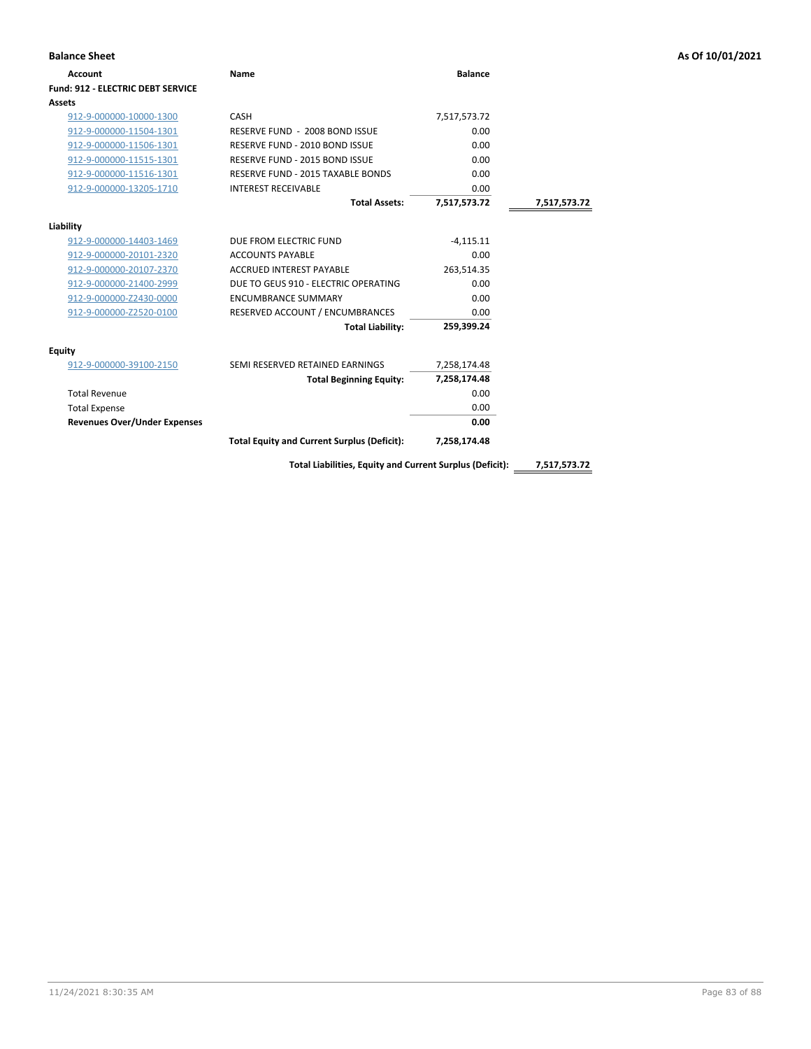| <b>Balance Sheet</b>                     |                                                          |                |              | As Of 10/01/2021 |
|------------------------------------------|----------------------------------------------------------|----------------|--------------|------------------|
| <b>Account</b>                           | Name                                                     | <b>Balance</b> |              |                  |
| <b>Fund: 912 - ELECTRIC DEBT SERVICE</b> |                                                          |                |              |                  |
| <b>Assets</b>                            |                                                          |                |              |                  |
| 912-9-000000-10000-1300                  | CASH                                                     | 7,517,573.72   |              |                  |
| 912-9-000000-11504-1301                  | RESERVE FUND - 2008 BOND ISSUE                           | 0.00           |              |                  |
| 912-9-000000-11506-1301                  | RESERVE FUND - 2010 BOND ISSUE                           | 0.00           |              |                  |
| 912-9-000000-11515-1301                  | RESERVE FUND - 2015 BOND ISSUE                           | 0.00           |              |                  |
| 912-9-000000-11516-1301                  | RESERVE FUND - 2015 TAXABLE BONDS                        | 0.00           |              |                  |
| 912-9-000000-13205-1710                  | <b>INTEREST RECEIVABLE</b>                               | 0.00           |              |                  |
|                                          | <b>Total Assets:</b>                                     | 7,517,573.72   | 7,517,573.72 |                  |
| Liability                                |                                                          |                |              |                  |
| 912-9-000000-14403-1469                  | DUE FROM ELECTRIC FUND                                   | $-4,115.11$    |              |                  |
| 912-9-000000-20101-2320                  | <b>ACCOUNTS PAYABLE</b>                                  | 0.00           |              |                  |
| 912-9-000000-20107-2370                  | <b>ACCRUED INTEREST PAYABLE</b>                          | 263,514.35     |              |                  |
| 912-9-000000-21400-2999                  | DUE TO GEUS 910 - ELECTRIC OPERATING                     | 0.00           |              |                  |
| 912-9-000000-Z2430-0000                  | <b>ENCUMBRANCE SUMMARY</b>                               | 0.00           |              |                  |
| 912-9-000000-Z2520-0100                  | RESERVED ACCOUNT / ENCUMBRANCES                          | 0.00           |              |                  |
|                                          | <b>Total Liability:</b>                                  | 259,399.24     |              |                  |
| <b>Equity</b>                            |                                                          |                |              |                  |
| 912-9-000000-39100-2150                  | SEMI RESERVED RETAINED EARNINGS                          | 7,258,174.48   |              |                  |
|                                          | <b>Total Beginning Equity:</b>                           | 7,258,174.48   |              |                  |
| <b>Total Revenue</b>                     |                                                          | 0.00           |              |                  |
| <b>Total Expense</b>                     |                                                          | 0.00           |              |                  |
| <b>Revenues Over/Under Expenses</b>      |                                                          | 0.00           |              |                  |
|                                          | <b>Total Equity and Current Surplus (Deficit):</b>       | 7,258,174.48   |              |                  |
|                                          | Total Liabilities, Equity and Current Surplus (Deficit): |                | 7,517,573.72 |                  |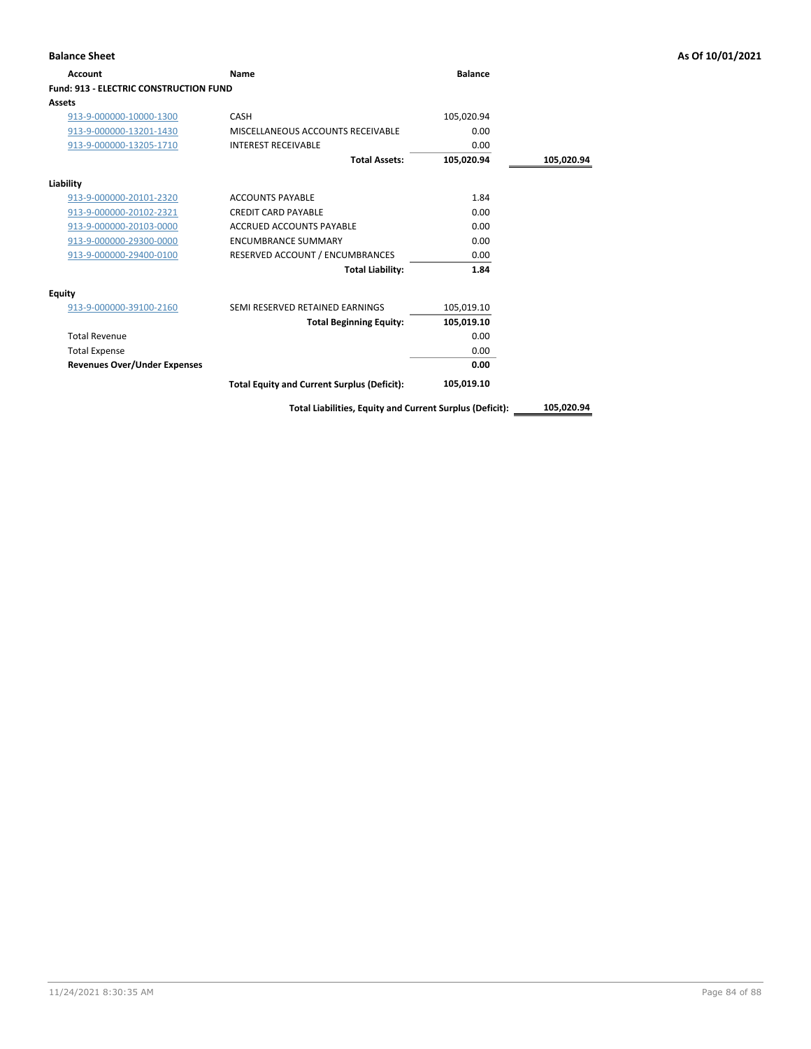| <b>Account</b>                                | Name                                               | <b>Balance</b> |            |
|-----------------------------------------------|----------------------------------------------------|----------------|------------|
| <b>Fund: 913 - ELECTRIC CONSTRUCTION FUND</b> |                                                    |                |            |
| <b>Assets</b>                                 |                                                    |                |            |
| 913-9-000000-10000-1300                       | <b>CASH</b>                                        | 105,020.94     |            |
| 913-9-000000-13201-1430                       | MISCELLANEOUS ACCOUNTS RECEIVABLE                  | 0.00           |            |
| 913-9-000000-13205-1710                       | <b>INTEREST RECEIVABLE</b>                         | 0.00           |            |
|                                               | <b>Total Assets:</b>                               | 105,020.94     | 105,020.94 |
| Liability                                     |                                                    |                |            |
| 913-9-000000-20101-2320                       | <b>ACCOUNTS PAYABLE</b>                            | 1.84           |            |
| 913-9-000000-20102-2321                       | <b>CREDIT CARD PAYABLE</b>                         | 0.00           |            |
| 913-9-000000-20103-0000                       | <b>ACCRUED ACCOUNTS PAYABLE</b>                    | 0.00           |            |
| 913-9-000000-29300-0000                       | <b>ENCUMBRANCE SUMMARY</b>                         | 0.00           |            |
| 913-9-000000-29400-0100                       | RESERVED ACCOUNT / ENCUMBRANCES                    | 0.00           |            |
|                                               | <b>Total Liability:</b>                            | 1.84           |            |
| Equity                                        |                                                    |                |            |
| 913-9-000000-39100-2160                       | SEMI RESERVED RETAINED EARNINGS                    | 105,019.10     |            |
|                                               | <b>Total Beginning Equity:</b>                     | 105,019.10     |            |
| <b>Total Revenue</b>                          |                                                    | 0.00           |            |
| <b>Total Expense</b>                          |                                                    | 0.00           |            |
| <b>Revenues Over/Under Expenses</b>           |                                                    | 0.00           |            |
|                                               | <b>Total Equity and Current Surplus (Deficit):</b> | 105,019.10     |            |

**Total Liabilities, Equity and Current Surplus (Deficit): 105,020.94**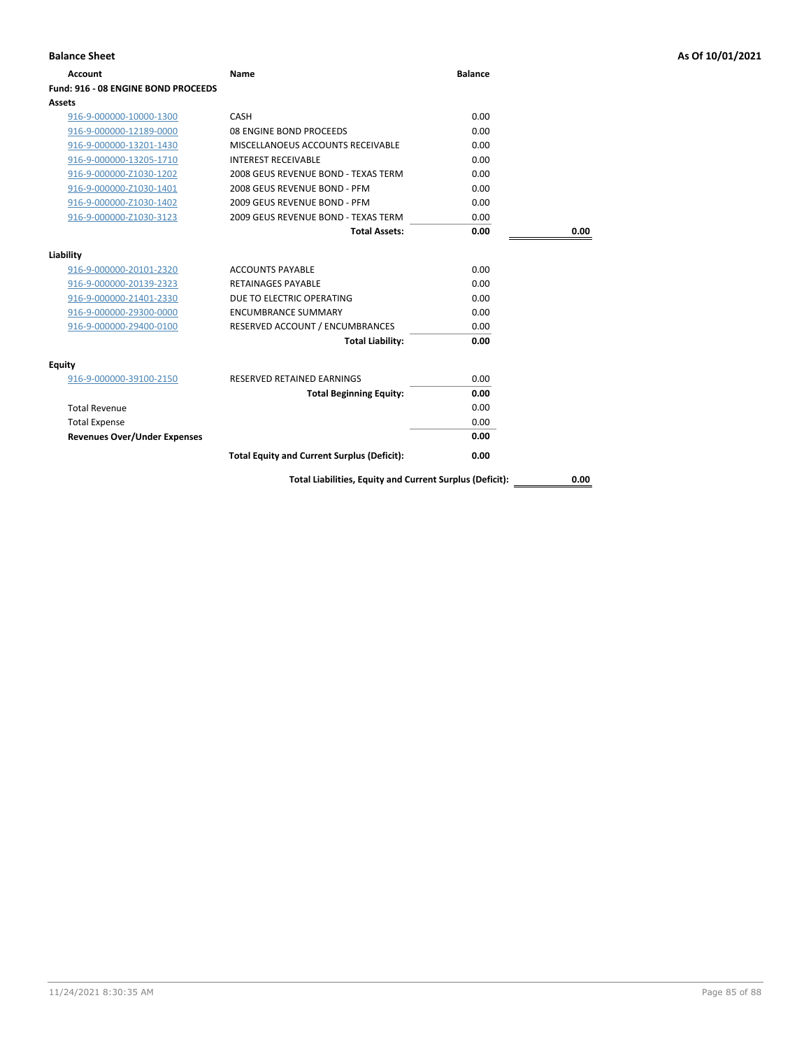| <b>Balance Sheet</b>                |                                                          |                |      | As Of 10/01/2021 |
|-------------------------------------|----------------------------------------------------------|----------------|------|------------------|
| <b>Account</b>                      | Name                                                     | <b>Balance</b> |      |                  |
| Fund: 916 - 08 ENGINE BOND PROCEEDS |                                                          |                |      |                  |
| Assets                              |                                                          |                |      |                  |
| 916-9-000000-10000-1300             | CASH                                                     | 0.00           |      |                  |
| 916-9-000000-12189-0000             | 08 ENGINE BOND PROCEEDS                                  | 0.00           |      |                  |
| 916-9-000000-13201-1430             | MISCELLANOEUS ACCOUNTS RECEIVABLE                        | 0.00           |      |                  |
| 916-9-000000-13205-1710             | <b>INTEREST RECEIVABLE</b>                               | 0.00           |      |                  |
| 916-9-000000-Z1030-1202             | 2008 GEUS REVENUE BOND - TEXAS TERM                      | 0.00           |      |                  |
| 916-9-000000-Z1030-1401             | 2008 GEUS REVENUE BOND - PFM                             | 0.00           |      |                  |
| 916-9-000000-Z1030-1402             | 2009 GEUS REVENUE BOND - PFM                             | 0.00           |      |                  |
| 916-9-000000-Z1030-3123             | 2009 GEUS REVENUE BOND - TEXAS TERM                      | 0.00           |      |                  |
|                                     | <b>Total Assets:</b>                                     | 0.00           | 0.00 |                  |
| Liability                           |                                                          |                |      |                  |
| 916-9-000000-20101-2320             | <b>ACCOUNTS PAYABLE</b>                                  | 0.00           |      |                  |
| 916-9-000000-20139-2323             | <b>RETAINAGES PAYABLE</b>                                | 0.00           |      |                  |
| 916-9-000000-21401-2330             | DUE TO ELECTRIC OPERATING                                | 0.00           |      |                  |
| 916-9-000000-29300-0000             | <b>ENCUMBRANCE SUMMARY</b>                               | 0.00           |      |                  |
| 916-9-000000-29400-0100             | RESERVED ACCOUNT / ENCUMBRANCES                          | 0.00           |      |                  |
|                                     | <b>Total Liability:</b>                                  | 0.00           |      |                  |
| <b>Equity</b>                       |                                                          |                |      |                  |
| 916-9-000000-39100-2150             | RESERVED RETAINED EARNINGS                               | 0.00           |      |                  |
|                                     | <b>Total Beginning Equity:</b>                           | 0.00           |      |                  |
| <b>Total Revenue</b>                |                                                          | 0.00           |      |                  |
| <b>Total Expense</b>                |                                                          | 0.00           |      |                  |
| <b>Revenues Over/Under Expenses</b> |                                                          | 0.00           |      |                  |
|                                     | <b>Total Equity and Current Surplus (Deficit):</b>       | 0.00           |      |                  |
|                                     | Total Liabilities, Equity and Current Surplus (Deficit): |                | 0.00 |                  |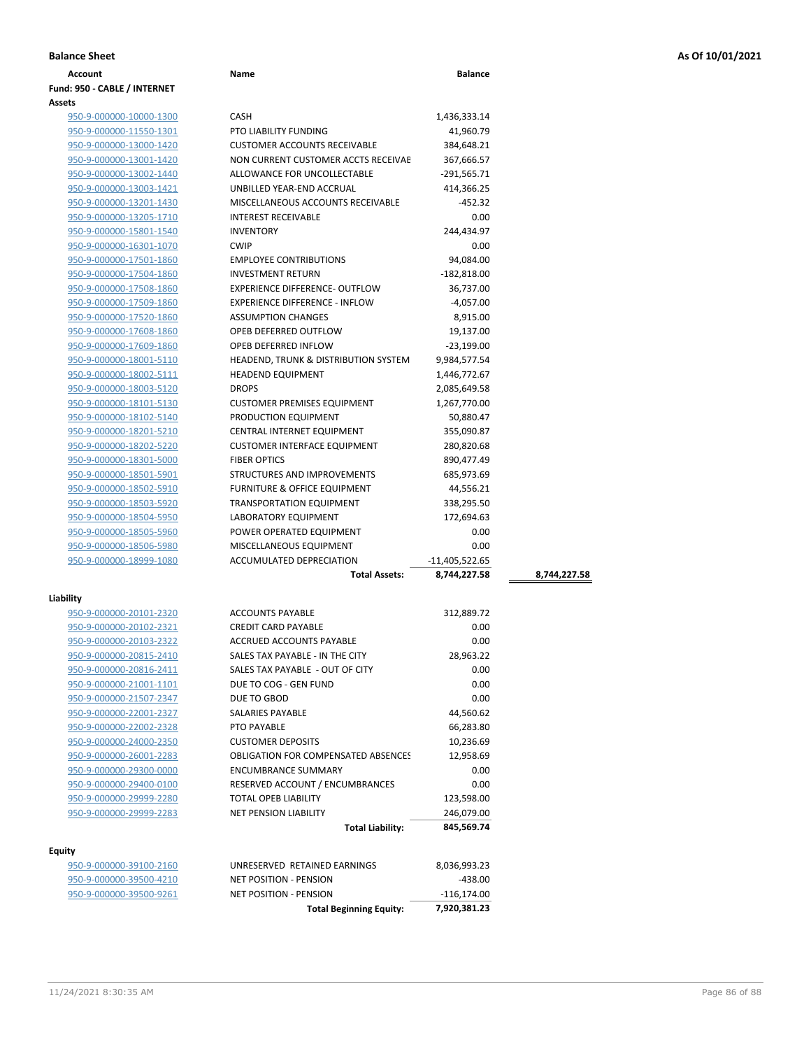| <b>Balance Sheet</b> | As Of 10/01/2021 |
|----------------------|------------------|
|                      |                  |

| <b>Account</b>               | Name                                            | <b>Balance</b> |              |
|------------------------------|-------------------------------------------------|----------------|--------------|
| Fund: 950 - CABLE / INTERNET |                                                 |                |              |
| Assets                       |                                                 |                |              |
| 950-9-000000-10000-1300      | <b>CASH</b>                                     | 1,436,333.14   |              |
| 950-9-000000-11550-1301      | <b>PTO LIABILITY FUNDING</b>                    | 41,960.79      |              |
| 950-9-000000-13000-1420      | <b>CUSTOMER ACCOUNTS RECEIVABLE</b>             | 384,648.21     |              |
| 950-9-000000-13001-1420      | NON CURRENT CUSTOMER ACCTS RECEIVAE             | 367,666.57     |              |
| 950-9-000000-13002-1440      | ALLOWANCE FOR UNCOLLECTABLE                     | $-291,565.71$  |              |
| 950-9-000000-13003-1421      | UNBILLED YEAR-END ACCRUAL                       | 414,366.25     |              |
| 950-9-000000-13201-1430      | MISCELLANEOUS ACCOUNTS RECEIVABLE               | $-452.32$      |              |
| 950-9-000000-13205-1710      | <b>INTEREST RECEIVABLE</b>                      | 0.00           |              |
| 950-9-000000-15801-1540      | <b>INVENTORY</b>                                | 244,434.97     |              |
| 950-9-000000-16301-1070      | <b>CWIP</b>                                     | 0.00           |              |
| 950-9-000000-17501-1860      | <b>EMPLOYEE CONTRIBUTIONS</b>                   | 94,084.00      |              |
| 950-9-000000-17504-1860      | <b>INVESTMENT RETURN</b>                        | $-182,818.00$  |              |
| 950-9-000000-17508-1860      | EXPERIENCE DIFFERENCE- OUTFLOW                  | 36,737.00      |              |
| 950-9-000000-17509-1860      | <b>EXPERIENCE DIFFERENCE - INFLOW</b>           | $-4,057.00$    |              |
| 950-9-000000-17520-1860      | <b>ASSUMPTION CHANGES</b>                       | 8,915.00       |              |
| 950-9-000000-17608-1860      | OPEB DEFERRED OUTFLOW                           | 19,137.00      |              |
| 950-9-000000-17609-1860      | OPEB DEFERRED INFLOW                            |                |              |
|                              |                                                 | $-23,199.00$   |              |
| 950-9-000000-18001-5110      | <b>HEADEND, TRUNK &amp; DISTRIBUTION SYSTEM</b> | 9,984,577.54   |              |
| 950-9-000000-18002-5111      | <b>HEADEND EQUIPMENT</b>                        | 1,446,772.67   |              |
| 950-9-000000-18003-5120      | <b>DROPS</b>                                    | 2,085,649.58   |              |
| 950-9-000000-18101-5130      | <b>CUSTOMER PREMISES EQUIPMENT</b>              | 1,267,770.00   |              |
| 950-9-000000-18102-5140      | PRODUCTION EQUIPMENT                            | 50,880.47      |              |
| 950-9-000000-18201-5210      | CENTRAL INTERNET EQUIPMENT                      | 355,090.87     |              |
| 950-9-000000-18202-5220      | <b>CUSTOMER INTERFACE EQUIPMENT</b>             | 280,820.68     |              |
| 950-9-000000-18301-5000      | <b>FIBER OPTICS</b>                             | 890,477.49     |              |
| 950-9-000000-18501-5901      | STRUCTURES AND IMPROVEMENTS                     | 685,973.69     |              |
| 950-9-000000-18502-5910      | <b>FURNITURE &amp; OFFICE EQUIPMENT</b>         | 44,556.21      |              |
| 950-9-000000-18503-5920      | <b>TRANSPORTATION EQUIPMENT</b>                 | 338,295.50     |              |
| 950-9-000000-18504-5950      | LABORATORY EQUIPMENT                            | 172,694.63     |              |
| 950-9-000000-18505-5960      | POWER OPERATED EQUIPMENT                        | 0.00           |              |
| 950-9-000000-18506-5980      | MISCELLANEOUS EQUIPMENT                         | 0.00           |              |
| 950-9-000000-18999-1080      | ACCUMULATED DEPRECIATION                        | -11,405,522.65 |              |
|                              | <b>Total Assets:</b>                            | 8,744,227.58   | 8,744,227.58 |
|                              |                                                 |                |              |
| Liability                    |                                                 |                |              |
| 950-9-000000-20101-2320      | <b>ACCOUNTS PAYABLE</b>                         | 312,889.72     |              |
| 950-9-000000-20102-2321      | <b>CREDIT CARD PAYABLE</b>                      | 0.00           |              |
| 950-9-000000-20103-2322      | ACCRUED ACCOUNTS PAYABLE                        | 0.00           |              |
| 950-9-000000-20815-2410      | SALES TAX PAYABLE - IN THE CITY                 | 28,963.22      |              |
| 950-9-000000-20816-2411      | SALES TAX PAYABLE - OUT OF CITY                 | 0.00           |              |
| 950-9-000000-21001-1101      | DUE TO COG - GEN FUND                           | 0.00           |              |
| 950-9-000000-21507-2347      | DUE TO GBOD                                     | 0.00           |              |
| 950-9-000000-22001-2327      | SALARIES PAYABLE                                | 44,560.62      |              |
| 950-9-000000-22002-2328      | PTO PAYABLE                                     | 66,283.80      |              |
| 950-9-000000-24000-2350      | <b>CUSTOMER DEPOSITS</b>                        | 10,236.69      |              |
| 950-9-000000-26001-2283      | <b>OBLIGATION FOR COMPENSATED ABSENCES</b>      | 12,958.69      |              |
| 950-9-000000-29300-0000      | <b>ENCUMBRANCE SUMMARY</b>                      | 0.00           |              |
| 950-9-000000-29400-0100      | RESERVED ACCOUNT / ENCUMBRANCES                 | 0.00           |              |
| 950-9-000000-29999-2280      | TOTAL OPEB LIABILITY                            | 123,598.00     |              |
| 950-9-000000-29999-2283      | <b>NET PENSION LIABILITY</b>                    | 246,079.00     |              |
|                              | <b>Total Liability:</b>                         | 845,569.74     |              |
|                              |                                                 |                |              |
| Equity                       |                                                 |                |              |
| 950-9-000000-39100-2160      | UNRESERVED RETAINED EARNINGS                    | 8,036,993.23   |              |
| 950-9-000000-39500-4210      | <b>NET POSITION - PENSION</b>                   | $-438.00$      |              |
| 950-9-000000-39500-9261      | NET POSITION - PENSION                          | $-116,174.00$  |              |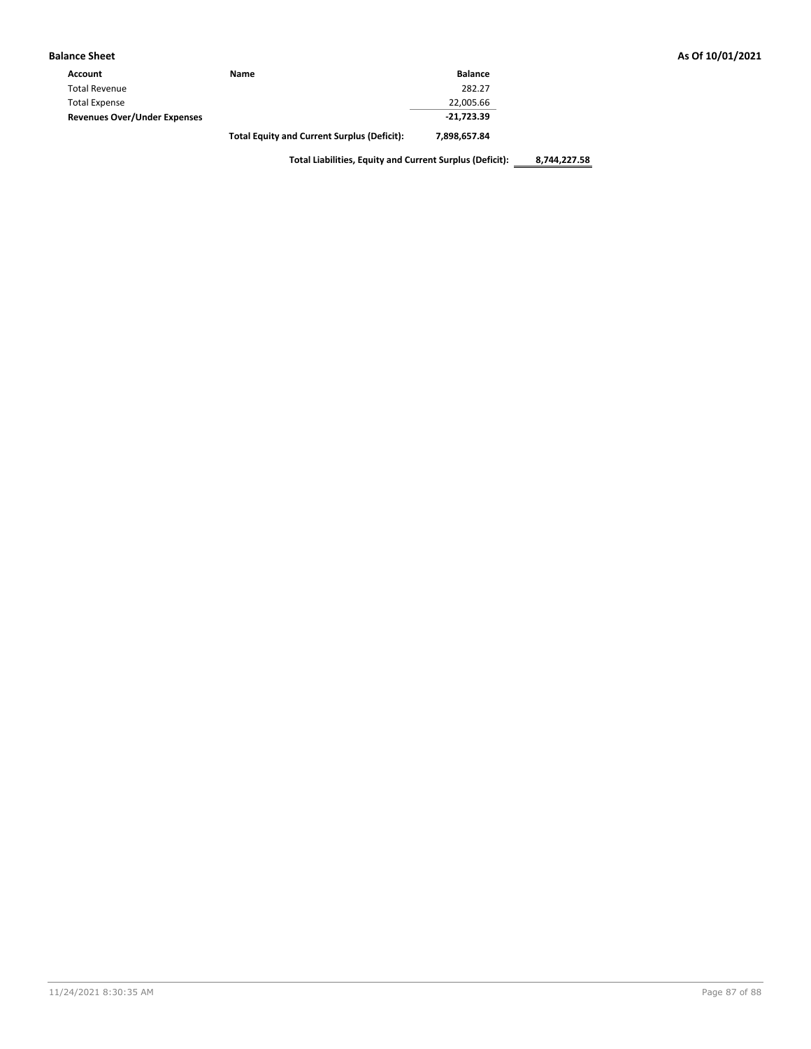|  |  |  |  | As Of 10/01/2021 |
|--|--|--|--|------------------|
|--|--|--|--|------------------|

| <b>Balance Sheet</b>                |                                                    |                | As Of 10/01/2021 |
|-------------------------------------|----------------------------------------------------|----------------|------------------|
| Account                             | Name                                               | <b>Balance</b> |                  |
| <b>Total Revenue</b>                |                                                    | 282.27         |                  |
| <b>Total Expense</b>                |                                                    | 22,005.66      |                  |
| <b>Revenues Over/Under Expenses</b> |                                                    | $-21,723.39$   |                  |
|                                     | <b>Total Equity and Current Surplus (Deficit):</b> | 7,898,657.84   |                  |

**Total Liabilities, Equity and Current Surplus (Deficit): 8,744,227.58**